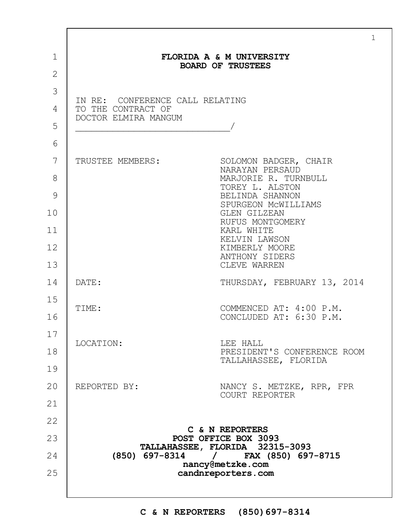|                               |                                                       | $\mathbf{1}$                                            |  |
|-------------------------------|-------------------------------------------------------|---------------------------------------------------------|--|
| $\mathbf 1$<br>$\overline{2}$ |                                                       | FLORIDA A & M UNIVERSITY<br><b>BOARD OF TRUSTEES</b>    |  |
| 3<br>4                        | IN RE: CONFERENCE CALL RELATING<br>TO THE CONTRACT OF |                                                         |  |
| 5                             | DOCTOR ELMIRA MANGUM                                  |                                                         |  |
| 6                             |                                                       |                                                         |  |
| 7                             | TRUSTEE MEMBERS:                                      | SOLOMON BADGER, CHAIR<br>NARAYAN PERSAUD                |  |
| 8                             |                                                       | MARJORIE R. TURNBULL<br>TOREY L. ALSTON                 |  |
| 9                             |                                                       | BELINDA SHANNON<br>SPURGEON MCWILLIAMS                  |  |
| 10                            |                                                       | GLEN GILZEAN<br>RUFUS MONTGOMERY                        |  |
| 11                            |                                                       | KARL WHITE<br>KELVIN LAWSON                             |  |
| 12<br>13                      |                                                       | KIMBERLY MOORE<br>ANTHONY SIDERS<br>CLEVE WARREN        |  |
| 14                            | DATE:                                                 | THURSDAY, FEBRUARY 13, 2014                             |  |
| 15                            | TIME:                                                 | COMMENCED AT: 4:00 P.M.                                 |  |
| 16                            |                                                       | CONCLUDED AT: 6:30 P.M.                                 |  |
| 17                            | LOCATION:                                             | LEE HALL                                                |  |
| 18                            |                                                       | PRESIDENT'S CONFERENCE ROOM<br>TALLAHASSEE, FLORIDA     |  |
| 19                            |                                                       |                                                         |  |
| 20                            | REPORTED BY:                                          | NANCY S. METZKE, RPR, FPR<br>COURT REPORTER             |  |
| 21                            |                                                       |                                                         |  |
| 22                            |                                                       | C & N REPORTERS                                         |  |
| 23                            |                                                       | POST OFFICE BOX 3093<br>TALLAHASSEE, FLORIDA 32315-3093 |  |
| 24                            |                                                       | (850) 697-8314 / FAX (850) 697-8715                     |  |
| 25                            | nancy@metzke.com<br>candnreporters.com                |                                                         |  |
|                               |                                                       |                                                         |  |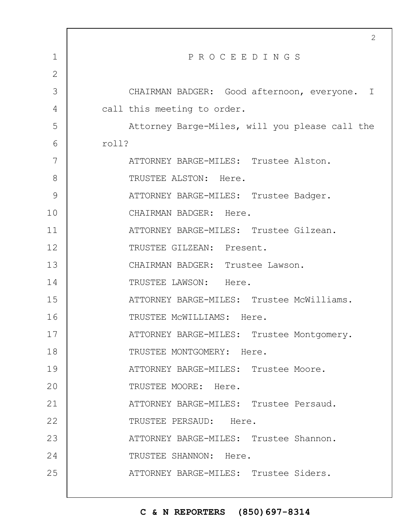|                | $\mathbf{2}$                                   |
|----------------|------------------------------------------------|
| $\mathbf 1$    | PROCEEDINGS                                    |
| $\overline{2}$ |                                                |
| 3              | CHAIRMAN BADGER: Good afternoon, everyone. I   |
| 4              | call this meeting to order.                    |
| 5              | Attorney Barge-Miles, will you please call the |
| 6              | roll?                                          |
| 7              | ATTORNEY BARGE-MILES: Trustee Alston.          |
| 8              | TRUSTEE ALSTON: Here.                          |
| 9              | ATTORNEY BARGE-MILES: Trustee Badger.          |
| 10             | CHAIRMAN BADGER: Here.                         |
| 11             | ATTORNEY BARGE-MILES: Trustee Gilzean.         |
| 12             | TRUSTEE GILZEAN: Present.                      |
| 13             | CHAIRMAN BADGER: Trustee Lawson.               |
| 14             | TRUSTEE LAWSON: Here.                          |
| 15             | ATTORNEY BARGE-MILES: Trustee McWilliams.      |
| 16             | TRUSTEE MCWILLIAMS: Here.                      |
| 17             | ATTORNEY BARGE-MILES: Trustee Montgomery.      |
| 18             | TRUSTEE MONTGOMERY: Here.                      |
| 19             | ATTORNEY BARGE-MILES: Trustee Moore.           |
| 20             | TRUSTEE MOORE: Here.                           |
| 21             | ATTORNEY BARGE-MILES: Trustee Persaud.         |
| 22             | TRUSTEE PERSAUD: Here.                         |
| 23             | ATTORNEY BARGE-MILES: Trustee Shannon.         |
| 24             | TRUSTEE SHANNON: Here.                         |
| 25             | ATTORNEY BARGE-MILES: Trustee Siders.          |
|                |                                                |

 $\Gamma$ 

H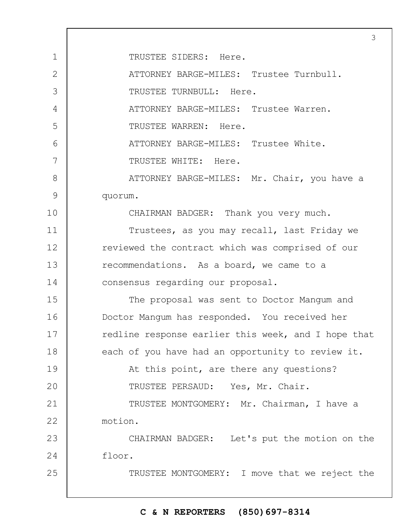1 2 3 4 5 6 7 8 9 10 11 12 13 14 15 16 17 18 19  $20$ 21 22 23 24 25 3 TRUSTEE SIDERS: Here. ATTORNEY BARGE-MILES: Trustee Turnbull. TRUSTEE TURNBULL: Here. ATTORNEY BARGE-MILES: Trustee Warren. TRUSTEE WARREN: Here. ATTORNEY BARGE-MILES: Trustee White. TRUSTEE WHITE: Here. ATTORNEY BARGE-MILES: Mr. Chair, you have a quorum. CHAIRMAN BADGER: Thank you very much. Trustees, as you may recall, last Friday we reviewed the contract which was comprised of our recommendations. As a board, we came to a consensus regarding our proposal. The proposal was sent to Doctor Mangum and Doctor Mangum has responded. You received her redline response earlier this week, and I hope that each of you have had an opportunity to review it. At this point, are there any questions? TRUSTEE PERSAUD: Yes, Mr. Chair. TRUSTEE MONTGOMERY: Mr. Chairman, I have a motion. CHAIRMAN BADGER: Let's put the motion on the floor. TRUSTEE MONTGOMERY: I move that we reject the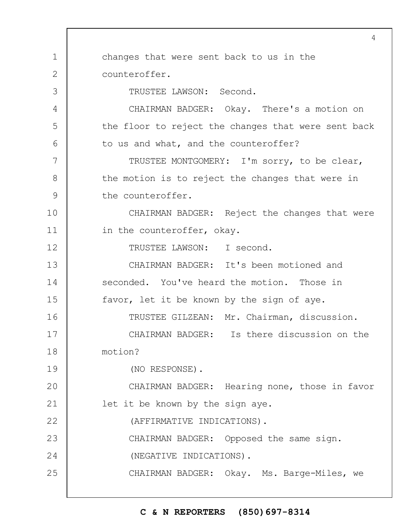1 2 3 4 5 6 7 8 9 10 11 12 13 14 15 16 17 18 19  $20$ 21 22 23 24 25 4 changes that were sent back to us in the counteroffer. TRUSTEE LAWSON: Second. CHAIRMAN BADGER: Okay. There's a motion on the floor to reject the changes that were sent back to us and what, and the counteroffer? TRUSTEE MONTGOMERY: I'm sorry, to be clear, the motion is to reject the changes that were in the counteroffer. CHAIRMAN BADGER: Reject the changes that were in the counteroffer, okay. TRUSTEE LAWSON: I second. CHAIRMAN BADGER: It's been motioned and seconded. You've heard the motion. Those in favor, let it be known by the sign of aye. TRUSTEE GILZEAN: Mr. Chairman, discussion. CHAIRMAN BADGER: Is there discussion on the motion? (NO RESPONSE). CHAIRMAN BADGER: Hearing none, those in favor let it be known by the sign aye. (AFFIRMATIVE INDICATIONS). CHAIRMAN BADGER: Opposed the same sign. (NEGATIVE INDICATIONS). CHAIRMAN BADGER: Okay. Ms. Barge-Miles, we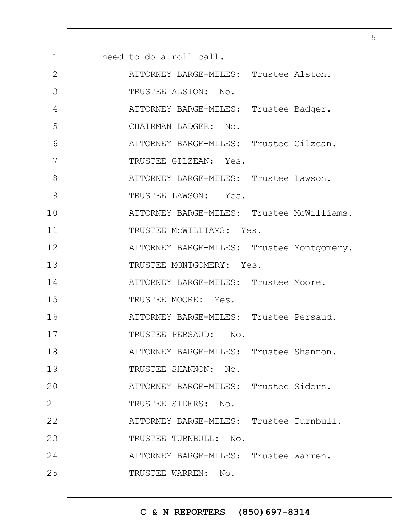| $\mathbf 1$  | need to do a roll call.                   |
|--------------|-------------------------------------------|
| $\mathbf{2}$ | ATTORNEY BARGE-MILES: Trustee Alston.     |
| 3            | TRUSTEE ALSTON: No.                       |
| 4            | ATTORNEY BARGE-MILES: Trustee Badger.     |
| 5            | CHAIRMAN BADGER: No.                      |
| 6            | ATTORNEY BARGE-MILES: Trustee Gilzean.    |
| 7            | TRUSTEE GILZEAN: Yes.                     |
| 8            | ATTORNEY BARGE-MILES: Trustee Lawson.     |
| 9            | TRUSTEE LAWSON: Yes.                      |
| 10           | ATTORNEY BARGE-MILES: Trustee McWilliams. |
| 11           | TRUSTEE MCWILLIAMS: Yes.                  |
| 12           | ATTORNEY BARGE-MILES: Trustee Montgomery. |
| 13           | TRUSTEE MONTGOMERY: Yes.                  |
| 14           | ATTORNEY BARGE-MILES: Trustee Moore.      |
| 15           | TRUSTEE MOORE: Yes.                       |
| 16           | ATTORNEY BARGE-MILES: Trustee Persaud.    |
| 17           | TRUSTEE PERSAUD:<br>No.                   |
| 18           | ATTORNEY BARGE-MILES: Trustee Shannon.    |
| 19           | TRUSTEE SHANNON: No.                      |
| 20           | ATTORNEY BARGE-MILES: Trustee Siders.     |
| 21           | TRUSTEE SIDERS: No.                       |
| 22           | ATTORNEY BARGE-MILES: Trustee Turnbull.   |
| 23           | TRUSTEE TURNBULL: No.                     |
| 24           | ATTORNEY BARGE-MILES: Trustee Warren.     |
| 25           | TRUSTEE WARREN: No.                       |
|              |                                           |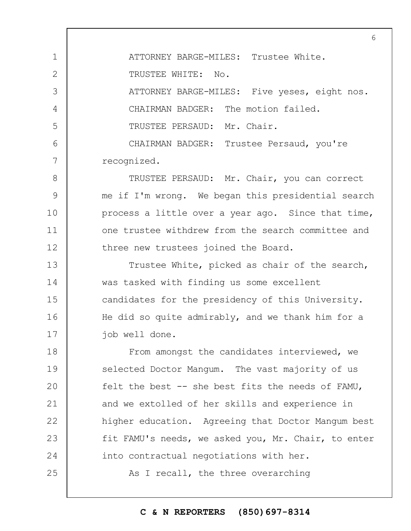1 2 3 4 5 6 7 ATTORNEY BARGE-MILES: Trustee White. TRUSTEE WHITE: No. ATTORNEY BARGE-MILES: Five yeses, eight nos. CHAIRMAN BADGER: The motion failed. TRUSTEE PERSAUD: Mr. Chair. CHAIRMAN BADGER: Trustee Persaud, you're recognized.

8 9 10 11 12 TRUSTEE PERSAUD: Mr. Chair, you can correct me if I'm wrong. We began this presidential search process a little over a year ago. Since that time, one trustee withdrew from the search committee and three new trustees joined the Board.

13 14 15 16 17 Trustee White, picked as chair of the search, was tasked with finding us some excellent candidates for the presidency of this University. He did so quite admirably, and we thank him for a job well done.

18 19  $20$ 21 22 23 24 From amongst the candidates interviewed, we selected Doctor Mangum. The vast majority of us felt the best -- she best fits the needs of FAMU, and we extolled of her skills and experience in higher education. Agreeing that Doctor Mangum best fit FAMU's needs, we asked you, Mr. Chair, to enter into contractual negotiations with her.

As I recall, the three overarching

25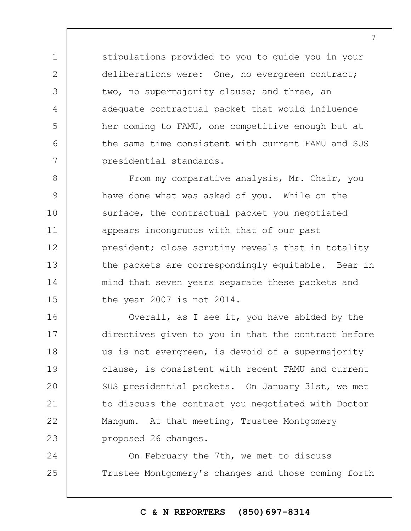stipulations provided to you to guide you in your deliberations were: One, no evergreen contract; two, no supermajority clause; and three, an adequate contractual packet that would influence her coming to FAMU, one competitive enough but at the same time consistent with current FAMU and SUS presidential standards.

1

2

3

4

5

6

7

8 9 10 11 12 13 14 15 From my comparative analysis, Mr. Chair, you have done what was asked of you. While on the surface, the contractual packet you negotiated appears incongruous with that of our past president; close scrutiny reveals that in totality the packets are correspondingly equitable. Bear in mind that seven years separate these packets and the year 2007 is not 2014.

16 17 18 19  $20$ 21 22 23 Overall, as I see it, you have abided by the directives given to you in that the contract before us is not evergreen, is devoid of a supermajority clause, is consistent with recent FAMU and current SUS presidential packets. On January 31st, we met to discuss the contract you negotiated with Doctor Mangum. At that meeting, Trustee Montgomery proposed 26 changes.

24 25 On February the 7th, we met to discuss Trustee Montgomery's changes and those coming forth

#### **C & N REPORTERS (850)697-8314**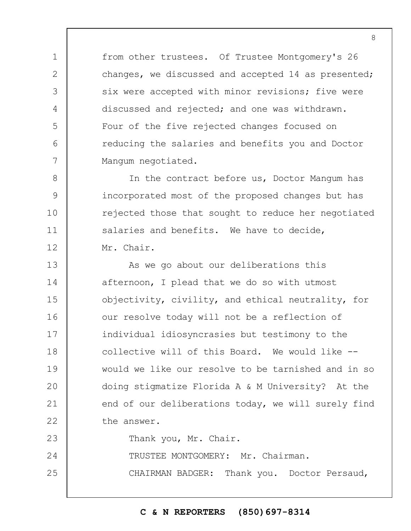from other trustees. Of Trustee Montgomery's 26 changes, we discussed and accepted 14 as presented; six were accepted with minor revisions; five were discussed and rejected; and one was withdrawn. Four of the five rejected changes focused on reducing the salaries and benefits you and Doctor Mangum negotiated.

1

2

3

4

5

6

7

8

9

10

11

12

In the contract before us, Doctor Mangum has incorporated most of the proposed changes but has rejected those that sought to reduce her negotiated salaries and benefits. We have to decide, Mr. Chair.

13 14 15 16 17 18 19  $20$ 21 22 23 As we go about our deliberations this afternoon, I plead that we do so with utmost objectivity, civility, and ethical neutrality, for our resolve today will not be a reflection of individual idiosyncrasies but testimony to the collective will of this Board. We would like - would we like our resolve to be tarnished and in so doing stigmatize Florida A & M University? At the end of our deliberations today, we will surely find the answer. Thank you, Mr. Chair.

24 TRUSTEE MONTGOMERY: Mr. Chairman.

25 CHAIRMAN BADGER: Thank you. Doctor Persaud,

**C & N REPORTERS (850)697-8314**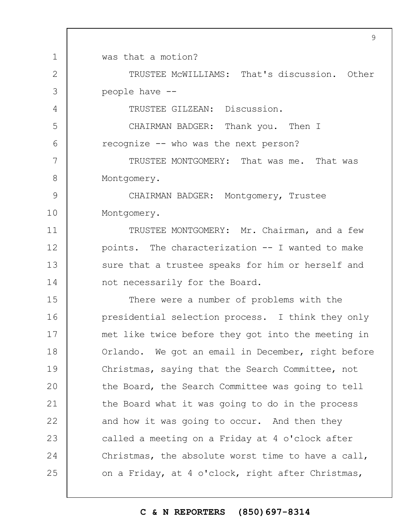1 2 3 4 5 6 7 8 9 10 11 12 13 14 15 16 17 18 19  $20$ 21 22 23 24 25 9 was that a motion? TRUSTEE McWILLIAMS: That's discussion. Other people have -- TRUSTEE GILZEAN: Discussion. CHAIRMAN BADGER: Thank you. Then I recognize -- who was the next person? TRUSTEE MONTGOMERY: That was me. That was Montgomery. CHAIRMAN BADGER: Montgomery, Trustee Montgomery. TRUSTEE MONTGOMERY: Mr. Chairman, and a few points. The characterization -- I wanted to make sure that a trustee speaks for him or herself and not necessarily for the Board. There were a number of problems with the presidential selection process. I think they only met like twice before they got into the meeting in Orlando. We got an email in December, right before Christmas, saying that the Search Committee, not the Board, the Search Committee was going to tell the Board what it was going to do in the process and how it was going to occur. And then they called a meeting on a Friday at 4 o'clock after Christmas, the absolute worst time to have a call, on a Friday, at 4 o'clock, right after Christmas,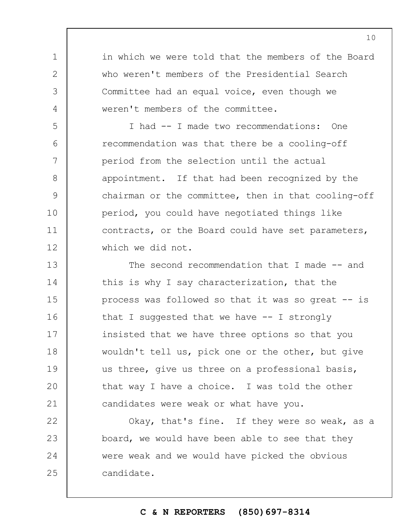in which we were told that the members of the Board who weren't members of the Presidential Search Committee had an equal voice, even though we weren't members of the committee.

1

2

3

4

5

6

7

8

9

10

11

12

I had -- I made two recommendations: One recommendation was that there be a cooling-off period from the selection until the actual appointment. If that had been recognized by the chairman or the committee, then in that cooling-off period, you could have negotiated things like contracts, or the Board could have set parameters, which we did not.

13 14 15 16 17 18 19  $20$ 21 The second recommendation that I made -- and this is why I say characterization, that the process was followed so that it was so great -- is that I suggested that we have  $-$ - I strongly insisted that we have three options so that you wouldn't tell us, pick one or the other, but give us three, give us three on a professional basis, that way I have a choice. I was told the other candidates were weak or what have you.

22 23 24 25 Okay, that's fine. If they were so weak, as a board, we would have been able to see that they were weak and we would have picked the obvious candidate.

# **C & N REPORTERS (850)697-8314**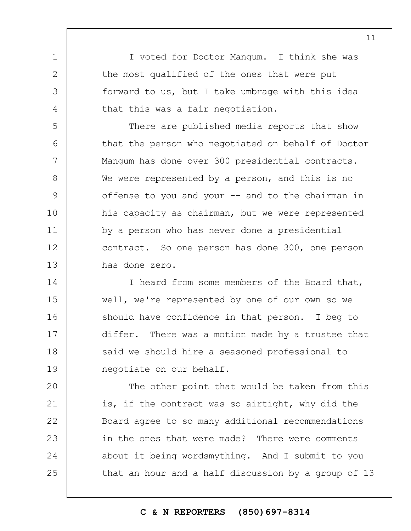I voted for Doctor Mangum. I think she was the most qualified of the ones that were put forward to us, but I take umbrage with this idea that this was a fair negotiation.

1

2

3

4

5 6 7 8 9 10 11 12 13 There are published media reports that show that the person who negotiated on behalf of Doctor Mangum has done over 300 presidential contracts. We were represented by a person, and this is no offense to you and your  $--$  and to the chairman in his capacity as chairman, but we were represented by a person who has never done a presidential contract. So one person has done 300, one person has done zero.

14 15 16 17 18 19 I heard from some members of the Board that, well, we're represented by one of our own so we should have confidence in that person. I beg to differ. There was a motion made by a trustee that said we should hire a seasoned professional to negotiate on our behalf.

 $20$ 21 22 23 24 25 The other point that would be taken from this is, if the contract was so airtight, why did the Board agree to so many additional recommendations in the ones that were made? There were comments about it being wordsmything. And I submit to you that an hour and a half discussion by a group of 13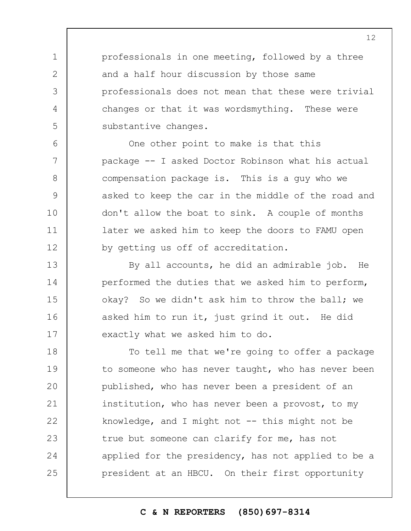professionals in one meeting, followed by a three and a half hour discussion by those same professionals does not mean that these were trivial changes or that it was wordsmything. These were substantive changes.

1

2

3

4

5

6

7

8

9

10

11

12

15

One other point to make is that this package -- I asked Doctor Robinson what his actual compensation package is. This is a guy who we asked to keep the car in the middle of the road and don't allow the boat to sink. A couple of months later we asked him to keep the doors to FAMU open by getting us off of accreditation.

13 14 16 17 By all accounts, he did an admirable job. He performed the duties that we asked him to perform, okay? So we didn't ask him to throw the ball; we asked him to run it, just grind it out. He did exactly what we asked him to do.

18 19  $20$ 21 22 23 24 25 To tell me that we're going to offer a package to someone who has never taught, who has never been published, who has never been a president of an institution, who has never been a provost, to my knowledge, and I might not  $--$  this might not be true but someone can clarify for me, has not applied for the presidency, has not applied to be a president at an HBCU. On their first opportunity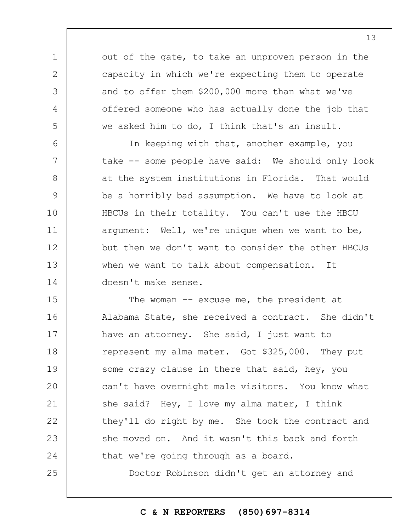out of the gate, to take an unproven person in the capacity in which we're expecting them to operate and to offer them \$200,000 more than what we've offered someone who has actually done the job that we asked him to do, I think that's an insult.

1

2

3

4

5

6 7 8 9 10 11 12 13 14 In keeping with that, another example, you take -- some people have said: We should only look at the system institutions in Florida. That would be a horribly bad assumption. We have to look at HBCUs in their totality. You can't use the HBCU argument: Well, we're unique when we want to be, but then we don't want to consider the other HBCUs when we want to talk about compensation. It doesn't make sense.

15 16 17 18 19  $20$ 21 22 23 24 25 The woman  $-$  excuse me, the president at Alabama State, she received a contract. She didn't have an attorney. She said, I just want to represent my alma mater. Got \$325,000. They put some crazy clause in there that said, hey, you can't have overnight male visitors. You know what she said? Hey, I love my alma mater, I think they'll do right by me. She took the contract and she moved on. And it wasn't this back and forth that we're going through as a board. Doctor Robinson didn't get an attorney and

**C & N REPORTERS (850)697-8314**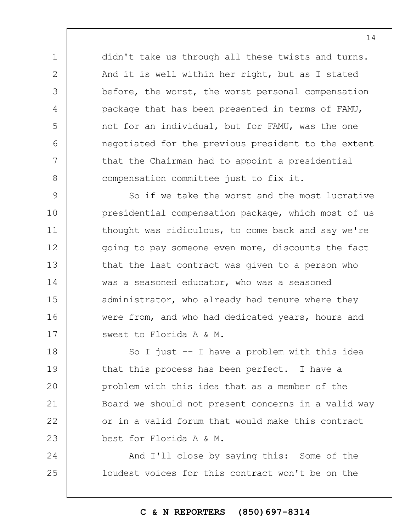didn't take us through all these twists and turns. And it is well within her right, but as I stated before, the worst, the worst personal compensation package that has been presented in terms of FAMU, not for an individual, but for FAMU, was the one negotiated for the previous president to the extent that the Chairman had to appoint a presidential compensation committee just to fix it.

1

2

3

4

5

6

7

8

9 10 11 12 13 14 15 16 17 So if we take the worst and the most lucrative presidential compensation package, which most of us thought was ridiculous, to come back and say we're going to pay someone even more, discounts the fact that the last contract was given to a person who was a seasoned educator, who was a seasoned administrator, who already had tenure where they were from, and who had dedicated years, hours and sweat to Florida A & M.

18 19  $20$ 21 22 23 So I just -- I have a problem with this idea that this process has been perfect. I have a problem with this idea that as a member of the Board we should not present concerns in a valid way or in a valid forum that would make this contract best for Florida A & M.

24 25 And I'll close by saying this: Some of the loudest voices for this contract won't be on the

#### **C & N REPORTERS (850)697-8314**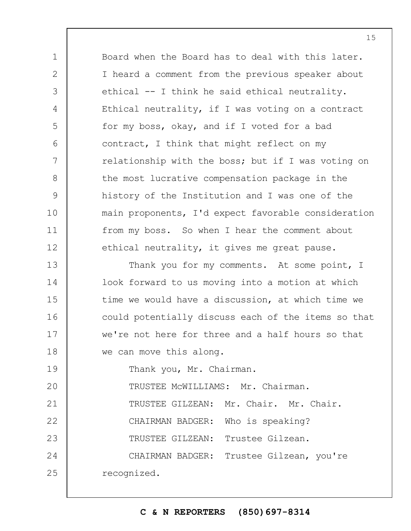Board when the Board has to deal with this later. I heard a comment from the previous speaker about ethical -- I think he said ethical neutrality. Ethical neutrality, if I was voting on a contract for my boss, okay, and if I voted for a bad contract, I think that might reflect on my relationship with the boss; but if I was voting on the most lucrative compensation package in the history of the Institution and I was one of the main proponents, I'd expect favorable consideration from my boss. So when I hear the comment about ethical neutrality, it gives me great pause.

13 14 15 16 17 18 Thank you for my comments. At some point, I look forward to us moving into a motion at which time we would have a discussion, at which time we could potentially discuss each of the items so that we're not here for three and a half hours so that we can move this along.

19 Thank you, Mr. Chairman.

1

2

3

4

5

6

7

8

9

10

11

12

21

22

23

 $20$ TRUSTEE McWILLIAMS: Mr. Chairman.

TRUSTEE GILZEAN: Mr. Chair. Mr. Chair.

CHAIRMAN BADGER: Who is speaking?

TRUSTEE GILZEAN: Trustee Gilzean.

24 25 CHAIRMAN BADGER: Trustee Gilzean, you're recognized.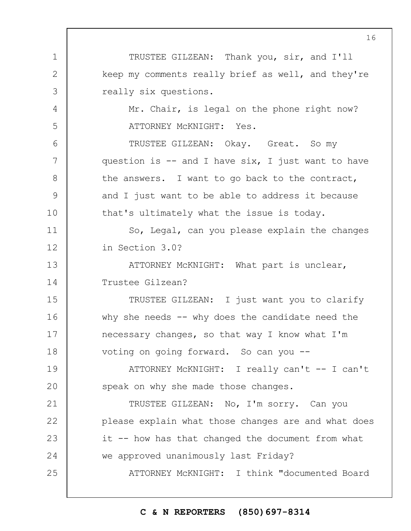1 2 3 4 5 6 7 8 9 10 11 12 13 14 15 16 17 18 19  $20$ 21 22 23 24 25 TRUSTEE GILZEAN: Thank you, sir, and I'll keep my comments really brief as well, and they're really six questions. Mr. Chair, is legal on the phone right now? ATTORNEY McKNIGHT: Yes. TRUSTEE GILZEAN: Okay. Great. So my question is  $-$  and I have six, I just want to have the answers. I want to go back to the contract, and I just want to be able to address it because that's ultimately what the issue is today. So, Legal, can you please explain the changes in Section 3.0? ATTORNEY McKNIGHT: What part is unclear, Trustee Gilzean? TRUSTEE GILZEAN: I just want you to clarify why she needs  $-$ - why does the candidate need the necessary changes, so that way I know what I'm voting on going forward. So can you -- ATTORNEY McKNIGHT: I really can't -- I can't speak on why she made those changes. TRUSTEE GILZEAN: No, I'm sorry. Can you please explain what those changes are and what does it -- how has that changed the document from what we approved unanimously last Friday? ATTORNEY McKNIGHT: I think "documented Board

## **C & N REPORTERS (850)697-8314**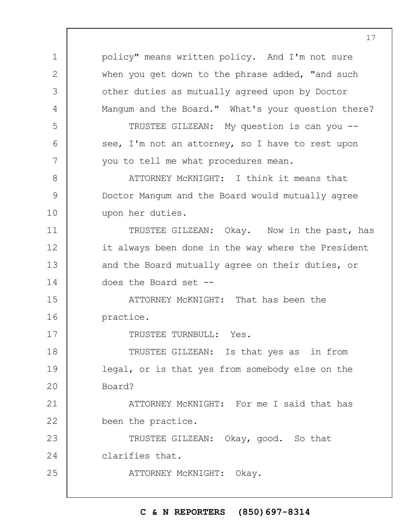1 2 3 4 5 6 7 8 9 10 11 12 13 14 15 16 17 18 19  $20$ 21 22 23 24 25 policy" means written policy. And I'm not sure when you get down to the phrase added, "and such other duties as mutually agreed upon by Doctor Mangum and the Board." What's your question there? TRUSTEE GILZEAN: My question is can you - see, I'm not an attorney, so I have to rest upon you to tell me what procedures mean. ATTORNEY McKNIGHT: I think it means that Doctor Mangum and the Board would mutually agree upon her duties. TRUSTEE GILZEAN: Okay. Now in the past, has it always been done in the way where the President and the Board mutually agree on their duties, or does the Board set -- ATTORNEY McKNIGHT: That has been the practice. TRUSTEE TURNBULL: Yes. TRUSTEE GILZEAN: Is that yes as in from legal, or is that yes from somebody else on the Board? ATTORNEY McKNIGHT: For me I said that has been the practice. TRUSTEE GILZEAN: Okay, good. So that clarifies that. ATTORNEY McKNIGHT: Okay.

## **C & N REPORTERS (850)697-8314**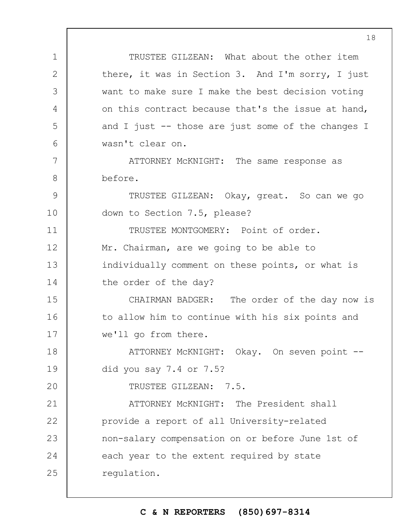1 2 3 4 5 6 7 8 9 10 11 12 13 14 15 16 17 18 19  $20$ 21 22 23 24 25 TRUSTEE GILZEAN: What about the other item there, it was in Section 3. And I'm sorry, I just want to make sure I make the best decision voting on this contract because that's the issue at hand, and I just -- those are just some of the changes I wasn't clear on. ATTORNEY McKNIGHT: The same response as before. TRUSTEE GILZEAN: Okay, great. So can we go down to Section 7.5, please? TRUSTEE MONTGOMERY: Point of order. Mr. Chairman, are we going to be able to individually comment on these points, or what is the order of the day? CHAIRMAN BADGER: The order of the day now is to allow him to continue with his six points and we'll go from there. ATTORNEY McKNIGHT: Okay. On seven point - did you say 7.4 or 7.5? TRUSTEE GILZEAN: 7.5. ATTORNEY McKNIGHT: The President shall provide a report of all University-related non-salary compensation on or before June 1st of each year to the extent required by state regulation.

#### **C & N REPORTERS (850)697-8314**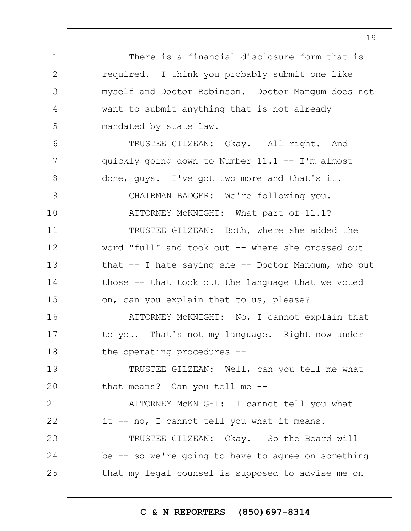There is a financial disclosure form that is required. I think you probably submit one like myself and Doctor Robinson. Doctor Mangum does not want to submit anything that is not already mandated by state law.

TRUSTEE GILZEAN: Okay. All right. And quickly going down to Number 11.1 -- I'm almost done, guys. I've got two more and that's it.

1

2

3

4

5

6

7

8

9

10

11

12

13

14

15

CHAIRMAN BADGER: We're following you. ATTORNEY McKNIGHT: What part of 11.1?

TRUSTEE GILZEAN: Both, where she added the word "full" and took out -- where she crossed out that  $--$  I hate saying she  $--$  Doctor Mangum, who put those -- that took out the language that we voted on, can you explain that to us, please?

16 17 18 ATTORNEY McKNIGHT: No, I cannot explain that to you. That's not my language. Right now under the operating procedures --

19  $20$ TRUSTEE GILZEAN: Well, can you tell me what that means? Can you tell me --

21 22 ATTORNEY McKNIGHT: I cannot tell you what it -- no, I cannot tell you what it means.

23 24 25 TRUSTEE GILZEAN: Okay. So the Board will be -- so we're going to have to agree on something that my legal counsel is supposed to advise me on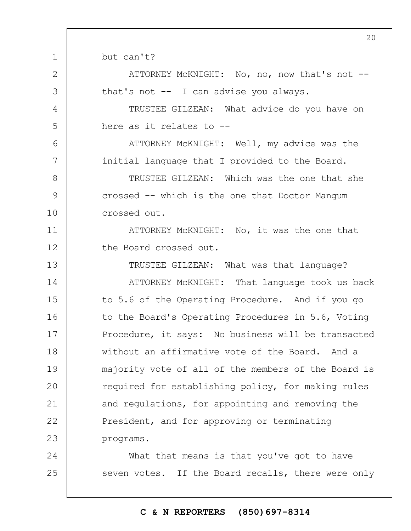but can't?

1

2

3

4

5

6

7

8

9

10

ATTORNEY McKNIGHT: No, no, now that's not - that's not -- I can advise you always.

TRUSTEE GILZEAN: What advice do you have on here as it relates to --

ATTORNEY McKNIGHT: Well, my advice was the initial language that I provided to the Board.

TRUSTEE GILZEAN: Which was the one that she crossed -- which is the one that Doctor Mangum crossed out.

11 12 ATTORNEY McKNIGHT: No, it was the one that the Board crossed out.

13 14 15 16 17 18 19  $20$ 21 22 23 TRUSTEE GILZEAN: What was that language? ATTORNEY McKNIGHT: That language took us back to 5.6 of the Operating Procedure. And if you go to the Board's Operating Procedures in 5.6, Voting Procedure, it says: No business will be transacted without an affirmative vote of the Board. And a majority vote of all of the members of the Board is required for establishing policy, for making rules and regulations, for appointing and removing the President, and for approving or terminating programs.

24 25 What that means is that you've got to have seven votes. If the Board recalls, there were only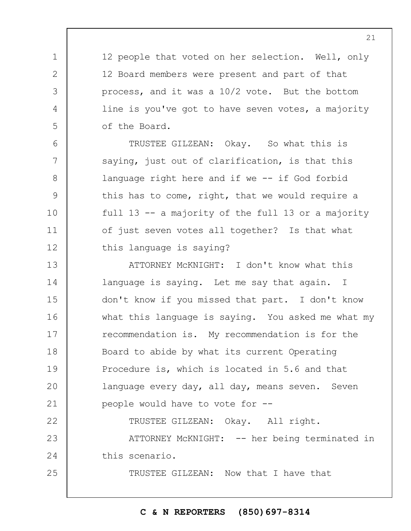12 people that voted on her selection. Well, only 12 Board members were present and part of that process, and it was a 10/2 vote. But the bottom line is you've got to have seven votes, a majority of the Board.

1

2

3

4

5

6

7

8

9

10

11

12

22

25

TRUSTEE GILZEAN: Okay. So what this is saying, just out of clarification, is that this language right here and if we -- if God forbid this has to come, right, that we would require a full 13 -- a majority of the full 13 or a majority of just seven votes all together? Is that what this language is saying?

13 14 15 16 17 18 19  $20$ 21 ATTORNEY McKNIGHT: I don't know what this language is saying. Let me say that again. I don't know if you missed that part. I don't know what this language is saying. You asked me what my recommendation is. My recommendation is for the Board to abide by what its current Operating Procedure is, which is located in 5.6 and that language every day, all day, means seven. Seven people would have to vote for --

TRUSTEE GILZEAN: Okay. All right.

23 24 ATTORNEY MCKNIGHT: -- her being terminated in this scenario.

TRUSTEE GILZEAN: Now that I have that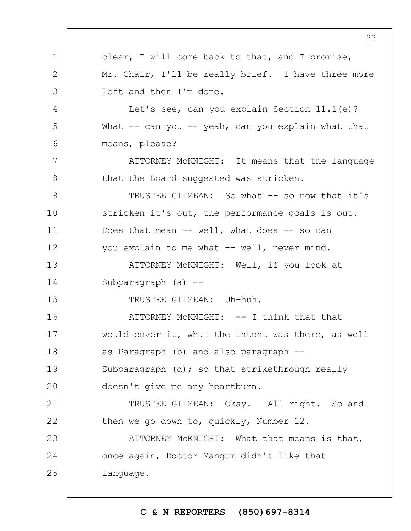1 2 3 4 5 6 7 8 9 10 11 12 13 14 15 16 17 18 19  $20$ 21 22 23 24 25 clear, I will come back to that, and I promise, Mr. Chair, I'll be really brief. I have three more left and then I'm done. Let's see, can you explain Section 11.1(e)? What  $--$  can you  $--$  yeah, can you explain what that means, please? ATTORNEY McKNIGHT: It means that the language that the Board suggested was stricken. TRUSTEE GILZEAN: So what -- so now that it's stricken it's out, the performance goals is out. Does that mean -- well, what does -- so can you explain to me what -- well, never mind. ATTORNEY McKNIGHT: Well, if you look at Subparagraph (a) -- TRUSTEE GILZEAN: Uh-huh.  $ATTORNEY$  MCKNIGHT:  $--$  I think that that would cover it, what the intent was there, as well as Paragraph (b) and also paragraph -- Subparagraph (d); so that strikethrough really doesn't give me any heartburn. TRUSTEE GILZEAN: Okay. All right. So and then we go down to, quickly, Number 12. ATTORNEY McKNIGHT: What that means is that, once again, Doctor Mangum didn't like that language.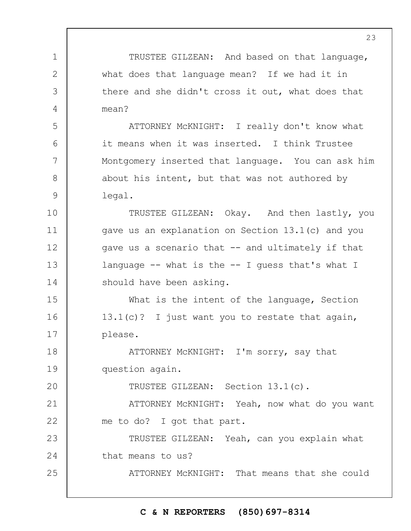1 2 3 4 5 6 7 8 9 10 11 12 13 14 15 16 17 18 19  $20$ 21 22 23 24 25 TRUSTEE GILZEAN: And based on that language, what does that language mean? If we had it in there and she didn't cross it out, what does that mean? ATTORNEY McKNIGHT: I really don't know what it means when it was inserted. I think Trustee Montgomery inserted that language. You can ask him about his intent, but that was not authored by legal. TRUSTEE GILZEAN: Okay. And then lastly, you gave us an explanation on Section 13.1(c) and you gave us a scenario that -- and ultimately if that language  $-$ - what is the  $-$ - I guess that's what I should have been asking. What is the intent of the language, Section 13.1(c)? I just want you to restate that again, please. ATTORNEY McKNIGHT: I'm sorry, say that question again. TRUSTEE GILZEAN: Section 13.1(c). ATTORNEY McKNIGHT: Yeah, now what do you want me to do? I got that part. TRUSTEE GILZEAN: Yeah, can you explain what that means to us? ATTORNEY McKNIGHT: That means that she could

#### **C & N REPORTERS (850)697-8314**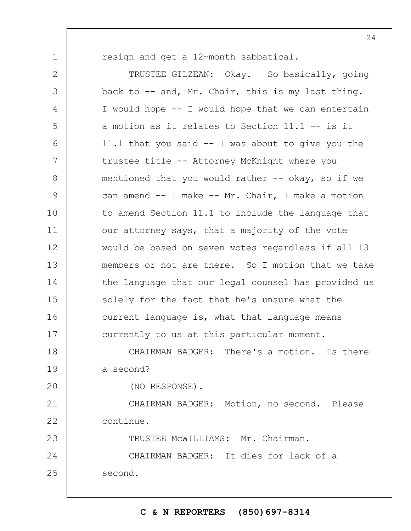1

resign and get a 12-month sabbatical.

2 3 4 5 6 7 8 9 10 11 12 13 14 15 16 17 TRUSTEE GILZEAN: Okay. So basically, going back to -- and, Mr. Chair, this is my last thing. I would hope -- I would hope that we can entertain a motion as it relates to Section 11.1 -- is it 11.1 that you said -- I was about to give you the trustee title -- Attorney McKnight where you mentioned that you would rather  $-$  okay, so if we can amend -- I make -- Mr. Chair, I make a motion to amend Section 11.1 to include the language that our attorney says, that a majority of the vote would be based on seven votes regardless if all 13 members or not are there. So I motion that we take the language that our legal counsel has provided us solely for the fact that he's unsure what the current language is, what that language means currently to us at this particular moment.

18 19 CHAIRMAN BADGER: There's a motion. Is there a second?

 $20$ 

(NO RESPONSE).

21 22 CHAIRMAN BADGER: Motion, no second. Please continue.

23 24 25 TRUSTEE McWILLIAMS: Mr. Chairman. CHAIRMAN BADGER: It dies for lack of a second.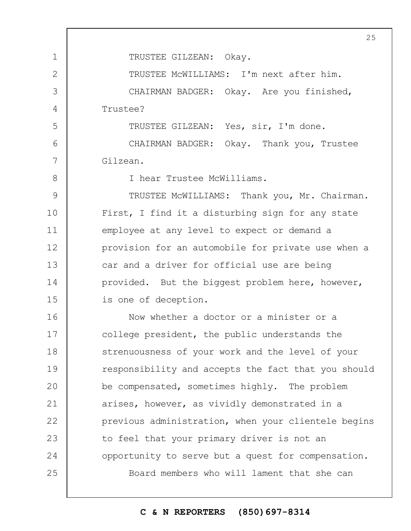1 2 3 4 5 6 7 8 9 10 11 12 13 14 15 16 17 18 19  $20$ 21 22 23 24 25 25 TRUSTEE GILZEAN: Okay. TRUSTEE McWILLIAMS: I'm next after him. CHAIRMAN BADGER: Okay. Are you finished, Trustee? TRUSTEE GILZEAN: Yes, sir, I'm done. CHAIRMAN BADGER: Okay. Thank you, Trustee Gilzean. I hear Trustee McWilliams. TRUSTEE McWILLIAMS: Thank you, Mr. Chairman. First, I find it a disturbing sign for any state employee at any level to expect or demand a provision for an automobile for private use when a car and a driver for official use are being provided. But the biggest problem here, however, is one of deception. Now whether a doctor or a minister or a college president, the public understands the strenuousness of your work and the level of your responsibility and accepts the fact that you should be compensated, sometimes highly. The problem arises, however, as vividly demonstrated in a previous administration, when your clientele begins to feel that your primary driver is not an opportunity to serve but a quest for compensation. Board members who will lament that she can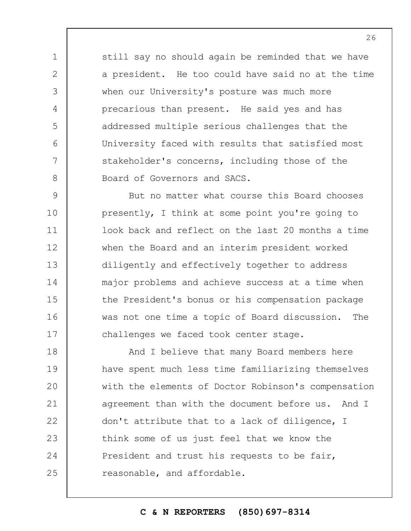still say no should again be reminded that we have a president. He too could have said no at the time when our University's posture was much more precarious than present. He said yes and has addressed multiple serious challenges that the University faced with results that satisfied most stakeholder's concerns, including those of the Board of Governors and SACS.

1

2

3

4

5

6

7

8

9 10 11 12 13 14 15 16 17 But no matter what course this Board chooses presently, I think at some point you're going to look back and reflect on the last 20 months a time when the Board and an interim president worked diligently and effectively together to address major problems and achieve success at a time when the President's bonus or his compensation package was not one time a topic of Board discussion. The challenges we faced took center stage.

18 19  $20$ 21 22 23 24 25 And I believe that many Board members here have spent much less time familiarizing themselves with the elements of Doctor Robinson's compensation agreement than with the document before us. And I don't attribute that to a lack of diligence, I think some of us just feel that we know the President and trust his requests to be fair, reasonable, and affordable.

# **C & N REPORTERS (850)697-8314**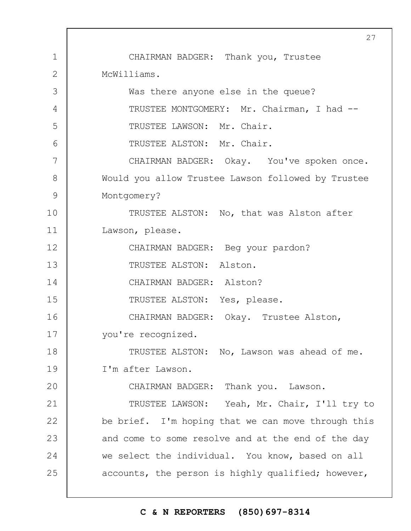1 2 3 4 5 6 7 8 9 10 11 12 13 14 15 16 17 18 19  $20$ 21 22 23 24 25 27 CHAIRMAN BADGER: Thank you, Trustee McWilliams. Was there anyone else in the queue? TRUSTEE MONTGOMERY: Mr. Chairman, I had --TRUSTEE LAWSON: Mr. Chair. TRUSTEE ALSTON: Mr. Chair. CHAIRMAN BADGER: Okay. You've spoken once. Would you allow Trustee Lawson followed by Trustee Montgomery? TRUSTEE ALSTON: No, that was Alston after Lawson, please. CHAIRMAN BADGER: Beg your pardon? TRUSTEE ALSTON: Alston. CHAIRMAN BADGER: Alston? TRUSTEE ALSTON: Yes, please. CHAIRMAN BADGER: Okay. Trustee Alston, you're recognized. TRUSTEE ALSTON: No, Lawson was ahead of me. I'm after Lawson. CHAIRMAN BADGER: Thank you. Lawson. TRUSTEE LAWSON: Yeah, Mr. Chair, I'll try to be brief. I'm hoping that we can move through this and come to some resolve and at the end of the day we select the individual. You know, based on all accounts, the person is highly qualified; however,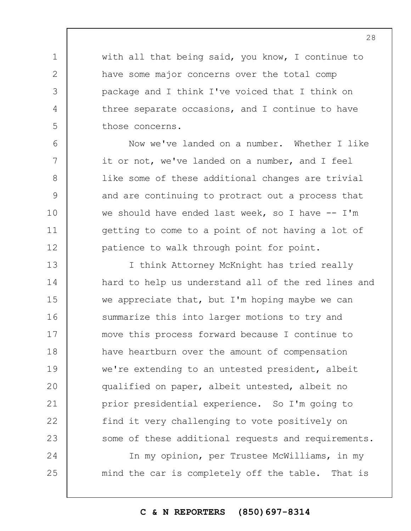with all that being said, you know, I continue to have some major concerns over the total comp package and I think I've voiced that I think on three separate occasions, and I continue to have those concerns.

1

2

3

4

5

6

7

8

9

10

11

12

25

Now we've landed on a number. Whether I like it or not, we've landed on a number, and I feel like some of these additional changes are trivial and are continuing to protract out a process that we should have ended last week, so I have  $-$  I'm getting to come to a point of not having a lot of patience to walk through point for point.

13 14 15 16 17 18 19  $20$ 21 22 23 24 I think Attorney McKnight has tried really hard to help us understand all of the red lines and we appreciate that, but I'm hoping maybe we can summarize this into larger motions to try and move this process forward because I continue to have heartburn over the amount of compensation we're extending to an untested president, albeit qualified on paper, albeit untested, albeit no prior presidential experience. So I'm going to find it very challenging to vote positively on some of these additional requests and requirements. In my opinion, per Trustee McWilliams, in my

mind the car is completely off the table. That is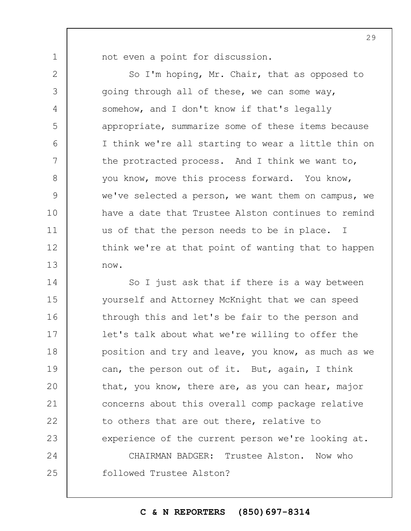1

2

3

4

5

6

7

8

9

10

11

12

13

not even a point for discussion.

So I'm hoping, Mr. Chair, that as opposed to going through all of these, we can some way, somehow, and I don't know if that's legally appropriate, summarize some of these items because I think we're all starting to wear a little thin on the protracted process. And I think we want to, you know, move this process forward. You know, we've selected a person, we want them on campus, we have a date that Trustee Alston continues to remind us of that the person needs to be in place. I think we're at that point of wanting that to happen now.

14 15 16 17 18 19  $20$ 21 22 23 24 25 So I just ask that if there is a way between yourself and Attorney McKnight that we can speed through this and let's be fair to the person and let's talk about what we're willing to offer the position and try and leave, you know, as much as we can, the person out of it. But, again, I think that, you know, there are, as you can hear, major concerns about this overall comp package relative to others that are out there, relative to experience of the current person we're looking at. CHAIRMAN BADGER: Trustee Alston. Now who followed Trustee Alston?

**C & N REPORTERS (850)697-8314**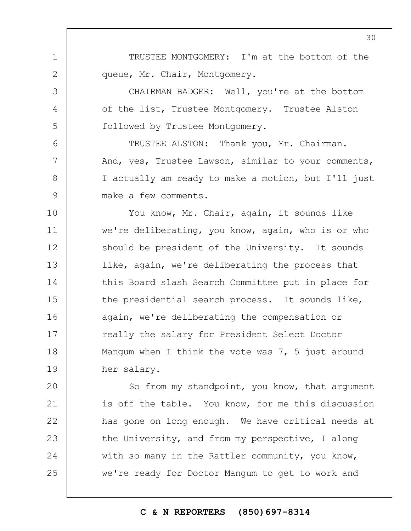TRUSTEE MONTGOMERY: I'm at the bottom of the queue, Mr. Chair, Montgomery.

1

2

3

4

5

6

7

8

9

CHAIRMAN BADGER: Well, you're at the bottom of the list, Trustee Montgomery. Trustee Alston followed by Trustee Montgomery.

TRUSTEE ALSTON: Thank you, Mr. Chairman. And, yes, Trustee Lawson, similar to your comments, I actually am ready to make a motion, but I'll just make a few comments.

10 11 12 13 14 15 16 17 18 19 You know, Mr. Chair, again, it sounds like we're deliberating, you know, again, who is or who should be president of the University. It sounds like, again, we're deliberating the process that this Board slash Search Committee put in place for the presidential search process. It sounds like, again, we're deliberating the compensation or really the salary for President Select Doctor Mangum when I think the vote was 7, 5 just around her salary.

 $20$ 21 22 23 24 25 So from my standpoint, you know, that argument is off the table. You know, for me this discussion has gone on long enough. We have critical needs at the University, and from my perspective, I along with so many in the Rattler community, you know, we're ready for Doctor Mangum to get to work and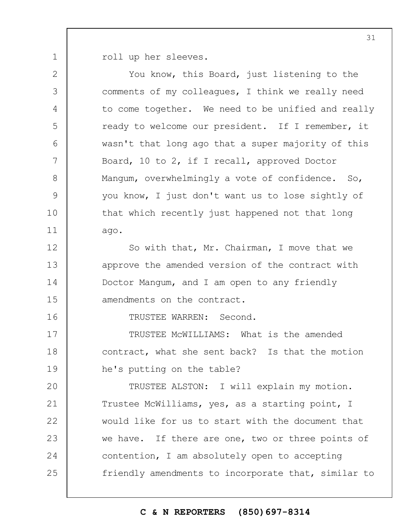1 roll up her sleeves.

2 3 4 5 6 7 8 9 10 11 12 13 14 15 16 17 18 19  $20$ 21 22 23 24 25 You know, this Board, just listening to the comments of my colleagues, I think we really need to come together. We need to be unified and really ready to welcome our president. If I remember, it wasn't that long ago that a super majority of this Board, 10 to 2, if I recall, approved Doctor Mangum, overwhelmingly a vote of confidence. So, you know, I just don't want us to lose sightly of that which recently just happened not that long ago. So with that, Mr. Chairman, I move that we approve the amended version of the contract with Doctor Mangum, and I am open to any friendly amendments on the contract. TRUSTEE WARREN: Second. TRUSTEE McWILLIAMS: What is the amended contract, what she sent back? Is that the motion he's putting on the table? TRUSTEE ALSTON: I will explain my motion. Trustee McWilliams, yes, as a starting point, I would like for us to start with the document that we have. If there are one, two or three points of contention, I am absolutely open to accepting friendly amendments to incorporate that, similar to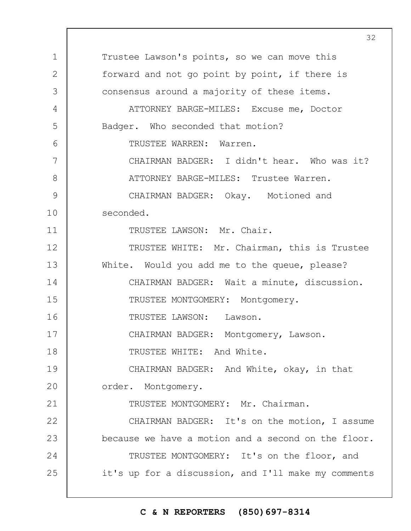1 2 3 4 5 6 7 8 9 10 11 12 13 14 15 16 17 18 19  $20$ 21 22 23 24 25 Trustee Lawson's points, so we can move this forward and not go point by point, if there is consensus around a majority of these items. ATTORNEY BARGE-MILES: Excuse me, Doctor Badger. Who seconded that motion? TRUSTEE WARREN: Warren. CHAIRMAN BADGER: I didn't hear. Who was it? ATTORNEY BARGE-MILES: Trustee Warren. CHAIRMAN BADGER: Okay. Motioned and seconded. TRUSTEE LAWSON: Mr. Chair. TRUSTEE WHITE: Mr. Chairman, this is Trustee White. Would you add me to the queue, please? CHAIRMAN BADGER: Wait a minute, discussion. TRUSTEE MONTGOMERY: Montgomery. TRUSTEE LAWSON: Lawson. CHAIRMAN BADGER: Montgomery, Lawson. TRUSTEE WHITE: And White. CHAIRMAN BADGER: And White, okay, in that order. Montgomery. TRUSTEE MONTGOMERY: Mr. Chairman. CHAIRMAN BADGER: It's on the motion, I assume because we have a motion and a second on the floor. TRUSTEE MONTGOMERY: It's on the floor, and it's up for a discussion, and I'll make my comments

#### **C & N REPORTERS (850)697-8314**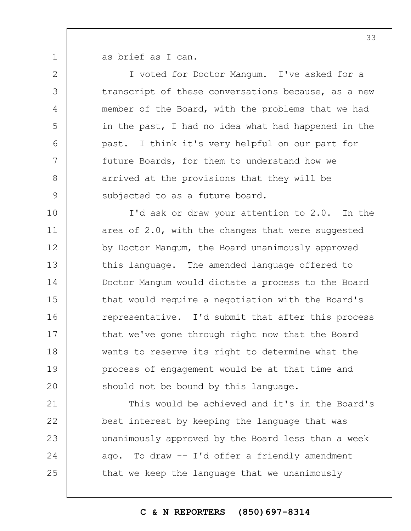1 2

3

4

5

6

7

8

9

as brief as I can.

I voted for Doctor Mangum. I've asked for a transcript of these conversations because, as a new member of the Board, with the problems that we had in the past, I had no idea what had happened in the past. I think it's very helpful on our part for future Boards, for them to understand how we arrived at the provisions that they will be subjected to as a future board.

10 11 12 13 14 15 16 17 18 19  $20$ I'd ask or draw your attention to 2.0. In the area of 2.0, with the changes that were suggested by Doctor Mangum, the Board unanimously approved this language. The amended language offered to Doctor Mangum would dictate a process to the Board that would require a negotiation with the Board's representative. I'd submit that after this process that we've gone through right now that the Board wants to reserve its right to determine what the process of engagement would be at that time and should not be bound by this language.

21 22 23 24 25 This would be achieved and it's in the Board's best interest by keeping the language that was unanimously approved by the Board less than a week ago. To draw -- I'd offer a friendly amendment that we keep the language that we unanimously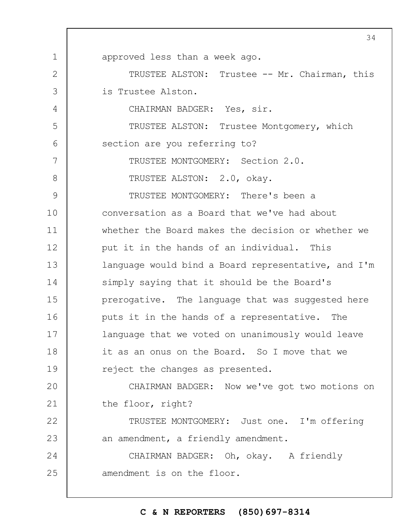1 2 3 4 5 6 7 8 9 10 11 12 13 14 15 16 17 18 19  $20$ 21 22 23 24 25 approved less than a week ago. TRUSTEE ALSTON: Trustee -- Mr. Chairman, this is Trustee Alston. CHAIRMAN BADGER: Yes, sir. TRUSTEE ALSTON: Trustee Montgomery, which section are you referring to? TRUSTEE MONTGOMERY: Section 2.0. TRUSTEE ALSTON: 2.0, okay. TRUSTEE MONTGOMERY: There's been a conversation as a Board that we've had about whether the Board makes the decision or whether we put it in the hands of an individual. This language would bind a Board representative, and I'm simply saying that it should be the Board's prerogative. The language that was suggested here puts it in the hands of a representative. The language that we voted on unanimously would leave it as an onus on the Board. So I move that we reject the changes as presented. CHAIRMAN BADGER: Now we've got two motions on the floor, right? TRUSTEE MONTGOMERY: Just one. I'm offering an amendment, a friendly amendment. CHAIRMAN BADGER: Oh, okay. A friendly amendment is on the floor.

#### **C & N REPORTERS (850)697-8314**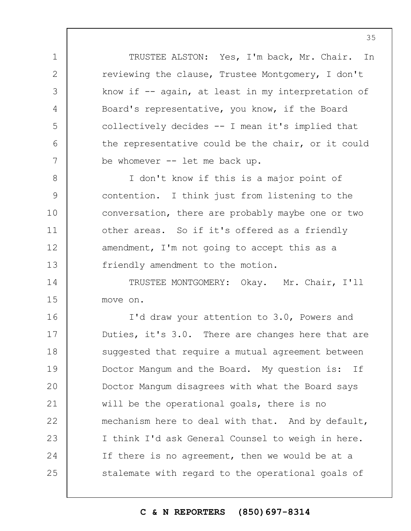TRUSTEE ALSTON: Yes, I'm back, Mr. Chair. In reviewing the clause, Trustee Montgomery, I don't know if -- again, at least in my interpretation of Board's representative, you know, if the Board collectively decides -- I mean it's implied that the representative could be the chair, or it could be whomever -- let me back up.

1

2

3

4

5

6

7

8 9 10 11 12 13 I don't know if this is a major point of contention. I think just from listening to the conversation, there are probably maybe one or two other areas. So if it's offered as a friendly amendment, I'm not going to accept this as a friendly amendment to the motion.

14 15 TRUSTEE MONTGOMERY: Okay. Mr. Chair, I'll move on.

16 17 18 19  $20$ 21 22 23 24 25 I'd draw your attention to 3.0, Powers and Duties, it's 3.0. There are changes here that are suggested that require a mutual agreement between Doctor Mangum and the Board. My question is: If Doctor Mangum disagrees with what the Board says will be the operational goals, there is no mechanism here to deal with that. And by default, I think I'd ask General Counsel to weigh in here. If there is no agreement, then we would be at a stalemate with regard to the operational goals of

#### **C & N REPORTERS (850)697-8314**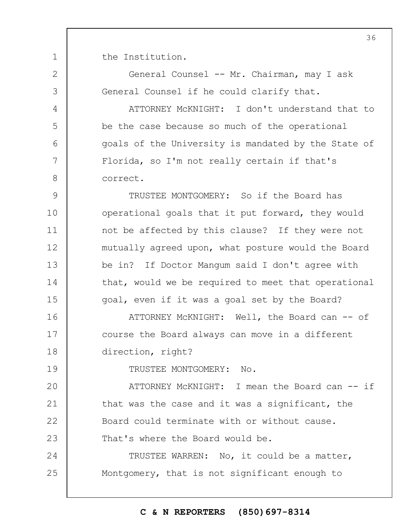the Institution.

1

2

3

4

5

6

7

8

19

General Counsel -- Mr. Chairman, may I ask General Counsel if he could clarify that.

ATTORNEY McKNIGHT: I don't understand that to be the case because so much of the operational goals of the University is mandated by the State of Florida, so I'm not really certain if that's correct.

9 10 11 12 13 14 15 TRUSTEE MONTGOMERY: So if the Board has operational goals that it put forward, they would not be affected by this clause? If they were not mutually agreed upon, what posture would the Board be in? If Doctor Mangum said I don't agree with that, would we be required to meet that operational goal, even if it was a goal set by the Board?

16 17 18 ATTORNEY McKNIGHT: Well, the Board can -- of course the Board always can move in a different direction, right?

TRUSTEE MONTGOMERY: No.

 $20$ 21 22 23 ATTORNEY McKNIGHT: I mean the Board can -- if that was the case and it was a significant, the Board could terminate with or without cause. That's where the Board would be.

24 25 TRUSTEE WARREN: No, it could be a matter, Montgomery, that is not significant enough to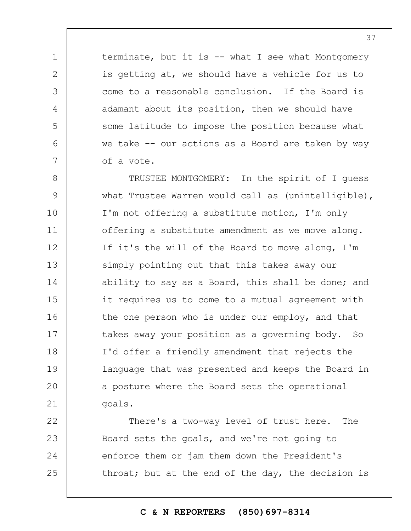terminate, but it is -- what I see what Montgomery is getting at, we should have a vehicle for us to come to a reasonable conclusion. If the Board is adamant about its position, then we should have some latitude to impose the position because what we take -- our actions as a Board are taken by way of a vote.

1

2

3

4

5

6

7

8 9 10 11 12 13 14 15 16 17 18 19  $20$ 21 TRUSTEE MONTGOMERY: In the spirit of I guess what Trustee Warren would call as (unintelligible), I'm not offering a substitute motion, I'm only offering a substitute amendment as we move along. If it's the will of the Board to move along, I'm simply pointing out that this takes away our ability to say as a Board, this shall be done; and it requires us to come to a mutual agreement with the one person who is under our employ, and that takes away your position as a governing body. So I'd offer a friendly amendment that rejects the language that was presented and keeps the Board in a posture where the Board sets the operational goals.

22 23 24 25 There's a two-way level of trust here. The Board sets the goals, and we're not going to enforce them or jam them down the President's throat; but at the end of the day, the decision is

## **C & N REPORTERS (850)697-8314**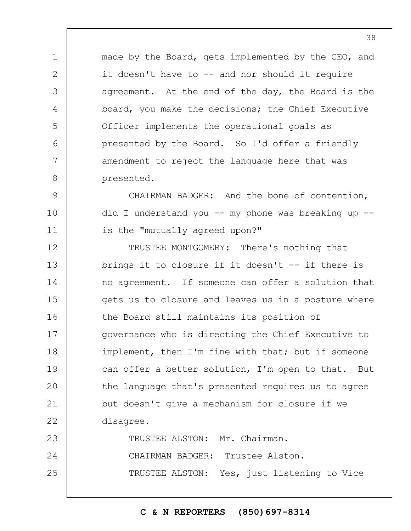made by the Board, gets implemented by the CEO, and it doesn't have to -- and nor should it require agreement. At the end of the day, the Board is the board, you make the decisions; the Chief Executive Officer implements the operational goals as presented by the Board. So I'd offer a friendly amendment to reject the language here that was presented.

1

2

3

4

5

6

7

8

9 10 11 CHAIRMAN BADGER: And the bone of contention, did I understand you  $--$  my phone was breaking up  $-$ is the "mutually agreed upon?"

12 13 14 15 16 17 18 19  $20$ 21 22 23 TRUSTEE MONTGOMERY: There's nothing that brings it to closure if it doesn't -- if there is no agreement. If someone can offer a solution that gets us to closure and leaves us in a posture where the Board still maintains its position of governance who is directing the Chief Executive to implement, then I'm fine with that; but if someone can offer a better solution, I'm open to that. But the language that's presented requires us to agree but doesn't give a mechanism for closure if we disagree. TRUSTEE ALSTON: Mr. Chairman.

24 25 CHAIRMAN BADGER: Trustee Alston. TRUSTEE ALSTON: Yes, just listening to Vice

## **C & N REPORTERS (850)697-8314**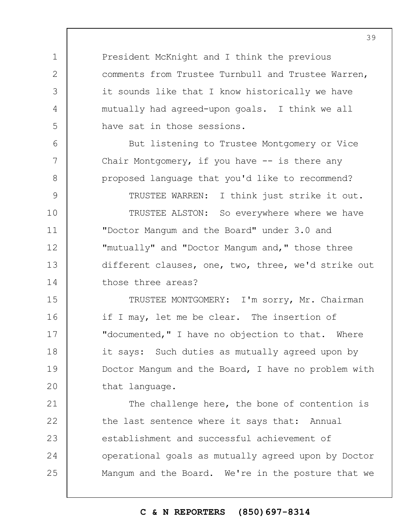President McKnight and I think the previous comments from Trustee Turnbull and Trustee Warren, it sounds like that I know historically we have mutually had agreed-upon goals. I think we all have sat in those sessions.

1

2

3

4

5

6

7

8

But listening to Trustee Montgomery or Vice Chair Montgomery, if you have -- is there any proposed language that you'd like to recommend?

9 10 11 12 13 14 TRUSTEE WARREN: I think just strike it out. TRUSTEE ALSTON: So everywhere where we have "Doctor Mangum and the Board" under 3.0 and "mutually" and "Doctor Mangum and," those three different clauses, one, two, three, we'd strike out those three areas?

15 16 17 18 19  $20$ TRUSTEE MONTGOMERY: I'm sorry, Mr. Chairman if I may, let me be clear. The insertion of "documented," I have no objection to that. Where it says: Such duties as mutually agreed upon by Doctor Mangum and the Board, I have no problem with that language.

21 22 23 24 25 The challenge here, the bone of contention is the last sentence where it says that: Annual establishment and successful achievement of operational goals as mutually agreed upon by Doctor Mangum and the Board. We're in the posture that we

## **C & N REPORTERS (850)697-8314**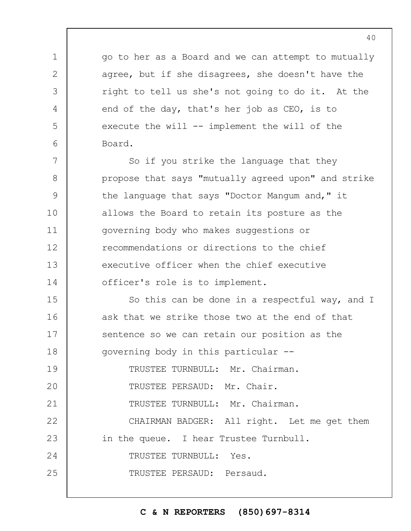go to her as a Board and we can attempt to mutually agree, but if she disagrees, she doesn't have the right to tell us she's not going to do it. At the end of the day, that's her job as CEO, is to execute the will -- implement the will of the Board.

7 8 9 10 11 12 13 14 So if you strike the language that they propose that says "mutually agreed upon" and strike the language that says "Doctor Mangum and," it allows the Board to retain its posture as the governing body who makes suggestions or recommendations or directions to the chief executive officer when the chief executive officer's role is to implement.

15 16 17 18 19 So this can be done in a respectful way, and I ask that we strike those two at the end of that sentence so we can retain our position as the governing body in this particular -- TRUSTEE TURNBULL: Mr. Chairman.

 $20$ TRUSTEE PERSAUD: Mr. Chair.

1

2

3

4

5

6

21 TRUSTEE TURNBULL: Mr. Chairman.

22 23 24 25 CHAIRMAN BADGER: All right. Let me get them in the queue. I hear Trustee Turnbull. TRUSTEE TURNBULL: Yes. TRUSTEE PERSAUD: Persaud.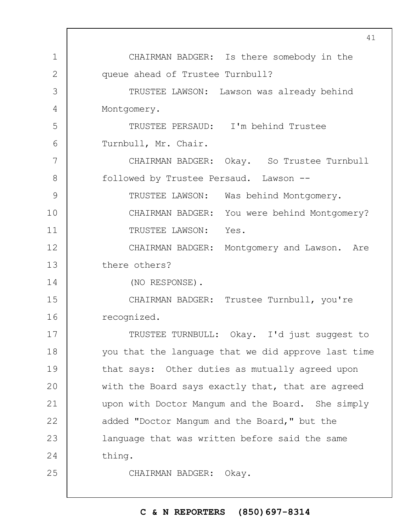|              | ᆠᅩ                                                  |
|--------------|-----------------------------------------------------|
| $\mathbf 1$  | CHAIRMAN BADGER: Is there somebody in the           |
| $\mathbf{2}$ | queue ahead of Trustee Turnbull?                    |
| 3            | TRUSTEE LAWSON: Lawson was already behind           |
| 4            | Montgomery.                                         |
| 5            | TRUSTEE PERSAUD: I'm behind Trustee                 |
| 6            | Turnbull, Mr. Chair.                                |
| 7            | CHAIRMAN BADGER: Okay. So Trustee Turnbull          |
| 8            | followed by Trustee Persaud. Lawson --              |
| 9            | TRUSTEE LAWSON: Was behind Montgomery.              |
| 10           | CHAIRMAN BADGER: You were behind Montgomery?        |
| 11           | TRUSTEE LAWSON: Yes.                                |
| 12           | CHAIRMAN BADGER: Montgomery and Lawson. Are         |
| 13           | there others?                                       |
| 14           | (NO RESPONSE).                                      |
| 15           | CHAIRMAN BADGER: Trustee Turnbull, you're           |
| 16           | recognized.                                         |
| 17           | TRUSTEE TURNBULL:<br>Okay. I'd just suggest to      |
| 18           | you that the language that we did approve last time |
| 19           | that says: Other duties as mutually agreed upon     |
| 20           | with the Board says exactly that, that are agreed   |
| 21           | upon with Doctor Manqum and the Board. She simply   |
| 22           | added "Doctor Mangum and the Board," but the        |
| 23           | language that was written before said the same      |
| 24           | thing.                                              |
| 25           | CHAIRMAN BADGER: Okay.                              |
|              |                                                     |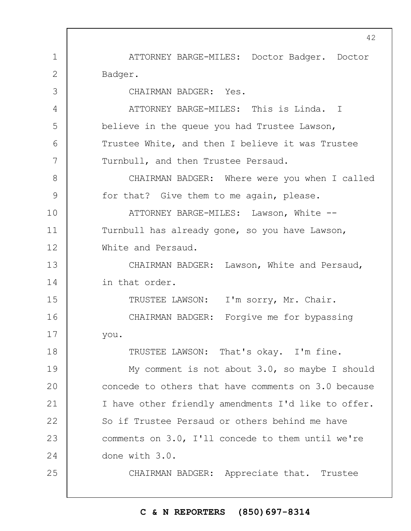ATTORNEY BARGE-MILES: Doctor Badger. Doctor Badger.

CHAIRMAN BADGER: Yes.

1

2

3

4

5

6

7

8

9

18

25

ATTORNEY BARGE-MILES: This is Linda. I believe in the queue you had Trustee Lawson, Trustee White, and then I believe it was Trustee Turnbull, and then Trustee Persaud.

CHAIRMAN BADGER: Where were you when I called for that? Give them to me again, please.

10 11 12 ATTORNEY BARGE-MILES: Lawson, White -- Turnbull has already gone, so you have Lawson, White and Persaud.

13 14 CHAIRMAN BADGER: Lawson, White and Persaud, in that order.

15 16 17 TRUSTEE LAWSON: I'm sorry, Mr. Chair. CHAIRMAN BADGER: Forgive me for bypassing you.

TRUSTEE LAWSON: That's okay. I'm fine.

19  $20$ 21 22 23 24 My comment is not about 3.0, so maybe I should concede to others that have comments on 3.0 because I have other friendly amendments I'd like to offer. So if Trustee Persaud or others behind me have comments on 3.0, I'll concede to them until we're done with 3.0.

CHAIRMAN BADGER: Appreciate that. Trustee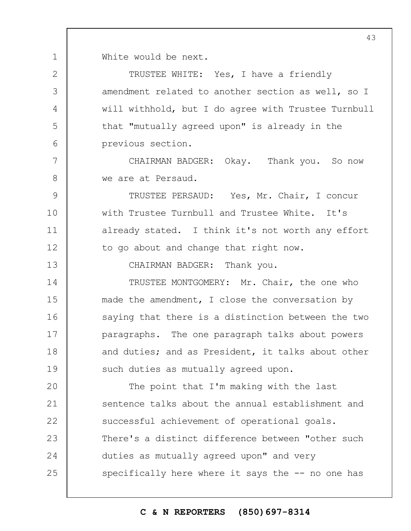1 White would be next.

2

3

4

5

6

7

8

13

TRUSTEE WHITE: Yes, I have a friendly amendment related to another section as well, so I will withhold, but I do agree with Trustee Turnbull that "mutually agreed upon" is already in the previous section.

CHAIRMAN BADGER: Okay. Thank you. So now we are at Persaud.

9 10 11 12 TRUSTEE PERSAUD: Yes, Mr. Chair, I concur with Trustee Turnbull and Trustee White. It's already stated. I think it's not worth any effort to go about and change that right now.

CHAIRMAN BADGER: Thank you.

14 15 16 17 18 19 TRUSTEE MONTGOMERY: Mr. Chair, the one who made the amendment, I close the conversation by saying that there is a distinction between the two paragraphs. The one paragraph talks about powers and duties; and as President, it talks about other such duties as mutually agreed upon.

 $20$ 21 22 23 24 25 The point that I'm making with the last sentence talks about the annual establishment and successful achievement of operational goals. There's a distinct difference between "other such duties as mutually agreed upon" and very specifically here where it says the -- no one has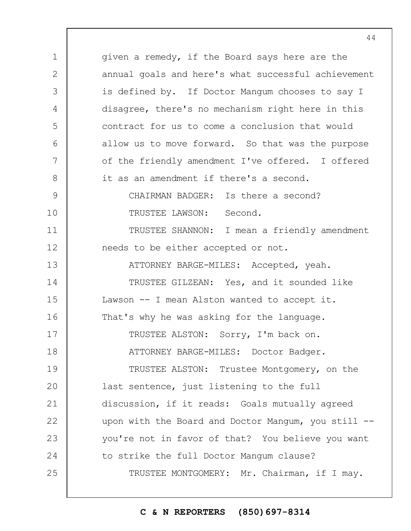1 2 3 4 5 6 7 8 9 10 11 12 13 14 15 16 17 18 19  $20$ 21 22 23 24 25 given a remedy, if the Board says here are the annual goals and here's what successful achievement is defined by. If Doctor Mangum chooses to say I disagree, there's no mechanism right here in this contract for us to come a conclusion that would allow us to move forward. So that was the purpose of the friendly amendment I've offered. I offered it as an amendment if there's a second. CHAIRMAN BADGER: Is there a second? TRUSTEE LAWSON: Second. TRUSTEE SHANNON: I mean a friendly amendment needs to be either accepted or not. ATTORNEY BARGE-MILES: Accepted, yeah. TRUSTEE GILZEAN: Yes, and it sounded like Lawson -- I mean Alston wanted to accept it. That's why he was asking for the language. TRUSTEE ALSTON: Sorry, I'm back on. ATTORNEY BARGE-MILES: Doctor Badger. TRUSTEE ALSTON: Trustee Montgomery, on the last sentence, just listening to the full discussion, if it reads: Goals mutually agreed upon with the Board and Doctor Mangum, you still -you're not in favor of that? You believe you want to strike the full Doctor Mangum clause? TRUSTEE MONTGOMERY: Mr. Chairman, if I may.

**C & N REPORTERS (850)697-8314**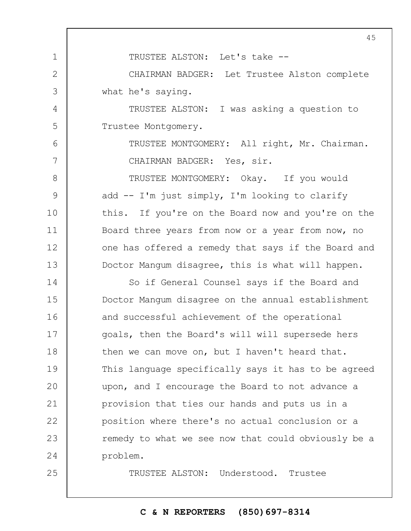1 2 3 4 5 6 7 8 9 10 11 12 13 14 15 16 17 18 19  $20$ 21 22 23 24 25 TRUSTEE ALSTON: Let's take -- CHAIRMAN BADGER: Let Trustee Alston complete what he's saying. TRUSTEE ALSTON: I was asking a question to Trustee Montgomery. TRUSTEE MONTGOMERY: All right, Mr. Chairman. CHAIRMAN BADGER: Yes, sir. TRUSTEE MONTGOMERY: Okay. If you would add -- I'm just simply, I'm looking to clarify this. If you're on the Board now and you're on the Board three years from now or a year from now, no one has offered a remedy that says if the Board and Doctor Mangum disagree, this is what will happen. So if General Counsel says if the Board and Doctor Mangum disagree on the annual establishment and successful achievement of the operational goals, then the Board's will will supersede hers then we can move on, but I haven't heard that. This language specifically says it has to be agreed upon, and I encourage the Board to not advance a provision that ties our hands and puts us in a position where there's no actual conclusion or a remedy to what we see now that could obviously be a problem. TRUSTEE ALSTON: Understood. Trustee

## **C & N REPORTERS (850)697-8314**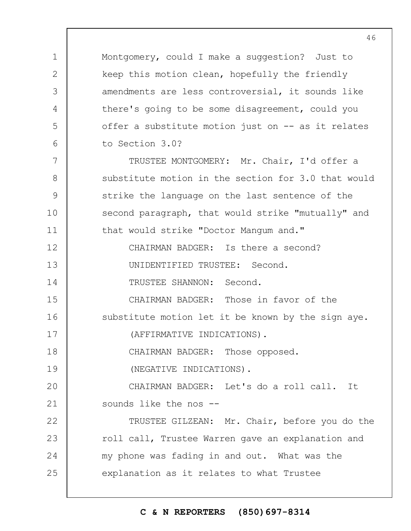Montgomery, could I make a suggestion? Just to keep this motion clean, hopefully the friendly amendments are less controversial, it sounds like there's going to be some disagreement, could you offer a substitute motion just on -- as it relates to Section 3.0?

TRUSTEE MONTGOMERY: Mr. Chair, I'd offer a substitute motion in the section for 3.0 that would strike the language on the last sentence of the second paragraph, that would strike "mutually" and that would strike "Doctor Mangum and."

12 13 14 CHAIRMAN BADGER: Is there a second? UNIDENTIFIED TRUSTEE: Second. TRUSTEE SHANNON: Second.

15 16 CHAIRMAN BADGER: Those in favor of the substitute motion let it be known by the sign aye.

17 (AFFIRMATIVE INDICATIONS).

CHAIRMAN BADGER: Those opposed.

19 (NEGATIVE INDICATIONS).

1

2

3

4

5

6

7

8

9

10

11

18

 $20$ 21 CHAIRMAN BADGER: Let's do a roll call. It sounds like the nos --

22 23 24 25 TRUSTEE GILZEAN: Mr. Chair, before you do the roll call, Trustee Warren gave an explanation and my phone was fading in and out. What was the explanation as it relates to what Trustee

**C & N REPORTERS (850)697-8314**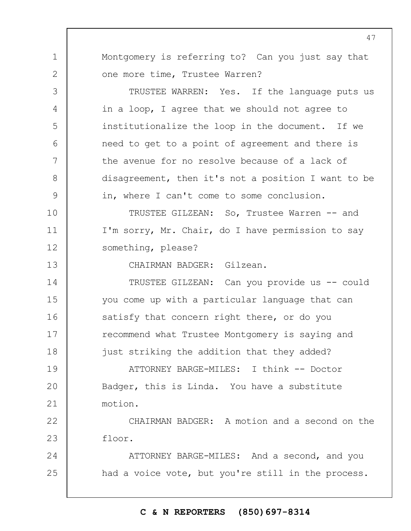1 2 3 4 5 6 7 8 9 10 11 12 13 14 15 16 17 18 19  $20$ 21 22 23 24 25 Montgomery is referring to? Can you just say that one more time, Trustee Warren? TRUSTEE WARREN: Yes. If the language puts us in a loop, I agree that we should not agree to institutionalize the loop in the document. If we need to get to a point of agreement and there is the avenue for no resolve because of a lack of disagreement, then it's not a position I want to be in, where I can't come to some conclusion. TRUSTEE GILZEAN: So, Trustee Warren -- and I'm sorry, Mr. Chair, do I have permission to say something, please? CHAIRMAN BADGER: Gilzean. TRUSTEE GILZEAN: Can you provide us -- could you come up with a particular language that can satisfy that concern right there, or do you recommend what Trustee Montgomery is saying and just striking the addition that they added? ATTORNEY BARGE-MILES: I think -- Doctor Badger, this is Linda. You have a substitute motion. CHAIRMAN BADGER: A motion and a second on the floor. ATTORNEY BARGE-MILES: And a second, and you had a voice vote, but you're still in the process.

# **C & N REPORTERS (850)697-8314**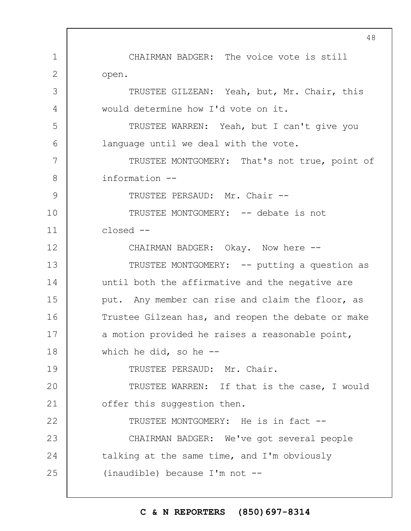1 2 3 4 5 6 7 8 9 10 11 12 13 14 15 16 17 18 19  $20$ 21 22 23 24 25 CHAIRMAN BADGER: The voice vote is still open. TRUSTEE GILZEAN: Yeah, but, Mr. Chair, this would determine how I'd vote on it. TRUSTEE WARREN: Yeah, but I can't give you language until we deal with the vote. TRUSTEE MONTGOMERY: That's not true, point of information -- TRUSTEE PERSAUD: Mr. Chair -- TRUSTEE MONTGOMERY: -- debate is not closed -- CHAIRMAN BADGER: Okay. Now here -- TRUSTEE MONTGOMERY: -- putting a question as until both the affirmative and the negative are put. Any member can rise and claim the floor, as Trustee Gilzean has, and reopen the debate or make a motion provided he raises a reasonable point, which he did, so he  $-$ -TRUSTEE PERSAUD: Mr. Chair. TRUSTEE WARREN: If that is the case, I would offer this suggestion then. TRUSTEE MONTGOMERY: He is in fact -- CHAIRMAN BADGER: We've got several people talking at the same time, and I'm obviously (inaudible) because I'm not --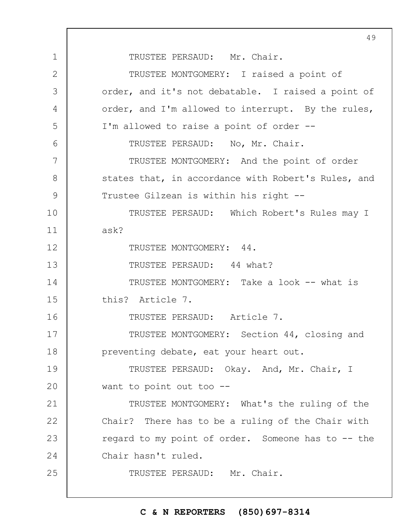1 2 3 4 5 6 7 8 9 10 11 12 13 14 15 16 17 18 19  $20$ 21 22 23 24 25 49 TRUSTEE PERSAUD: Mr. Chair. TRUSTEE MONTGOMERY: I raised a point of order, and it's not debatable. I raised a point of order, and I'm allowed to interrupt. By the rules, I'm allowed to raise a point of order -- TRUSTEE PERSAUD: No, Mr. Chair. TRUSTEE MONTGOMERY: And the point of order states that, in accordance with Robert's Rules, and Trustee Gilzean is within his right -- TRUSTEE PERSAUD: Which Robert's Rules may I ask? TRUSTEE MONTGOMERY: 44. TRUSTEE PERSAUD: 44 what? TRUSTEE MONTGOMERY: Take a look -- what is this? Article 7. TRUSTEE PERSAUD: Article 7. TRUSTEE MONTGOMERY: Section 44, closing and preventing debate, eat your heart out. TRUSTEE PERSAUD: Okay. And, Mr. Chair, I want to point out too -- TRUSTEE MONTGOMERY: What's the ruling of the Chair? There has to be a ruling of the Chair with regard to my point of order. Someone has to -- the Chair hasn't ruled. TRUSTEE PERSAUD: Mr. Chair.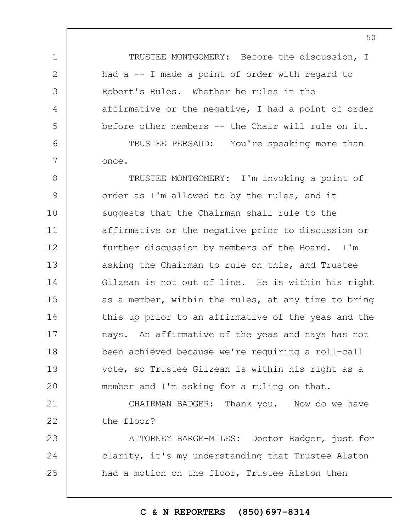TRUSTEE MONTGOMERY: Before the discussion, I had a -- I made a point of order with regard to Robert's Rules. Whether he rules in the affirmative or the negative, I had a point of order before other members -- the Chair will rule on it.

1

2

3

4

5

6

7

TRUSTEE PERSAUD: You're speaking more than once.

8 9 10 11 12 13 14 15 16 17 18 19  $20$ TRUSTEE MONTGOMERY: I'm invoking a point of order as I'm allowed to by the rules, and it suggests that the Chairman shall rule to the affirmative or the negative prior to discussion or further discussion by members of the Board. I'm asking the Chairman to rule on this, and Trustee Gilzean is not out of line. He is within his right as a member, within the rules, at any time to bring this up prior to an affirmative of the yeas and the nays. An affirmative of the yeas and nays has not been achieved because we're requiring a roll-call vote, so Trustee Gilzean is within his right as a member and I'm asking for a ruling on that.

21 22 CHAIRMAN BADGER: Thank you. Now do we have the floor?

23 24 25 ATTORNEY BARGE-MILES: Doctor Badger, just for clarity, it's my understanding that Trustee Alston had a motion on the floor, Trustee Alston then

**C & N REPORTERS (850)697-8314**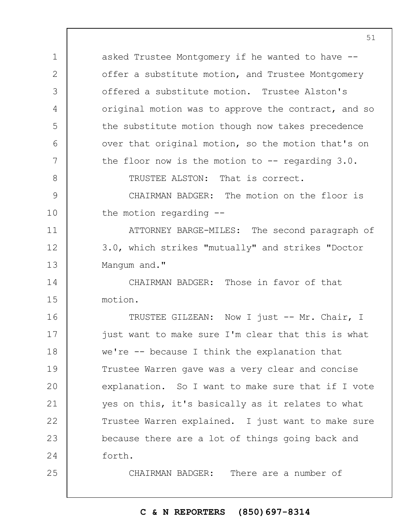1 2 3 4 5 6 7 8 9 10 11 12 13 14 15 16 17 18 19  $20$ 21 22 23 24 25 asked Trustee Montgomery if he wanted to have - offer a substitute motion, and Trustee Montgomery offered a substitute motion. Trustee Alston's original motion was to approve the contract, and so the substitute motion though now takes precedence over that original motion, so the motion that's on the floor now is the motion to  $-$ - regarding  $3.0$ . TRUSTEE ALSTON: That is correct. CHAIRMAN BADGER: The motion on the floor is the motion regarding -- ATTORNEY BARGE-MILES: The second paragraph of 3.0, which strikes "mutually" and strikes "Doctor Mangum and." CHAIRMAN BADGER: Those in favor of that motion. TRUSTEE GILZEAN: Now I just -- Mr. Chair, I just want to make sure I'm clear that this is what we're -- because I think the explanation that Trustee Warren gave was a very clear and concise explanation. So I want to make sure that if I vote yes on this, it's basically as it relates to what Trustee Warren explained. I just want to make sure because there are a lot of things going back and forth. CHAIRMAN BADGER: There are a number of

# **C & N REPORTERS (850)697-8314**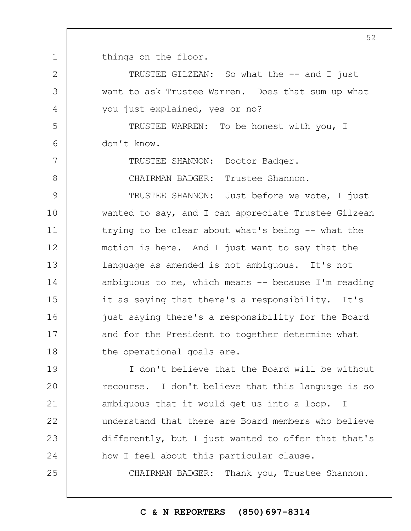1 things on the floor.

2

3

4

5

6

7

8

25

TRUSTEE GILZEAN: So what the -- and I just want to ask Trustee Warren. Does that sum up what you just explained, yes or no?

TRUSTEE WARREN: To be honest with you, I don't know.

TRUSTEE SHANNON: Doctor Badger.

CHAIRMAN BADGER: Trustee Shannon.

9 10 11 12 13 14 15 16 17 18 TRUSTEE SHANNON: Just before we vote, I just wanted to say, and I can appreciate Trustee Gilzean trying to be clear about what's being -- what the motion is here. And I just want to say that the language as amended is not ambiguous. It's not ambiguous to me, which means  $-$  because I'm reading it as saying that there's a responsibility. It's just saying there's a responsibility for the Board and for the President to together determine what the operational goals are.

19  $20$ 21 22 23 24 I don't believe that the Board will be without recourse. I don't believe that this language is so ambiguous that it would get us into a loop. I understand that there are Board members who believe differently, but I just wanted to offer that that's how I feel about this particular clause.

CHAIRMAN BADGER: Thank you, Trustee Shannon.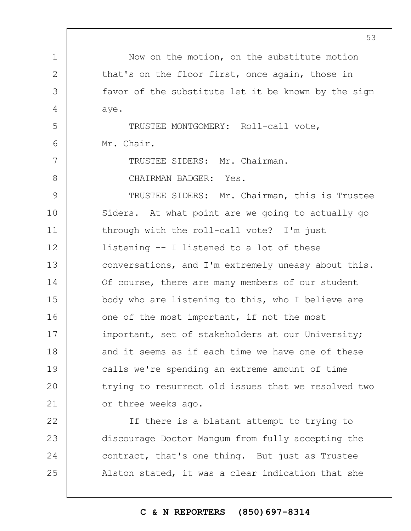1 2 3 4 5 6 7 8 9 10 11 12 13 14 15 16 17 18 19  $20$ 21 22 23 24 25 53 Now on the motion, on the substitute motion that's on the floor first, once again, those in favor of the substitute let it be known by the sign aye. TRUSTEE MONTGOMERY: Roll-call vote, Mr. Chair. TRUSTEE SIDERS: Mr. Chairman. CHAIRMAN BADGER: Yes. TRUSTEE SIDERS: Mr. Chairman, this is Trustee Siders. At what point are we going to actually go through with the roll-call vote? I'm just listening -- I listened to a lot of these conversations, and I'm extremely uneasy about this. Of course, there are many members of our student body who are listening to this, who I believe are one of the most important, if not the most important, set of stakeholders at our University; and it seems as if each time we have one of these calls we're spending an extreme amount of time trying to resurrect old issues that we resolved two or three weeks ago. If there is a blatant attempt to trying to discourage Doctor Mangum from fully accepting the contract, that's one thing. But just as Trustee Alston stated, it was a clear indication that she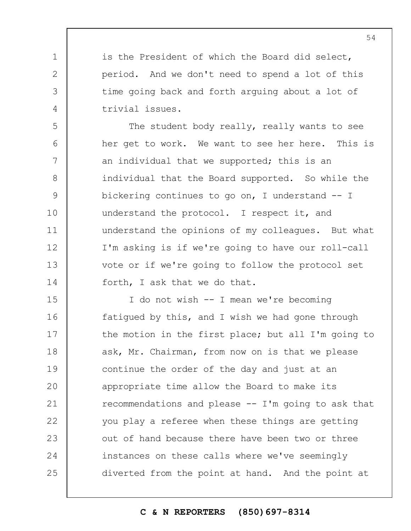is the President of which the Board did select, period. And we don't need to spend a lot of this time going back and forth arguing about a lot of trivial issues.

1

2

3

4

5 6 7 8 9 10 11 12 13 14 The student body really, really wants to see her get to work. We want to see her here. This is an individual that we supported; this is an individual that the Board supported. So while the bickering continues to go on, I understand -- I understand the protocol. I respect it, and understand the opinions of my colleagues. But what I'm asking is if we're going to have our roll-call vote or if we're going to follow the protocol set forth, I ask that we do that.

15 16 17 18 19  $20$ 21 22 23 24 25 I do not wish -- I mean we're becoming fatigued by this, and I wish we had gone through the motion in the first place; but all I'm going to ask, Mr. Chairman, from now on is that we please continue the order of the day and just at an appropriate time allow the Board to make its recommendations and please  $-- I'm$  going to ask that you play a referee when these things are getting out of hand because there have been two or three instances on these calls where we've seemingly diverted from the point at hand. And the point at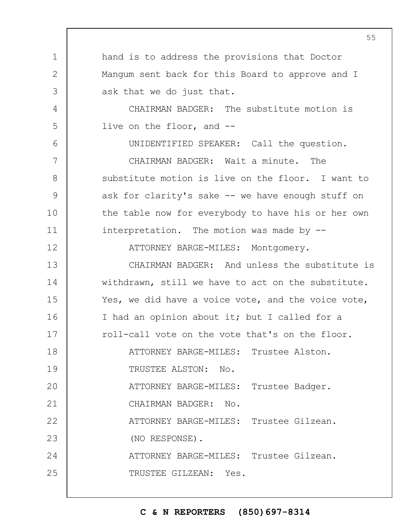1 2 3 4 5 6 7 8 9 10 11 12 13 14 15 16 17 18 19  $20$ 21 22 23 24 25 hand is to address the provisions that Doctor Mangum sent back for this Board to approve and I ask that we do just that. CHAIRMAN BADGER: The substitute motion is live on the floor, and -- UNIDENTIFIED SPEAKER: Call the question. CHAIRMAN BADGER: Wait a minute. The substitute motion is live on the floor. I want to ask for clarity's sake -- we have enough stuff on the table now for everybody to have his or her own interpretation. The motion was made by --ATTORNEY BARGE-MILES: Montgomery. CHAIRMAN BADGER: And unless the substitute is withdrawn, still we have to act on the substitute. Yes, we did have a voice vote, and the voice vote, I had an opinion about it; but I called for a roll-call vote on the vote that's on the floor. ATTORNEY BARGE-MILES: Trustee Alston. TRUSTEE ALSTON: No. ATTORNEY BARGE-MILES: Trustee Badger. CHAIRMAN BADGER: No. ATTORNEY BARGE-MILES: Trustee Gilzean. (NO RESPONSE). ATTORNEY BARGE-MILES: Trustee Gilzean. TRUSTEE GILZEAN: Yes.

## **C & N REPORTERS (850)697-8314**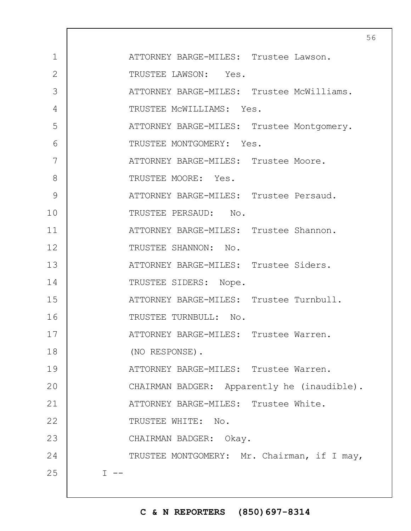| $\mathbf 1$    | ATTORNEY BARGE-MILES: Trustee Lawson.       |
|----------------|---------------------------------------------|
| $\overline{2}$ | TRUSTEE LAWSON: Yes.                        |
| 3              | ATTORNEY BARGE-MILES: Trustee McWilliams.   |
| 4              | TRUSTEE MCWILLIAMS: Yes.                    |
| 5              | ATTORNEY BARGE-MILES: Trustee Montgomery.   |
| 6              | TRUSTEE MONTGOMERY: Yes.                    |
| 7              | ATTORNEY BARGE-MILES: Trustee Moore.        |
| 8              | TRUSTEE MOORE: Yes.                         |
| 9              | ATTORNEY BARGE-MILES: Trustee Persaud.      |
| 10             | TRUSTEE PERSAUD: No.                        |
| 11             | ATTORNEY BARGE-MILES: Trustee Shannon.      |
| 12             | TRUSTEE SHANNON: No.                        |
| 13             | ATTORNEY BARGE-MILES: Trustee Siders.       |
| 14             | TRUSTEE SIDERS: Nope.                       |
| 15             | ATTORNEY BARGE-MILES: Trustee Turnbull.     |
| 16             | TRUSTEE TURNBULL: No.                       |
| 17             | ATTORNEY BARGE-MILES: Trustee Warren.       |
| 18             | (NO RESPONSE).                              |
| 19             | ATTORNEY BARGE-MILES: Trustee Warren.       |
| 20             | CHAIRMAN BADGER: Apparently he (inaudible). |
| 21             | ATTORNEY BARGE-MILES: Trustee White.        |
| 22             | TRUSTEE WHITE: No.                          |
| 23             | CHAIRMAN BADGER: Okay.                      |
| 24             | TRUSTEE MONTGOMERY: Mr. Chairman, if I may, |
| 25             | $I$ $-$                                     |
|                |                                             |

 $\mathbf{I}$ 

# **C & N REPORTERS (850)697-8314**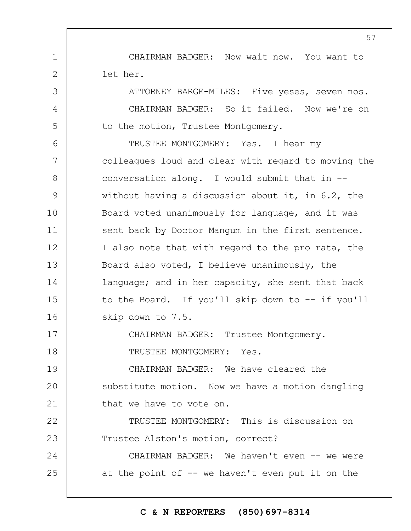CHAIRMAN BADGER: Now wait now. You want to let her.

1

2

3

4

5

ATTORNEY BARGE-MILES: Five yeses, seven nos. CHAIRMAN BADGER: So it failed. Now we're on to the motion, Trustee Montgomery.

6 7 8 9 10 11 12 13 14 15 16 TRUSTEE MONTGOMERY: Yes. I hear my colleagues loud and clear with regard to moving the conversation along. I would submit that in - without having a discussion about it, in 6.2, the Board voted unanimously for language, and it was sent back by Doctor Mangum in the first sentence. I also note that with regard to the pro rata, the Board also voted, I believe unanimously, the language; and in her capacity, she sent that back to the Board. If you'll skip down to -- if you'll skip down to 7.5.

17 18 CHAIRMAN BADGER: Trustee Montgomery. TRUSTEE MONTGOMERY: Yes.

19  $20$ 21 CHAIRMAN BADGER: We have cleared the substitute motion. Now we have a motion dangling that we have to vote on.

22 23 TRUSTEE MONTGOMERY: This is discussion on Trustee Alston's motion, correct?

24 25 CHAIRMAN BADGER: We haven't even -- we were at the point of  $-$ - we haven't even put it on the

**C & N REPORTERS (850)697-8314**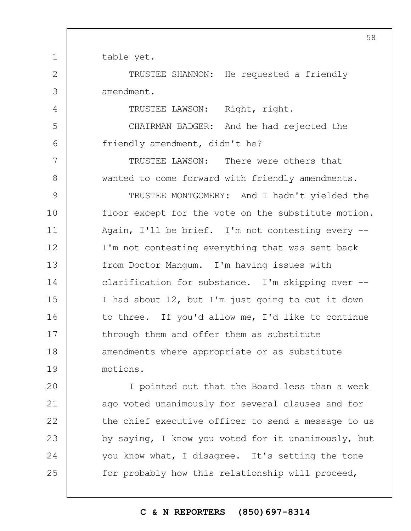table yet.

1

2

3

4

5

6

7

8

TRUSTEE SHANNON: He requested a friendly amendment.

TRUSTEE LAWSON: Right, right.

CHAIRMAN BADGER: And he had rejected the friendly amendment, didn't he?

TRUSTEE LAWSON: There were others that wanted to come forward with friendly amendments.

9 10 11 12 13 14 15 16 17 18 19 TRUSTEE MONTGOMERY: And I hadn't yielded the floor except for the vote on the substitute motion. Again, I'll be brief. I'm not contesting every -- I'm not contesting everything that was sent back from Doctor Mangum. I'm having issues with clarification for substance. I'm skipping over -- I had about 12, but I'm just going to cut it down to three. If you'd allow me, I'd like to continue through them and offer them as substitute amendments where appropriate or as substitute motions.

 $20$ 21 22 23 24 25 I pointed out that the Board less than a week ago voted unanimously for several clauses and for the chief executive officer to send a message to us by saying, I know you voted for it unanimously, but you know what, I disagree. It's setting the tone for probably how this relationship will proceed,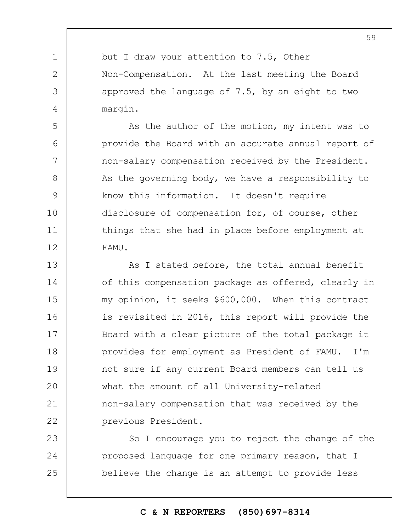but I draw your attention to 7.5, Other Non-Compensation. At the last meeting the Board approved the language of 7.5, by an eight to two margin.

1

2

3

4

5

6

7

8

9

10

11

12

As the author of the motion, my intent was to provide the Board with an accurate annual report of non-salary compensation received by the President. As the governing body, we have a responsibility to know this information. It doesn't require disclosure of compensation for, of course, other things that she had in place before employment at FAMU.

13 14 15 16 17 18 19  $20$ 21 22 As I stated before, the total annual benefit of this compensation package as offered, clearly in my opinion, it seeks \$600,000. When this contract is revisited in 2016, this report will provide the Board with a clear picture of the total package it provides for employment as President of FAMU. I'm not sure if any current Board members can tell us what the amount of all University-related non-salary compensation that was received by the previous President.

23 24 25 So I encourage you to reject the change of the proposed language for one primary reason, that I believe the change is an attempt to provide less

# **C & N REPORTERS (850)697-8314**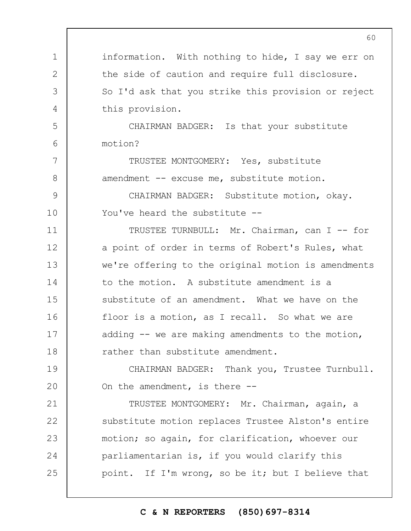|              | U U                                                 |
|--------------|-----------------------------------------------------|
| $\mathbf 1$  | information. With nothing to hide, I say we err on  |
| $\mathbf{2}$ | the side of caution and require full disclosure.    |
| 3            | So I'd ask that you strike this provision or reject |
| 4            | this provision.                                     |
| 5            | CHAIRMAN BADGER: Is that your substitute            |
| 6            | motion?                                             |
| 7            | TRUSTEE MONTGOMERY: Yes, substitute                 |
| 8            | amendment -- excuse me, substitute motion.          |
| 9            | CHAIRMAN BADGER: Substitute motion, okay.           |
| 10           | You've heard the substitute --                      |
| 11           | TRUSTEE TURNBULL: Mr. Chairman, can I -- for        |
| 12           | a point of order in terms of Robert's Rules, what   |
| 13           | we're offering to the original motion is amendments |
| 14           | to the motion. A substitute amendment is a          |
| 15           | substitute of an amendment. What we have on the     |
| 16           | floor is a motion, as I recall. So what we are      |
| 17           | adding $--$ we are making amendments to the motion, |
| 18           | rather than substitute amendment.                   |
| 19           | CHAIRMAN BADGER: Thank you, Trustee Turnbull.       |
| 20           | On the amendment, is there $-$ -                    |
| 21           | TRUSTEE MONTGOMERY: Mr. Chairman, again, a          |
| 22           | substitute motion replaces Trustee Alston's entire  |
| 23           | motion; so again, for clarification, whoever our    |
| 24           | parliamentarian is, if you would clarify this       |
| 25           | point. If I'm wrong, so be it; but I believe that   |
|              |                                                     |

# **C & N REPORTERS (850)697-8314**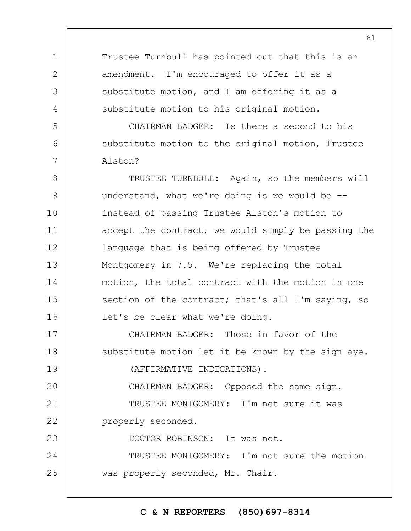Trustee Turnbull has pointed out that this is an amendment. I'm encouraged to offer it as a substitute motion, and I am offering it as a substitute motion to his original motion.

1

2

3

4

5

6

7

CHAIRMAN BADGER: Is there a second to his substitute motion to the original motion, Trustee Alston?

8 9 10 11 12 13 14 15 16 TRUSTEE TURNBULL: Again, so the members will understand, what we're doing is we would be  $-$ instead of passing Trustee Alston's motion to accept the contract, we would simply be passing the language that is being offered by Trustee Montgomery in 7.5. We're replacing the total motion, the total contract with the motion in one section of the contract; that's all I'm saying, so let's be clear what we're doing.

17 18 19 CHAIRMAN BADGER: Those in favor of the substitute motion let it be known by the sign aye. (AFFIRMATIVE INDICATIONS).

 $20$ 21 22 CHAIRMAN BADGER: Opposed the same sign. TRUSTEE MONTGOMERY: I'm not sure it was properly seconded.

23 24 25 DOCTOR ROBINSON: It was not. TRUSTEE MONTGOMERY: I'm not sure the motion was properly seconded, Mr. Chair.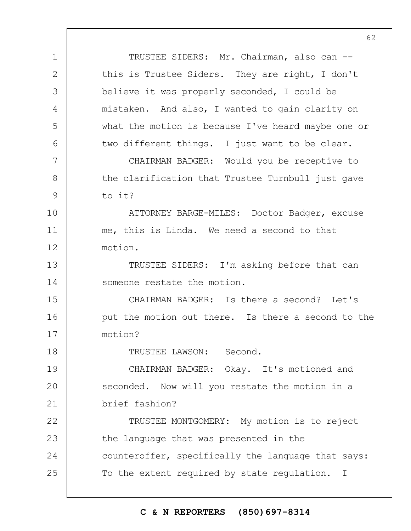TRUSTEE SIDERS: Mr. Chairman, also can -this is Trustee Siders. They are right, I don't believe it was properly seconded, I could be mistaken. And also, I wanted to gain clarity on what the motion is because I've heard maybe one or two different things. I just want to be clear.

1

2

3

4

5

6

7

8

9

18

CHAIRMAN BADGER: Would you be receptive to the clarification that Trustee Turnbull just gave to it?

10 11 12 ATTORNEY BARGE-MILES: Doctor Badger, excuse me, this is Linda. We need a second to that motion.

13 14 TRUSTEE SIDERS: I'm asking before that can someone restate the motion.

15 16 17 CHAIRMAN BADGER: Is there a second? Let's put the motion out there. Is there a second to the motion?

TRUSTEE LAWSON: Second.

19  $20$ 21 CHAIRMAN BADGER: Okay. It's motioned and seconded. Now will you restate the motion in a brief fashion?

22 23 24 25 TRUSTEE MONTGOMERY: My motion is to reject the language that was presented in the counteroffer, specifically the language that says: To the extent required by state regulation. I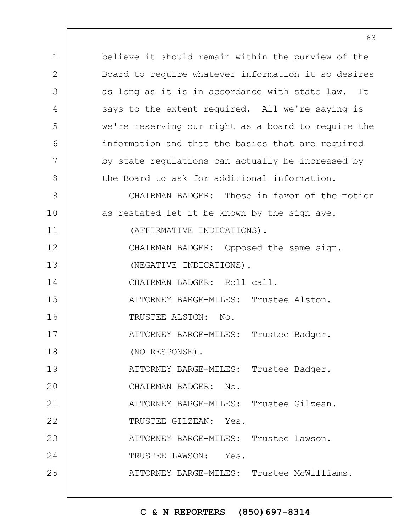1 2 3 4 5 6 7 8 9 10 11 12 13 14 15 16 17 18 19  $20$ 21 22 23 24 25 believe it should remain within the purview of the Board to require whatever information it so desires as long as it is in accordance with state law. It says to the extent required. All we're saying is we're reserving our right as a board to require the information and that the basics that are required by state regulations can actually be increased by the Board to ask for additional information. CHAIRMAN BADGER: Those in favor of the motion as restated let it be known by the sign aye. (AFFIRMATIVE INDICATIONS). CHAIRMAN BADGER: Opposed the same sign. (NEGATIVE INDICATIONS). CHAIRMAN BADGER: Roll call. ATTORNEY BARGE-MILES: Trustee Alston. TRUSTEE ALSTON: No. ATTORNEY BARGE-MILES: Trustee Badger. (NO RESPONSE). ATTORNEY BARGE-MILES: Trustee Badger. CHAIRMAN BADGER: No. ATTORNEY BARGE-MILES: Trustee Gilzean. TRUSTEE GILZEAN: Yes. ATTORNEY BARGE-MILES: Trustee Lawson. TRUSTEE LAWSON: Yes. ATTORNEY BARGE-MILES: Trustee McWilliams.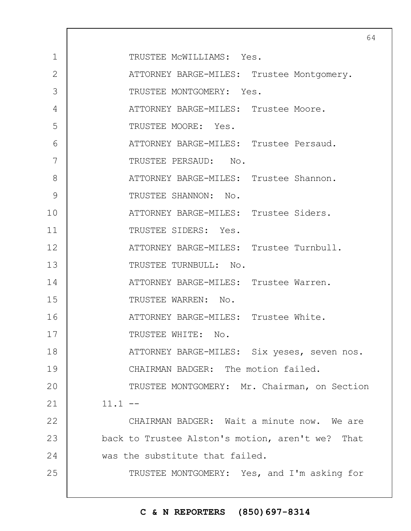|                | 64                                               |
|----------------|--------------------------------------------------|
| $\mathbf 1$    | TRUSTEE MCWILLIAMS: Yes.                         |
| $\overline{2}$ | ATTORNEY BARGE-MILES: Trustee Montgomery.        |
| 3              | TRUSTEE MONTGOMERY: Yes.                         |
| 4              | ATTORNEY BARGE-MILES: Trustee Moore.             |
| 5              | TRUSTEE MOORE: Yes.                              |
| 6              | ATTORNEY BARGE-MILES: Trustee Persaud.           |
| 7              | TRUSTEE PERSAUD: No.                             |
| 8              | ATTORNEY BARGE-MILES: Trustee Shannon.           |
| 9              | TRUSTEE SHANNON: No.                             |
| 10             | ATTORNEY BARGE-MILES: Trustee Siders.            |
| 11             | TRUSTEE SIDERS: Yes.                             |
| 12             | ATTORNEY BARGE-MILES: Trustee Turnbull.          |
| 13             | TRUSTEE TURNBULL: No.                            |
| 14             | ATTORNEY BARGE-MILES: Trustee Warren.            |
| 15             | TRUSTEE WARREN: No.                              |
| 16             | ATTORNEY BARGE-MILES: Trustee White.             |
| 17             | TRUSTEE WHITE: No.                               |
| 18             | ATTORNEY BARGE-MILES: Six yeses, seven nos.      |
| 19             | CHAIRMAN BADGER: The motion failed.              |
| 20             | TRUSTEE MONTGOMERY: Mr. Chairman, on Section     |
| 21             | $11.1 - -$                                       |
| 22             | CHAIRMAN BADGER: Wait a minute now. We are       |
| 23             | back to Trustee Alston's motion, aren't we? That |
| 24             | was the substitute that failed.                  |
| 25             | TRUSTEE MONTGOMERY: Yes, and I'm asking for      |
|                |                                                  |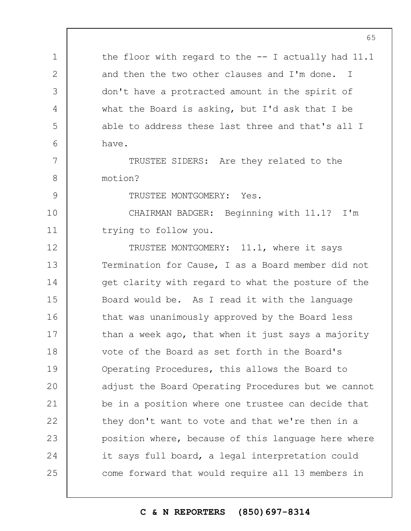the floor with regard to the -- I actually had 11.1 and then the two other clauses and I'm done. I don't have a protracted amount in the spirit of what the Board is asking, but I'd ask that I be able to address these last three and that's all I have.

TRUSTEE SIDERS: Are they related to the motion?

TRUSTEE MONTGOMERY: Yes.

1

2

3

4

5

6

7

8

9

10 11 CHAIRMAN BADGER: Beginning with 11.1? I'm trying to follow you.

12 13 14 15 16 17 18 19  $20$ 21 22 23 24 25 TRUSTEE MONTGOMERY: 11.1, where it says Termination for Cause, I as a Board member did not get clarity with regard to what the posture of the Board would be. As I read it with the language that was unanimously approved by the Board less than a week ago, that when it just says a majority vote of the Board as set forth in the Board's Operating Procedures, this allows the Board to adjust the Board Operating Procedures but we cannot be in a position where one trustee can decide that they don't want to vote and that we're then in a position where, because of this language here where it says full board, a legal interpretation could come forward that would require all 13 members in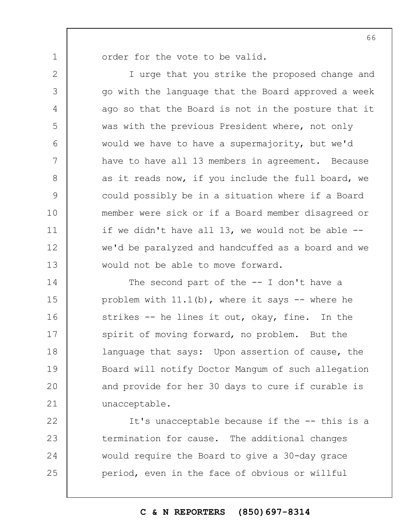1

2

3

4

5

6

7

8

9

10

11

12

13

order for the vote to be valid.

I urge that you strike the proposed change and go with the language that the Board approved a week ago so that the Board is not in the posture that it was with the previous President where, not only would we have to have a supermajority, but we'd have to have all 13 members in agreement. Because as it reads now, if you include the full board, we could possibly be in a situation where if a Board member were sick or if a Board member disagreed or if we didn't have all 13, we would not be able - we'd be paralyzed and handcuffed as a board and we would not be able to move forward.

14 15 16 17 18 19  $20$ 21 The second part of the -- I don't have a problem with  $11.1(b)$ , where it says  $-$  where he strikes -- he lines it out, okay, fine. In the spirit of moving forward, no problem. But the language that says: Upon assertion of cause, the Board will notify Doctor Mangum of such allegation and provide for her 30 days to cure if curable is unacceptable.

22 23 24 25 It's unacceptable because if the -- this is a termination for cause. The additional changes would require the Board to give a 30-day grace period, even in the face of obvious or willful

66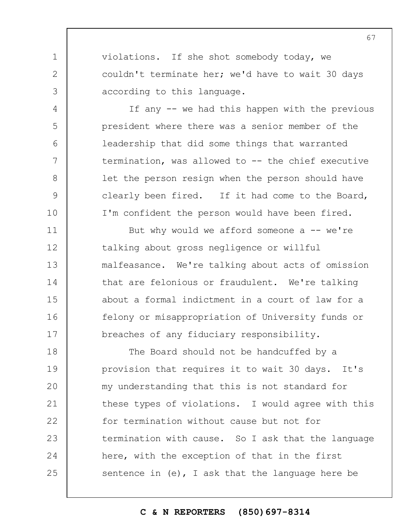violations. If she shot somebody today, we couldn't terminate her; we'd have to wait 30 days according to this language.

1

2

3

4

5

6

7

8

9

10

If any -- we had this happen with the previous president where there was a senior member of the leadership that did some things that warranted termination, was allowed to -- the chief executive let the person resign when the person should have clearly been fired. If it had come to the Board, I'm confident the person would have been fired.

11 12 13 14 15 16 17 But why would we afford someone  $a$  -- we're talking about gross negligence or willful malfeasance. We're talking about acts of omission that are felonious or fraudulent. We're talking about a formal indictment in a court of law for a felony or misappropriation of University funds or breaches of any fiduciary responsibility.

18 19  $20$ 21 22 23 24 25 The Board should not be handcuffed by a provision that requires it to wait 30 days. It's my understanding that this is not standard for these types of violations. I would agree with this for termination without cause but not for termination with cause. So I ask that the language here, with the exception of that in the first sentence in (e), I ask that the language here be

# **C & N REPORTERS (850)697-8314**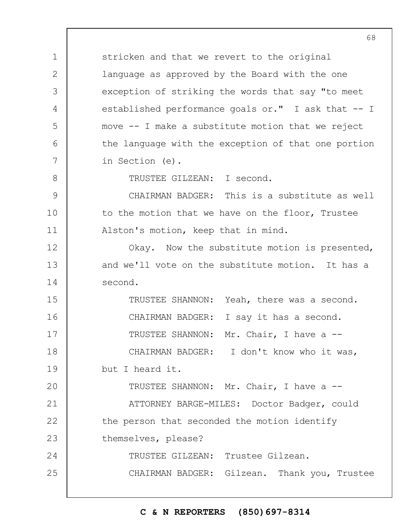1 2 3 4 5 6 7 8 9 10 11 12 13 14 15 16 17 18 19  $20$ 21 22 23 24 25 stricken and that we revert to the original language as approved by the Board with the one exception of striking the words that say "to meet established performance goals or." I ask that -- I move -- I make a substitute motion that we reject the language with the exception of that one portion in Section (e). TRUSTEE GILZEAN: I second. CHAIRMAN BADGER: This is a substitute as well to the motion that we have on the floor, Trustee Alston's motion, keep that in mind. Okay. Now the substitute motion is presented, and we'll vote on the substitute motion. It has a second. TRUSTEE SHANNON: Yeah, there was a second. CHAIRMAN BADGER: I say it has a second. TRUSTEE SHANNON: Mr. Chair, I have a -- CHAIRMAN BADGER: I don't know who it was, but I heard it. TRUSTEE SHANNON: Mr. Chair, I have a -- ATTORNEY BARGE-MILES: Doctor Badger, could the person that seconded the motion identify themselves, please? TRUSTEE GILZEAN: Trustee Gilzean. CHAIRMAN BADGER: Gilzean. Thank you, Trustee

#### **C & N REPORTERS (850)697-8314**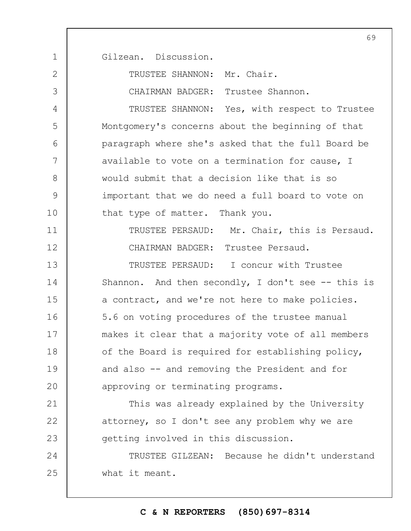1 2 3 4 5 6 7 8 9 10 11 12 13 14 15 16 17 18 19  $20$ 21 22 23 24 25 Gilzean. Discussion. TRUSTEE SHANNON: Mr. Chair. CHAIRMAN BADGER: Trustee Shannon. TRUSTEE SHANNON: Yes, with respect to Trustee Montgomery's concerns about the beginning of that paragraph where she's asked that the full Board be available to vote on a termination for cause, I would submit that a decision like that is so important that we do need a full board to vote on that type of matter. Thank you. TRUSTEE PERSAUD: Mr. Chair, this is Persaud. CHAIRMAN BADGER: Trustee Persaud. TRUSTEE PERSAUD: I concur with Trustee Shannon. And then secondly, I don't see  $-$ - this is a contract, and we're not here to make policies. 5.6 on voting procedures of the trustee manual makes it clear that a majority vote of all members of the Board is required for establishing policy, and also -- and removing the President and for approving or terminating programs. This was already explained by the University attorney, so I don't see any problem why we are getting involved in this discussion. TRUSTEE GILZEAN: Because he didn't understand what it meant.

# **C & N REPORTERS (850)697-8314**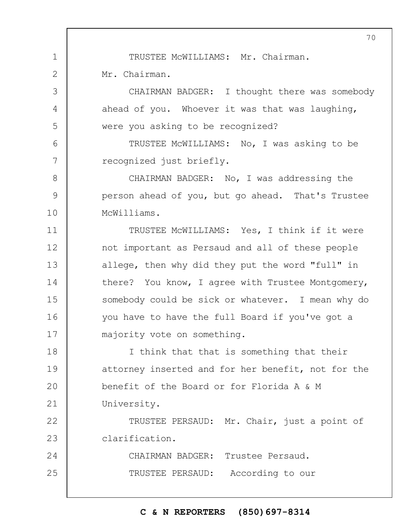TRUSTEE McWILLIAMS: Mr. Chairman.

Mr. Chairman.

1

2

3

4

5

6

7

8

9

10

CHAIRMAN BADGER: I thought there was somebody ahead of you. Whoever it was that was laughing, were you asking to be recognized?

TRUSTEE McWILLIAMS: No, I was asking to be recognized just briefly.

CHAIRMAN BADGER: No, I was addressing the person ahead of you, but go ahead. That's Trustee McWilliams.

11 12 13 14 15 16 17 TRUSTEE McWILLIAMS: Yes, I think if it were not important as Persaud and all of these people allege, then why did they put the word "full" in there? You know, I agree with Trustee Montgomery, somebody could be sick or whatever. I mean why do you have to have the full Board if you've got a majority vote on something.

18 19  $20$ 21 I think that that is something that their attorney inserted and for her benefit, not for the benefit of the Board or for Florida A & M University.

22 23 TRUSTEE PERSAUD: Mr. Chair, just a point of clarification.

24 25 CHAIRMAN BADGER: Trustee Persaud. TRUSTEE PERSAUD: According to our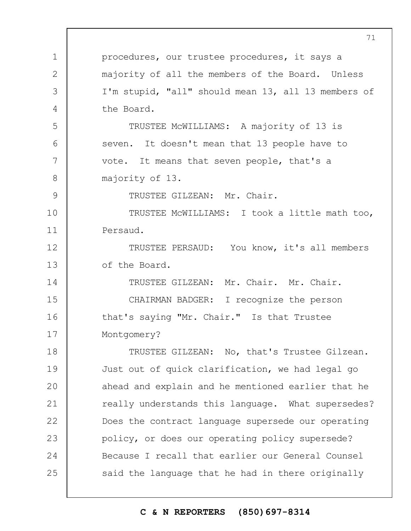|                | 71                                                  |
|----------------|-----------------------------------------------------|
| 1              | procedures, our trustee procedures, it says a       |
| $\overline{2}$ | majority of all the members of the Board. Unless    |
| 3              | I'm stupid, "all" should mean 13, all 13 members of |
| 4              | the Board.                                          |
| 5              | TRUSTEE MCWILLIAMS: A majority of 13 is             |
| 6              | seven. It doesn't mean that 13 people have to       |
| 7              | vote. It means that seven people, that's a          |
| 8              | majority of 13.                                     |
| $\mathcal{G}$  | TRUSTEE GILZEAN: Mr. Chair.                         |
| 10             | TRUSTEE MCWILLIAMS: I took a little math too,       |
| 11             | Persaud.                                            |
| 12             | TRUSTEE PERSAUD: You know, it's all members         |
| 13             | of the Board.                                       |
| 14             | TRUSTEE GILZEAN: Mr. Chair. Mr. Chair.              |
| 15             | CHAIRMAN BADGER: I recognize the person             |
| 16             | that's saying "Mr. Chair." Is that Trustee          |
| 17             | Montgomery?                                         |
| 18             | TRUSTEE GILZEAN: No, that's Trustee Gilzean.        |
| 19             | Just out of quick clarification, we had legal go    |
| 20             | ahead and explain and he mentioned earlier that he  |
| 21             | really understands this language. What supersedes?  |
| 22             | Does the contract language supersede our operating  |
| 23             | policy, or does our operating policy supersede?     |
| 24             | Because I recall that earlier our General Counsel   |
| 25             | said the language that he had in there originally   |
|                |                                                     |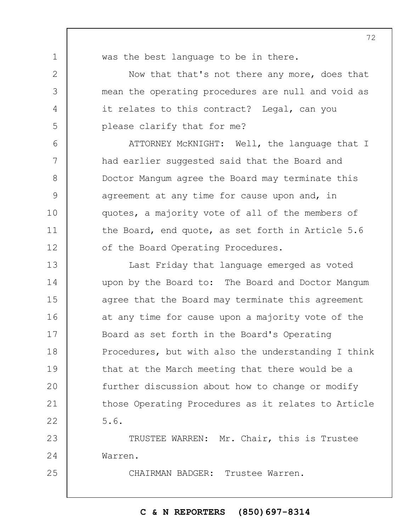1

2

3

4

5

6

7

8

9

10

11

12

25

was the best language to be in there.

Now that that's not there any more, does that mean the operating procedures are null and void as it relates to this contract? Legal, can you please clarify that for me?

ATTORNEY McKNIGHT: Well, the language that I had earlier suggested said that the Board and Doctor Mangum agree the Board may terminate this agreement at any time for cause upon and, in quotes, a majority vote of all of the members of the Board, end quote, as set forth in Article 5.6 of the Board Operating Procedures.

13 14 15 16 17 18 19  $20$ 21 22 Last Friday that language emerged as voted upon by the Board to: The Board and Doctor Mangum agree that the Board may terminate this agreement at any time for cause upon a majority vote of the Board as set forth in the Board's Operating Procedures, but with also the understanding I think that at the March meeting that there would be a further discussion about how to change or modify those Operating Procedures as it relates to Article 5.6.

23 24 TRUSTEE WARREN: Mr. Chair, this is Trustee Warren.

CHAIRMAN BADGER: Trustee Warren.

## **C & N REPORTERS (850)697-8314**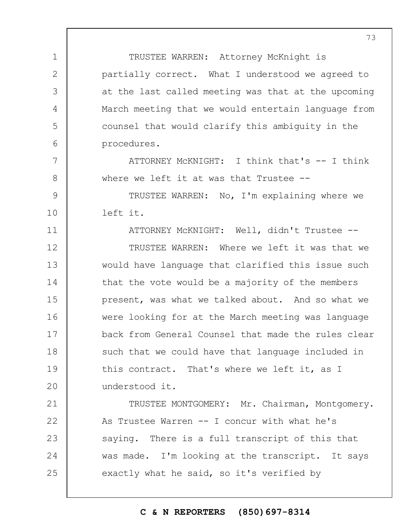TRUSTEE WARREN: Attorney McKnight is partially correct. What I understood we agreed to at the last called meeting was that at the upcoming March meeting that we would entertain language from counsel that would clarify this ambiguity in the procedures.

ATTORNEY McKNIGHT: I think that's -- I think where we left it at was that Trustee --

9 10 TRUSTEE WARREN: No, I'm explaining where we left it.

1

2

3

4

5

6

7

8

11 12 13 14 15 16 17 18 19  $20$ ATTORNEY McKNIGHT: Well, didn't Trustee -- TRUSTEE WARREN: Where we left it was that we would have language that clarified this issue such that the vote would be a majority of the members present, was what we talked about. And so what we were looking for at the March meeting was language back from General Counsel that made the rules clear such that we could have that language included in this contract. That's where we left it, as I understood it.

21 22 23 24 25 TRUSTEE MONTGOMERY: Mr. Chairman, Montgomery. As Trustee Warren -- I concur with what he's saying. There is a full transcript of this that was made. I'm looking at the transcript. It says exactly what he said, so it's verified by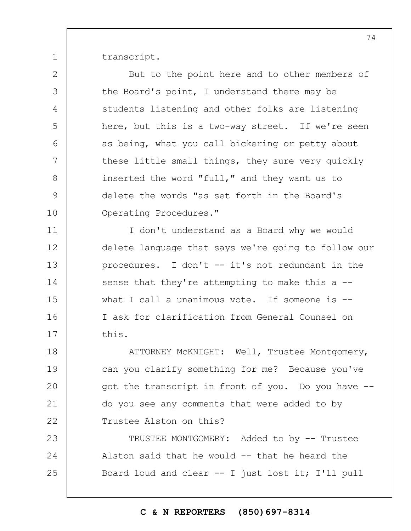transcript.

1

2

3

4

5

6

7

8

9

10

But to the point here and to other members of the Board's point, I understand there may be students listening and other folks are listening here, but this is a two-way street. If we're seen as being, what you call bickering or petty about these little small things, they sure very quickly inserted the word "full," and they want us to delete the words "as set forth in the Board's Operating Procedures."

11 12 13 14 15 16 17 I don't understand as a Board why we would delete language that says we're going to follow our procedures. I don't -- it's not redundant in the sense that they're attempting to make this a -what I call a unanimous vote. If someone is  $-$ I ask for clarification from General Counsel on this.

18 19  $20$ 21 22 ATTORNEY McKNIGHT: Well, Trustee Montgomery, can you clarify something for me? Because you've got the transcript in front of you. Do you have - do you see any comments that were added to by Trustee Alston on this?

23 24 25 TRUSTEE MONTGOMERY: Added to by -- Trustee Alston said that he would -- that he heard the Board loud and clear -- I just lost it; I'll pull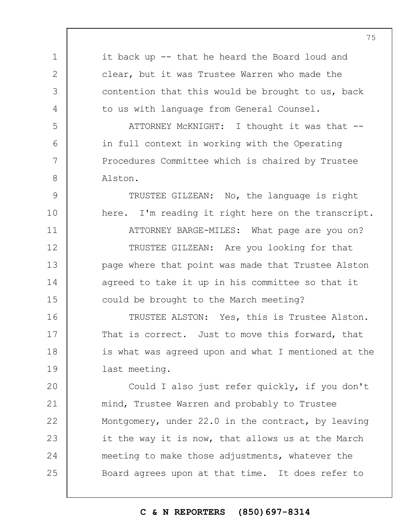1 2 3 4 5 6 7 8 9 10 11 12 13 14 15 16 17 18 19  $20$ 21 22 23 24 25 it back up -- that he heard the Board loud and clear, but it was Trustee Warren who made the contention that this would be brought to us, back to us with language from General Counsel. ATTORNEY McKNIGHT: I thought it was that - in full context in working with the Operating Procedures Committee which is chaired by Trustee Alston. TRUSTEE GILZEAN: No, the language is right here. I'm reading it right here on the transcript. ATTORNEY BARGE-MILES: What page are you on? TRUSTEE GILZEAN: Are you looking for that page where that point was made that Trustee Alston agreed to take it up in his committee so that it could be brought to the March meeting? TRUSTEE ALSTON: Yes, this is Trustee Alston. That is correct. Just to move this forward, that is what was agreed upon and what I mentioned at the last meeting. Could I also just refer quickly, if you don't mind, Trustee Warren and probably to Trustee Montgomery, under 22.0 in the contract, by leaving it the way it is now, that allows us at the March meeting to make those adjustments, whatever the Board agrees upon at that time. It does refer to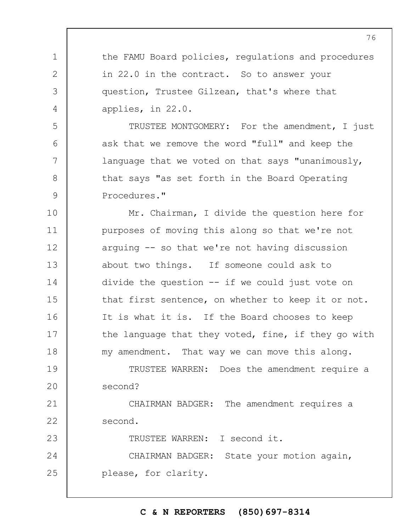1 2 3 4 5 6 7 8 9 10 11 12 13 14 15 16 17 18 19  $20$ 21 22 23 24 25 the FAMU Board policies, regulations and procedures in 22.0 in the contract. So to answer your question, Trustee Gilzean, that's where that applies, in 22.0. TRUSTEE MONTGOMERY: For the amendment, I just ask that we remove the word "full" and keep the language that we voted on that says "unanimously, that says "as set forth in the Board Operating Procedures." Mr. Chairman, I divide the question here for purposes of moving this along so that we're not arguing -- so that we're not having discussion about two things. If someone could ask to divide the question -- if we could just vote on that first sentence, on whether to keep it or not. It is what it is. If the Board chooses to keep the language that they voted, fine, if they go with my amendment. That way we can move this along. TRUSTEE WARREN: Does the amendment require a second? CHAIRMAN BADGER: The amendment requires a second. TRUSTEE WARREN: I second it. CHAIRMAN BADGER: State your motion again, please, for clarity.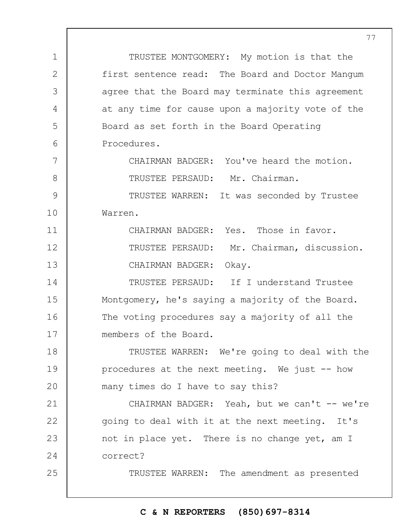TRUSTEE MONTGOMERY: My motion is that the first sentence read: The Board and Doctor Mangum agree that the Board may terminate this agreement at any time for cause upon a majority vote of the Board as set forth in the Board Operating Procedures. CHAIRMAN BADGER: You've heard the motion. TRUSTEE PERSAUD: Mr. Chairman. TRUSTEE WARREN: It was seconded by Trustee

1

2

3

4

5

6

7

8

9

10

Warren.

25

11 12 13 CHAIRMAN BADGER: Yes. Those in favor. TRUSTEE PERSAUD: Mr. Chairman, discussion. CHAIRMAN BADGER: Okay.

14 15 16 17 TRUSTEE PERSAUD: If I understand Trustee Montgomery, he's saying a majority of the Board. The voting procedures say a majority of all the members of the Board.

18 19  $20$ TRUSTEE WARREN: We're going to deal with the procedures at the next meeting. We just -- how many times do I have to say this?

21 22 23 24 CHAIRMAN BADGER: Yeah, but we can't -- we're going to deal with it at the next meeting. It's not in place yet. There is no change yet, am I correct?

TRUSTEE WARREN: The amendment as presented

### **C & N REPORTERS (850)697-8314**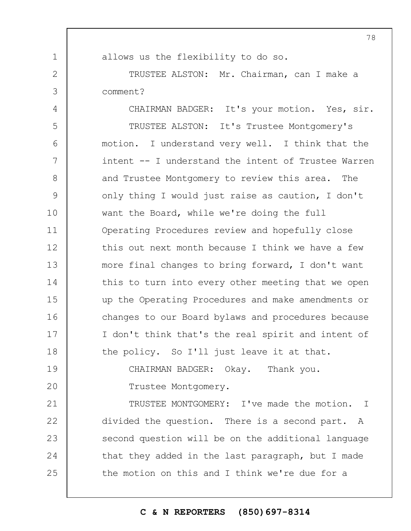|             | 78                                                  |
|-------------|-----------------------------------------------------|
| $\mathbf 1$ | allows us the flexibility to do so.                 |
| 2           | TRUSTEE ALSTON: Mr. Chairman, can I make a          |
| 3           | comment?                                            |
| 4           | CHAIRMAN BADGER: It's your motion. Yes, sir.        |
| 5           | TRUSTEE ALSTON: It's Trustee Montgomery's           |
| 6           | motion. I understand very well. I think that the    |
| 7           | intent -- I understand the intent of Trustee Warren |
| $8\,$       | and Trustee Montgomery to review this area. The     |
| 9           | only thing I would just raise as caution, I don't   |
| 10          | want the Board, while we're doing the full          |
| 11          | Operating Procedures review and hopefully close     |
| 12          | this out next month because I think we have a few   |
| 13          | more final changes to bring forward, I don't want   |
| 14          | this to turn into every other meeting that we open  |
| 15          | up the Operating Procedures and make amendments or  |
| 16          | changes to our Board bylaws and procedures because  |
| 17          | I don't think that's the real spirit and intent of  |
| 18          | the policy. So I'll just leave it at that.          |
| 19          | CHAIRMAN BADGER: Okay. Thank you.                   |
| 20          | Trustee Montgomery.                                 |
| 21          | TRUSTEE MONTGOMERY: I've made the motion. I         |
| 22          | divided the question. There is a second part. A     |
| 23          | second question will be on the additional language  |
| 24          | that they added in the last paragraph, but I made   |
| 25          | the motion on this and I think we're due for a      |
|             |                                                     |

# **C & N REPORTERS (850)697-8314**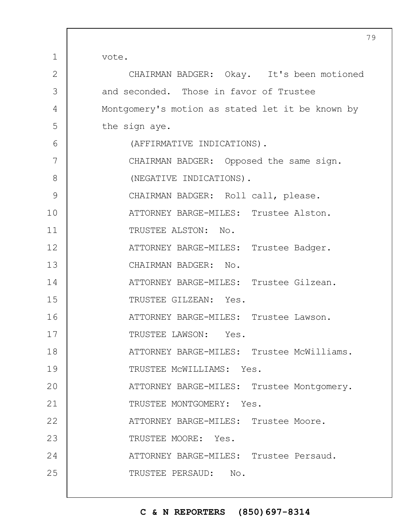vote.

1

| $\mathbf{2}$  | CHAIRMAN BADGER: Okay. It's been motioned        |
|---------------|--------------------------------------------------|
| 3             | and seconded. Those in favor of Trustee          |
| 4             | Montgomery's motion as stated let it be known by |
| 5             | the sign aye.                                    |
| 6             | (AFFIRMATIVE INDICATIONS).                       |
| 7             | CHAIRMAN BADGER: Opposed the same sign.          |
| 8             | (NEGATIVE INDICATIONS).                          |
| $\mathcal{G}$ | CHAIRMAN BADGER: Roll call, please.              |
| 10            | ATTORNEY BARGE-MILES: Trustee Alston.            |
| 11            | TRUSTEE ALSTON: No.                              |
| 12            | ATTORNEY BARGE-MILES: Trustee Badger.            |
| 13            | CHAIRMAN BADGER: No.                             |
| 14            | ATTORNEY BARGE-MILES: Trustee Gilzean.           |
| 15            | TRUSTEE GILZEAN: Yes.                            |
| 16            | ATTORNEY BARGE-MILES: Trustee Lawson.            |
| 17            | TRUSTEE LAWSON: Yes.                             |
| 18            | ATTORNEY BARGE-MILES: Trustee McWilliams.        |
| 19            | TRUSTEE MCWILLIAMS: Yes.                         |
| 20            | ATTORNEY BARGE-MILES: Trustee Montgomery.        |
| 21            | TRUSTEE MONTGOMERY: Yes.                         |
| 22            | ATTORNEY BARGE-MILES: Trustee Moore.             |
| 23            | TRUSTEE MOORE: Yes.                              |
| 24            | ATTORNEY BARGE-MILES: Trustee Persaud.           |
| 25            | TRUSTEE PERSAUD: No.                             |
|               |                                                  |

**C & N REPORTERS (850)697-8314**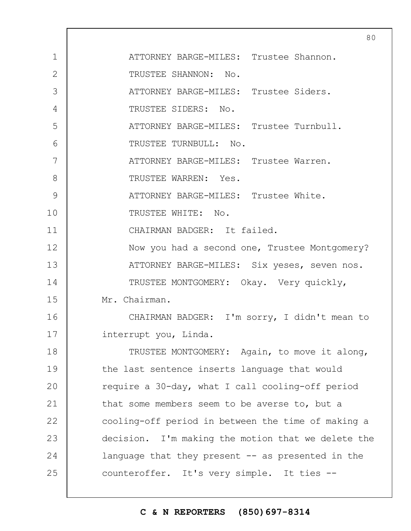|                | 80                                                 |
|----------------|----------------------------------------------------|
| $\mathbf 1$    | ATTORNEY BARGE-MILES: Trustee Shannon.             |
| $\overline{2}$ | TRUSTEE SHANNON: No.                               |
| 3              | ATTORNEY BARGE-MILES: Trustee Siders.              |
| 4              | TRUSTEE SIDERS: No.                                |
| 5              | ATTORNEY BARGE-MILES: Trustee Turnbull.            |
| 6              | TRUSTEE TURNBULL: No.                              |
| 7              | ATTORNEY BARGE-MILES: Trustee Warren.              |
| 8              | TRUSTEE WARREN: Yes.                               |
| 9              | ATTORNEY BARGE-MILES: Trustee White.               |
| 10             | TRUSTEE WHITE: No.                                 |
| 11             | CHAIRMAN BADGER: It failed.                        |
| 12             | Now you had a second one, Trustee Montgomery?      |
| 13             | ATTORNEY BARGE-MILES: Six yeses, seven nos.        |
| 14             | TRUSTEE MONTGOMERY: Okay. Very quickly,            |
| 15             | Mr. Chairman.                                      |
| 16             | CHAIRMAN BADGER: I'm sorry, I didn't mean to       |
| 17             | interrupt you, Linda.                              |
| 18             | TRUSTEE MONTGOMERY: Again, to move it along,       |
| 19             | the last sentence inserts language that would      |
| 20             | require a 30-day, what I call cooling-off period   |
| 21             | that some members seem to be averse to, but a      |
| 22             | cooling-off period in between the time of making a |
| 23             | decision. I'm making the motion that we delete the |
| 24             | language that they present $-$ as presented in the |
| 25             | counteroffer. It's very simple. It ties --         |
|                |                                                    |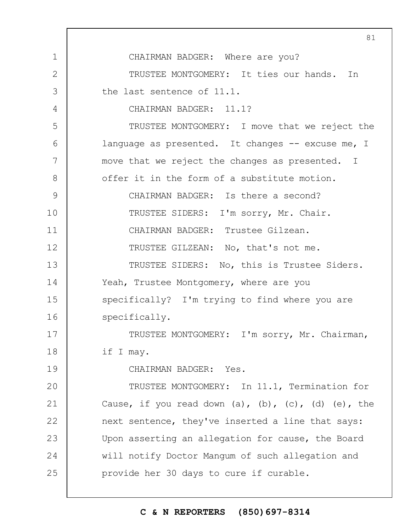1 2 3 4 5 6 7 8 9 10 11 12 13 14 15 16 17 18 19  $20$ 21 22 23 24 25 CHAIRMAN BADGER: Where are you? TRUSTEE MONTGOMERY: It ties our hands. In the last sentence of 11.1. CHAIRMAN BADGER: 11.1? TRUSTEE MONTGOMERY: I move that we reject the language as presented. It changes -- excuse me, I move that we reject the changes as presented. I offer it in the form of a substitute motion. CHAIRMAN BADGER: Is there a second? TRUSTEE SIDERS: I'm sorry, Mr. Chair. CHAIRMAN BADGER: Trustee Gilzean. TRUSTEE GILZEAN: No, that's not me. TRUSTEE SIDERS: No, this is Trustee Siders. Yeah, Trustee Montgomery, where are you specifically? I'm trying to find where you are specifically. TRUSTEE MONTGOMERY: I'm sorry, Mr. Chairman, if I may. CHAIRMAN BADGER: Yes. TRUSTEE MONTGOMERY: In 11.1, Termination for Cause, if you read down  $(a)$ ,  $(b)$ ,  $(c)$ ,  $(d)$   $(e)$ , the next sentence, they've inserted a line that says: Upon asserting an allegation for cause, the Board will notify Doctor Mangum of such allegation and provide her 30 days to cure if curable.

### **C & N REPORTERS (850)697-8314**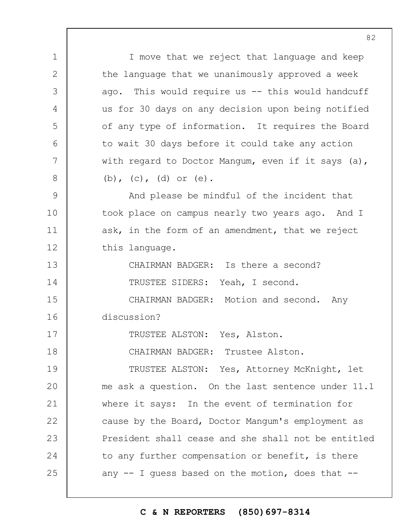1 2 3 4 5 6 7 8 9 10 11 12 13 14 15 16 17 18 19  $20$ 21 22 23 24 25 I move that we reject that language and keep the language that we unanimously approved a week ago. This would require us  $-$  this would handcuff us for 30 days on any decision upon being notified of any type of information. It requires the Board to wait 30 days before it could take any action with regard to Doctor Mangum, even if it says (a), (b), (c), (d) or (e). And please be mindful of the incident that took place on campus nearly two years ago. And I ask, in the form of an amendment, that we reject this language. CHAIRMAN BADGER: Is there a second? TRUSTEE SIDERS: Yeah, I second. CHAIRMAN BADGER: Motion and second. Any discussion? TRUSTEE ALSTON: Yes, Alston. CHAIRMAN BADGER: Trustee Alston. TRUSTEE ALSTON: Yes, Attorney McKnight, let me ask a question. On the last sentence under 11.1 where it says: In the event of termination for cause by the Board, Doctor Mangum's employment as President shall cease and she shall not be entitled to any further compensation or benefit, is there any  $-$  I guess based on the motion, does that  $-$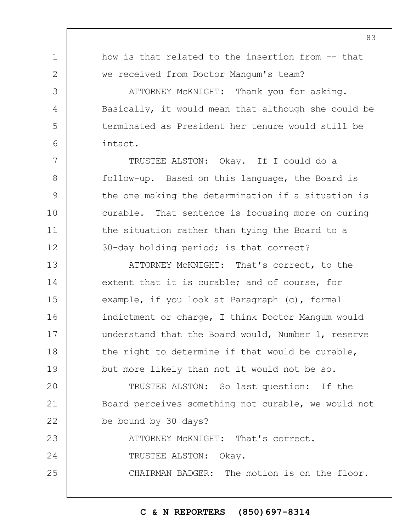| $\mathbf 1$   | how is that related to the insertion from -- that   |
|---------------|-----------------------------------------------------|
| $\mathbf{2}$  | we received from Doctor Mangum's team?              |
| 3             | ATTORNEY MCKNIGHT: Thank you for asking.            |
| 4             | Basically, it would mean that although she could be |
| 5             | terminated as President her tenure would still be   |
| 6             | intact.                                             |
| 7             | TRUSTEE ALSTON: Okay. If I could do a               |
| 8             | follow-up. Based on this language, the Board is     |
| $\mathcal{G}$ | the one making the determination if a situation is  |
| 10            | curable. That sentence is focusing more on curing   |
| 11            | the situation rather than tying the Board to a      |
| 12            | 30-day holding period; is that correct?             |
| 13            | ATTORNEY MCKNIGHT: That's correct, to the           |
| 14            | extent that it is curable; and of course, for       |
| 15            | example, if you look at Paragraph (c), formal       |
| 16            | indictment or charge, I think Doctor Mangum would   |
| 17            | understand that the Board would, Number 1, reserve  |
| 18            | the right to determine if that would be curable,    |
| 19            | but more likely than not it would not be so.        |
| 20            | TRUSTEE ALSTON: So last question: If the            |
| 21            | Board perceives something not curable, we would not |
| 22            | be bound by 30 days?                                |
| 23            | ATTORNEY MCKNIGHT: That's correct.                  |
| 24            | TRUSTEE ALSTON: Okay.                               |
| 25            | CHAIRMAN BADGER: The motion is on the floor.        |
|               |                                                     |

# **C & N REPORTERS (850)697-8314**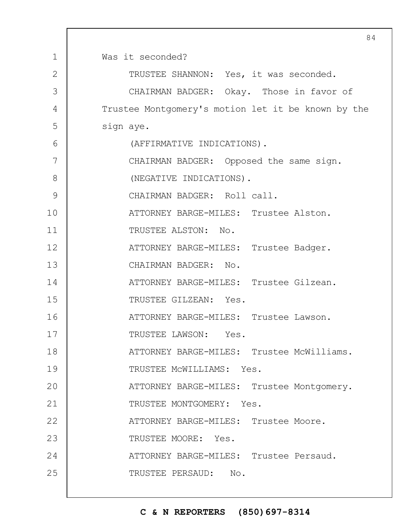|                | $8 \cdot$                                          |
|----------------|----------------------------------------------------|
| $\mathbf{1}$   | Was it seconded?                                   |
| $\overline{2}$ | TRUSTEE SHANNON: Yes, it was seconded.             |
| 3              | CHAIRMAN BADGER: Okay. Those in favor of           |
| 4              | Trustee Montgomery's motion let it be known by the |
| 5              | sign aye.                                          |
| 6              | (AFFIRMATIVE INDICATIONS).                         |
| 7              | CHAIRMAN BADGER: Opposed the same sign.            |
| 8              | (NEGATIVE INDICATIONS).                            |
| 9              | CHAIRMAN BADGER: Roll call.                        |
| 10             | ATTORNEY BARGE-MILES: Trustee Alston.              |
| 11             | TRUSTEE ALSTON: No.                                |
| 12             | ATTORNEY BARGE-MILES: Trustee Badger.              |
| 13             | CHAIRMAN BADGER: No.                               |
| 14             | ATTORNEY BARGE-MILES: Trustee Gilzean.             |
| 15             | TRUSTEE GILZEAN: Yes.                              |
| 16             | ATTORNEY BARGE-MILES: Trustee Lawson.              |
| 17             | TRUSTEE LAWSON: Yes.                               |
| 18             | ATTORNEY BARGE-MILES: Trustee McWilliams.          |
| 19             | TRUSTEE MCWILLIAMS: Yes.                           |
| 20             | ATTORNEY BARGE-MILES: Trustee Montgomery.          |
| 21             | TRUSTEE MONTGOMERY: Yes.                           |
| 22             | ATTORNEY BARGE-MILES: Trustee Moore.               |
| 23             | TRUSTEE MOORE: Yes.                                |
| 24             | ATTORNEY BARGE-MILES: Trustee Persaud.             |
| 25             | TRUSTEE PERSAUD: No.                               |
|                |                                                    |

 $\Gamma$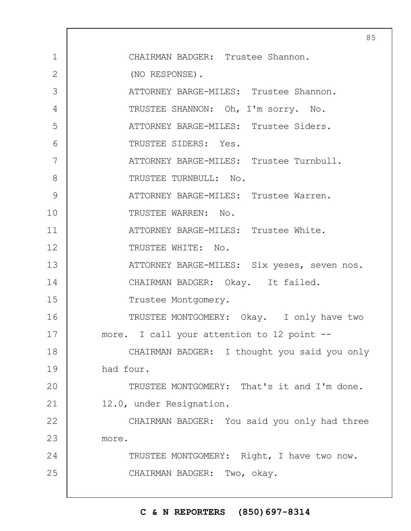|              | 8                                            |
|--------------|----------------------------------------------|
| $\mathbf 1$  | CHAIRMAN BADGER: Trustee Shannon.            |
| $\mathbf{2}$ | (NO RESPONSE).                               |
| 3            | ATTORNEY BARGE-MILES: Trustee Shannon.       |
| 4            | TRUSTEE SHANNON: Oh, I'm sorry. No.          |
| 5            | ATTORNEY BARGE-MILES: Trustee Siders.        |
| 6            | TRUSTEE SIDERS: Yes.                         |
| 7            | ATTORNEY BARGE-MILES: Trustee Turnbull.      |
| 8            | TRUSTEE TURNBULL: No.                        |
| 9            | ATTORNEY BARGE-MILES: Trustee Warren.        |
| 10           | TRUSTEE WARREN: No.                          |
| 11           | ATTORNEY BARGE-MILES: Trustee White.         |
| 12           | TRUSTEE WHITE: No.                           |
| 13           | ATTORNEY BARGE-MILES: Six yeses, seven nos.  |
| 14           | CHAIRMAN BADGER: Okay. It failed.            |
| 15           | Trustee Montgomery.                          |
| 16           | TRUSTEE MONTGOMERY: Okay. I only have two    |
| 17           | more. I call your attention to 12 point --   |
| 18           | CHAIRMAN BADGER: I thought you said you only |
| 19           | had four.                                    |
| 20           | TRUSTEE MONTGOMERY: That's it and I'm done.  |
| 21           | 12.0, under Resignation.                     |
| 22           | CHAIRMAN BADGER: You said you only had three |
| 23           | more.                                        |
| 24           | TRUSTEE MONTGOMERY: Right, I have two now.   |
| 25           | CHAIRMAN BADGER: Two, okay.                  |
|              |                                              |

# **C & N REPORTERS (850)697-8314**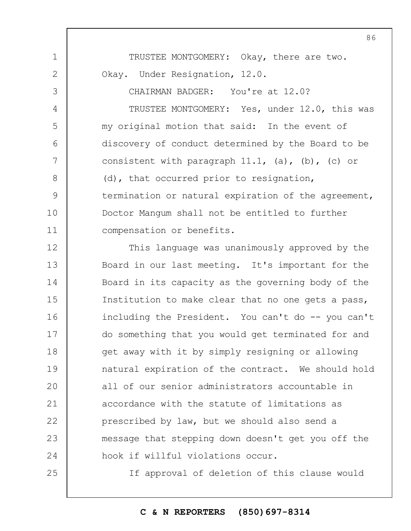TRUSTEE MONTGOMERY: Okay, there are two. Okay. Under Resignation, 12.0.

1

2

3

4

5

6

7

8

9

10

11

25

CHAIRMAN BADGER: You're at 12.0? TRUSTEE MONTGOMERY: Yes, under 12.0, this was my original motion that said: In the event of discovery of conduct determined by the Board to be consistent with paragraph  $11.1$ , (a), (b), (c) or (d), that occurred prior to resignation, termination or natural expiration of the agreement, Doctor Mangum shall not be entitled to further compensation or benefits.

12 13 14 15 16 17 18 19  $20$ 21 22 23 24 This language was unanimously approved by the Board in our last meeting. It's important for the Board in its capacity as the governing body of the Institution to make clear that no one gets a pass, including the President. You can't do -- you can't do something that you would get terminated for and get away with it by simply resigning or allowing natural expiration of the contract. We should hold all of our senior administrators accountable in accordance with the statute of limitations as prescribed by law, but we should also send a message that stepping down doesn't get you off the hook if willful violations occur.

If approval of deletion of this clause would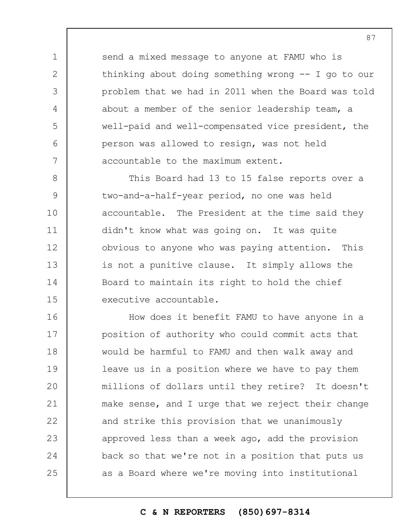send a mixed message to anyone at FAMU who is thinking about doing something wrong -- I go to our problem that we had in 2011 when the Board was told about a member of the senior leadership team, a well-paid and well-compensated vice president, the person was allowed to resign, was not held accountable to the maximum extent.

1

2

3

4

5

6

7

8 9 10 11 12 13 14 15 This Board had 13 to 15 false reports over a two-and-a-half-year period, no one was held accountable. The President at the time said they didn't know what was going on. It was quite obvious to anyone who was paying attention. This is not a punitive clause. It simply allows the Board to maintain its right to hold the chief executive accountable.

16 17 18 19  $20$ 21 22 23 24 25 How does it benefit FAMU to have anyone in a position of authority who could commit acts that would be harmful to FAMU and then walk away and leave us in a position where we have to pay them millions of dollars until they retire? It doesn't make sense, and I urge that we reject their change and strike this provision that we unanimously approved less than a week ago, add the provision back so that we're not in a position that puts us as a Board where we're moving into institutional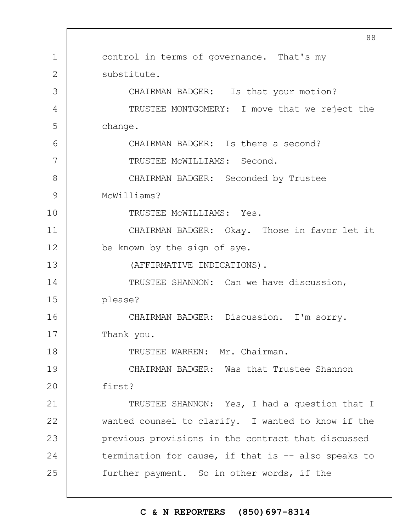1 2 3 4 5 6 7 8 9 10 11 12 13 14 15 16 17 18 19  $20$ 21 22 23 24 25 control in terms of governance. That's my substitute. CHAIRMAN BADGER: Is that your motion? TRUSTEE MONTGOMERY: I move that we reject the change. CHAIRMAN BADGER: Is there a second? TRUSTEE McWILLIAMS: Second. CHAIRMAN BADGER: Seconded by Trustee McWilliams? TRUSTEE McWILLIAMS: Yes. CHAIRMAN BADGER: Okay. Those in favor let it be known by the sign of aye. (AFFIRMATIVE INDICATIONS). TRUSTEE SHANNON: Can we have discussion, please? CHAIRMAN BADGER: Discussion. I'm sorry. Thank you. TRUSTEE WARREN: Mr. Chairman. CHAIRMAN BADGER: Was that Trustee Shannon first? TRUSTEE SHANNON: Yes, I had a question that I wanted counsel to clarify. I wanted to know if the previous provisions in the contract that discussed termination for cause, if that is -- also speaks to further payment. So in other words, if the

### **C & N REPORTERS (850)697-8314**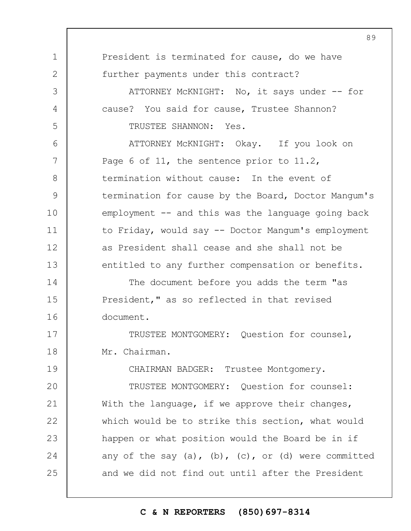|               | 0 フ                                                            |
|---------------|----------------------------------------------------------------|
| 1             | President is terminated for cause, do we have                  |
| $\mathbf{2}$  | further payments under this contract?                          |
| 3             | ATTORNEY MCKNIGHT: No, it says under -- for                    |
| 4             | cause? You said for cause, Trustee Shannon?                    |
| 5             | TRUSTEE SHANNON: Yes.                                          |
| 6             | ATTORNEY MCKNIGHT: Okay. If you look on                        |
| 7             | Page 6 of 11, the sentence prior to $11.2$ ,                   |
| 8             | termination without cause: In the event of                     |
| $\mathcal{G}$ | termination for cause by the Board, Doctor Mangum's            |
| 10            | $employment$ -- and this was the language going back           |
| 11            | to Friday, would say -- Doctor Mangum's employment             |
| 12            | as President shall cease and she shall not be                  |
| 13            | entitled to any further compensation or benefits.              |
| 14            | The document before you adds the term "as                      |
| 15            | President," as so reflected in that revised                    |
| 16            | document.                                                      |
| 17            | TRUSTEE MONTGOMERY: Question for counsel,                      |
| 18            | Mr. Chairman.                                                  |
| 19            | CHAIRMAN BADGER: Trustee Montgomery.                           |
| 20            | TRUSTEE MONTGOMERY: Question for counsel:                      |
| 21            | With the language, if we approve their changes,                |
| 22            | which would be to strike this section, what would              |
| 23            | happen or what position would the Board be in if               |
| 24            | any of the say $(a)$ , $(b)$ , $(c)$ , or $(d)$ were committed |
| 25            | and we did not find out until after the President              |
|               |                                                                |

# **C & N REPORTERS (850)697-8314**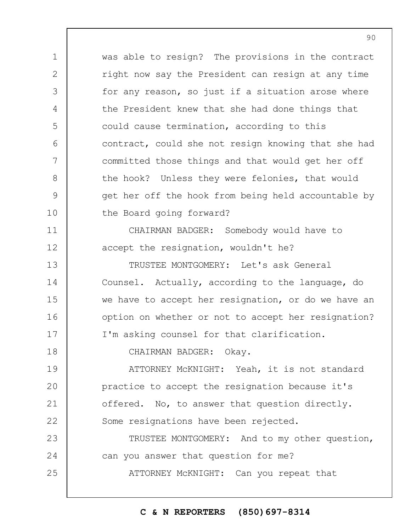1 2 3 4 5 6 7 8 9 10 11 12 13 14 was able to resign? The provisions in the contract right now say the President can resign at any time for any reason, so just if a situation arose where the President knew that she had done things that could cause termination, according to this contract, could she not resign knowing that she had committed those things and that would get her off the hook? Unless they were felonies, that would get her off the hook from being held accountable by the Board going forward? CHAIRMAN BADGER: Somebody would have to accept the resignation, wouldn't he? TRUSTEE MONTGOMERY: Let's ask General Counsel. Actually, according to the language, do

we have to accept her resignation, or do we have an option on whether or not to accept her resignation? I'm asking counsel for that clarification.

CHAIRMAN BADGER: Okay.

15

16

17

18

19  $20$ 21 22 ATTORNEY McKNIGHT: Yeah, it is not standard practice to accept the resignation because it's offered. No, to answer that question directly. Some resignations have been rejected.

23 24 25 TRUSTEE MONTGOMERY: And to my other question, can you answer that question for me? ATTORNEY McKNIGHT: Can you repeat that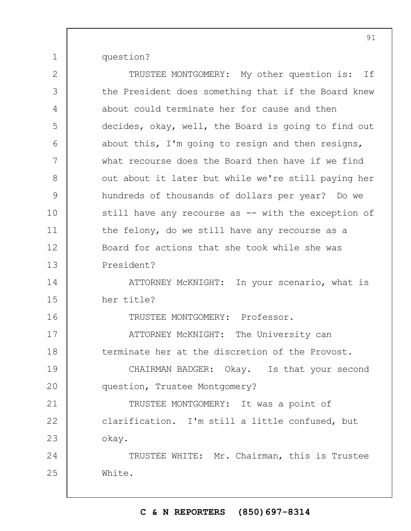question?

1

| $\mathbf{2}$  | TRUSTEE MONTGOMERY: My other question is: If        |
|---------------|-----------------------------------------------------|
| 3             | the President does something that if the Board knew |
| 4             | about could terminate her for cause and then        |
| 5             | decides, okay, well, the Board is going to find out |
| 6             | about this, I'm going to resign and then resigns,   |
| 7             | what recourse does the Board then have if we find   |
| 8             | out about it later but while we're still paying her |
| $\mathcal{G}$ | hundreds of thousands of dollars per year? Do we    |
| 10            | still have any recourse as -- with the exception of |
| 11            | the felony, do we still have any recourse as a      |
| 12            | Board for actions that she took while she was       |
| 13            | President?                                          |
| 14            | ATTORNEY MCKNIGHT: In your scenario, what is        |
| 15            | her title?                                          |
| 16            | TRUSTEE MONTGOMERY: Professor.                      |
| 17            | ATTORNEY MCKNIGHT: The University can               |
| 18            | terminate her at the discretion of the Provost.     |
| 19            | CHAIRMAN BADGER: Okay. Is that your second          |
| 20            | question, Trustee Montgomery?                       |
| 21            | TRUSTEE MONTGOMERY: It was a point of               |
| 22            | clarification. I'm still a little confused, but     |
| 23            | okay.                                               |
| 24            | TRUSTEE WHITE: Mr. Chairman, this is Trustee        |
| 25            | White.                                              |
|               |                                                     |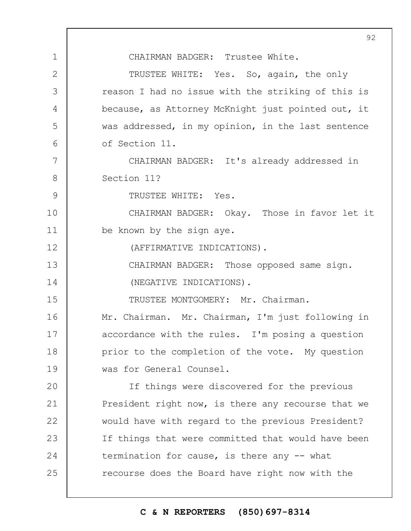1 2 3 4 5 6 7 8 9 10 11 12 13 14 15 16 17 18 19  $20$ 21 22 23 24 25 CHAIRMAN BADGER: Trustee White. TRUSTEE WHITE: Yes. So, again, the only reason I had no issue with the striking of this is because, as Attorney McKnight just pointed out, it was addressed, in my opinion, in the last sentence of Section 11. CHAIRMAN BADGER: It's already addressed in Section 11? TRUSTEE WHITE: Yes. CHAIRMAN BADGER: Okay. Those in favor let it be known by the sign aye. (AFFIRMATIVE INDICATIONS). CHAIRMAN BADGER: Those opposed same sign. (NEGATIVE INDICATIONS). TRUSTEE MONTGOMERY: Mr. Chairman. Mr. Chairman. Mr. Chairman, I'm just following in accordance with the rules. I'm posing a question prior to the completion of the vote. My question was for General Counsel. If things were discovered for the previous President right now, is there any recourse that we would have with regard to the previous President? If things that were committed that would have been termination for cause, is there any -- what recourse does the Board have right now with the

## **C & N REPORTERS (850)697-8314**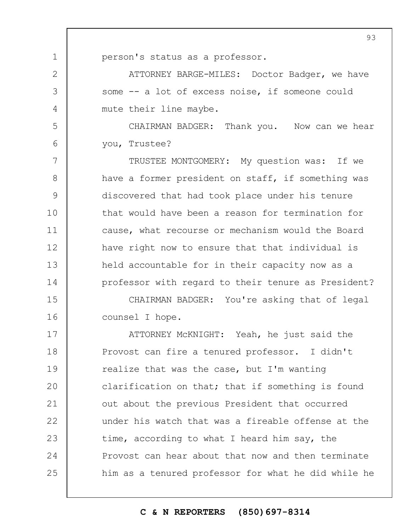person's status as a professor.

1

2

3

4

5

6

ATTORNEY BARGE-MILES: Doctor Badger, we have some -- a lot of excess noise, if someone could mute their line maybe.

CHAIRMAN BADGER: Thank you. Now can we hear you, Trustee?

7 8 9 10 11 12 13 14 TRUSTEE MONTGOMERY: My question was: If we have a former president on staff, if something was discovered that had took place under his tenure that would have been a reason for termination for cause, what recourse or mechanism would the Board have right now to ensure that that individual is held accountable for in their capacity now as a professor with regard to their tenure as President?

15 16 CHAIRMAN BADGER: You're asking that of legal counsel I hope.

17 18 19  $20$ 21 22 23 24 25 ATTORNEY McKNIGHT: Yeah, he just said the Provost can fire a tenured professor. I didn't realize that was the case, but I'm wanting clarification on that; that if something is found out about the previous President that occurred under his watch that was a fireable offense at the time, according to what I heard him say, the Provost can hear about that now and then terminate him as a tenured professor for what he did while he

#### **C & N REPORTERS (850)697-8314**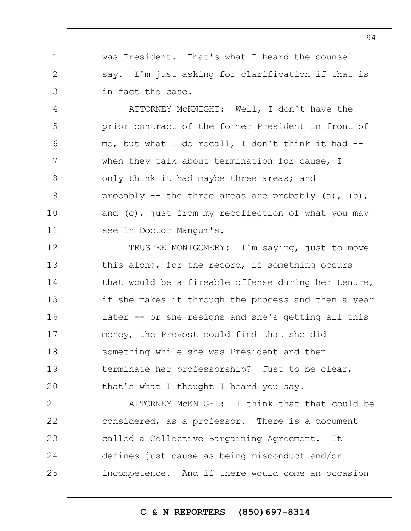was President. That's what I heard the counsel say. I'm just asking for clarification if that is in fact the case.

1

2

3

4

5

6

7

8

9

10

11

ATTORNEY McKNIGHT: Well, I don't have the prior contract of the former President in front of me, but what I do recall, I don't think it had - when they talk about termination for cause, I only think it had maybe three areas; and probably  $-$  the three areas are probably (a), (b), and (c), just from my recollection of what you may see in Doctor Mangum's.

12 13 14 15 16 17 18 19  $20$ TRUSTEE MONTGOMERY: I'm saying, just to move this along, for the record, if something occurs that would be a fireable offense during her tenure, if she makes it through the process and then a year later -- or she resigns and she's getting all this money, the Provost could find that she did something while she was President and then terminate her professorship? Just to be clear, that's what I thought I heard you say.

21 22 23 24 25 ATTORNEY McKNIGHT: I think that that could be considered, as a professor. There is a document called a Collective Bargaining Agreement. It defines just cause as being misconduct and/or incompetence. And if there would come an occasion

#### **C & N REPORTERS (850)697-8314**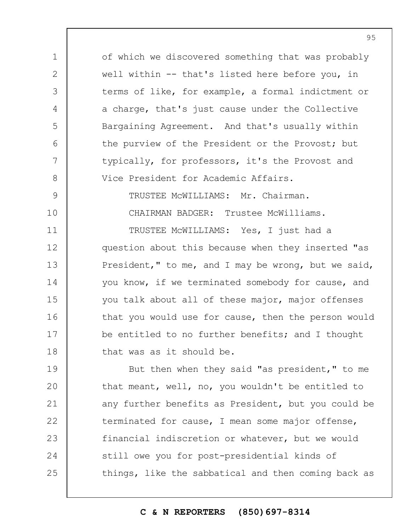1 2 3 4 5 6 7 8 9 10 of which we discovered something that was probably well within -- that's listed here before you, in terms of like, for example, a formal indictment or a charge, that's just cause under the Collective Bargaining Agreement. And that's usually within the purview of the President or the Provost; but typically, for professors, it's the Provost and Vice President for Academic Affairs. TRUSTEE McWILLIAMS: Mr. Chairman. CHAIRMAN BADGER: Trustee McWilliams.

11 12 13 14 15 16 17 18 TRUSTEE McWILLIAMS: Yes, I just had a question about this because when they inserted "as President," to me, and I may be wrong, but we said, you know, if we terminated somebody for cause, and you talk about all of these major, major offenses that you would use for cause, then the person would be entitled to no further benefits; and I thought that was as it should be.

19  $20$ 21 22 23 24 25 But then when they said "as president," to me that meant, well, no, you wouldn't be entitled to any further benefits as President, but you could be terminated for cause, I mean some major offense, financial indiscretion or whatever, but we would still owe you for post-presidential kinds of things, like the sabbatical and then coming back as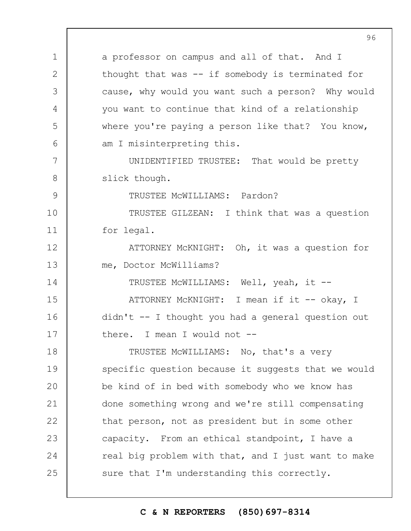1 2 3 4 5 6 7 8 9 10 11 12 13 14 15 16 17 18 19  $20$ 21 22 23 24 25 a professor on campus and all of that. And I thought that was -- if somebody is terminated for cause, why would you want such a person? Why would you want to continue that kind of a relationship where you're paying a person like that? You know, am I misinterpreting this. UNIDENTIFIED TRUSTEE: That would be pretty slick though. TRUSTEE McWILLIAMS: Pardon? TRUSTEE GILZEAN: I think that was a question for legal. ATTORNEY McKNIGHT: Oh, it was a question for me, Doctor McWilliams? TRUSTEE McWILLIAMS: Well, yeah, it -- ATTORNEY MCKNIGHT: I mean if it -- okay, I didn't -- I thought you had a general question out there. I mean I would not -- TRUSTEE McWILLIAMS: No, that's a very specific question because it suggests that we would be kind of in bed with somebody who we know has done something wrong and we're still compensating that person, not as president but in some other capacity. From an ethical standpoint, I have a real big problem with that, and I just want to make sure that I'm understanding this correctly.

### **C & N REPORTERS (850)697-8314**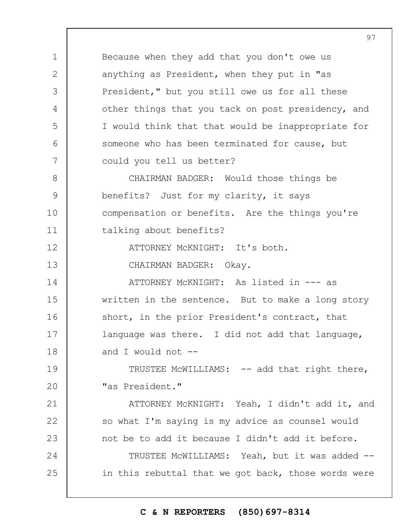Because when they add that you don't owe us anything as President, when they put in "as President," but you still owe us for all these other things that you tack on post presidency, and I would think that that would be inappropriate for someone who has been terminated for cause, but could you tell us better?

8 9 10 11 CHAIRMAN BADGER: Would those things be benefits? Just for my clarity, it says compensation or benefits. Are the things you're talking about benefits?

ATTORNEY McKNIGHT: It's both.

CHAIRMAN BADGER: Okay.

1

2

3

4

5

6

7

12

13

21

22

23

14 15 16 17 18 ATTORNEY McKNIGHT: As listed in --- as written in the sentence. But to make a long story short, in the prior President's contract, that language was there. I did not add that language, and  $\bar{I}$  would not  $\bar{I}$ 

19  $20$ TRUSTEE MCWILLIAMS: -- add that right there, "as President."

ATTORNEY McKNIGHT: Yeah, I didn't add it, and so what I'm saying is my advice as counsel would not be to add it because I didn't add it before.

24 25 TRUSTEE McWILLIAMS: Yeah, but it was added - in this rebuttal that we got back, those words were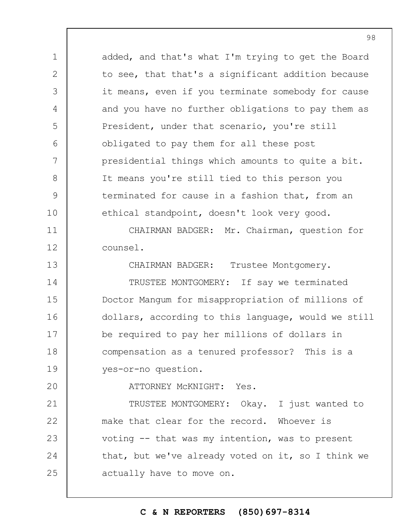added, and that's what I'm trying to get the Board to see, that that's a significant addition because it means, even if you terminate somebody for cause and you have no further obligations to pay them as President, under that scenario, you're still obligated to pay them for all these post presidential things which amounts to quite a bit. It means you're still tied to this person you terminated for cause in a fashion that, from an ethical standpoint, doesn't look very good.

11 12 CHAIRMAN BADGER: Mr. Chairman, question for counsel.

13 14 15 16 17 18 19 CHAIRMAN BADGER: Trustee Montgomery. TRUSTEE MONTGOMERY: If say we terminated Doctor Mangum for misappropriation of millions of dollars, according to this language, would we still be required to pay her millions of dollars in compensation as a tenured professor? This is a yes-or-no question.

 $20$ 

1

2

3

4

5

6

7

8

9

10

ATTORNEY McKNIGHT: Yes.

21 22 23 24 25 TRUSTEE MONTGOMERY: Okay. I just wanted to make that clear for the record. Whoever is voting -- that was my intention, was to present that, but we've already voted on it, so I think we actually have to move on.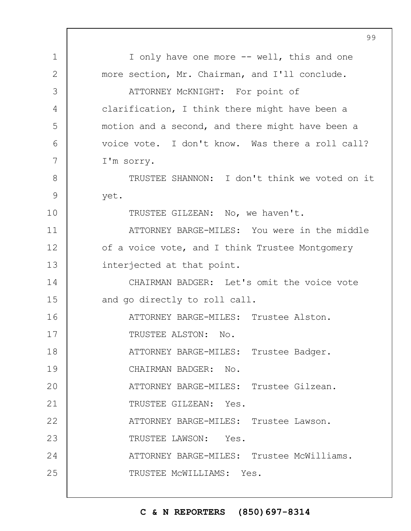|               | 99                                               |
|---------------|--------------------------------------------------|
| $\mathbf 1$   | I only have one more -- well, this and one       |
| $\mathbf{2}$  | more section, Mr. Chairman, and I'll conclude.   |
| 3             | ATTORNEY MCKNIGHT: For point of                  |
| 4             | clarification, I think there might have been a   |
| 5             | motion and a second, and there might have been a |
| 6             | voice vote. I don't know. Was there a roll call? |
| 7             | I'm sorry.                                       |
| 8             | TRUSTEE SHANNON: I don't think we voted on it    |
| $\mathcal{G}$ | yet.                                             |
| 10            | TRUSTEE GILZEAN: No, we haven't.                 |
| 11            | ATTORNEY BARGE-MILES: You were in the middle     |
| 12            | of a voice vote, and I think Trustee Montgomery  |
| 13            | interjected at that point.                       |
| 14            | CHAIRMAN BADGER: Let's omit the voice vote       |
| 15            | and go directly to roll call.                    |
| 16            | ATTORNEY BARGE-MILES: Trustee Alston.            |
| 17            | TRUSTEE ALSTON: No.                              |
| 18            | ATTORNEY BARGE-MILES: Trustee Badger.            |
| 19            | CHAIRMAN BADGER: No.                             |
| 20            | ATTORNEY BARGE-MILES: Trustee Gilzean.           |
| 21            | TRUSTEE GILZEAN: Yes.                            |
| 22            | ATTORNEY BARGE-MILES: Trustee Lawson.            |
| 23            | TRUSTEE LAWSON: Yes.                             |
| 24            | ATTORNEY BARGE-MILES: Trustee McWilliams.        |
| 25            | TRUSTEE MCWILLIAMS: Yes.                         |
|               |                                                  |

 $\Gamma$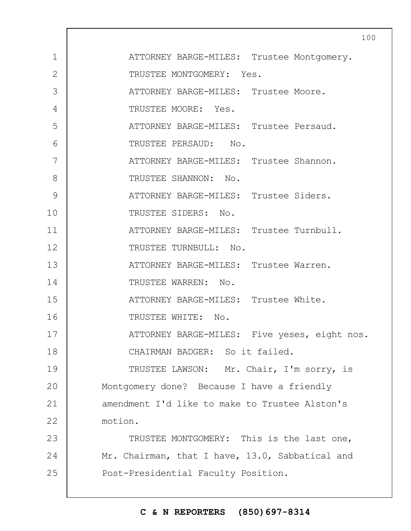|                | 10                                              |
|----------------|-------------------------------------------------|
| $\mathbf 1$    | ATTORNEY BARGE-MILES: Trustee Montgomery.       |
| $\overline{2}$ | TRUSTEE MONTGOMERY: Yes.                        |
| 3              | ATTORNEY BARGE-MILES: Trustee Moore.            |
| 4              | TRUSTEE MOORE: Yes.                             |
| 5              | ATTORNEY BARGE-MILES: Trustee Persaud.          |
| 6              | TRUSTEE PERSAUD: No.                            |
| 7              | ATTORNEY BARGE-MILES: Trustee Shannon.          |
| 8              | TRUSTEE SHANNON: No.                            |
| 9              | ATTORNEY BARGE-MILES: Trustee Siders.           |
| 10             | TRUSTEE SIDERS: No.                             |
| 11             | ATTORNEY BARGE-MILES: Trustee Turnbull.         |
| 12             | TRUSTEE TURNBULL: No.                           |
| 13             | ATTORNEY BARGE-MILES: Trustee Warren.           |
| 14             | TRUSTEE WARREN: No.                             |
| 15             | ATTORNEY BARGE-MILES: Trustee White.            |
| 16             | TRUSTEE WHITE: No.                              |
| 17             | ATTORNEY BARGE-MILES: Five yeses, eight nos.    |
| 18             | CHAIRMAN BADGER: So it failed.                  |
| 19             | TRUSTEE LAWSON: Mr. Chair, I'm sorry, is        |
| 20             | Montgomery done? Because I have a friendly      |
| 21             | amendment I'd like to make to Trustee Alston's  |
| 22             | motion.                                         |
| 23             | TRUSTEE MONTGOMERY: This is the last one,       |
| 24             | Mr. Chairman, that I have, 13.0, Sabbatical and |
| 25             | Post-Presidential Faculty Position.             |
|                |                                                 |

# **C & N REPORTERS (850)697-8314**

 $\overline{0}$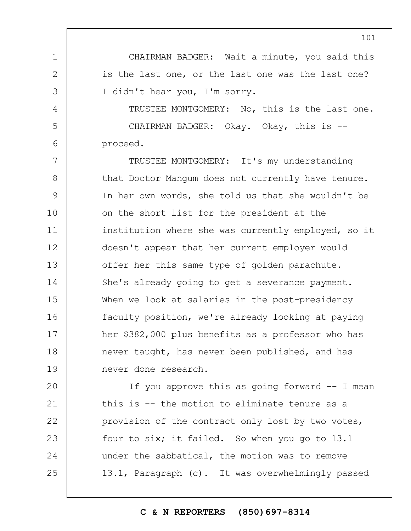CHAIRMAN BADGER: Wait a minute, you said this is the last one, or the last one was the last one? I didn't hear you, I'm sorry.

1

2

3

4

5

6

TRUSTEE MONTGOMERY: No, this is the last one. CHAIRMAN BADGER: Okay. Okay, this is - proceed.

7 8 9 10 11 12 13 14 15 16 17 18 19 TRUSTEE MONTGOMERY: It's my understanding that Doctor Mangum does not currently have tenure. In her own words, she told us that she wouldn't be on the short list for the president at the institution where she was currently employed, so it doesn't appear that her current employer would offer her this same type of golden parachute. She's already going to get a severance payment. When we look at salaries in the post-presidency faculty position, we're already looking at paying her \$382,000 plus benefits as a professor who has never taught, has never been published, and has never done research.

 $20$ 21 22 23 24 25 If you approve this as going forward -- I mean this is -- the motion to eliminate tenure as a provision of the contract only lost by two votes, four to six; it failed. So when you go to 13.1 under the sabbatical, the motion was to remove 13.1, Paragraph (c). It was overwhelmingly passed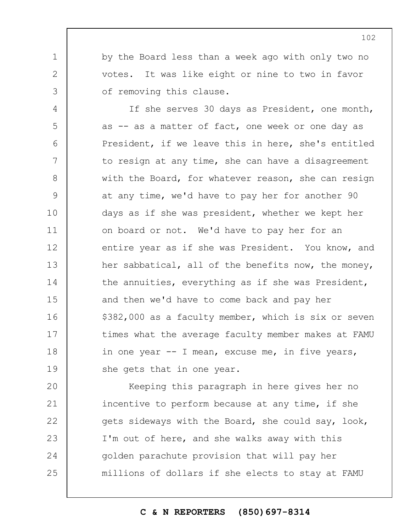by the Board less than a week ago with only two no votes. It was like eight or nine to two in favor of removing this clause.

1

2

3

4 5 6 7 8 9 10 11 12 13 14 15 16 17 18 19 If she serves 30 days as President, one month, as -- as a matter of fact, one week or one day as President, if we leave this in here, she's entitled to resign at any time, she can have a disagreement with the Board, for whatever reason, she can resign at any time, we'd have to pay her for another 90 days as if she was president, whether we kept her on board or not. We'd have to pay her for an entire year as if she was President. You know, and her sabbatical, all of the benefits now, the money, the annuities, everything as if she was President, and then we'd have to come back and pay her \$382,000 as a faculty member, which is six or seven times what the average faculty member makes at FAMU in one year -- I mean, excuse me, in five years, she gets that in one year.

 $20$ 21 22 23 24 25 Keeping this paragraph in here gives her no incentive to perform because at any time, if she gets sideways with the Board, she could say, look, I'm out of here, and she walks away with this golden parachute provision that will pay her millions of dollars if she elects to stay at FAMU

**C & N REPORTERS (850)697-8314**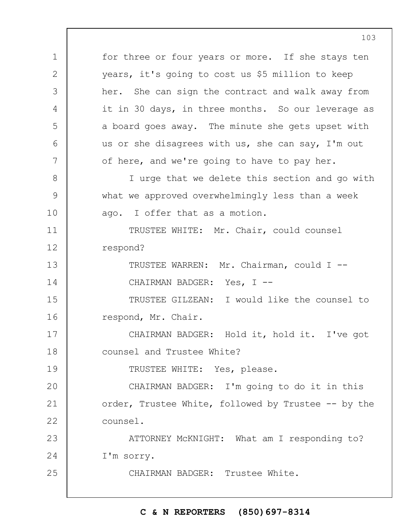1 2 3 4 5 6 7 8 9 10 11 12 13 14 15 16 17 18 19  $20$ 21 22 23 24 25 for three or four years or more. If she stays ten years, it's going to cost us \$5 million to keep her. She can sign the contract and walk away from it in 30 days, in three months. So our leverage as a board goes away. The minute she gets upset with us or she disagrees with us, she can say, I'm out of here, and we're going to have to pay her. I urge that we delete this section and go with what we approved overwhelmingly less than a week ago. I offer that as a motion. TRUSTEE WHITE: Mr. Chair, could counsel respond? TRUSTEE WARREN: Mr. Chairman, could I -- CHAIRMAN BADGER: Yes, I --TRUSTEE GILZEAN: I would like the counsel to respond, Mr. Chair. CHAIRMAN BADGER: Hold it, hold it. I've got counsel and Trustee White? TRUSTEE WHITE: Yes, please. CHAIRMAN BADGER: I'm going to do it in this order, Trustee White, followed by Trustee -- by the counsel. ATTORNEY McKNIGHT: What am I responding to? I'm sorry. CHAIRMAN BADGER: Trustee White.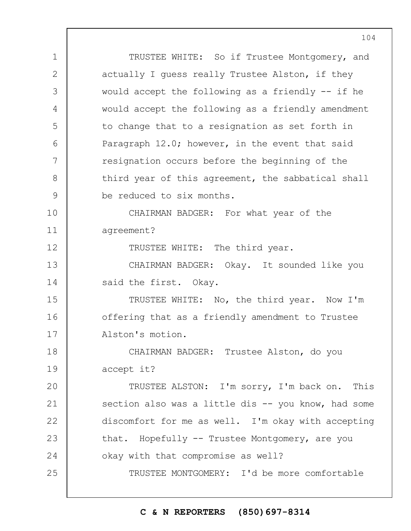1 2 3 4 5 6 7 8 9 10 11 12 13 14 15 16 17 18 19  $20$ 21 22 23 24 25 TRUSTEE WHITE: So if Trustee Montgomery, and actually I guess really Trustee Alston, if they would accept the following as a friendly  $-$  if he would accept the following as a friendly amendment to change that to a resignation as set forth in Paragraph 12.0; however, in the event that said resignation occurs before the beginning of the third year of this agreement, the sabbatical shall be reduced to six months. CHAIRMAN BADGER: For what year of the agreement? TRUSTEE WHITE: The third year. CHAIRMAN BADGER: Okay. It sounded like you said the first. Okay. TRUSTEE WHITE: No, the third year. Now I'm offering that as a friendly amendment to Trustee Alston's motion. CHAIRMAN BADGER: Trustee Alston, do you accept it? TRUSTEE ALSTON: I'm sorry, I'm back on. This section also was a little dis -- you know, had some discomfort for me as well. I'm okay with accepting that. Hopefully -- Trustee Montgomery, are you okay with that compromise as well? TRUSTEE MONTGOMERY: I'd be more comfortable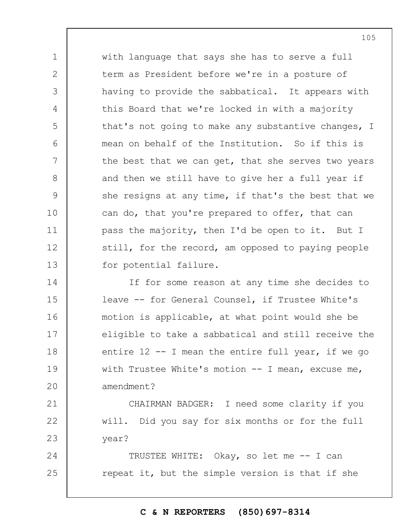with language that says she has to serve a full term as President before we're in a posture of having to provide the sabbatical. It appears with this Board that we're locked in with a majority that's not going to make any substantive changes, I mean on behalf of the Institution. So if this is the best that we can get, that she serves two years and then we still have to give her a full year if she resigns at any time, if that's the best that we can do, that you're prepared to offer, that can pass the majority, then I'd be open to it. But I still, for the record, am opposed to paying people for potential failure.

1

2

3

4

5

6

7

8

9

10

11

12

13

21

22

23

14 15 16 17 18 19  $20$ If for some reason at any time she decides to leave -- for General Counsel, if Trustee White's motion is applicable, at what point would she be eligible to take a sabbatical and still receive the entire  $12 - I$  mean the entire full year, if we go with Trustee White's motion -- I mean, excuse me, amendment?

CHAIRMAN BADGER: I need some clarity if you will. Did you say for six months or for the full year?

24 25 TRUSTEE WHITE: Okay, so let me -- I can repeat it, but the simple version is that if she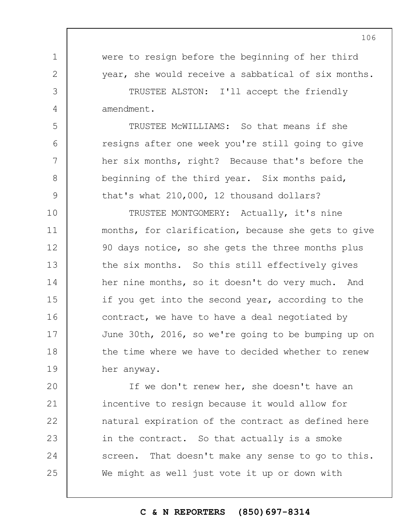1 2 3 4 5 6 7 8 9 10 11 12 13 14 15 16 17 18 19  $20$ 21 22 were to resign before the beginning of her third year, she would receive a sabbatical of six months. TRUSTEE ALSTON: I'll accept the friendly amendment. TRUSTEE McWILLIAMS: So that means if she resigns after one week you're still going to give her six months, right? Because that's before the beginning of the third year. Six months paid, that's what 210,000, 12 thousand dollars? TRUSTEE MONTGOMERY: Actually, it's nine months, for clarification, because she gets to give 90 days notice, so she gets the three months plus the six months. So this still effectively gives her nine months, so it doesn't do very much. And if you get into the second year, according to the contract, we have to have a deal negotiated by June 30th, 2016, so we're going to be bumping up on the time where we have to decided whether to renew her anyway. If we don't renew her, she doesn't have an incentive to resign because it would allow for natural expiration of the contract as defined here

in the contract. So that actually is a smoke screen. That doesn't make any sense to go to this. We might as well just vote it up or down with

23

24

25

## **C & N REPORTERS (850)697-8314**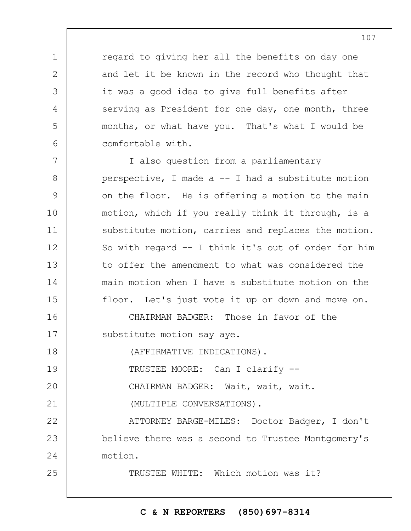regard to giving her all the benefits on day one and let it be known in the record who thought that it was a good idea to give full benefits after serving as President for one day, one month, three months, or what have you. That's what I would be comfortable with.

7 8 9 10 11 12 13 14 15 I also question from a parliamentary perspective, I made a -- I had a substitute motion on the floor. He is offering a motion to the main motion, which if you really think it through, is a substitute motion, carries and replaces the motion. So with regard -- I think it's out of order for him to offer the amendment to what was considered the main motion when I have a substitute motion on the floor. Let's just vote it up or down and move on.

16 17 CHAIRMAN BADGER: Those in favor of the substitute motion say aye.

18 (AFFIRMATIVE INDICATIONS).

1

2

3

4

5

6

25

19 TRUSTEE MOORE: Can I clarify --

 $20$ CHAIRMAN BADGER: Wait, wait, wait.

21 (MULTIPLE CONVERSATIONS).

22 23 24 ATTORNEY BARGE-MILES: Doctor Badger, I don't believe there was a second to Trustee Montgomery's motion.

TRUSTEE WHITE: Which motion was it?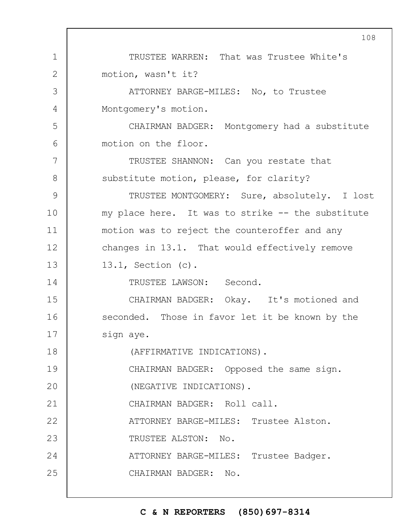1 2 3 4 5 6 7 8 9 10 11 12 13 14 15 16 17 18 19  $20$ 21 22 23 24 25 108 TRUSTEE WARREN: That was Trustee White's motion, wasn't it? ATTORNEY BARGE-MILES: No, to Trustee Montgomery's motion. CHAIRMAN BADGER: Montgomery had a substitute motion on the floor. TRUSTEE SHANNON: Can you restate that substitute motion, please, for clarity? TRUSTEE MONTGOMERY: Sure, absolutely. I lost my place here. It was to strike -- the substitute motion was to reject the counteroffer and any changes in 13.1. That would effectively remove 13.1, Section (c). TRUSTEE LAWSON: Second. CHAIRMAN BADGER: Okay. It's motioned and seconded. Those in favor let it be known by the sign aye. (AFFIRMATIVE INDICATIONS). CHAIRMAN BADGER: Opposed the same sign. (NEGATIVE INDICATIONS). CHAIRMAN BADGER: Roll call. ATTORNEY BARGE-MILES: Trustee Alston. TRUSTEE ALSTON: No. ATTORNEY BARGE-MILES: Trustee Badger. CHAIRMAN BADGER: No.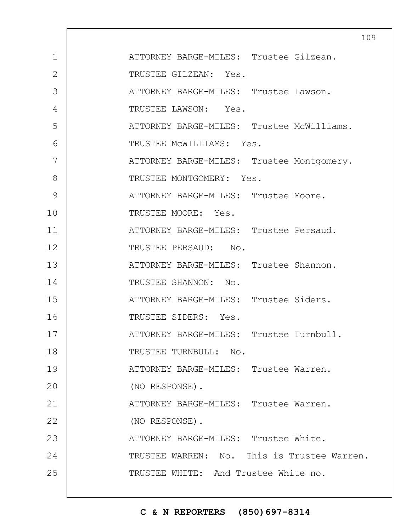|                | 10                                          |
|----------------|---------------------------------------------|
| $\mathbf 1$    | ATTORNEY BARGE-MILES: Trustee Gilzean.      |
| $\overline{2}$ | TRUSTEE GILZEAN: Yes.                       |
| 3              | ATTORNEY BARGE-MILES: Trustee Lawson.       |
| 4              | TRUSTEE LAWSON: Yes.                        |
| 5              | ATTORNEY BARGE-MILES: Trustee McWilliams.   |
| 6              | TRUSTEE MCWILLIAMS: Yes.                    |
| 7              | ATTORNEY BARGE-MILES: Trustee Montgomery.   |
| 8              | TRUSTEE MONTGOMERY: Yes.                    |
| 9              | ATTORNEY BARGE-MILES: Trustee Moore.        |
| 10             | TRUSTEE MOORE: Yes.                         |
| 11             | ATTORNEY BARGE-MILES: Trustee Persaud.      |
| 12             | TRUSTEE PERSAUD: No.                        |
| 13             | ATTORNEY BARGE-MILES: Trustee Shannon.      |
| 14             | TRUSTEE SHANNON: No.                        |
| 15             | ATTORNEY BARGE-MILES: Trustee Siders.       |
| 16             | TRUSTEE SIDERS: Yes.                        |
| 17             | ATTORNEY BARGE-MILES: Trustee Turnbull.     |
| 18             | TRUSTEE TURNBULL: No.                       |
| 19             | ATTORNEY BARGE-MILES: Trustee Warren.       |
| 20             | (NO RESPONSE).                              |
| 21             | ATTORNEY BARGE-MILES: Trustee Warren.       |
| 22             | (NO RESPONSE).                              |
| 23             | ATTORNEY BARGE-MILES: Trustee White.        |
| 24             | TRUSTEE WARREN: No. This is Trustee Warren. |
| 25             | TRUSTEE WHITE: And Trustee White no.        |
|                |                                             |

 $\overline{1}$ 

# **C & N REPORTERS (850)697-8314**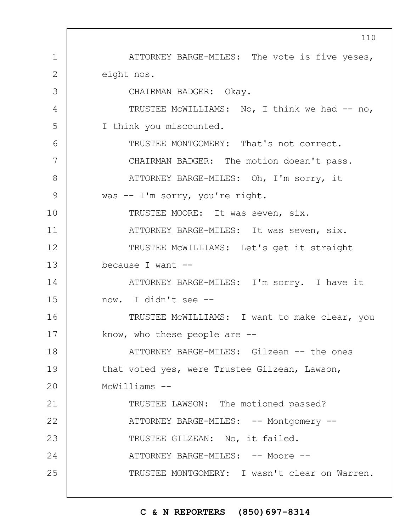1 2 3 4 5 6 7 8 9 10 11 12 13 14 15 16 17 18 19  $20$ 21 22 23 24 25 ATTORNEY BARGE-MILES: The vote is five yeses, eight nos. CHAIRMAN BADGER: Okay. TRUSTEE MCWILLIAMS: No, I think we had -- no, I think you miscounted. TRUSTEE MONTGOMERY: That's not correct. CHAIRMAN BADGER: The motion doesn't pass. ATTORNEY BARGE-MILES: Oh, I'm sorry, it was -- I'm sorry, you're right. TRUSTEE MOORE: It was seven, six. ATTORNEY BARGE-MILES: It was seven, six. TRUSTEE McWILLIAMS: Let's get it straight because I want --ATTORNEY BARGE-MILES: I'm sorry. I have it now. I didn't see -- TRUSTEE McWILLIAMS: I want to make clear, you know, who these people are  $-$ -ATTORNEY BARGE-MILES: Gilzean -- the ones that voted yes, were Trustee Gilzean, Lawson, McWilliams -- TRUSTEE LAWSON: The motioned passed? ATTORNEY BARGE-MILES: -- Montgomery --TRUSTEE GILZEAN: No, it failed. ATTORNEY BARGE-MILES: -- Moore --TRUSTEE MONTGOMERY: I wasn't clear on Warren.

## **C & N REPORTERS (850)697-8314**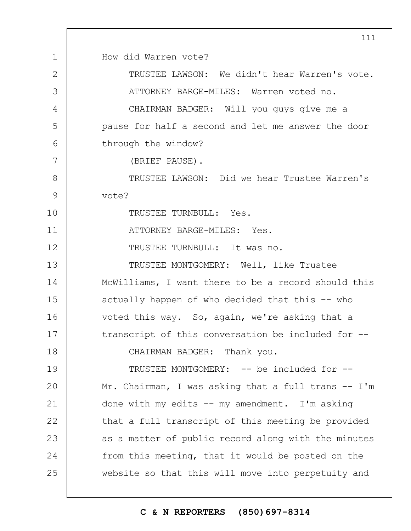1 2 3 4 5 6 7 8 9 10 11 12 13 14 15 16 17 18 19  $20$ 21 22 23 24 25 How did Warren vote? TRUSTEE LAWSON: We didn't hear Warren's vote. ATTORNEY BARGE-MILES: Warren voted no. CHAIRMAN BADGER: Will you guys give me a pause for half a second and let me answer the door through the window? (BRIEF PAUSE). TRUSTEE LAWSON: Did we hear Trustee Warren's vote? TRUSTEE TURNBULL: Yes. ATTORNEY BARGE-MILES: Yes. TRUSTEE TURNBULL: It was no. TRUSTEE MONTGOMERY: Well, like Trustee McWilliams, I want there to be a record should this actually happen of who decided that this -- who voted this way. So, again, we're asking that a transcript of this conversation be included for -- CHAIRMAN BADGER: Thank you. TRUSTEE MONTGOMERY: -- be included for --Mr. Chairman, I was asking that a full trans -- I'm done with my edits -- my amendment. I'm asking that a full transcript of this meeting be provided as a matter of public record along with the minutes from this meeting, that it would be posted on the website so that this will move into perpetuity and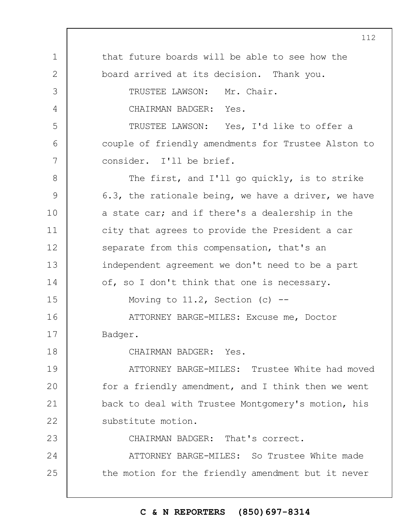1 2 3 4 5 6 7 8 9 10 11 12 13 14 15 16 17 18 19  $20$ 21 22 23 24 25 that future boards will be able to see how the board arrived at its decision. Thank you. TRUSTEE LAWSON: Mr. Chair. CHAIRMAN BADGER: Yes. TRUSTEE LAWSON: Yes, I'd like to offer a couple of friendly amendments for Trustee Alston to consider. I'll be brief. The first, and I'll go quickly, is to strike 6.3, the rationale being, we have a driver, we have a state car; and if there's a dealership in the city that agrees to provide the President a car separate from this compensation, that's an independent agreement we don't need to be a part of, so I don't think that one is necessary. Moving to  $11.2$ , Section (c) --ATTORNEY BARGE-MILES: Excuse me, Doctor Badger. CHAIRMAN BADGER: Yes. ATTORNEY BARGE-MILES: Trustee White had moved for a friendly amendment, and I think then we went back to deal with Trustee Montgomery's motion, his substitute motion. CHAIRMAN BADGER: That's correct. ATTORNEY BARGE-MILES: So Trustee White made the motion for the friendly amendment but it never

# **C & N REPORTERS (850)697-8314**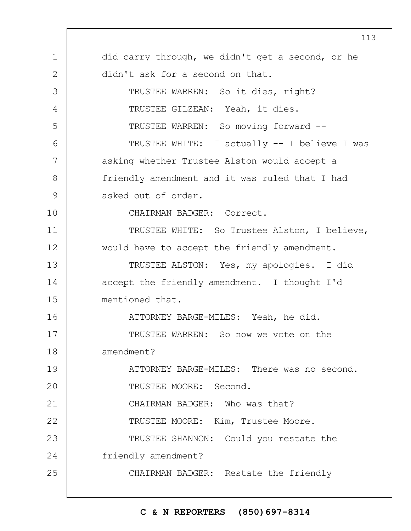1 2 3 4 5 6 7 8 9 10 11 12 13 14 15 16 17 18 19  $20$ 21 22 23 24 25 did carry through, we didn't get a second, or he didn't ask for a second on that. TRUSTEE WARREN: So it dies, right? TRUSTEE GILZEAN: Yeah, it dies. TRUSTEE WARREN: So moving forward -- TRUSTEE WHITE: I actually -- I believe I was asking whether Trustee Alston would accept a friendly amendment and it was ruled that I had asked out of order. CHAIRMAN BADGER: Correct. TRUSTEE WHITE: So Trustee Alston, I believe, would have to accept the friendly amendment. TRUSTEE ALSTON: Yes, my apologies. I did accept the friendly amendment. I thought I'd mentioned that. ATTORNEY BARGE-MILES: Yeah, he did. TRUSTEE WARREN: So now we vote on the amendment? ATTORNEY BARGE-MILES: There was no second. TRUSTEE MOORE: Second. CHAIRMAN BADGER: Who was that? TRUSTEE MOORE: Kim, Trustee Moore. TRUSTEE SHANNON: Could you restate the friendly amendment? CHAIRMAN BADGER: Restate the friendly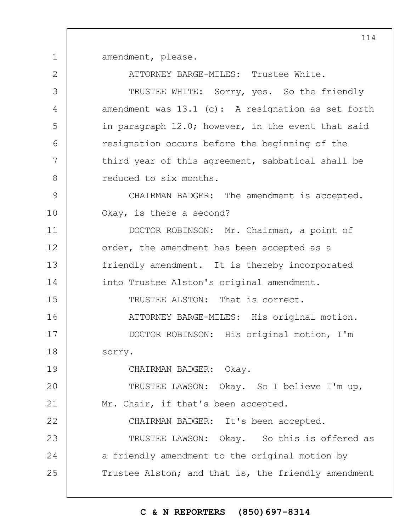1 amendment, please.

2

19

ATTORNEY BARGE-MILES: Trustee White.

3 4 5 6 7 8 TRUSTEE WHITE: Sorry, yes. So the friendly amendment was 13.1 (c): A resignation as set forth in paragraph 12.0; however, in the event that said resignation occurs before the beginning of the third year of this agreement, sabbatical shall be reduced to six months.

9 10 CHAIRMAN BADGER: The amendment is accepted. Okay, is there a second?

11 12 13 14 15 16 17 18 DOCTOR ROBINSON: Mr. Chairman, a point of order, the amendment has been accepted as a friendly amendment. It is thereby incorporated into Trustee Alston's original amendment. TRUSTEE ALSTON: That is correct. ATTORNEY BARGE-MILES: His original motion. DOCTOR ROBINSON: His original motion, I'm sorry.

CHAIRMAN BADGER: Okay.

 $20$ 21 TRUSTEE LAWSON: Okay. So I believe I'm up, Mr. Chair, if that's been accepted.

22 23 24 25 CHAIRMAN BADGER: It's been accepted. TRUSTEE LAWSON: Okay. So this is offered as a friendly amendment to the original motion by Trustee Alston; and that is, the friendly amendment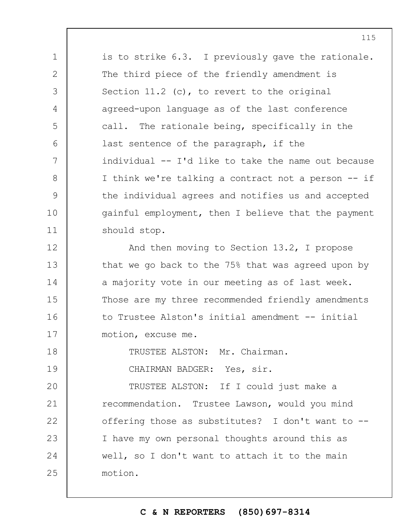is to strike 6.3. I previously gave the rationale. The third piece of the friendly amendment is Section 11.2 (c), to revert to the original agreed-upon language as of the last conference call. The rationale being, specifically in the last sentence of the paragraph, if the individual -- I'd like to take the name out because I think we're talking a contract not a person -- if the individual agrees and notifies us and accepted gainful employment, then I believe that the payment should stop.

12 13 14 15 16 17 And then moving to Section 13.2, I propose that we go back to the 75% that was agreed upon by a majority vote in our meeting as of last week. Those are my three recommended friendly amendments to Trustee Alston's initial amendment -- initial motion, excuse me.

18 TRUSTEE ALSTON: Mr. Chairman.

1

2

3

4

5

6

7

8

9

10

11

19

CHAIRMAN BADGER: Yes, sir.

 $20$ 21 22 23 24 25 TRUSTEE ALSTON: If I could just make a recommendation. Trustee Lawson, would you mind offering those as substitutes? I don't want to -- I have my own personal thoughts around this as well, so I don't want to attach it to the main motion.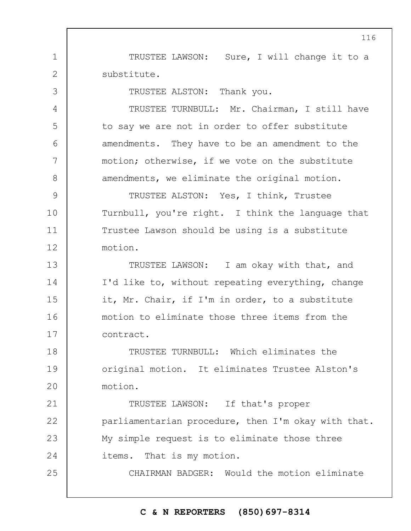TRUSTEE LAWSON: Sure, I will change it to a substitute.

TRUSTEE ALSTON: Thank you.

1

2

3

4

5

6

7

8

25

TRUSTEE TURNBULL: Mr. Chairman, I still have to say we are not in order to offer substitute amendments. They have to be an amendment to the motion; otherwise, if we vote on the substitute amendments, we eliminate the original motion.

9 10 11 12 TRUSTEE ALSTON: Yes, I think, Trustee Turnbull, you're right. I think the language that Trustee Lawson should be using is a substitute motion.

13 14 15 16 17 TRUSTEE LAWSON: I am okay with that, and I'd like to, without repeating everything, change it, Mr. Chair, if I'm in order, to a substitute motion to eliminate those three items from the contract.

18 19  $20$ TRUSTEE TURNBULL: Which eliminates the original motion. It eliminates Trustee Alston's motion.

21 22 23 24 TRUSTEE LAWSON: If that's proper parliamentarian procedure, then I'm okay with that. My simple request is to eliminate those three items. That is my motion.

CHAIRMAN BADGER: Would the motion eliminate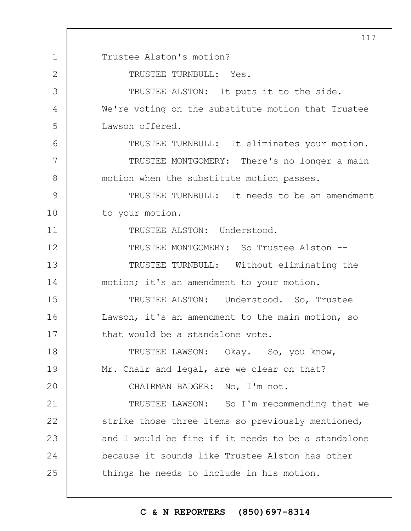1 2 3 4 5 6 7 8 9 10 11 12 13 14 15 16 17 18 19  $20$ 21 22 23 24 25 117 Trustee Alston's motion? TRUSTEE TURNBULL: Yes. TRUSTEE ALSTON: It puts it to the side. We're voting on the substitute motion that Trustee Lawson offered. TRUSTEE TURNBULL: It eliminates your motion. TRUSTEE MONTGOMERY: There's no longer a main motion when the substitute motion passes. TRUSTEE TURNBULL: It needs to be an amendment to your motion. TRUSTEE ALSTON: Understood. TRUSTEE MONTGOMERY: So Trustee Alston -- TRUSTEE TURNBULL: Without eliminating the motion; it's an amendment to your motion. TRUSTEE ALSTON: Understood. So, Trustee Lawson, it's an amendment to the main motion, so that would be a standalone vote. TRUSTEE LAWSON: Okay. So, you know, Mr. Chair and legal, are we clear on that? CHAIRMAN BADGER: No, I'm not. TRUSTEE LAWSON: So I'm recommending that we strike those three items so previously mentioned, and I would be fine if it needs to be a standalone because it sounds like Trustee Alston has other things he needs to include in his motion.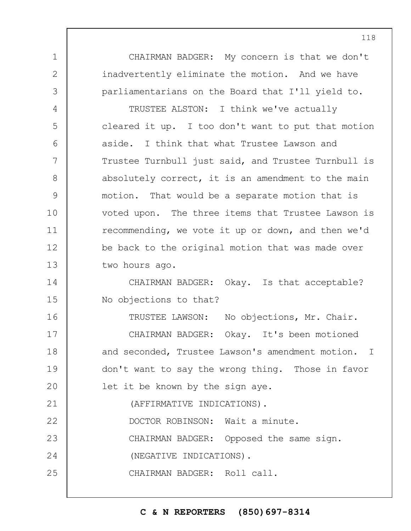CHAIRMAN BADGER: My concern is that we don't inadvertently eliminate the motion. And we have parliamentarians on the Board that I'll yield to.

1

2

3

4

5

6

7

8

9

10

11

12

13

TRUSTEE ALSTON: I think we've actually cleared it up. I too don't want to put that motion aside. I think that what Trustee Lawson and Trustee Turnbull just said, and Trustee Turnbull is absolutely correct, it is an amendment to the main motion. That would be a separate motion that is voted upon. The three items that Trustee Lawson is recommending, we vote it up or down, and then we'd be back to the original motion that was made over two hours ago.

14 15 CHAIRMAN BADGER: Okay. Is that acceptable? No objections to that?

16 17 18 19  $20$ 21 22 23 24 25 TRUSTEE LAWSON: No objections, Mr. Chair. CHAIRMAN BADGER: Okay. It's been motioned and seconded, Trustee Lawson's amendment motion. I don't want to say the wrong thing. Those in favor let it be known by the sign aye. (AFFIRMATIVE INDICATIONS). DOCTOR ROBINSON: Wait a minute. CHAIRMAN BADGER: Opposed the same sign. (NEGATIVE INDICATIONS). CHAIRMAN BADGER: Roll call.

**C & N REPORTERS (850)697-8314**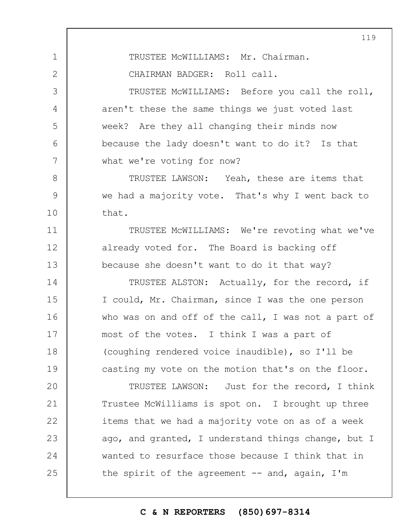2 3 4 5 6 7 8 9 10 11 12 13 14 15 16 17 18 19  $20$ 21 22 23 24 25 CHAIRMAN BADGER: Roll call. TRUSTEE McWILLIAMS: Before you call the roll, aren't these the same things we just voted last week? Are they all changing their minds now because the lady doesn't want to do it? Is that what we're voting for now? TRUSTEE LAWSON: Yeah, these are items that we had a majority vote. That's why I went back to that. TRUSTEE McWILLIAMS: We're revoting what we've already voted for. The Board is backing off because she doesn't want to do it that way? TRUSTEE ALSTON: Actually, for the record, if I could, Mr. Chairman, since I was the one person who was on and off of the call, I was not a part of most of the votes. I think I was a part of (coughing rendered voice inaudible), so I'll be casting my vote on the motion that's on the floor. TRUSTEE LAWSON: Just for the record, I think Trustee McWilliams is spot on. I brought up three items that we had a majority vote on as of a week ago, and granted, I understand things change, but I wanted to resurface those because I think that in the spirit of the agreement  $--$  and, again, I'm

119

TRUSTEE McWILLIAMS: Mr. Chairman.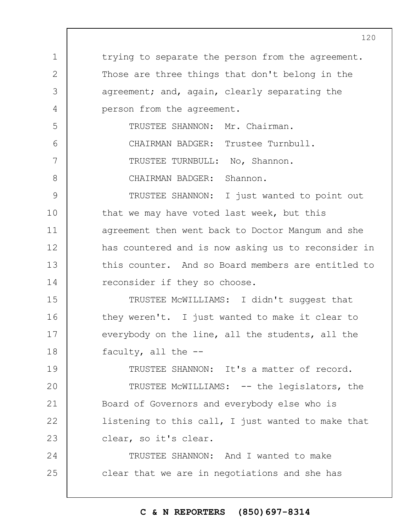1 2 3 4 5 6 7 8 9 10 11 12 13 14 15 16 17 18 19  $20$ 21 22 23 24 25 trying to separate the person from the agreement. Those are three things that don't belong in the agreement; and, again, clearly separating the person from the agreement. TRUSTEE SHANNON: Mr. Chairman. CHAIRMAN BADGER: Trustee Turnbull. TRUSTEE TURNBULL: No, Shannon. CHAIRMAN BADGER: Shannon. TRUSTEE SHANNON: I just wanted to point out that we may have voted last week, but this agreement then went back to Doctor Mangum and she has countered and is now asking us to reconsider in this counter. And so Board members are entitled to reconsider if they so choose. TRUSTEE McWILLIAMS: I didn't suggest that they weren't. I just wanted to make it clear to everybody on the line, all the students, all the faculty, all the -- TRUSTEE SHANNON: It's a matter of record. TRUSTEE McWILLIAMS: -- the legislators, the Board of Governors and everybody else who is listening to this call, I just wanted to make that clear, so it's clear. TRUSTEE SHANNON: And I wanted to make clear that we are in negotiations and she has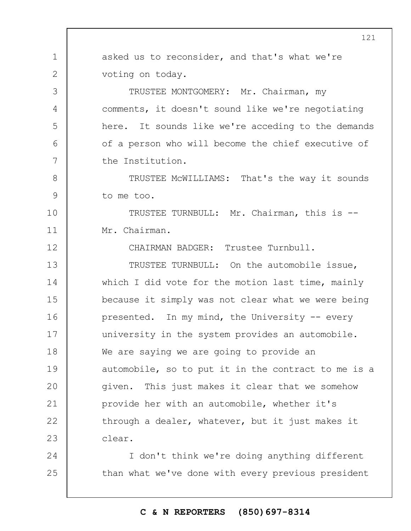1 2 3 4 5 6 7 8 9 10 11 12 13 14 15 16 17 18 19  $20$ 21 22 23 24 25 asked us to reconsider, and that's what we're voting on today. TRUSTEE MONTGOMERY: Mr. Chairman, my comments, it doesn't sound like we're negotiating here. It sounds like we're acceding to the demands of a person who will become the chief executive of the Institution. TRUSTEE McWILLIAMS: That's the way it sounds to me too. TRUSTEE TURNBULL: Mr. Chairman, this is -- Mr. Chairman. CHAIRMAN BADGER: Trustee Turnbull. TRUSTEE TURNBULL: On the automobile issue, which I did vote for the motion last time, mainly because it simply was not clear what we were being presented. In my mind, the University -- every university in the system provides an automobile. We are saying we are going to provide an automobile, so to put it in the contract to me is a given. This just makes it clear that we somehow provide her with an automobile, whether it's through a dealer, whatever, but it just makes it clear. I don't think we're doing anything different than what we've done with every previous president

# **C & N REPORTERS (850)697-8314**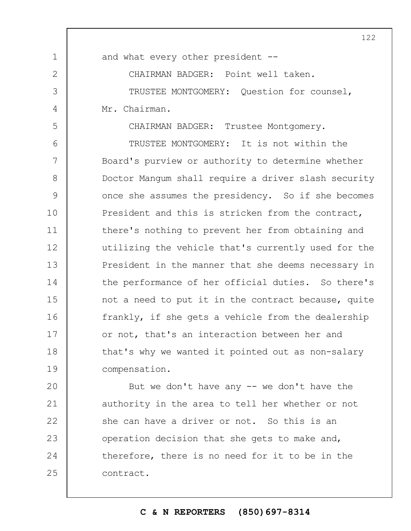and what every other president --

1

2

3

4

5

CHAIRMAN BADGER: Point well taken.

TRUSTEE MONTGOMERY: Question for counsel, Mr. Chairman.

CHAIRMAN BADGER: Trustee Montgomery.

6 7 8 9 10 11 12 13 14 15 16 17 18 19 TRUSTEE MONTGOMERY: It is not within the Board's purview or authority to determine whether Doctor Mangum shall require a driver slash security once she assumes the presidency. So if she becomes President and this is stricken from the contract, there's nothing to prevent her from obtaining and utilizing the vehicle that's currently used for the President in the manner that she deems necessary in the performance of her official duties. So there's not a need to put it in the contract because, quite frankly, if she gets a vehicle from the dealership or not, that's an interaction between her and that's why we wanted it pointed out as non-salary compensation.

 $20$ 21 22 23 24 25 But we don't have any  $-$  we don't have the authority in the area to tell her whether or not she can have a driver or not. So this is an operation decision that she gets to make and, therefore, there is no need for it to be in the contract.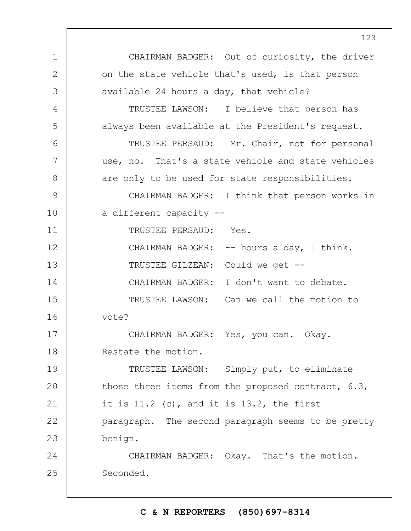1 2 3 4 5 6 7 8 9 10 11 12 13 14 15 16 17 18 19  $20$ 21 22 23 24 25 CHAIRMAN BADGER: Out of curiosity, the driver on the state vehicle that's used, is that person available 24 hours a day, that vehicle? TRUSTEE LAWSON: I believe that person has always been available at the President's request. TRUSTEE PERSAUD: Mr. Chair, not for personal use, no. That's a state vehicle and state vehicles are only to be used for state responsibilities. CHAIRMAN BADGER: I think that person works in a different capacity -- TRUSTEE PERSAUD: Yes. CHAIRMAN BADGER: -- hours a day, I think. TRUSTEE GILZEAN: Could we get -- CHAIRMAN BADGER: I don't want to debate. TRUSTEE LAWSON: Can we call the motion to vote? CHAIRMAN BADGER: Yes, you can. Okay. Restate the motion. TRUSTEE LAWSON: Simply put, to eliminate those three items from the proposed contract, 6.3, it is 11.2 (c), and it is 13.2, the first paragraph. The second paragraph seems to be pretty benign. CHAIRMAN BADGER: Okay. That's the motion. Seconded.

# **C & N REPORTERS (850)697-8314**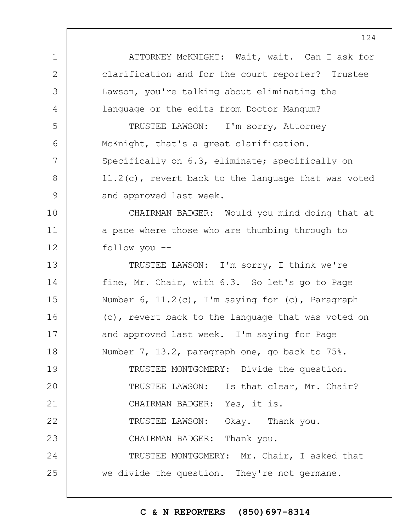1 2 3 4 5 6 7 8 9 10 11 12 13 14 15 16 17 18 19  $20$ 21 22 23 24 25 ATTORNEY McKNIGHT: Wait, wait. Can I ask for clarification and for the court reporter? Trustee Lawson, you're talking about eliminating the language or the edits from Doctor Mangum? TRUSTEE LAWSON: I'm sorry, Attorney McKnight, that's a great clarification. Specifically on 6.3, eliminate; specifically on 11.2(c), revert back to the language that was voted and approved last week. CHAIRMAN BADGER: Would you mind doing that at a pace where those who are thumbing through to follow you -- TRUSTEE LAWSON: I'm sorry, I think we're fine, Mr. Chair, with 6.3. So let's go to Page Number  $6$ ,  $11.2(c)$ , I'm saying for (c), Paragraph (c), revert back to the language that was voted on and approved last week. I'm saying for Page Number 7, 13.2, paragraph one, go back to 75%. TRUSTEE MONTGOMERY: Divide the question. TRUSTEE LAWSON: Is that clear, Mr. Chair? CHAIRMAN BADGER: Yes, it is. TRUSTEE LAWSON: Okay. Thank you. CHAIRMAN BADGER: Thank you. TRUSTEE MONTGOMERY: Mr. Chair, I asked that we divide the question. They're not germane.

## **C & N REPORTERS (850)697-8314**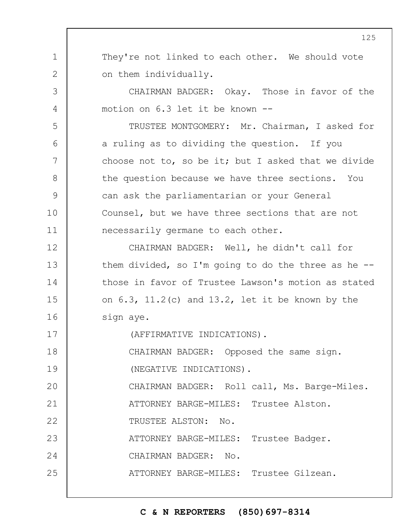1 2 3 4 5 6 7 8 9 10 11 12 13 14 15 16 17 18 19  $20$ 21 22 23 24 25 They're not linked to each other. We should vote on them individually. CHAIRMAN BADGER: Okay. Those in favor of the motion on 6.3 let it be known -- TRUSTEE MONTGOMERY: Mr. Chairman, I asked for a ruling as to dividing the question. If you choose not to, so be it; but I asked that we divide the question because we have three sections. You can ask the parliamentarian or your General Counsel, but we have three sections that are not necessarily germane to each other. CHAIRMAN BADGER: Well, he didn't call for them divided, so I'm going to do the three as he  $-$ those in favor of Trustee Lawson's motion as stated on  $6.3$ ,  $11.2$  (c) and  $13.2$ , let it be known by the sign aye. (AFFIRMATIVE INDICATIONS). CHAIRMAN BADGER: Opposed the same sign. (NEGATIVE INDICATIONS). CHAIRMAN BADGER: Roll call, Ms. Barge-Miles. ATTORNEY BARGE-MILES: Trustee Alston. TRUSTEE ALSTON: No. ATTORNEY BARGE-MILES: Trustee Badger. CHAIRMAN BADGER: No. ATTORNEY BARGE-MILES: Trustee Gilzean.

## **C & N REPORTERS (850)697-8314**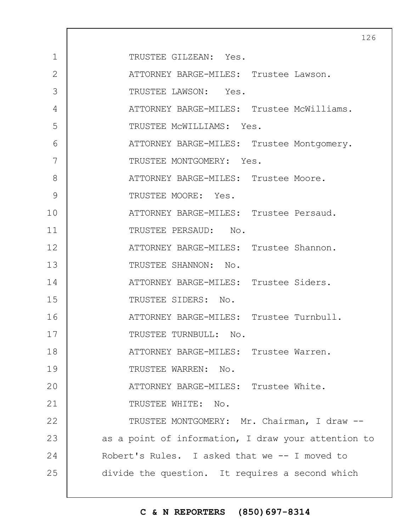|                |                                                     | 126 |
|----------------|-----------------------------------------------------|-----|
| $\mathbf{1}$   | TRUSTEE GILZEAN: Yes.                               |     |
| $\overline{2}$ | ATTORNEY BARGE-MILES: Trustee Lawson.               |     |
| 3              | TRUSTEE LAWSON: Yes.                                |     |
| 4              | ATTORNEY BARGE-MILES: Trustee McWilliams.           |     |
| 5              | TRUSTEE MCWILLIAMS: Yes.                            |     |
| 6              | ATTORNEY BARGE-MILES: Trustee Montgomery.           |     |
| 7              | TRUSTEE MONTGOMERY: Yes.                            |     |
| 8              | ATTORNEY BARGE-MILES: Trustee Moore.                |     |
| 9              | TRUSTEE MOORE: Yes.                                 |     |
| 10             | ATTORNEY BARGE-MILES: Trustee Persaud.              |     |
| 11             | TRUSTEE PERSAUD: No.                                |     |
| 12             | ATTORNEY BARGE-MILES: Trustee Shannon.              |     |
| 13             | TRUSTEE SHANNON: No.                                |     |
| 14             | ATTORNEY BARGE-MILES: Trustee Siders.               |     |
| 15             | TRUSTEE SIDERS: No.                                 |     |
| 16             | ATTORNEY BARGE-MILES: Trustee Turnbull.             |     |
| 17             | TRUSTEE TURNBULL: No.                               |     |
| 18             | ATTORNEY BARGE-MILES: Trustee Warren.               |     |
| 19             | TRUSTEE WARREN: No.                                 |     |
| 20             | ATTORNEY BARGE-MILES: Trustee White.                |     |
| 21             | TRUSTEE WHITE: No.                                  |     |
| 22             | TRUSTEE MONTGOMERY: Mr. Chairman, I draw --         |     |
| 23             | as a point of information, I draw your attention to |     |
| 24             | Robert's Rules. I asked that we -- I moved to       |     |
| 25             | divide the question. It requires a second which     |     |
|                |                                                     |     |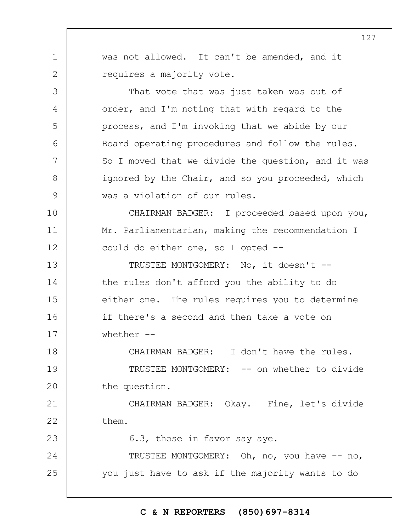1 2 3 4 5 6 7 8 9 10 11 12 13 14 15 16 17 18 19  $20$ 21 22 23 24 25 was not allowed. It can't be amended, and it requires a majority vote. That vote that was just taken was out of order, and I'm noting that with regard to the process, and I'm invoking that we abide by our Board operating procedures and follow the rules. So I moved that we divide the question, and it was ignored by the Chair, and so you proceeded, which was a violation of our rules. CHAIRMAN BADGER: I proceeded based upon you, Mr. Parliamentarian, making the recommendation I could do either one, so I opted -- TRUSTEE MONTGOMERY: No, it doesn't - the rules don't afford you the ability to do either one. The rules requires you to determine if there's a second and then take a vote on whether  $--$ CHAIRMAN BADGER: I don't have the rules. TRUSTEE MONTGOMERY: -- on whether to divide the question. CHAIRMAN BADGER: Okay. Fine, let's divide them. 6.3, those in favor say aye. TRUSTEE MONTGOMERY: Oh, no, you have -- no, you just have to ask if the majority wants to do

# **C & N REPORTERS (850)697-8314**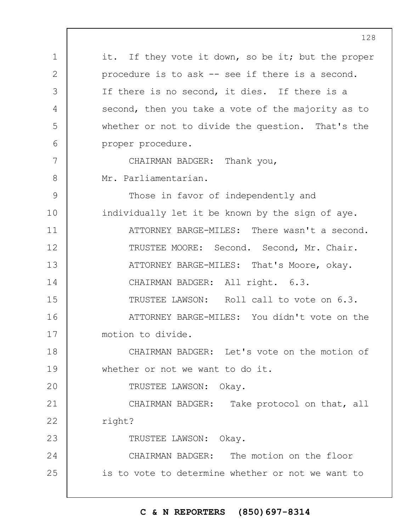1 2 3 4 5 6 7 8 9 10 11 12 13 14 15 16 17 18 19  $20$ 21 22 23 24 25 it. If they vote it down, so be it; but the proper procedure is to ask -- see if there is a second. If there is no second, it dies. If there is a second, then you take a vote of the majority as to whether or not to divide the question. That's the proper procedure. CHAIRMAN BADGER: Thank you, Mr. Parliamentarian. Those in favor of independently and individually let it be known by the sign of aye. ATTORNEY BARGE-MILES: There wasn't a second. TRUSTEE MOORE: Second. Second, Mr. Chair. ATTORNEY BARGE-MILES: That's Moore, okay. CHAIRMAN BADGER: All right. 6.3. TRUSTEE LAWSON: Roll call to vote on 6.3. ATTORNEY BARGE-MILES: You didn't vote on the motion to divide. CHAIRMAN BADGER: Let's vote on the motion of whether or not we want to do it. TRUSTEE LAWSON: Okay. CHAIRMAN BADGER: Take protocol on that, all right? TRUSTEE LAWSON: Okay. CHAIRMAN BADGER: The motion on the floor is to vote to determine whether or not we want to

## **C & N REPORTERS (850)697-8314**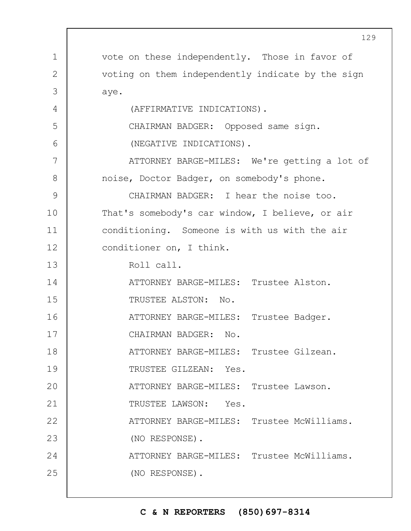|               | <u>129</u>                                        |
|---------------|---------------------------------------------------|
| $\mathbf 1$   | vote on these independently. Those in favor of    |
| 2             | voting on them independently indicate by the sign |
| 3             | aye.                                              |
| 4             | (AFFIRMATIVE INDICATIONS).                        |
| 5             | CHAIRMAN BADGER: Opposed same sign.               |
| 6             | (NEGATIVE INDICATIONS).                           |
| 7             | ATTORNEY BARGE-MILES: We're getting a lot of      |
| 8             | noise, Doctor Badger, on somebody's phone.        |
| $\mathcal{G}$ | CHAIRMAN BADGER: I hear the noise too.            |
| 10            | That's somebody's car window, I believe, or air   |
| 11            | conditioning. Someone is with us with the air     |
| 12            | conditioner on, I think.                          |
| 13            | Roll call.                                        |
| 14            | ATTORNEY BARGE-MILES: Trustee Alston.             |
| 15            | TRUSTEE ALSTON: No.                               |
| 16            | ATTORNEY BARGE-MILES: Trustee Badger.             |
| 17            | CHAIRMAN BADGER: No.                              |
| 18            | ATTORNEY BARGE-MILES: Trustee Gilzean.            |
| 19            | TRUSTEE GILZEAN: Yes.                             |
| 20            | ATTORNEY BARGE-MILES: Trustee Lawson.             |
| 21            | TRUSTEE LAWSON: Yes.                              |
| 22            | ATTORNEY BARGE-MILES: Trustee McWilliams.         |
| 23            | (NO RESPONSE).                                    |
| 24            | ATTORNEY BARGE-MILES: Trustee McWilliams.         |
| 25            | (NO RESPONSE).                                    |
|               |                                                   |

 $\Gamma$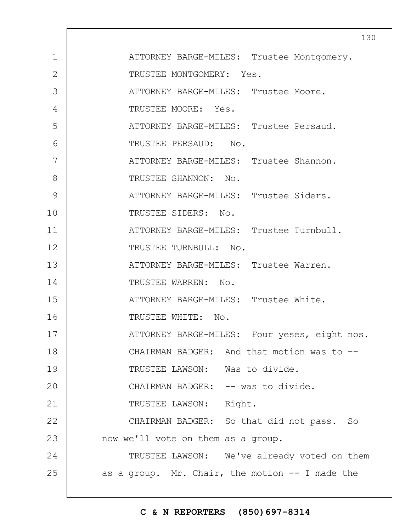|              | 13 <sub>1</sub>                                    |
|--------------|----------------------------------------------------|
| $\mathbf 1$  | ATTORNEY BARGE-MILES: Trustee Montgomery.          |
| $\mathbf{2}$ | TRUSTEE MONTGOMERY: Yes.                           |
| 3            | ATTORNEY BARGE-MILES: Trustee Moore.               |
| 4            | TRUSTEE MOORE: Yes.                                |
| 5            | ATTORNEY BARGE-MILES: Trustee Persaud.             |
| 6            | TRUSTEE PERSAUD: No.                               |
| 7            | ATTORNEY BARGE-MILES: Trustee Shannon.             |
| 8            | TRUSTEE SHANNON: No.                               |
| 9            | ATTORNEY BARGE-MILES: Trustee Siders.              |
| 10           | TRUSTEE SIDERS: No.                                |
| 11           | ATTORNEY BARGE-MILES: Trustee Turnbull.            |
| 12           | TRUSTEE TURNBULL: No.                              |
| 13           | ATTORNEY BARGE-MILES: Trustee Warren.              |
| 14           | TRUSTEE WARREN: No.                                |
| 15           | ATTORNEY BARGE-MILES: Trustee White.               |
| 16           | TRUSTEE WHITE: No.                                 |
| 17           | ATTORNEY BARGE-MILES: Four yeses, eight nos.       |
| 18           | CHAIRMAN BADGER: And that motion was to --         |
| 19           | TRUSTEE LAWSON: Was to divide.                     |
| 20           | CHAIRMAN BADGER: -- was to divide.                 |
| 21           | TRUSTEE LAWSON: Right.                             |
| 22           | CHAIRMAN BADGER: So that did not pass. So          |
| 23           | now we'll vote on them as a group.                 |
| 24           | TRUSTEE LAWSON: We've already voted on them        |
| 25           | as a group. Mr. Chair, the motion $-$ - I made the |
|              |                                                    |

# **C & N REPORTERS (850)697-8314**

 $\overline{0}$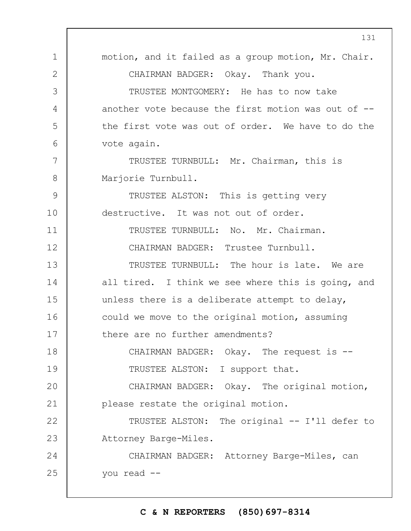1 2 3 4 5 6 7 8 9 10 11 12 13 14 15 16 17 18 19  $20$ 21 22 23 24 25 131 motion, and it failed as a group motion, Mr. Chair. CHAIRMAN BADGER: Okay. Thank you. TRUSTEE MONTGOMERY: He has to now take another vote because the first motion was out of - the first vote was out of order. We have to do the vote again. TRUSTEE TURNBULL: Mr. Chairman, this is Marjorie Turnbull. TRUSTEE ALSTON: This is getting very destructive. It was not out of order. TRUSTEE TURNBULL: No. Mr. Chairman. CHAIRMAN BADGER: Trustee Turnbull. TRUSTEE TURNBULL: The hour is late. We are all tired. I think we see where this is going, and unless there is a deliberate attempt to delay, could we move to the original motion, assuming there are no further amendments? CHAIRMAN BADGER: Okay. The request is --TRUSTEE ALSTON: I support that. CHAIRMAN BADGER: Okay. The original motion, please restate the original motion. TRUSTEE ALSTON: The original -- I'll defer to Attorney Barge-Miles. CHAIRMAN BADGER: Attorney Barge-Miles, can you read --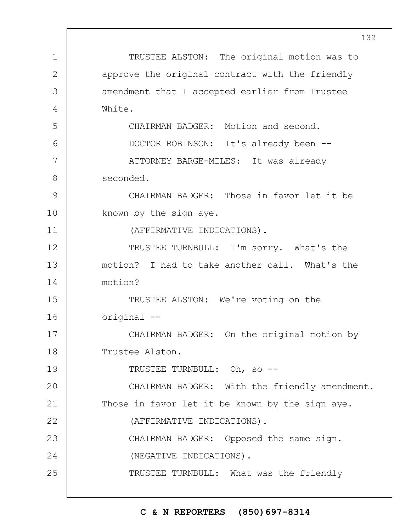1 2 3 4 5 6 7 8 9 10 11 12 13 14 15 16 17 18 19  $20$ 21 22 23 24 25 TRUSTEE ALSTON: The original motion was to approve the original contract with the friendly amendment that I accepted earlier from Trustee White. CHAIRMAN BADGER: Motion and second. DOCTOR ROBINSON: It's already been -- ATTORNEY BARGE-MILES: It was already seconded. CHAIRMAN BADGER: Those in favor let it be known by the sign aye. (AFFIRMATIVE INDICATIONS). TRUSTEE TURNBULL: I'm sorry. What's the motion? I had to take another call. What's the motion? TRUSTEE ALSTON: We're voting on the original -- CHAIRMAN BADGER: On the original motion by Trustee Alston. TRUSTEE TURNBULL: Oh, so -- CHAIRMAN BADGER: With the friendly amendment. Those in favor let it be known by the sign aye. (AFFIRMATIVE INDICATIONS). CHAIRMAN BADGER: Opposed the same sign. (NEGATIVE INDICATIONS). TRUSTEE TURNBULL: What was the friendly

## **C & N REPORTERS (850)697-8314**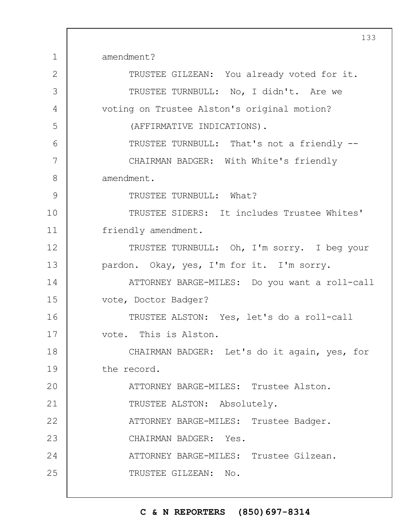1 2 3 4 5 6 7 8 9 10 11 12 13 14 15 16 17 18 19  $20$ 21 22 23 24 25 133 amendment? TRUSTEE GILZEAN: You already voted for it. TRUSTEE TURNBULL: No, I didn't. Are we voting on Trustee Alston's original motion? (AFFIRMATIVE INDICATIONS). TRUSTEE TURNBULL: That's not a friendly -- CHAIRMAN BADGER: With White's friendly amendment. TRUSTEE TURNBULL: What? TRUSTEE SIDERS: It includes Trustee Whites' friendly amendment. TRUSTEE TURNBULL: Oh, I'm sorry. I beg your pardon. Okay, yes, I'm for it. I'm sorry. ATTORNEY BARGE-MILES: Do you want a roll-call vote, Doctor Badger? TRUSTEE ALSTON: Yes, let's do a roll-call vote. This is Alston. CHAIRMAN BADGER: Let's do it again, yes, for the record. ATTORNEY BARGE-MILES: Trustee Alston. TRUSTEE ALSTON: Absolutely. ATTORNEY BARGE-MILES: Trustee Badger. CHAIRMAN BADGER: Yes. ATTORNEY BARGE-MILES: Trustee Gilzean. TRUSTEE GILZEAN: No.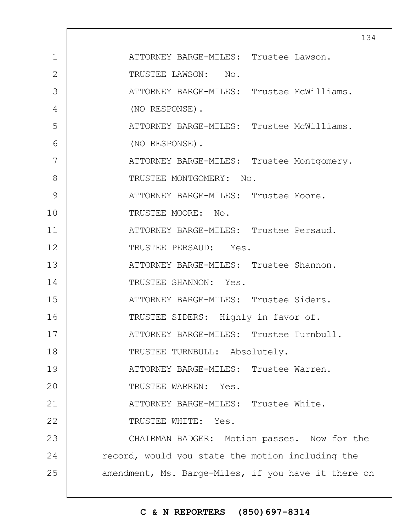|                |                                                     | 134 |
|----------------|-----------------------------------------------------|-----|
| $\mathbf 1$    | ATTORNEY BARGE-MILES: Trustee Lawson.               |     |
| $\overline{2}$ | TRUSTEE LAWSON: No.                                 |     |
| 3              | ATTORNEY BARGE-MILES: Trustee McWilliams.           |     |
| 4              | (NO RESPONSE).                                      |     |
| 5              | ATTORNEY BARGE-MILES: Trustee McWilliams.           |     |
| 6              | (NO RESPONSE).                                      |     |
| 7              | ATTORNEY BARGE-MILES: Trustee Montgomery.           |     |
| 8              | TRUSTEE MONTGOMERY: No.                             |     |
| 9              | ATTORNEY BARGE-MILES: Trustee Moore.                |     |
| 10             | TRUSTEE MOORE: No.                                  |     |
| 11             | ATTORNEY BARGE-MILES: Trustee Persaud.              |     |
| 12             | TRUSTEE PERSAUD: Yes.                               |     |
| 13             | ATTORNEY BARGE-MILES: Trustee Shannon.              |     |
| 14             | TRUSTEE SHANNON: Yes.                               |     |
| 15             | ATTORNEY BARGE-MILES: Trustee Siders.               |     |
| 16             | TRUSTEE SIDERS: Highly in favor of.                 |     |
| 17             | ATTORNEY BARGE-MILES: Trustee Turnbull.             |     |
| 18             | TRUSTEE TURNBULL: Absolutely.                       |     |
| 19             | ATTORNEY BARGE-MILES: Trustee Warren.               |     |
| 20             | TRUSTEE WARREN: Yes.                                |     |
| 21             | ATTORNEY BARGE-MILES: Trustee White.                |     |
| 22             | TRUSTEE WHITE: Yes.                                 |     |
| 23             | CHAIRMAN BADGER: Motion passes. Now for the         |     |
| 24             | record, would you state the motion including the    |     |
| 25             | amendment, Ms. Barge-Miles, if you have it there on |     |
|                |                                                     |     |

# **C & N REPORTERS (850)697-8314**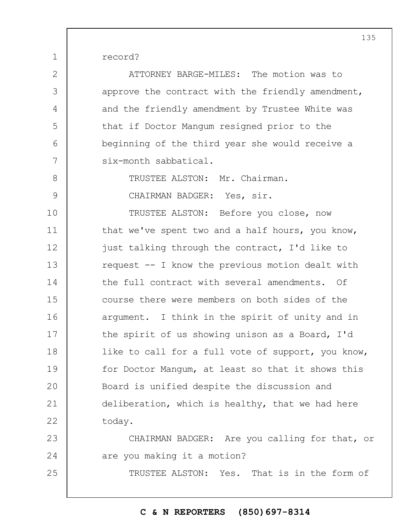record?

1

25

2 3 4 5 6 7 8 9 10 11 12 13 14 15 16 17 18 19  $20$ 21 22 23 24 ATTORNEY BARGE-MILES: The motion was to approve the contract with the friendly amendment, and the friendly amendment by Trustee White was that if Doctor Mangum resigned prior to the beginning of the third year she would receive a six-month sabbatical. TRUSTEE ALSTON: Mr. Chairman. CHAIRMAN BADGER: Yes, sir. TRUSTEE ALSTON: Before you close, now that we've spent two and a half hours, you know, just talking through the contract, I'd like to request -- I know the previous motion dealt with the full contract with several amendments. Of course there were members on both sides of the argument. I think in the spirit of unity and in the spirit of us showing unison as a Board, I'd like to call for a full vote of support, you know, for Doctor Mangum, at least so that it shows this Board is unified despite the discussion and deliberation, which is healthy, that we had here today. CHAIRMAN BADGER: Are you calling for that, or are you making it a motion?

TRUSTEE ALSTON: Yes. That is in the form of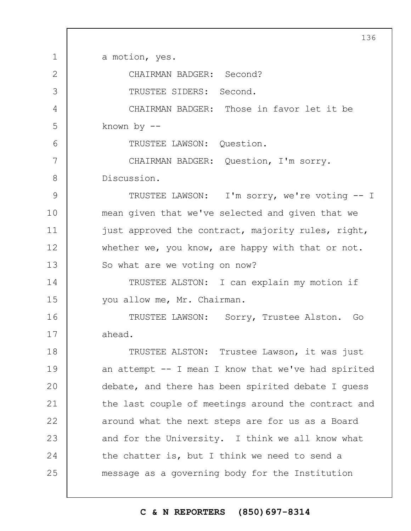1 2 3 4 5 6 7 8 9 10 11 12 13 14 15 16 17 18 19  $20$ 21 22 23 24 25 136 a motion, yes. CHAIRMAN BADGER: Second? TRUSTEE SIDERS: Second. CHAIRMAN BADGER: Those in favor let it be known by -- TRUSTEE LAWSON: Question. CHAIRMAN BADGER: Question, I'm sorry. Discussion. TRUSTEE LAWSON: I'm sorry, we're voting -- I mean given that we've selected and given that we just approved the contract, majority rules, right, whether we, you know, are happy with that or not. So what are we voting on now? TRUSTEE ALSTON: I can explain my motion if you allow me, Mr. Chairman. TRUSTEE LAWSON: Sorry, Trustee Alston. Go ahead. TRUSTEE ALSTON: Trustee Lawson, it was just an attempt -- I mean I know that we've had spirited debate, and there has been spirited debate I guess the last couple of meetings around the contract and around what the next steps are for us as a Board and for the University. I think we all know what the chatter is, but I think we need to send a message as a governing body for the Institution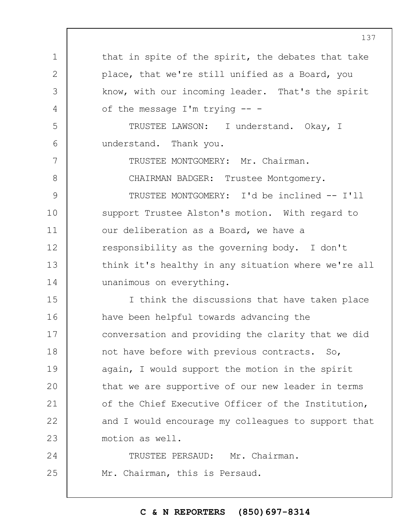1 2 3 4 5 6 7 8 9 10 11 12 13 14 15 16 17 18 19  $20$ 21 22 23 24 25 that in spite of the spirit, the debates that take place, that we're still unified as a Board, you know, with our incoming leader. That's the spirit of the message I'm trying -- - TRUSTEE LAWSON: I understand. Okay, I understand. Thank you. TRUSTEE MONTGOMERY: Mr. Chairman. CHAIRMAN BADGER: Trustee Montgomery. TRUSTEE MONTGOMERY: I'd be inclined -- I'll support Trustee Alston's motion. With regard to our deliberation as a Board, we have a responsibility as the governing body. I don't think it's healthy in any situation where we're all unanimous on everything. I think the discussions that have taken place have been helpful towards advancing the conversation and providing the clarity that we did not have before with previous contracts. So, again, I would support the motion in the spirit that we are supportive of our new leader in terms of the Chief Executive Officer of the Institution, and I would encourage my colleagues to support that motion as well. TRUSTEE PERSAUD: Mr. Chairman. Mr. Chairman, this is Persaud.

# **C & N REPORTERS (850)697-8314**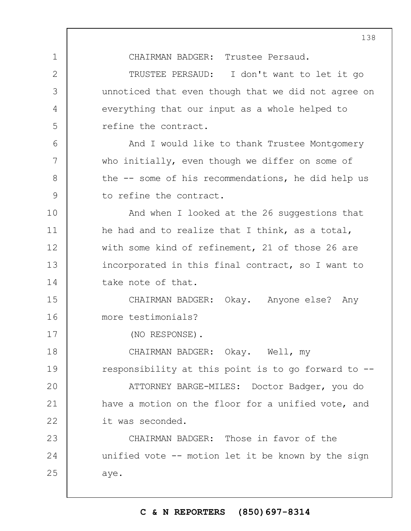CHAIRMAN BADGER: Trustee Persaud.

TRUSTEE PERSAUD: I don't want to let it go unnoticed that even though that we did not agree on everything that our input as a whole helped to refine the contract.

And I would like to thank Trustee Montgomery who initially, even though we differ on some of the -- some of his recommendations, he did help us to refine the contract.

And when I looked at the 26 suggestions that he had and to realize that I think, as a total, with some kind of refinement, 21 of those 26 are incorporated in this final contract, so I want to take note of that.

15 16 CHAIRMAN BADGER: Okay. Anyone else? Any more testimonials?

(NO RESPONSE).

1

2

3

4

5

6

7

8

9

10

11

12

13

14

17

18 19  $20$ 21 22 CHAIRMAN BADGER: Okay. Well, my responsibility at this point is to go forward to -- ATTORNEY BARGE-MILES: Doctor Badger, you do have a motion on the floor for a unified vote, and it was seconded.

23 24 25 CHAIRMAN BADGER: Those in favor of the unified vote -- motion let it be known by the sign aye.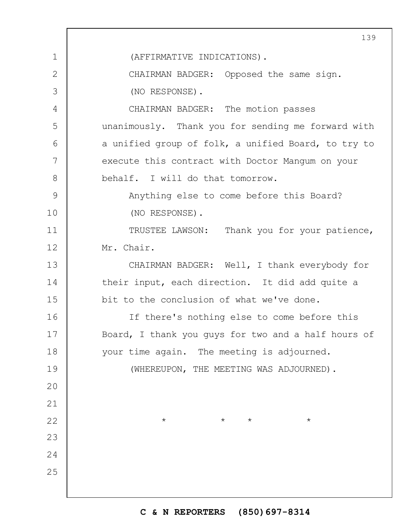|               | 139                                                 |  |  |  |
|---------------|-----------------------------------------------------|--|--|--|
| $\mathbf 1$   | (AFFIRMATIVE INDICATIONS).                          |  |  |  |
| $\mathbf{2}$  | CHAIRMAN BADGER: Opposed the same sign.             |  |  |  |
| 3             | (NO RESPONSE).                                      |  |  |  |
| 4             | CHAIRMAN BADGER: The motion passes                  |  |  |  |
| 5             | unanimously. Thank you for sending me forward with  |  |  |  |
| 6             | a unified group of folk, a unified Board, to try to |  |  |  |
| 7             | execute this contract with Doctor Mangum on your    |  |  |  |
| 8             | behalf. I will do that tomorrow.                    |  |  |  |
| $\mathcal{G}$ | Anything else to come before this Board?            |  |  |  |
| 10            | (NO RESPONSE).                                      |  |  |  |
| 11            | TRUSTEE LAWSON: Thank you for your patience,        |  |  |  |
| 12            | Mr. Chair.                                          |  |  |  |
| 13            | CHAIRMAN BADGER: Well, I thank everybody for        |  |  |  |
| 14            | their input, each direction. It did add quite a     |  |  |  |
| 15            | bit to the conclusion of what we've done.           |  |  |  |
| 16            | If there's nothing else to come before this         |  |  |  |
| 17            | Board, I thank you guys for two and a half hours of |  |  |  |
| 18            | your time again. The meeting is adjourned.          |  |  |  |
| 19            | (WHEREUPON, THE MEETING WAS ADJOURNED).             |  |  |  |
| 20            |                                                     |  |  |  |
| 21            |                                                     |  |  |  |
| 22            | $\star$<br>$\star$<br>$\star$<br>$\star$            |  |  |  |
| 23            |                                                     |  |  |  |
| 24            |                                                     |  |  |  |
| 25            |                                                     |  |  |  |
|               |                                                     |  |  |  |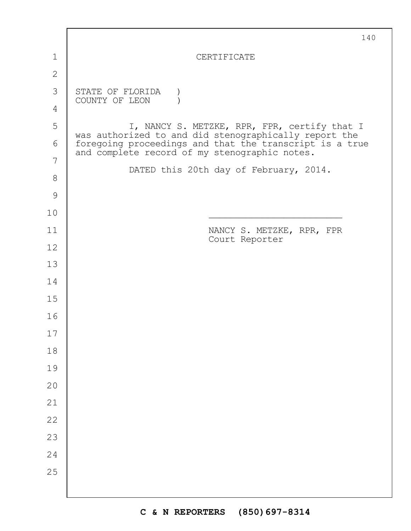|                | 140                                                                                                      |
|----------------|----------------------------------------------------------------------------------------------------------|
| $\mathbf 1$    | <b>CERTIFICATE</b>                                                                                       |
| $\mathbf{2}$   |                                                                                                          |
| 3              | STATE OF FLORIDA                                                                                         |
| $\overline{4}$ | COUNTY OF LEON                                                                                           |
| 5              | I, NANCY S. METZKE, RPR, FPR, certify that I<br>was authorized to and did stenographically report the    |
| 6              | foregoing proceedings and that the transcript is a true<br>and complete record of my stenographic notes. |
| 7              | DATED this 20th day of February, 2014.                                                                   |
| $8\,$          |                                                                                                          |
| $\mathcal{G}$  |                                                                                                          |
| 10             |                                                                                                          |
| 11             | NANCY S. METZKE, RPR, FPR<br>Court Reporter                                                              |
| 12             |                                                                                                          |
| 13             |                                                                                                          |
| 14             |                                                                                                          |
| 15             |                                                                                                          |
| 16             |                                                                                                          |
| 17             |                                                                                                          |
| $18\,$         |                                                                                                          |
| 19             |                                                                                                          |
| 20             |                                                                                                          |
| 21             |                                                                                                          |
| 22             |                                                                                                          |
| 23             |                                                                                                          |
| 24             |                                                                                                          |
| 25             |                                                                                                          |
|                |                                                                                                          |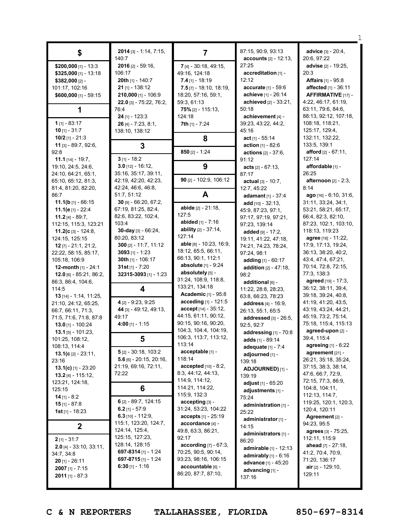| \$                                                | $2014$ [3] - 1:14, 7:15,<br>140:7              | 7                                            | 87:15, 90:9, 93:13<br><b>accounts</b> $[2] - 12:13$ , | advice [3] - 20:4,<br>20:6, 97:22           |
|---------------------------------------------------|------------------------------------------------|----------------------------------------------|-------------------------------------------------------|---------------------------------------------|
| \$200,000 [1] - 13:3                              | 2016 [2] - 59:16,                              | 7 [4] - 30:18, 49:15,                        | 27:25                                                 | <b>advise</b> [2] - 19:25,                  |
| $$325,000$ [1] - 13:18                            | 106:17                                         | 49:16, 124:18                                | accreditation [1] -                                   | 20:3                                        |
| \$382,000 [2] -                                   | 20th [1] - 140:7                               | $7.4$ [1] - 18:19                            | 12:12                                                 | <b>Affairs</b> [1] - 95:8                   |
| 101:17, 102:16                                    | <b>21</b> [1] - 138:12                         | $7.5$ [7] - 18:10, 18:19,                    | accurate [1] - 59:6                                   | <b>affected</b> $[1] - 36:11$               |
| \$600,000 [1] - 59:15                             | 210,000 [1] - 106:9                            | 18:20, 57:16, 59:1,                          | achieve [1] - 26:14                                   | AFFIRMATIVE [17] -                          |
|                                                   | 22.0 [3] - 75:22, 76:2,                        | 59:3, 61:13                                  | achieved [2] - 33:21,                                 | 4:22, 46:17, 61:19,                         |
| 1                                                 | 76:4                                           | 75% [2] - 115:13,                            | 50:18                                                 | 63:11, 79:6, 84:6,                          |
| $1$ [1] - 83:17                                   | $24$ [1] - 123:3                               | 124:18                                       | achievement [4] -                                     | 88:13, 92:12, 107:18,                       |
| $10$ [1] - 31:7                                   | $26$ [4] - 7:23, 8:1,<br>138:10, 138:12        | 7th [1] - 7:24                               | 39:23, 43:22, 44:2,<br>45:16                          | 108:18, 118:21,<br>125:17, 129:4,           |
| 10/2 [1] - 21:3                                   |                                                | 8                                            | $act_{[1]} - 55:14$                                   | 132:11, 132:22,                             |
| 11 [3] - 89:7, 92:6,                              | 3                                              |                                              | <b>action</b> $[1] - 82:6$                            | 133:5, 139:1                                |
| 92:8                                              |                                                | 850 [2] - 1:24                               | <b>actions</b> $[2] - 37:6$ ,                         | <b>afford</b> $[2] - 67:11$ ,               |
| 11.1 $[14] - 19:7$ ,                              | $3$ [1] - 18:2                                 |                                              | 91:12                                                 | 127:14                                      |
| 19:10, 24:5, 24:6,                                | $3.0$ [12] - 16:12,                            | 9                                            | $acts [2] - 67:13,$                                   | affordable [1] -                            |
| 24:10, 64:21, 65:1,                               | 35:16, 35:17, 39:11,                           |                                              | 87:17                                                 | 26:25                                       |
| 65:10, 65:12, 81:3,                               | 42:19, 42:20, 42:23,                           | 90 [2] - 102:9, 106:12                       | actual $[3] - 10:7$ ,                                 | afternoon [2] - 2:3,                        |
| 81:4, 81:20, 82:20,                               | 42:24, 46:6, 46:8,                             |                                              | 12:7, 45:22                                           | 8:14                                        |
| 86:7                                              | 51:7, 51:12                                    | A                                            | adamant $[1] - 37:4$                                  | ago [16] - 6:10, 31:6,                      |
| 11.1( $\mathbf{b}$ [1] - 66:15                    | $30$ [9] - 66:20, 67:2,<br>67:19, 81:25, 82:4, | abide [2] - 21:18,                           | add $[10] - 32:13$ ,                                  | 31:11, 33:24, 34:1,                         |
| 11.1( $e_{[1]}$ - 22:4<br><b>11.2</b> [4] - 89:7, | 82:6, 83:22, 102:4,                            | 127:5                                        | 45:9, 87:23, 97:1,                                    | 53:21, 58:21, 65:17,<br>66:4, 82:3, 82:10,  |
| 112:15, 115:3, 123:21                             | 103:4                                          | abided [1] - 7:16                            | 97:17, 97:19, 97:21,<br>97:23, 139:14                 | 87:23, 102:1, 103:10,                       |
| 11.2( $c$ [3] - 124:8,                            | 30-day [3] - 66:24,                            | ability [2] - 37:14,                         | added [9] - 17:2,                                     | 118:13, 119:23                              |
| 124:15, 125:15                                    | 80:20, 83:12                                   | 127:14                                       | 19:11, 41:22, 47:18,                                  | agree [16] - 11:22,                         |
| $12$ [7] - 21:1, 21:2,                            | $300$ [2] - 11:7, 11:12                        | able [8] - 10:23, 16:9,                      | 74:21, 74:23, 78:24,                                  | 17:9, 17:13, 19:24,                         |
| 22:22, 58:15, 85:17,                              | $3093$ [1] - 1:23                              | 18:12, 65:5, 66:11,                          | 97:24, 98:1                                           | 36:13, 38:20, 40:2,                         |
| 105:18, 106:9                                     | 30th [1] - 106:17                              | 66:13, 90:1, 112:1                           | adding [1] - 60:17                                    | 43:4, 47:4, 67:21,                          |
| 12-month [1] - 24:1                               | $31st$ [1] - 7:20                              | <b>absolute</b> $[1]$ - 9:24                 | <b>addition</b> $[2] - 47:18$ ,                       | 70:14, 72:8, 72:15,                         |
| $12.0$ [6] - 85:21, 86:2,                         | 32315-3093 [1] - 1:23                          | absolutely [5] -                             | 98:2                                                  | 77:3, 138:3                                 |
| 86:3, 86:4, 104:6,                                |                                                | 31:24, 108:9, 118:8,                         | additional [6] -                                      | agreed [19] - 17:3,                         |
| 114:5                                             | 4                                              | 133:21, 134:18                               | 11:22, 28:8, 28:23,                                   | 36:12, 38:11, 39:4,                         |
| <b>13</b> $[14] - 1:14$ , 11:25,                  |                                                | <b>Academic</b> [1] - 95:8                   | 63:8, 66:23, 78:23                                    | 39:18, 39:24, 40:8,                         |
| 21:10, 24:12, 65:25,                              | 4 [2] - 9:23, 9:25                             | <b>acceding</b> $[1] - 121:5$                | address [4] - 16:9,                                   | 41:19, 41:20, 43:5,                         |
| 66:7, 66:11, 71:3,                                | 44 [3] - 49:12, 49:13,                         | accept [14] - 35:12,                         | 26:13, 55:1, 65:5                                     | 43:19, 43:24, 44:21,                        |
| 71:5, 71:6, 71:8, 87:8                            | 49:17                                          | 44:15, 61:11, 90:12,<br>90:15, 90:16, 90:20, | addressed [3] - 26:5,                                 | 45:19, 73:2, 75:14,<br>75:18, 115:4, 115:13 |
| 13.0 [1] - 100:24                                 | $4:00$ [1] - 1:15                              | 104:3, 104:4, 104:19,                        | 92:5, 92:7                                            | agreed-upon [2] -                           |
| $13.1$ [5] - 101:23,                              | 5                                              | 106:3, 113:7, 113:12,                        | addressing [1] - 70:8                                 | 39:4, 115:4                                 |
| 101:25, 108:12,<br>108:13, 114:4                  |                                                | 113:14                                       | adds [1] - 89:14                                      | agreeing [1] - 6:22                         |
| 13.1(c $[2] - 23:11$ ,                            | $5$ [2] - 30:18, 103:2                         | acceptable [1] -                             | adequate [1] - 7:4<br>adjourned [1] -                 | agreement [21] -                            |
| 23:16                                             | $5.6$ [6] - 20:15, 20:16,                      | 118:14                                       | 139:18                                                | 26:21, 35:18, 35:24,                        |
| 13.1(c) $[1]$ - 23:20                             | 21:19, 69:16, 72:11,                           | <b>accepted</b> $[10] - 8:2$ ,               | ADJOURNED) [1] -                                      | 37:15, 38:3, 38:14,                         |
| $13.2$ [4] - 115:12,                              | 72:22                                          | 8:3, 44:12, 44:13,                           | 139:19                                                | 47:6, 66:7, 72:9,                           |
| 123:21, 124:18,                                   |                                                | 114:9, 114:12,                               | adjust $[1]$ - $65:20$                                | 72:15, 77:3, 86:9,                          |
| 125:15                                            | 6                                              | 114:21, 114:22,                              | adjustments [1] -                                     | 104:8, 104:11,                              |
| $14$ [1] - 8:2                                    | 6 [2] - 89:7, 124:15                           | 115:9, 132:3                                 | 75:24                                                 | 112:13, 114:7,                              |
| $15$ [1] - 87:8                                   | 6.2 $[1] - 57:9$                               | accepting [3] -<br>31:24, 53:23, 104:22      | administration [1] -                                  | 119:25, 120:1, 120:3,                       |
| <b>1st</b> [1] - $18:23$                          | 6.3 $[10] - 112:9$                             | $accepts_{[1]} - 25:19$                      | 25:22                                                 | 120:4, 120:11<br>Agreement [2] -            |
|                                                   | 115:1, 123:20, 124:7,                          | accordance [4] -                             | administrator <sub>[1]</sub> -                        | 94:23, 95:5                                 |
| $\mathbf 2$                                       | 124:14, 125:4,                                 | 49:8, 63:3, 86:21,                           | 14:15<br>administrators [1] -                         | agrees [3] - 75:25,                         |
| $2$ [1] - 31:7                                    | 125:15, 127:23,                                | 92:17                                        | 86:20                                                 | 112:11, 115:9                               |
| <b>2.0</b> [4] - 33:10, 33:11,                    | 128:14, 128:15                                 | $according$ $[7] - 67:3$ ,                   | <b>admirable</b> $[1]$ - 12:13                        | ahead [7] - 27:18,                          |
| 34:7, 34:8                                        | 697-8314 [1] - 1:24                            | 70:25, 90:5, 90:14,                          | admirably $[1]$ - $6:16$                              | 41:2, 70:4, 70:9,                           |
| $20$ [1] - 26:11                                  | 697-8715 [1] - 1:24                            | 93:23, 98:16, 106:15                         | advance [1] - 45:20                                   | 71:20, 136:17                               |
| $2007$ [1] - 7:15                                 | 6:30 [1] - 1:16                                | accountable [6] -                            | advancing [1] -                                       | air [2] - 129:10,                           |
| $2011$ [1] - 87:3                                 |                                                | 86:20, 87:7, 87:10,                          | 137:16                                                | 129:11                                      |
|                                                   |                                                |                                              |                                                       |                                             |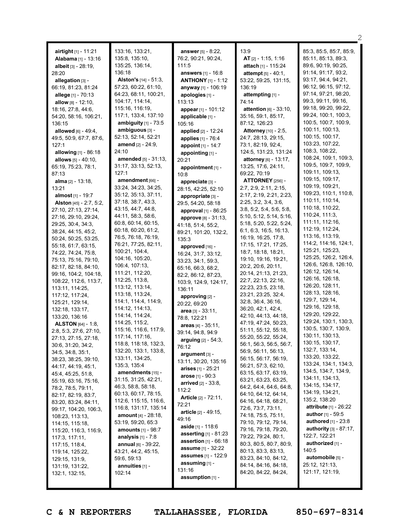| <b>airtight</b> $[1]$ - 11:21<br>Alabama [1] - 13:16<br><b>albeit</b> [3] - 28:19,<br>28:20 | 133:16, 133:21,<br>135:8, 135:10,<br>135:25, 136:14,<br>136:18 | <b>answer</b> $[5] - 8:22$ ,<br>76:2, 90:21, 90:24,<br>111:5 | 13:9<br>AT [2] - 1:15, 1:16<br>attach [1] - 115:24     | 85:3, 85:5, 85:7, 85:9,<br>85:11, 85:13, 89:3,<br>89:6, 90:19, 90:25,<br>91:14, 91:17, 93:2, |
|---------------------------------------------------------------------------------------------|----------------------------------------------------------------|--------------------------------------------------------------|--------------------------------------------------------|----------------------------------------------------------------------------------------------|
| allegation [3] -                                                                            | <b>Alston's</b> $[14] - 51:3$ ,                                | <b>answers</b> [1] - 16:8<br><b>ANTHONY</b> $[1]$ - 1:12     | <b>attempt</b> $[5] - 40:1$ ,<br>53:22, 59:25, 131:15, | 93:17, 94:4, 94:21,                                                                          |
| 66:19, 81:23, 81:24                                                                         | 57:23, 60:22, 61:10,                                           | anyway [1] - 106:19                                          | 136:19                                                 | 96:12, 96:15, 97:12,                                                                         |
| allege [1] - 70:13                                                                          | 64:23, 68:11, 100:21,                                          | apologies [1] -                                              | attempting [1] -                                       | 97:14, 97:21, 98:20,                                                                         |
| allow $[8] - 12:10$ ,                                                                       | 104:17, 114:14,                                                | 113:13                                                       | 74:14                                                  | 99:3, 99:11, 99:16,                                                                          |
| 18:16, 27:8, 44:6,                                                                          | 115:16, 116:19,                                                | appear [1] - 101:12                                          | attention $[6] - 33:10$ ,                              | 99:18, 99:20, 99:22,                                                                         |
| 54:20, 58:16, 106:21,                                                                       | 117:1, 133:4, 137:10                                           | applicable [1] -                                             | 35:16, 59:1, 85:17,                                    | 99:24, 100:1, 100:3,                                                                         |
| 136:15                                                                                      | ambiguity $[1]$ - $73:5$                                       | 105:16                                                       | 87:12, 126:23                                          | 100:5, 100:7, 100:9,                                                                         |
| allowed [6] - 49:4,                                                                         | ambiguous [3] -                                                | applied [2] - 12:24                                          | Attorney [10] - 2:5,                                   | 100:11, 100:13,                                                                              |
| 49:5, 50:9, 67:7, 87:6,                                                                     | 52:13, 52:14, 52:21                                            | applies [1] - 76:4                                           | 24:7, 28:13, 29:15,                                    | 100:15, 100:17,                                                                              |
| 127:1                                                                                       | <b>amend</b> [2] - 24:9,                                       | appoint [1] - 14:7                                           | 73:1, 82:19, 92:4,                                     | 103:23, 107:22,                                                                              |
| <b>allowing</b> $[1] - 86:18$                                                               | 24:10                                                          | appointing [1] -                                             | 124:5, 131:23, 131:24                                  | 108:3, 108:22,                                                                               |
| allows $[5] - 40:10$ ,                                                                      | <b>amended</b> [5] - 31:13,                                    | 20:21                                                        | attorney [6] - 13:17,                                  | 108:24, 109:1, 109:3,                                                                        |
| 65:19, 75:23, 78:1,                                                                         | 31:17, 33:13, 52:13,                                           | appointment [1] -                                            | 13:25, 17:6, 24:11,                                    | 109:5, 109:7, 109:9,                                                                         |
| 87:13                                                                                       | 127:1                                                          | 10:8                                                         | 69:22, 70:19                                           | 109:11, 109:13,                                                                              |
| <b>alma</b> $[2] - 13:18$ ,                                                                 | amendment [66] -                                               | appreciate [3] -                                             | <b>ATTORNEY</b> [256] -                                | 109:15, 109:17,                                                                              |
| 13:21                                                                                       | 33:24, 34:23, 34:25,                                           | 28:15, 42:25, 52:10                                          | 2:7, 2:9, 2:11, 2:15,                                  | 109:19, 109:21,                                                                              |
| almost <sub>[1]</sub> - 19:7                                                                | 35:12, 35:13, 37:11,                                           | appropriate [3] -                                            | 2:17, 2:19, 2:21, 2:23,                                | 109:23, 110:1, 110:8,                                                                        |
| Alston [45] - 2:7, 5:2,                                                                     | 37:18, 38:7, 43:3,                                             | 29:5, 54:20, 58:18                                           | 2:25, 3:2, 3:4, 3:6,                                   | 110:11, 110:14,                                                                              |
| 27:10, 27:13, 27:14,                                                                        | 43:15, 44:7, 44:8,                                             | approval $[1]$ - 86:25                                       | 3:8, 5:2, 5:4, 5:6, 5:8,                               | 110:18, 110:22,                                                                              |
| 27:16, 29:10, 29:24,                                                                        | 44:11, 58:3, 58:6,                                             | approve [8] - 31:13,                                         | 5:10, 5:12, 5:14, 5:16,                                | 110:24, 111:3,                                                                               |
| 29:25, 30:4, 34:3,                                                                          | 60:8, 60:14, 60:15,                                            | 41:18, 51:4, 55:2,                                           | 5:18, 5:20, 5:22, 5:24,                                | 111:11, 112:16,                                                                              |
| 38:24, 44:15, 45:2,                                                                         | 60:18, 60:20, 61:2,                                            | 89:21, 101:20, 132:2,                                        | 6:1, 6:3, 16:5, 16:13,                                 | 112:19, 112:24,<br>113:16, 113:19,                                                           |
| 50:24, 50:25, 53:25,                                                                        | 76:5, 76:18, 76:19,                                            | 135:3                                                        | 16:19, 16:25, 17:8,                                    | 114:2, 114:16, 124:1,                                                                        |
| 55:18, 61:7, 63:15,                                                                         | 76:21, 77:25, 82:11,                                           | approved [16] -                                              | 17:15, 17:21, 17:25,                                   | 125:21, 125:23,                                                                              |
| 74:22, 74:24, 75:8,                                                                         | 100:21, 104:4,                                                 | 16:24, 31:7, 33:12,                                          | 18:7, 18:18, 18:21,                                    | 125:25, 126:2, 126:4,                                                                        |
| 75:13, 75:16, 79:10,                                                                        | 104:16, 105:20,<br>106:4, 107:13,                              | 33:23, 34:1, 59:3,                                           | 19:10, 19:16, 19:21,                                   | 126:6, 126:8, 126:10,                                                                        |
| 82:17, 82:18, 84:10,                                                                        | 111:21, 112:20,                                                | 65:16, 66:3, 68:2,                                           | 20:2, 20:6, 20:11,                                     | 126:12, 126:14,                                                                              |
| 99:16, 104:2, 104:18,                                                                       | 112:25, 113:8,                                                 | 82:2, 86:12, 87:23,                                          | 20:14, 21:13, 21:23,<br>22:7, 22:13, 22:16,            | 126:16, 126:18,                                                                              |
| 108:22, 112:6, 113:7,                                                                       | 113:12, 113:14,                                                | 103:9, 124:9, 124:17,                                        | 22:23, 23:5, 23:18,                                    | 126:20, 128:11,                                                                              |
| 113:11, 114:25,<br>117:12, 117:24,                                                          | 113:18, 113:24,                                                | 136:11                                                       | 23:21, 23:25, 32:4,                                    | 128:13, 128:16,                                                                              |
| 125:21, 129:14,                                                                             | 114:1, 114:4, 114:9,                                           | approving $[2]$ -                                            | 32:8, 36:4, 36:16,                                     | 129:7, 129:14,                                                                               |
| 132:18, 133:17,                                                                             | 114:12, 114:13,                                                | 20:22, 69:20                                                 | 36:20, 42:1, 42:4,                                     | 129:16, 129:18,                                                                              |
| 133:20, 136:16                                                                              | 114:14, 114:24,                                                | area $[3] - 33:11$ ,                                         | 42:10, 44:13, 44:18,                                   | 129:20, 129:22,                                                                              |
| <b>ALSTON</b> $[64] - 1:8$ ,                                                                | 114:25, 115:2,                                                 | 78:8, 122:21<br>areas $[4] - 35:11$ ,                        | 47:19, 47:24, 50:23,                                   | 129:24, 130:1, 130:3,                                                                        |
| 2:8, 5:3, 27:6, 27:10,                                                                      | 115:16, 116:6, 117:9,                                          | 39:14, 94:8, 94:9                                            | 51:11, 55:12, 55:18,                                   | 130:5, 130:7, 130:9,                                                                         |
| 27:13, 27:15, 27:18,                                                                        | 117:14, 117:16,                                                | arguing $[2] - 54:3$ ,                                       | 55:20, 55:22, 55:24,                                   | 130:11, 130:13,                                                                              |
| 30:6, 31:20, 34:2,                                                                          | 118:8, 118:18, 132:3,                                          | 76:12                                                        | 56:1, 56:3, 56:5, 56:7,                                | 130:15, 130:17,                                                                              |
| 34:5, 34:8, 35:1,                                                                           | 132:20, 133:1, 133:8,                                          | argument [3] -                                               | 56:9, 56:11, 56:13,                                    | 132:7, 133:14,                                                                               |
| 38:23, 38:25, 39:10,                                                                        | 133:11, 134:25,                                                | 13:11, 30:20, 135:16                                         | 56:15, 56:17, 56:19,                                   | 133:20, 133:22,                                                                              |
| 44:17, 44:19, 45:1,                                                                         | 135:3, 135:4                                                   | arises $[1] - 25:21$                                         | 56:21, 57:3, 62:10,                                    | 133:24, 134:1, 134:3,                                                                        |
| 45:4, 45:25, 51:8,                                                                          | amendments [15] -                                              | <b>arose</b> [1] - $90:3$                                    | 63:15, 63:17, 63:19,                                   | 134:5, 134:7, 134:9,                                                                         |
| 55:19, 63:16, 75:16,                                                                        | 31:15, 31:25, 42:21,                                           | <b>arrived</b> [2] - 33:8,                                   | 63:21, 63:23, 63:25,                                   | 134:11, 134:13,<br>134:15, 134:17,                                                           |
| 78:2, 78:5, 79:11,                                                                          | 46:3, 58:8, 58:18,                                             | 112:2                                                        | 64:2, 64:4, 64:6, 64:8,                                | 134:19, 134:21,                                                                              |
| 82:17, 82:19, 83:7,                                                                         | 60:13, 60:17, 78:15,                                           | Article [2] - 72:11,                                         | 64:10, 64:12, 64:14,                                   | 135:2, 138:20                                                                                |
| 83:20, 83:24, 84:11,                                                                        | 112:6, 115:15, 116:6,                                          | 72:21                                                        | 64:16, 64:18, 68:21,                                   | <b>attribute</b> [1] - 26:22                                                                 |
| 99:17, 104:20, 106:3,                                                                       | 116:8, 131:17, 135:14                                          | <b>article</b> [2] - 49:15,                                  | 72:6, 73:7, 73:11,                                     | <b>author</b> [1] - 59:5                                                                     |
| 108:23, 113:13,                                                                             | amount [4] - 28:18,                                            | 49:16                                                        | 74:18, 75:5, 75:11,<br>79:10, 79:12, 79:14,            | authored [1] - 23:8                                                                          |
| 114:15, 115:18,                                                                             | 53:19, 59:20, 65:3                                             | <b>aside</b> [1] - 118:6                                     |                                                        | authority [3] - 87:17,                                                                       |
| 115:20, 116:3, 116:9,                                                                       | <b>amounts</b> $[1]$ - $98:7$<br><b>analysis</b> $[1] - 7:8$   | asserting [1] - 81:23                                        | 79:16, 79:18, 79:20,<br>79:22, 79:24, 80:1,            | 122:7, 122:21                                                                                |
| 117:3, 117:11,                                                                              | annual $[6] - 39:22$ ,                                         | <b>assertion</b> $[1] - 66:18$                               | 80:3, 80:5, 80:7, 80:9,                                | authorized [1] -                                                                             |
| 117:15, 118:4,<br>119:14, 125:22,                                                           | 43:21, 44:2, 45:15,                                            | <b>assume</b> [1] - 32:22                                    | 80:13, 83:3, 83:13,                                    | 140:5                                                                                        |
| 129:15, 131:9,                                                                              | 59:6, 59:13                                                    | assumes [1] - 122:9                                          | 83:23, 84:10, 84:12,                                   | automobile [5] -                                                                             |
| 131:19, 131:22,                                                                             | annuities [1] -                                                | assuming [1] -                                               | 84:14, 84:16, 84:18,                                   | 25:12, 121:13,                                                                               |
| 132:1, 132:15,                                                                              | 102:14                                                         | 131:16                                                       | 84:20, 84:22, 84:24,                                   | 121:17, 121:19,                                                                              |
|                                                                                             |                                                                | assumption [1] -                                             |                                                        |                                                                                              |
|                                                                                             |                                                                |                                                              |                                                        |                                                                                              |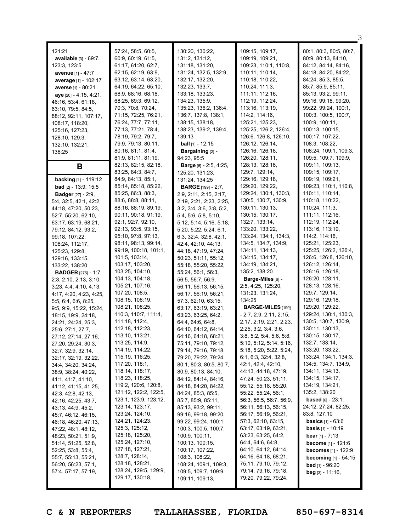| 121:21<br>available [3] - 69:7,<br>123:3, 123:5<br>avenue [1] - 47:7<br>average [1] - 102:17<br>averse [1] - 80:21<br>aye [20] - 4:15, 4:21,<br>46:16, 53:4, 61:18,<br>63:10, 79:5, 84:5,<br>88:12, 92:11, 107:17,<br>108:17, 118:20,<br>125:16, 127:23,<br>128:10, 129:3,<br>132:10, 132:21,<br>138:25                                                                                                                                                                                                                                                                                                                                                                                                                                                                                                                                                                                                                                                                | 57:24, 58:5, 60:5,<br>60:9, 60:19, 61:5,<br>61:17, 61:20, 62:7,<br>62:15, 62:19, 63:9,<br>63:12, 63:14, 63:20,<br>64:19, 64:22, 65:10,<br>68:9, 68:16, 68:18,<br>68:25, 69:3, 69:12,<br>70:3, 70:8, 70:24,<br>71:15, 72:25, 76:21,<br>76:24, 77:7, 77:11,<br>77:13, 77:21, 78:4,<br>78:19, 79:2, 79:7,<br>79:9, 79:13, 80:11,<br>80:16, 81:1, 81:4,<br>81:9, 81:11, 81:19,                                                                                                                                                                                                                                                                                                                                                                                                                                                              | 130:20, 130:22,<br>131:2, 131:12,<br>131:18, 131:20,<br>131:24, 132:5, 132:9,<br>132:17, 132:20,<br>132:23, 133:7,<br>133:18, 133:23,<br>134:23, 135:9,<br>135:23, 136:2, 136:4,<br>136:7, 137:8, 138:1,<br>138:15, 138:18,<br>138:23, 139:2, 139:4,<br>139:13<br><b>ball</b> $[1]$ - 12:15<br>Bargaining [2] -<br>94:23, 95:5                                                                                                                                                                                                                                                                                                                                                                                                                                                                                                                                                                                                                                                             | 109:15, 109:17,<br>109:19, 109:21,<br>109:23, 110:1, 110:8,<br>110:11, 110:14,<br>110:18, 110:22,<br>110:24, 111:3,<br>111:11, 112:16,<br>112:19, 112:24,<br>113:16, 113:19,<br>114:2, 114:16,<br>125:21, 125:23,<br>125:25, 126:2, 126:4,<br>126:6, 126:8, 126:10,<br>126:12, 126:14,<br>126:16, 126:18,<br>126:20, 128:11,                                                                                                                                                                                                                                                                                                                                                                                                                                                                                                                                                                                                                         | 80:1, 80:3, 80:5, 80:7,<br>80:9, 80:13, 84:10,<br>84:12, 84:14, 84:16,<br>84:18, 84:20, 84:22,<br>84:24, 85:3, 85:5,<br>85:7, 85:9, 85:11,<br>85:13, 93:2, 99:11,<br>99:16, 99:18, 99:20,<br>99:22, 99:24, 100:1,<br>100:3, 100:5, 100:7,<br>100:9, 100:11,<br>100:13, 100:15,<br>100:17, 107:22,<br>108:3, 108:22,<br>108:24, 109:1, 109:3,<br>109:5, 109:7, 109:9,                                                                                                                                                                                                                                                                                                                                                                                                                                                                                                                                                          |
|------------------------------------------------------------------------------------------------------------------------------------------------------------------------------------------------------------------------------------------------------------------------------------------------------------------------------------------------------------------------------------------------------------------------------------------------------------------------------------------------------------------------------------------------------------------------------------------------------------------------------------------------------------------------------------------------------------------------------------------------------------------------------------------------------------------------------------------------------------------------------------------------------------------------------------------------------------------------|-----------------------------------------------------------------------------------------------------------------------------------------------------------------------------------------------------------------------------------------------------------------------------------------------------------------------------------------------------------------------------------------------------------------------------------------------------------------------------------------------------------------------------------------------------------------------------------------------------------------------------------------------------------------------------------------------------------------------------------------------------------------------------------------------------------------------------------------|--------------------------------------------------------------------------------------------------------------------------------------------------------------------------------------------------------------------------------------------------------------------------------------------------------------------------------------------------------------------------------------------------------------------------------------------------------------------------------------------------------------------------------------------------------------------------------------------------------------------------------------------------------------------------------------------------------------------------------------------------------------------------------------------------------------------------------------------------------------------------------------------------------------------------------------------------------------------------------------------|------------------------------------------------------------------------------------------------------------------------------------------------------------------------------------------------------------------------------------------------------------------------------------------------------------------------------------------------------------------------------------------------------------------------------------------------------------------------------------------------------------------------------------------------------------------------------------------------------------------------------------------------------------------------------------------------------------------------------------------------------------------------------------------------------------------------------------------------------------------------------------------------------------------------------------------------------|-------------------------------------------------------------------------------------------------------------------------------------------------------------------------------------------------------------------------------------------------------------------------------------------------------------------------------------------------------------------------------------------------------------------------------------------------------------------------------------------------------------------------------------------------------------------------------------------------------------------------------------------------------------------------------------------------------------------------------------------------------------------------------------------------------------------------------------------------------------------------------------------------------------------------------|
| В                                                                                                                                                                                                                                                                                                                                                                                                                                                                                                                                                                                                                                                                                                                                                                                                                                                                                                                                                                      |                                                                                                                                                                                                                                                                                                                                                                                                                                                                                                                                                                                                                                                                                                                                                                                                                                         | <b>Barge</b> [6] - 2:5, 4:25,                                                                                                                                                                                                                                                                                                                                                                                                                                                                                                                                                                                                                                                                                                                                                                                                                                                                                                                                                              | 128:13, 128:16,                                                                                                                                                                                                                                                                                                                                                                                                                                                                                                                                                                                                                                                                                                                                                                                                                                                                                                                                      | 109:11, 109:13,                                                                                                                                                                                                                                                                                                                                                                                                                                                                                                                                                                                                                                                                                                                                                                                                                                                                                                               |
| backing [1] - 119:12<br><b>bad</b> $[2] - 13:9, 15:5$<br><b>Badger</b> [27] - 2:9,<br>5:4, 32:5, 42:1, 42:2,<br>44:18, 47:20, 50:23,<br>52:7, 55:20, 62:10,<br>63:17, 63:19, 68:21,<br>79:12, 84:12, 93:2,<br>99:18, 107:22,<br>108:24, 112:17,<br>125:23, 129:8,<br>129:16, 133:15,<br>133:22, 138:20<br><b>BADGER</b> [275] - 1:7,<br>2:3, 2:10, 2:13, 3:10,<br>3:23, 4:4, 4:10, 4:13,<br>4:17, 4:20, 4:23, 4:25,<br>5:5, 6:4, 6:6, 8:25,<br>9:5, 9:9, 15:22, 15:24,<br>18:15, 19:9, 24:18,<br>24:21, 24:24, 25:3,<br>25:6, 27:1, 27:7,<br>27:12, 27:14, 27:16,<br>27:20, 29:24, 30:3,<br>32:7, 32:9, 32:14,<br>32:17, 32:19, 32:22,<br>34:4, 34:20, 34:24,<br>38:9, 38:24, 40:22,<br>41:1, 41:7, 41:10,<br>41:12, 41:15, 41:25,<br>42:3, 42:8, 42:13,<br>42:16, 42:25, 43:7,<br>43:13, 44:9, 45:2,<br>45:7, 46:12, 46:15,<br>46:18, 46:20, 47:13,<br>47:22, 48:1, 48:12,<br>48:23, 50:21, 51:9,<br>51:14, 51:25, 52:8,<br>52:25, 53:8, 55:4,<br>55:7, 55:13, 55:21, | 82:13, 82:15, 82:18,<br>83:25, 84:3, 84:7,<br>84:9, 84:13, 85:1,<br>85:14, 85:18, 85:22,<br>85:25, 86:3, 88:3,<br>88:6, 88:8, 88:11,<br>88:16, 88:19, 89:19,<br>90:11, 90:18, 91:19,<br>92:1, 92:7, 92:10,<br>92:13, 93:5, 93:15,<br>95:10, 97:8, 97:13,<br>98:11, 98:13, 99:14,<br>99:19, 100:18, 101:1,<br>101:5, 103:14,<br>103:17, 103:20,<br>103:25, 104:10,<br>104:13, 104:18,<br>105:21, 107:16,<br>107:20, 108:5,<br>108:15, 108:19,<br>108:21, 108:25,<br>110:3, 110:7, 111:4,<br>111:18, 112:4,<br>112:18, 112:23,<br>113:10, 113:21,<br>113:25, 114:9,<br>114:19, 114:22,<br>115:19, 116:25,<br>117:20, 118:1,<br>118:14, 118:17,<br>118:23, 118:25,<br>119:2, 120:6, 120:8,<br>121:12, 122:2, 122:5,<br>123:1, 123:9, 123:12,<br>123:14, 123:17,<br>123:24, 124:10,<br>124:21, 124:23,<br>125:3, 125:12,<br>125:18, 125:20, | 125:20, 131:23,<br>131:24, 134:25<br><b>BARGE</b> [199] - 2:7,<br>2:9, 2:11, 2:15, 2:17,<br>2:19, 2:21, 2:23, 2:25,<br>3:2, 3:4, 3:6, 3:8, 5:2,<br>5:4, 5:6, 5:8, 5:10,<br>5:12, 5:14, 5:16, 5:18,<br>5:20, 5:22, 5:24, 6:1,<br>6:3, 32:4, 32:8, 42:1,<br>42:4, 42:10, 44:13,<br>44:18, 47:19, 47:24,<br>50:23, 51:11, 55:12,<br>55:18, 55:20, 55:22,<br>55:24, 56:1, 56:3,<br>56:5, 56:7, 56:9,<br>56:11, 56:13, 56:15,<br>56:17, 56:19, 56:21,<br>57:3, 62:10, 63:15,<br>63:17, 63:19, 63:21,<br>63:23, 63:25, 64:2,<br>64:4, 64:6, 64:8,<br>64:10, 64:12, 64:14,<br>64:16, 64:18, 68:21,<br>75:11, 79:10, 79:12,<br>79:14, 79:16, 79:18,<br>79:20, 79:22, 79:24,<br>80:1, 80:3, 80:5, 80:7,<br>80:9, 80:13, 84:10,<br>84:12, 84:14, 84:16,<br>84:18, 84:20, 84:22,<br>84:24, 85:3, 85:5,<br>85:7, 85:9, 85:11,<br>85:13, 93:2, 99:11,<br>99:16, 99:18, 99:20,<br>99:22, 99:24, 100:1,<br>100:3, 100:5, 100:7,<br>100:9, 100:11,<br>100:13, 100:15,<br>100:17, 107:22,<br>108:3, 108:22, | 129:7, 129:14,<br>129:16, 129:18,<br>129:20, 129:22,<br>129:24, 130:1, 130:3,<br>130:5, 130:7, 130:9,<br>130:11, 130:13,<br>130:15, 130:17,<br>132:7, 133:14,<br>133:20, 133:22,<br>133:24, 134:1, 134:3,<br>134:5, 134:7, 134:9,<br>134:11, 134:13,<br>134:15, 134:17,<br>134:19, 134:21,<br>135:2, 138:20<br>Barge-Miles [6] -<br>2:5, 4:25, 125:20,<br>131:23, 131:24,<br>134:25<br><b>BARGE-MILES</b> [199]<br>$-2:7, 2:9, 2:11, 2:15,$<br>2:17, 2:19, 2:21, 2:23,<br>2:25, 3:2, 3:4, 3:6,<br>3:8, 5:2, 5:4, 5:6, 5:8,<br>5:10, 5:12, 5:14, 5:16,<br>5:18, 5:20, 5:22, 5:24,<br>6:1, 6:3, 32:4, 32:8,<br>42:1, 42:4, 42:10,<br>44:13, 44:18, 47:19,<br>47:24, 50:23, 51:11,<br>55:12, 55:18, 55:20,<br>55:22, 55:24, 56:1,<br>56:3, 56:5, 56:7, 56:9,<br>56:11, 56:13, 56:15,<br>56:17, 56:19, 56:21,<br>57:3, 62:10, 63:15,<br>63:17, 63:19, 63:21,<br>63:23, 63:25, 64:2,<br>64:4, 64:6, 64:8,<br>64:10, 64:12, 64:14,<br>64:16, 64:18, 68:21, | 109:15, 109:17,<br>109:19, 109:21,<br>109:23, 110:1, 110:8,<br>110:11, 110:14,<br>110:18, 110:22,<br>110:24, 111:3,<br>111:11, 112:16,<br>112:19, 112:24,<br>113:16, 113:19,<br>114:2, 114:16,<br>125:21, 125:23,<br>125:25, 126:2, 126:4,<br>126:6, 126:8, 126:10,<br>126:12, 126:14,<br>126:16, 126:18,<br>126:20, 128:11,<br>128:13, 128:16,<br>129:7, 129:14,<br>129:16, 129:18,<br>129:20, 129:22,<br>129:24, 130:1, 130:3,<br>130:5, 130:7, 130:9,<br>130:11, 130:13,<br>130:15, 130:17,<br>132:7, 133:14,<br>133:20, 133:22,<br>133:24, 134:1, 134:3,<br>134:5, 134:7, 134:9,<br>134:11, 134:13,<br>134:15, 134:17,<br>134:19, 134:21,<br>135:2, 138:20<br><b>based</b> $[6] - 23:1$ ,<br>24:12, 27:24, 82:25,<br>83:8, 127:10<br><b>basics</b> $[1] - 63:6$<br><b>basis</b> $[1] - 10:19$<br><b>bear</b> [1] - $7:13$<br><b>become</b> $[1] - 121:6$<br><b>becomes</b> $[1] - 122:9$<br><b>becoming</b> $[1]$ - 54:15 |
| 56:20, 56:23, 57:1,<br>57:4, 57:17, 57:19,                                                                                                                                                                                                                                                                                                                                                                                                                                                                                                                                                                                                                                                                                                                                                                                                                                                                                                                             | 128:18, 128:21,<br>128:24, 129:5, 129:9,<br>129:17, 130:18,                                                                                                                                                                                                                                                                                                                                                                                                                                                                                                                                                                                                                                                                                                                                                                             | 108:24, 109:1, 109:3,<br>109:5, 109:7, 109:9,<br>109:11, 109:13,                                                                                                                                                                                                                                                                                                                                                                                                                                                                                                                                                                                                                                                                                                                                                                                                                                                                                                                           | 75:11, 79:10, 79:12,<br>79:14, 79:16, 79:18,<br>79:20, 79:22, 79:24,                                                                                                                                                                                                                                                                                                                                                                                                                                                                                                                                                                                                                                                                                                                                                                                                                                                                                 | <b>bed</b> [1] - 96:20<br><b>beg</b> [3] $- 11:16$ ,                                                                                                                                                                                                                                                                                                                                                                                                                                                                                                                                                                                                                                                                                                                                                                                                                                                                          |

 $^{\circ}$  3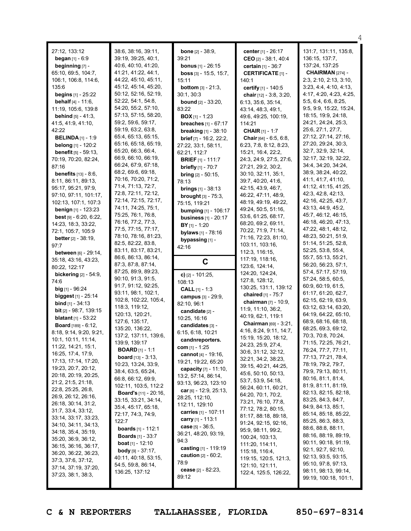| 27:12, 133:12<br><b>began</b> $[1] - 6:9$<br>beginning [7] -<br>65:10, 69:5, 104:7,<br>106:1, 106:8, 114:6,<br>135:6<br><b>begins</b> $[1] - 25:22$<br><b>behalf</b> $[4] - 11:6$ ,<br>11:19, 105:6, 139:8<br><b>behind</b> $[5] - 41:3$ ,<br>41:5, 41:9, 41:10,<br>42:22<br><b>BELINDA</b> $[1] - 1:9$<br>belong [1] - 120:2<br><b>benefit</b> [5] - 59:13,<br>70:19, 70:20, 82:24,<br>87:16<br><b>benefits</b> $[13] - 8:6$ ,<br>8:11, 86:11, 89:13,<br>95:17, 95:21, 97:9,<br>97:10, 97:11, 101:17,<br>102:13, 107:1, 107:3<br><b>benign</b> $[1]$ - 123:23<br><b>best</b> $[9] - 6:20, 6:22,$<br>14:23, 18:3, 33:22,<br>72:1, 105:7, 105:9<br><b>better</b> $[2] - 38:19$ ,<br>97:7<br><b>between</b> $[6] - 29:14$ ,<br>35:18, 43:16, 43:23,<br>80:22, 122:17<br><b>bickering</b> $[2] - 54:9$ ,<br>74:6<br><b>big</b> $[1]$ - 96:24<br><b>biggest</b> $[1]$ - 25:14<br><b>bind</b> $[1]$ - 34:13<br>bit [2] - 98:7, 139:15<br><b>blatant</b> $[1] - 53:22$<br><b>Board</b> [189] - 6:12,<br>8:18, 9:14, 9:20, 9:21,<br>10:1, 10:11, 11:14,<br>11:22, 14:21, 15:1,<br>16:25, 17:4, 17:9,<br>17:13, 17:14, 17:20,<br>19:23, 20:7, 20:12,<br>20:18, 20:19, 20:25,<br>21:2, 21:5, 21:18,<br>22:8, 25:25, 26:8,<br>26:9, 26:12, 26:16,<br>26:18, 30:14, 31:2,<br>31:7, 33:4, 33:12,<br>33:14, 33:17, 33:23,<br>34:10, 34:11, 34:13,<br>34:18, 35:4, 35:19,<br>35:20, 36:9, 36:12,<br>36:15, 36:16, 36:17,<br>36:20, 36:22, 36:23, | 38:6, 38:16, 39:11,<br>39:19, 39:25, 40:1,<br>40:6, 40:10, 41:20,<br>41:21, 41:22, 44:1,<br>44:22, 45:10, 45:11,<br>45:12, 45:14, 45:20,<br>50:12, 52:16, 52:19,<br>52:22, 54:1, 54:8,<br>54:20, 55:2, 57:10,<br>57:13, 57:15, 58:20,<br>59:2, 59:6, 59:17,<br>59:19, 63:2, 63:8,<br>65:4, 65:13, 65:15,<br>65:16, 65:18, 65:19,<br>65:20, 66:3, 66:4,<br>66:9, 66:10, 66:19,<br>66:24, 67:9, 67:18,<br>68:2, 69:6, 69:18,<br>70:16, 70:20, 71:2,<br>71:4, 71:13, 72:7,<br>72:8, 72:11, 72:12,<br>72:14, 72:15, 72:17,<br>74:11, 74:25, 75:1,<br>75:25, 76:1, 76:8,<br>76:16, 77:2, 77:3,<br>77:5, 77:15, 77:17,<br>78:10, 78:16, 81:23,<br>82:5, 82:22, 83:8,<br>83:11, 83:17, 83:21,<br>86:6, 86:13, 86:14,<br>87:3, 87:8, 87:14,<br>87:25, 89:9, 89:23,<br>90:10, 91:3, 91:5,<br>91:7, 91:12, 92:25,<br>93:11, 98:1, 102:1,<br>102:8, 102:22, 105:4,<br>118:3, 119:12,<br>120:13, 120:21,<br>127:6, 135:17,<br>135:20, 136:22,<br>137:2, 137:11, 139:6,<br>139:9, 139:17<br><b>BOARD</b> $[1] - 1:1$<br><b>board</b> $[13] - 3:13$ ,<br>10:23, 13:24, 33:9,<br>38:4, 63:5, 65:24,<br>66:8, 66:12, 69:9,<br>102:11, 103:5, 112:2<br><b>Board's</b> $[11] - 20:16$ ,<br>33:15, 33:21, 34:14,<br>35:4, 45:17, 65:18,<br>72:17, 74:3, 74:9,<br>122:7<br><b>boards</b> $[1] - 112:1$<br><b>Boards</b> $[1]$ - 33:7<br><b>boat</b> [1] - 12:10<br><b>body</b> [9] $-37:17$ ,<br>40:11, 40:18, 53:15, | <b>bone</b> $[2] - 38:9$ ,<br>39:21<br><b>bonus</b> $[1] - 26:15$<br><b>boss</b> $[3] - 15:5, 15:7,$<br>15:11<br><b>bottom</b> $[3] - 21:3$ ,<br>30:1, 30:3<br><b>bound</b> $[2] - 33:20$ ,<br>83:22<br><b>BOX</b> $[1]$ - 1:23<br>breaches [1] - 67:17<br><b>breaking</b> [1] - 38:10<br>brief [7] - 16:2, 22:2,<br>27:22, 33:1, 58:11,<br>62:21, 112:7<br><b>BRIEF</b> $[1]$ - 111:7<br><b>briefly</b> [1] - 70:7<br><b>bring</b> $[2] - 50:15$ ,<br>78:13<br><b>brings</b> $[1]$ - 38:13<br><b>brought</b> $[3] - 75:3$ ,<br>75:15, 119:21<br>bumping [1] - 106:17<br><b>business</b> $[1] - 20:17$<br>$BY$ <sub>[1]</sub> - 1:20<br><b>bylaws</b> $[1] - 78:16$<br>bypassing [1] -<br>42:16<br>C<br>c) $[2] - 101:25$ ,<br>108:13<br><b>CALL</b> $[1] - 1:3$<br>campus [3] - 29:9,<br>82:10, 96:1<br>candidate [2] -<br>10:25, 16:16<br>candidates [3] -<br>6:15, 6:18, 10:21<br>candnreporters.<br>com [1] - 1:25<br><b>cannot</b> [4] - 19:16,<br>19:21, 19:22, 65:20<br><b>capacity</b> $[7] - 11:10$ ,<br>13:2, 57:14, 86:14,<br>93:13, 96:23, 123:10<br>car $[6]$ - 12:9, 25:13,<br>28:25, 112:10,<br>112:11, 129:10<br><b>carries</b> [1] - 107:11<br>carry $[1] - 113:1$<br><b>case</b> $[5] - 36:5$ ,<br>36:21, 48:20, 93:19,<br>94:3<br>casting [1] - 119:19<br><b>caution</b> $[2] - 60:2$ , | center [1] - 26:17<br>CEO [2] - 38:1, 40:4<br>certain [1] - 36:7<br><b>CERTIFICATE [1] -</b><br>140:1<br>certify [1] - 140:5<br>chair [12] - 3:8, 3:20,<br>6:13, 35:6, 35:14,<br>43:14, 48:3, 49:1,<br>49:6, 49:25, 100:19,<br>114:21<br><b>CHAIR</b> [1] - 1:7<br><b>Chair</b> [64] - $6:5, 6:8$ ,<br>6:23, 7:8, 8:12, 8:23,<br>15:21, 16:4, 22:2,<br>24:3, 24:9, 27:5, 27:6,<br>27:21, 29:2, 30:2,<br>30:10, 32:11, 35:1,<br>39:7, 40:20, 41:6,<br>42:15, 43:9, 46:7,<br>46:22, 47:11, 48:9,<br>48:19, 49:19, 49:22,<br>49:24, 50:5, 51:16,<br>53:6, 61:25, 68:17,<br>68:20, 69:2, 69:11,<br>70:22, 71:9, 71:14,<br>71:16, 72:23, 81:10,<br>103:11, 103:16,<br>112:3, 116:15,<br>117:19, 118:16,<br>123:6, 124:14,<br>124:20, 124:24,<br>127:8, 128:12,<br>130:25, 131:1, 139:12<br>chaired [1] - 75:7<br>chairman [7] - 10:9,<br>11:9, 11:10, 36:2,<br>40:19, 62:1, 119:1<br>Chairman [69] - 3:21,<br>4:16, 8:24, 9:11, 14:7,<br>15:19, 15:20, 18:12,<br>24:23, 25:9, 27:4,<br>30:6, 31:12, 32:12,<br>32:21, 34:2, 38:23,<br>39:15, 40:21, 44:25,<br>45:6, 50:10, 50:13,<br>53:7, 53:9, 54:18,<br>56:24, 60:11, 60:21,<br>64:20, 70:1, 70:2,<br>73:21, 76:10, 77:8,<br>77:12, 78:2, 80:15,<br>81:17, 88:18, 89:18,<br>91:24, 92:15, 92:16,<br>95:9, 98:11, 99:2,<br>100:24, 103:13,<br>111:20, 114:11,<br>115:18, 116:4,<br>119:15, 120:5, 121:3, | 131:7, 131:11, 135:8,<br>136:15, 137:7,<br>137:24, 137:25<br>CHAIRMAN [274] -<br>2:3, 2:10, 2:13, 3:10,<br>3:23, 4:4, 4:10, 4:13,<br>4:17, 4:20, 4:23, 4:25,<br>5:5, 6:4, 6:6, 8:25,<br>9:5, 9:9, 15:22, 15:24,<br>18:15, 19:9, 24:18,<br>24:21, 24:24, 25:3,<br>25:6, 27:1, 27:7,<br>27:12, 27:14, 27:16,<br>27:20, 29:24, 30:3,<br>32:7, 32:9, 32:14,<br>32:17, 32:19, 32:22,<br>34:4, 34:20, 34:24,<br>38:9, 38:24, 40:22,<br>41:1, 41:7, 41:10,<br>41:12, 41:15, 41:25,<br>42:3, 42:8, 42:13,<br>42:16, 42:25, 43:7,<br>43:13, 44:9, 45:2,<br>45:7, 46:12, 46:15,<br>46:18, 46:20, 47:13,<br>47:22, 48:1, 48:12,<br>48:23, 50:21, 51:9,<br>51:14, 51:25, 52:8,<br>52:25, 53:8, 55:4,<br>55:7, 55:13, 55:21,<br>56:20, 56:23, 57:1,<br>57:4, 57:17, 57:19,<br>57:24, 58:5, 60:5,<br>60:9, 60:19, 61:5,<br>61:17, 61:20, 62:7,<br>62:15, 62:19, 63:9,<br>63:12, 63:14, 63:20,<br>64:19, 64:22, 65:10,<br>68:9, 68:16, 68:18,<br>68:25, 69:3, 69:12,<br>70:3, 70:8, 70:24,<br>71:15, 72:25, 76:21,<br>76:24, 77:7, 77:11,<br>77:13, 77:21, 78:4,<br>78:19, 79:2, 79:7,<br>79:9, 79:13, 80:11,<br>80:16, 81:1, 81:4,<br>81:9, 81:11, 81:19,<br>82:13, 82:15, 82:18,<br>83:25, 84:3, 84:7,<br>84:9, 84:13, 85:1,<br>85:14, 85:18, 85:22,<br>85:25, 86:3, 88:3,<br>88:6, 88:8, 88:11,<br>88:16, 88:19, 89:19,<br>90:11, 90:18, 91:19,<br>92:1, 92:7, 92:10,<br>92:13, 93:5, 93:15, |
|------------------------------------------------------------------------------------------------------------------------------------------------------------------------------------------------------------------------------------------------------------------------------------------------------------------------------------------------------------------------------------------------------------------------------------------------------------------------------------------------------------------------------------------------------------------------------------------------------------------------------------------------------------------------------------------------------------------------------------------------------------------------------------------------------------------------------------------------------------------------------------------------------------------------------------------------------------------------------------------------------------------------------------------------------------------------------------------------------------------------------------------------------------------------------------------------------------------------------------------------------------------------------------------------------------------------------------------------------------------------------------------------------------------------------------|---------------------------------------------------------------------------------------------------------------------------------------------------------------------------------------------------------------------------------------------------------------------------------------------------------------------------------------------------------------------------------------------------------------------------------------------------------------------------------------------------------------------------------------------------------------------------------------------------------------------------------------------------------------------------------------------------------------------------------------------------------------------------------------------------------------------------------------------------------------------------------------------------------------------------------------------------------------------------------------------------------------------------------------------------------------------------------------------------------------------------------------------------------------------------------------------------------------------------------------------------------------------------------------------------------------------------------------------------------------------------------------------------|------------------------------------------------------------------------------------------------------------------------------------------------------------------------------------------------------------------------------------------------------------------------------------------------------------------------------------------------------------------------------------------------------------------------------------------------------------------------------------------------------------------------------------------------------------------------------------------------------------------------------------------------------------------------------------------------------------------------------------------------------------------------------------------------------------------------------------------------------------------------------------------------------------------------------------------------------------------------------------------------------------------------------------------------------------------------------------------------------------------------------------------------------------------------------------------------------------------------------------------------------------------------------------------------------------|------------------------------------------------------------------------------------------------------------------------------------------------------------------------------------------------------------------------------------------------------------------------------------------------------------------------------------------------------------------------------------------------------------------------------------------------------------------------------------------------------------------------------------------------------------------------------------------------------------------------------------------------------------------------------------------------------------------------------------------------------------------------------------------------------------------------------------------------------------------------------------------------------------------------------------------------------------------------------------------------------------------------------------------------------------------------------------------------------------------------------------------------------------------------------------------------------------------------------------------------------------------------------------------------------------------------------------------------------|----------------------------------------------------------------------------------------------------------------------------------------------------------------------------------------------------------------------------------------------------------------------------------------------------------------------------------------------------------------------------------------------------------------------------------------------------------------------------------------------------------------------------------------------------------------------------------------------------------------------------------------------------------------------------------------------------------------------------------------------------------------------------------------------------------------------------------------------------------------------------------------------------------------------------------------------------------------------------------------------------------------------------------------------------------------------------------------------------------------------------------------------------------------------------------------------------------------------------------------------------------------------------------------------------------------------------------------------------------------------------------|
| 37:3, 37:6, 37:12,<br>37:14, 37:19, 37:20,<br>37:23, 38:1, 38:3,                                                                                                                                                                                                                                                                                                                                                                                                                                                                                                                                                                                                                                                                                                                                                                                                                                                                                                                                                                                                                                                                                                                                                                                                                                                                                                                                                                   | 54:5, 59:8, 86:14,<br>136:25, 137:12                                                                                                                                                                                                                                                                                                                                                                                                                                                                                                                                                                                                                                                                                                                                                                                                                                                                                                                                                                                                                                                                                                                                                                                                                                                                                                                                                              | 78:9<br>cease $[2] - 82:23$ ,<br>89:12                                                                                                                                                                                                                                                                                                                                                                                                                                                                                                                                                                                                                                                                                                                                                                                                                                                                                                                                                                                                                                                                                                                                                                                                                                                                     | 121:10, 121:11,<br>122:4, 125:5, 126:22,                                                                                                                                                                                                                                                                                                                                                                                                                                                                                                                                                                                                                                                                                                                                                                                                                                                                                                                                                                                                                                                                                                                                                                                                                                                                                                             | 95:10, 97:8, 97:13,<br>98:11, 98:13, 99:14,<br>99:19, 100:18, 101:1,                                                                                                                                                                                                                                                                                                                                                                                                                                                                                                                                                                                                                                                                                                                                                                                                                                                                                                                                                                                                                                                                                                                                                                                                                                                                                                             |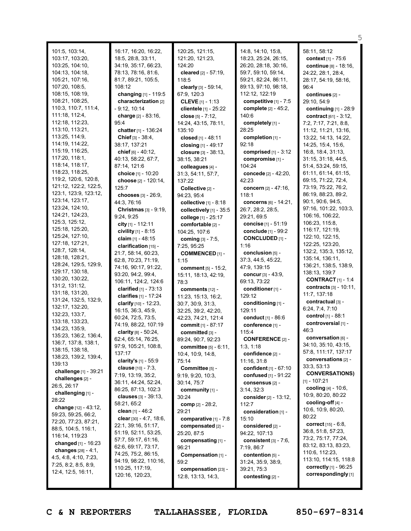| 101:5, 103:14,        | 16:17, 16:20, 16:22,            | 120:25, 121:15,                 | 14:8, 14:10, 15:8,       | 58:11, 58:12                  |
|-----------------------|---------------------------------|---------------------------------|--------------------------|-------------------------------|
| 103:17, 103:20,       | 18:5, 28:8, 33:11,              | 121:20, 121:23,                 | 18:23, 25:24, 26:15,     | context [1] - 75:6            |
| 103:25, 104:10,       | 34:19, 35:17, 66:23,            | 124:20                          | 26:20, 28:18, 30:16,     | continue [8] - 18:16,         |
| 104:13, 104:18,       | 78:13, 78:16, 81:6,             | cleared $[2] - 57:19$ ,         | 59:7, 59:10, 59:14,      | 24:22, 28:1, 28:4,            |
| 105:21, 107:16,       | 81:7, 89:21, 105:5,             | 118:5                           | 59:21, 82:24, 86:11,     | 28:17, 54:19, 58:16,          |
| 107:20, 108:5,        | 108:12                          | clearly [3] - 59:14,            | 89:13, 97:10, 98:18,     | 96:4                          |
|                       |                                 |                                 |                          |                               |
| 108:15, 108:19,       | changing [1] - 119:5            | 67:9, 120:3                     | 112:12, 122:19           | continues $[2]$ -             |
| 108:21, 108:25,       | characterization [2]            | <b>CLEVE</b> $[1]$ - 1:13       | competitive $[1]$ - 7:5  | 29:10, 54:9                   |
| 110:3, 110:7, 111:4,  | - 9:12, 10:14                   | clientele [1] - 25:22           | complete [2] - 45:2,     | continuing $[1]$ - 28:9       |
| 111:18, 112:4,        | charge [2] - 83:16,             | close $[5] - 7:12$ ,            | 140:6                    | contract $[61] - 3:12$ ,      |
| 112:18, 112:23,       | 95:4                            | 14:24, 43:15, 78:11,            | completely [1] -         | 7:2, 7:17, 7:21, 8:8,         |
| 113:10, 113:21,       | chatter [1] - 136:24            | 135:10                          | 28:25                    | 11:12, 11:21, 13:16,          |
| 113:25, 114:9,        | <b>Chief</b> $[3] - 38:4$ ,     | closed [1] - 48:11              | completion $[1]$ -       | 13:22, 14:13, 14:22,          |
| 114:19, 114:22,       | 38:17, 137:21                   | closing [1] - 49:17             | 92:18                    | 14:25, 15:4, 15:6,            |
| 115:19, 116:25,       | chief $[6] - 40:12$ ,           | closure $[3] - 38:13$ ,         | comprised $[1]$ - 3:12   | 16:8, 18:4, 31:13,            |
| 117:20, 118:1,        | 40:13, 58:22, 67:7,             | 38:15, 38:21                    | compromise [1] -         | 31:15, 31:18, 44:5,           |
| 118:14, 118:17,       | 87:14, 121:6                    | colleagues [4] -                | 104:24                   | 51:4, 53:24, 59:15,           |
| 118:23, 118:25,       | choice [1] - 10:20              |                                 | concede [2] - 42:20,     | 61:11, 61:14, 61:15,          |
| 119:2, 120:6, 120:8,  |                                 | 31:3, 54:11, 57:7,              |                          | 69:15, 71:22, 72:4,           |
| 121:12, 122:2, 122:5, | choose [2] - 120:14,            | 137:22                          | 42:23                    |                               |
| 123:1, 123:9, 123:12, | 125:7                           | Collective [2] -                | concern [2] - 47:16,     | 73:19, 75:22, 76:2,           |
| 123:14, 123:17,       | chooses $[3] - 26:9$ ,          | 94:23, 95:4                     | 118:1                    | 86:19, 88:23, 89:2,           |
|                       | 44:3, 76:16                     | collective $[1]$ - 8:18         | concerns [6] - 14:21,    | 90:1, 90:6, 94:5,             |
| 123:24, 124:10,       | <b>Christmas</b> $[3] - 9:19$ , | collectively $[1]$ - 35:5       | 26:7, 28:2, 28:5,        | 97:16, 101:22, 103:3,         |
| 124:21, 124:23,       | 9:24, 9:25                      | college [1] - 25:17             | 29:21, 69:5              | 106:16, 106:22,               |
| 125:3, 125:12,        | city [1] - 112:11               | comfortable [2] -               | concise [1] - 51:19      | 106:23, 115:8,                |
| 125:18, 125:20,       | civility [1] - 8:15             | 104:25, 107:6                   | conclude [1] - 99:2      | 116:17, 121:19,               |
| 125:24, 127:10,       | claim $[1] - 48:15$             | <b>coming</b> $[3] - 7:5$ ,     | <b>CONCLUDED [1] -</b>   | 122:10, 122:15,               |
| 127:18, 127:21,       | clarification [15] -            | 7:25, 95:25                     | 1:16                     | 122:25, 123:20,               |
| 128:7, 128:14,        | 21:7, 58:14, 60:23,             | <b>COMMENCED [1] -</b>          | conclusion $[5]$ -       | 132:2, 135:3, 135:12,         |
| 128:18, 128:21,       | 62:8, 70:23, 71:19,             | 1:15                            | 37:3, 44:5, 45:22,       | 135:14, 136:11,               |
| 128:24, 129:5, 129:9, | 74:16, 90:17, 91:22,            |                                 | 47:9, 139:15             | 136:21, 138:5, 138:9,         |
| 129:17, 130:18,       | 93:20, 94:2, 99:4,              | <b>comment</b> $[5] - 15:2$ ,   | concur $[3] - 43:9,$     | 138:13, 139:7                 |
| 130:20, 130:22,       |                                 | 15:11, 18:13, 42:19,            |                          | <b>CONTRACT</b> [1] - 1:4     |
| 131:2, 131:12,        | 106:11, 124:2, 124:6            | 78:3                            | 69:13, 73:22             | contracts [3] - 10:11,        |
| 131:18, 131:20,       | <b>clarified</b> $[1] - 73:13$  | comments [12] -                 | conditioner [1] -        | 11:7, 137:18                  |
| 131:24, 132:5, 132:9, | clarifies [1] - 17:24           | 11:23, 15:13, 16:2,             | 129:12                   | contractual [3] -             |
| 132:17, 132:20,       | clarify [10] - 12:23,           | 30:7, 30:9, 31:3,               | conditioning [1] -       |                               |
| 132:23, 133:7,        | 16:15, 36:3, 45:9,              | 32:25, 39:2, 42:20,             | 129:11                   | 6:24, 7:4, 7:10               |
| 133:18, 133:23,       | 60:24, 72:5, 73:5,              | 42:23, 74:21, 121:4             | conduct [1] - 86:6       | <b>control</b> [1] - 88:1     |
| 134:23, 135:9,        | 74:19, 88:22, 107:19            | commit [1] - 87:17              | conference [1] -         | controversial [1] -           |
| 135:23, 136:2, 136:4, | clarity [8] - 50:24,            | committed [3] -                 | 115:4                    | 46:3                          |
|                       | 62:4, 65:14, 76:25,             | 89:24, 90:7, 92:23              | <b>CONFERENCE [2] -</b>  | conversation [6] -            |
| 136:7, 137:8, 138:1,  | 97:9, 105:21, 108:8,            | <b>committee</b> $[5] - 6:11$ , | 1:3, 1:18                | 34:10, 35:10, 43:15,          |
| 138:15, 138:18,       | 137:17                          | 10:4, 10:9, 14:8,               | confidence [2] -         | 57:8, 111:17, 137:17          |
| 138:23, 139:2, 139:4, | clarity's [1] - 55:9            | 75:14                           | 11:16, 31:8              | conversations [2] -           |
| 139:13                | <b>clause</b> $[10] - 7:3$ ,    | Committee [5] -                 | confident $[1] - 67:10$  | 33:3, 53:13                   |
| challenge [1] - 39:21 | 7:19, 13:19, 35:2,              | 9:19, 9:20, 10:3,               | confused [1] - 91:22     | <b>CONVERSATIONS)</b>         |
| challenges [2] -      | 36:11, 44:24, 52:24,            | 30:14, 75:7                     | consensus [2] -          | $[1] - 107:21$                |
| 26:5, 26:17           | 86:25, 87:13, 102:3             | community [1] -                 | 3:14, 32:3               | cooling [4] - 10:6,           |
| challenging [1] -     | clauses [3] - 39:13,            | 30:24                           |                          | 10:9, 80:20, 80:22            |
| 28:22                 | 58:21, 65:2                     |                                 | consider [2] - 13:12,    | cooling-off [4] -             |
| change [12] - 43:12,  |                                 | comp $[2] - 28:2$ ,             | 112:7                    | 10:6, 10:9, 80:20,            |
| 59:23, 59:25, 66:2,   | clean $[1] - 46:2$              | 29:21                           | consideration [1] -      | 80:22                         |
| 72:20, 77:23, 87:21,  | clear $[30] - 4:7, 18:6,$       | comparative $[1] - 7:8$         | 15:10                    | <b>correct</b> $[15] - 6:8$ , |
| 88:5, 104:5, 116:1,   | 22:1, 39:16, 51:17,             | compensated [2] -               | considered [2] -         |                               |
| 116:14, 119:23        | 51:19, 52:11, 53:25,            | 25:20, 87:5                     | 94:22, 107:13            | 36:8, 51:8, 57:23,            |
| changed $[1] - 16:23$ | 57:7, 59:17, 61:16,             | compensating [1] -              | consistent $[3] - 7:6$ , | 73:2, 75:17, 77:24,           |
| changes $[28] - 4:1,$ | 62:6, 69:17, 73:17,             | 96:21                           | 7:19,86:7                | 83:12, 83:13, 83:23,          |
| 4:5, 4:8, 4:10, 7:23, | 74:25, 75:2, 86:15,             | Compensation [1] -              | contention $[5]$ -       | 110:6, 112:23,                |
| 7:25, 8:2, 8:5, 8:9,  | 94:19, 98:22, 110:16,           | 59:2                            | 31:24, 35:9, 38:9,       | 113:10, 114:15, 118:8         |
| 12:4, 12:5, 16:11,    | 110:25, 117:19,                 | compensation [23] -             | 39:21, 75:3              | correctly [1] - 96:25         |
|                       | 120:16, 120:23,                 | 12:8, 13:13, 14:3,              | contesting [2] -         | correspondingly [1]           |
|                       |                                 |                                 |                          |                               |

5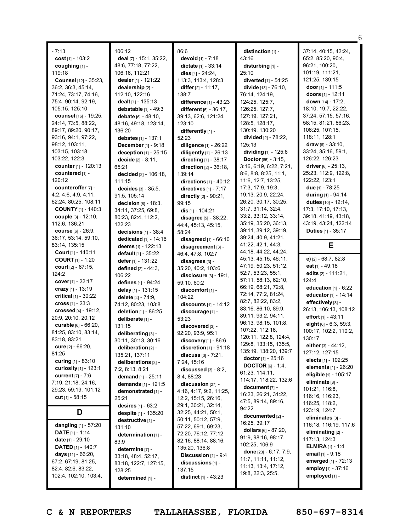|                                             |                                           |                                                |                                            | 6                                                |
|---------------------------------------------|-------------------------------------------|------------------------------------------------|--------------------------------------------|--------------------------------------------------|
| $-7:13$                                     | 106:12                                    | 86:6                                           | distinction [1] -                          | 37:14, 40:15, 42:24,                             |
| cost $[1]$ - 103:2                          | <b>deal</b> $[7]$ - 15:1, 35:22,          | devoid [1] - 7:18                              | 43:16                                      | 65:2, 85:20, 90:4,                               |
| coughing [1] -                              | 48:6, 77:18, 77:22,                       | <b>dictate</b> $[1] - 33:14$                   | disturbing [1] -                           | 96:21, 100:20,                                   |
| 119:18                                      | 106:16, 112:21                            | dies $[4] - 24:24$ ,                           | 25:10                                      | 101:19, 111:21,                                  |
| <b>Counsel</b> [12] - 35:23,                | dealer [1] - 121:22                       | 113:3, 113:4, 128:3                            | diverted [1] - 54:25                       | 121:25, 139:15                                   |
| 36:2, 36:3, 45:14,                          | dealership [2] -                          | differ $[2] - 11:17$ ,                         | divide [13] - 76:10,                       | door $[1]$ - 111:5                               |
| 71:24, 73:17, 74:16,                        | 112:10, 122:16                            | 138:7                                          | 76:14, 124:19,                             | doors $[1]$ - 12:11                              |
| 75:4, 90:14, 92:19,                         | dealt $[1]$ - 135:13                      | difference [1] - 43:23                         | 124:25, 125:7,                             | down [14] - 17:2,                                |
| 105:15, 125:10                              | debatable [1] - 49:3                      | different [5] - 36:17,                         | 126:25, 127:7,                             | 18:10, 19:7, 22:22,                              |
| counsel [16] - 19:25,                       | <b>debate</b> $[6] - 48:10$ ,             | 39:13, 62:6, 121:24,                           | 127:19, 127:21,                            | 37:24, 57:15, 57:16,                             |
| 24:14, 73:5, 88:22,                         | 48:16, 49:18, 123:14,                     | 123:10                                         | 128:5, 128:17,                             | 58:15, 81:21, 86:23,                             |
| 89:17, 89:20, 90:17,                        | 136:20                                    | differently [1] -                              | 130:19, 130:20                             | 106:25, 107:15,                                  |
| 93:16, 94:1, 97:22,                         | debates [1] - 137:1                       | 52:23                                          | <b>divided</b> [2] - 78:22,                | 118:11, 128:1                                    |
| 98:12, 103:11,                              | December [1] - 9:18                       | diligence [1] - 26:22                          | 125:13                                     | draw $[6] - 33:10$ ,                             |
| 103:15, 103:18,                             | deception [1] - 25:15                     | diligently [1] - 26:13                         | dividing [1] - 125:6                       | 33:24, 35:16, 59:1,                              |
| 103:22, 122:3                               | <b>decide</b> $[2] - 8:11$ ,              | directing [1] - 38:17                          | <b>Doctor</b> [85] - $3:15$ ,              | 126:22, 126:23                                   |
| counter [1] - 120:13                        | 65:21                                     | <b>direction</b> $[2] - 36:18$ ,               | 3:16, 6:19, 6:22, 7:21,                    | <b>driver</b> [6] - 25:13,                       |
| countered [1] -                             | decided [2] - 106:18,                     | 139:14                                         | 8:6, 8:8, 8:25, 11:1,                      | 25:23, 112:9, 122:8,                             |
| 120:12                                      | 111:15                                    | directions [1] - 40:12                         | 11:6, 12:7, 13:25,                         | 122:22, 123:1                                    |
| counteroffer [7] -                          | decides [3] - 35:5.                       | directives $[1]$ - $7:17$                      | 17:3, 17:9, 19:3,                          | due [1] - 78:25                                  |
| 4:2, 4:6, 4:9, 4:11,                        | 91:5, 105:14                              | directly [2] - 90:21,                          | 19:13, 20:9, 22:24,                        | <b>during</b> $[1]$ - 94:14                      |
| 62:24, 80:25, 108:11                        | <b>decision</b> $[8] - 18:3$              | 99:15                                          | 26:20, 30:17, 30:25,                       | duties [10] - 12:14,                             |
| <b>COUNTY [1] - 140:3</b>                   | 34:11, 37:25, 69:8,                       | dis $[1] - 104:21$                             | 31:7, 31:14, 32:4,                         | 17:3, 17:10, 17:13,                              |
| couple [3] - 12:10,                         | 80:23, 82:4, 112:2,                       | disagree [5] - 38:22,                          | 33:2, 33:12, 33:14,                        | 39:18, 41:19, 43:18,                             |
| 112:6, 136:21                               | 122:23                                    | 44:4, 45:13, 45:15,                            | 35:19, 35:20, 36:13,                       | 43:19, 43:24, 122:14                             |
| <b>course</b> $[6] - 26:9$ ,                | decisions $[1]$ - 38:4                    | 58:24                                          | 39:11, 39:12, 39:19,                       | <b>Duties</b> $[1] - 35:17$                      |
| 36:17, 53:14, 59:10,                        | <b>dedicated</b> $[1] - 14:16$            | disagreed $[1]$ - 66:10                        | 39:24, 40:9, 41:21,                        |                                                  |
| 83:14, 135:15                               | deems [1] - 122:13                        | disagreement [3] -                             | 41:22, 42:1, 44:3,                         | E                                                |
| Court [1] - 140:11                          | <b>default</b> $[1] - 35:22$              | 46:4, 47:8, 102:7                              | 44:18, 44:22, 44:24,                       |                                                  |
| <b>COURT</b> $[1] - 1:20$                   | defer $[1]$ - 131:22                      | disagrees [3] -                                | 45:13, 45:15, 46:11,                       | e) $[2] - 68:7, 82:8$                            |
| <b>court</b> $[2] - 67:15$ ,                | defined [2] - 44:3,                       | 35:20, 40:2, 103:6                             | 47:19, 50:23, 51:12,                       | eat [1] - 49:18                                  |
| 124:2                                       | 106:22                                    | disclosure $[3] - 19:1$ ,                      | 52:7, 53:23, 55:1,<br>57:11, 58:13, 62:10, | edits [2] - 111:21,                              |
| cover $[1]$ - 22:17                         | defines [1] - 94:24                       | 59:10, 60:2                                    | 66:19, 68:21, 72:8,                        | 124:4                                            |
| crazy $[1]$ - 13:19                         | delay [1] - 131:15                        | discomfort [1] -                               | 72:14, 77:2, 81:24,                        | education $[1]$ - $6:22$<br>educator [1] - 14:14 |
| <b>critical</b> $[1] - 30:22$               | delete [4] - 74:9.                        | 104:22                                         | 82:7, 82:22, 83:2,                         | effectively [3] -                                |
| cross $[1] - 23:3$                          | 74:12, 80:23, 103:8                       | discounts [1] - 14:12                          | 83:16, 86:10, 89:9,                        | 26:13, 106:13, 108:12                            |
| crossed [4] - 19:12,                        | deletion [1] - 86:25                      | discourage [1] -                               | 89:11, 93:2, 94:11,                        | effort [1] - 43:11                               |
| 20:9, 20:10, 20:12                          | deliberate [1] -                          | 53:23                                          | 96:13, 98:15, 101:8,                       | eight $[6]$ - 6:3, 59:3,                         |
| curable [6] - 66:20,                        | 131:15                                    | discovered [3] -                               | 107:22, 112:16,                            | 100:17, 102:2, 110:2,                            |
| 81:25, 83:10, 83:14,                        | deliberating [3] -                        | 92:20, 93:9, 95:1                              | 120:11, 122:8, 124:4,                      | 130:17                                           |
| 83:18, 83:21<br><b>cure</b> $[2] - 66:20$ , | 30:11, 30:13, 30:16                       | discovery $[1]$ - 86:6                         | 129:8, 133:15, 135:5,                      | either [3] - 44:12,                              |
| 81:25                                       | deliberation [2] -                        | discretion $[1]$ - $91:18$                     | 135:19, 138:20, 139:7                      | 127:12, 127:15                                   |
| curing [1] - 83:10                          | 135:21, 137:11                            | discuss $[3] - 7:21$ ,                         | <b>doctor</b> [1] - $25:16$                | elects [1] - 102:25                              |
| curiosity [1] - 123:1                       | deliberations [3] -                       | 7:24, 15:16                                    | <b>DOCTOR</b> [6] - 1:4,                   | elements [1] - 26:20                             |
| <b>current</b> $[7] - 7:6$ ,                | 7:2, 8:13, 8:21                           | discussed $[3] - 8:2$ ,                        | 61:23, 114:11,                             | eligible [1] - 105:17                            |
| 7:19, 21:18, 24:16,                         | demand [1] - 25:11                        | 8:4, 88:23                                     | 114:17, 118:22, 132:6                      | eliminate [8] -                                  |
| 29:23, 59:19, 101:12                        | demands [1] - 121:5<br>demonstrated [1] - | $discussion$ [27] -<br>4:16, 4:17, 9:2, 11:25, | document [7] -                             | 101:21, 116:8,                                   |
| cut $[1] - 58:15$                           | 25:21                                     | 12:2, 15:15, 26:16,                            | 16:23, 26:21, 31:22,                       | 116:16, 116:23,                                  |
|                                             | desires [1] - 63:2                        | 29:1, 30:21, 32:14,                            | 47:5, 89:14, 89:16,                        | 116:25, 118:2,                                   |
| D                                           | despite [1] - 135:20                      | 32:25, 44:21, 50:1,                            | 94:22                                      | 123:19, 124:7                                    |
|                                             |                                           | 50:11, 50:12, 57:9,                            | documented [2] -                           | eliminates [3] -                                 |
|                                             |                                           |                                                | 16:25, 39:17                               |                                                  |
| dangling $[1]$ - 57:20                      | destructive [1] -                         |                                                |                                            | 116:18, 116:19, 117:6                            |
| <b>DATE</b> $[1] - 1:14$                    | 131:10                                    | 57:22, 69:1, 69:23,                            | dollars $[6] - 87:20$ ,                    | eliminating [2] -                                |
| <b>date</b> $[1]$ - 29:10                   | determination [1] -                       | 72:20, 76:12, 77:12,<br>82:16, 88:14, 88:16,   | 91:9, 98:16, 98:17,                        | 117:13, 124:3                                    |
| <b>DATED</b> [1] - 140:7                    | 83:9                                      | 135:20, 136:8                                  | 102:25, 106:9                              | <b>ELMIRA</b> $[1] - 1:4$                        |
| <b>days</b> $[11] - 66:20$ ,                | determine [7] -                           | <b>Discussion</b> $[1] - 9:4$                  | done $[23] - 6:17, 7:9,$                   | email $[1]$ - 9:18                               |
| 67:2, 67:19, 81:25,                         | 33:18, 48:4, 52:17,                       | discussions $[1]$ -                            | 11:7, 11:11, 11:12,                        | emerged [1] - 72:13                              |
| 82:4, 82:6, 83:22,                          | 83:18, 122:7, 127:15,<br>128:25           | 137:15                                         | 11:13, 13:4, 17:12,                        | employ [1] - 37:16                               |
| 102:4, 102:10, 103:4,                       | determined [1] -                          | <b>distinct</b> $[1] - 43:23$                  | 19:8, 22:3, 25:5,                          | employed [1] -                                   |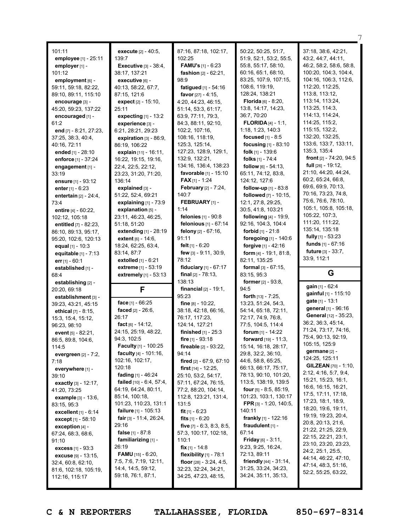| 101:11                                                                                                                                                                                                                                                                                                                                                                                                                                                                                                          |                                                                                                                                                                                                                                                                                                                                                                                                                                                                                                                                                                  |                                                                                                                                                                                                                                                                                                                                                                                                                                                                                                                                                                 |                                                                                                                                                                                                                                                                                                                                                                                                                                                                                                                                                                                                                    |                                                                                                                                                                                                                                                                                                                                                                                                                                                                                                                                                                                                               |
|-----------------------------------------------------------------------------------------------------------------------------------------------------------------------------------------------------------------------------------------------------------------------------------------------------------------------------------------------------------------------------------------------------------------------------------------------------------------------------------------------------------------|------------------------------------------------------------------------------------------------------------------------------------------------------------------------------------------------------------------------------------------------------------------------------------------------------------------------------------------------------------------------------------------------------------------------------------------------------------------------------------------------------------------------------------------------------------------|-----------------------------------------------------------------------------------------------------------------------------------------------------------------------------------------------------------------------------------------------------------------------------------------------------------------------------------------------------------------------------------------------------------------------------------------------------------------------------------------------------------------------------------------------------------------|--------------------------------------------------------------------------------------------------------------------------------------------------------------------------------------------------------------------------------------------------------------------------------------------------------------------------------------------------------------------------------------------------------------------------------------------------------------------------------------------------------------------------------------------------------------------------------------------------------------------|---------------------------------------------------------------------------------------------------------------------------------------------------------------------------------------------------------------------------------------------------------------------------------------------------------------------------------------------------------------------------------------------------------------------------------------------------------------------------------------------------------------------------------------------------------------------------------------------------------------|
| employee [1] - 25:11<br>employer [1] -<br>101:12<br>employment [6] -<br>59:11, 59:18, 82:22,<br>89:10, 89:11, 115:10<br>encourage [3] -<br>45:20, 59:23, 137:22<br>encouraged [1] -<br>61:2<br>end [7] - 8:21, 27:23,<br>37:25, 38:3, 40:4,<br>40:16, 72:11<br>ended [1] - 28:10<br>enforce [1] - 37:24<br>engagement [1] -<br>33:19<br>ensure [1] - 93:12<br>enter [1] - 6:23<br>entertain $[2] - 24:4$ ,<br>73:4<br>entire $[4] - 60:22$ ,<br>102:12, 105:18<br>entitled [7] - 82:23,<br>86:10, 89:13, 95:17, | execute [2] - 40:5,<br>139:7<br><b>Executive</b> [3] - 38:4,<br>38:17, 137:21<br>executive [6] -<br>40:13, 58:22, 67:7,<br>87:15, 121:6<br>expect $[2] - 15:10$ ,<br>25:11<br>expecting [1] - 13:2<br>experience [3] -<br>6:21, 28:21, 29:23<br>expiration $[3] - 86:9$ ,<br>86:19, 106:22<br>explain $[11] - 16:11$ ,<br>16:22, 19:15, 19:16,<br>22:4, 22:5, 22:12,<br>23:23, 31:20, 71:20,<br>136:14<br>explained [3] -<br>51:22, 52:4, 69:21<br>explaining [1] - 73:9<br>explanation [5] -<br>23:11, 46:23, 46:25,<br>51:18, 51:20<br>extending $[1]$ - 28:19 | 87:16, 87:18, 102:17,<br>102:25<br><b>FAMU's</b> $[1] - 6:23$<br>fashion [2] - 62:21,<br>98:9<br>fatigued [1] - 54:16<br>favor $[27] - 4:15$ ,<br>4:20, 44:23, 46:15,<br>51:14, 53:3, 61:17,<br>63:9, 77:11, 79:3,<br>84:3, 88:11, 92:10,<br>102:2, 107:16,<br>108:16, 118:19,<br>125:3, 125:14,<br>127:23, 128:9, 129:1,<br>132:9, 132:21,<br>134:16, 136:4, 138:23<br>favorable [1] - 15:10<br><b>FAX</b> [1] - 1:24<br><b>February</b> [2] - 7:24,<br>140:7<br>FEBRUARY [1] -<br>1:14<br>felonies [1] - 90:8<br>felonious [1] - 67:14<br>felony [2] - 67:16, | 50:22, 50:25, 51:7,<br>51:9, 52:1, 53:2, 55:5,<br>55:8, 55:17, 58:10,<br>60:16, 65:1, 68:10,<br>83:25, 107:9, 107:15,<br>108:6, 119:19,<br>128:24, 138:21<br>Florida [6] - 8:20,<br>13:8, 14:17, 14:23,<br>36:7, 70:20<br><b>FLORIDA</b> $[4] - 1:1$ ,<br>1:18, 1:23, 140:3<br>focused $[1] - 8:5$<br>focusing [1] - 83:10<br>folk [1] - 139:6<br>folks [1] - 74:4<br>follow $[6] - 54:13$ ,<br>65:11, 74:12, 83:8,<br>124:12, 127:6<br>follow-up [1] - 83:8<br>followed [7] - 10:15,<br>12:1, 27:8, 29:25,<br>30:5, 41:8, 103:21<br><b>following</b> $[4] - 19:9$ ,<br>92:16, 104:3, 104:4<br>forbid $[1] - 21:8$ | 37:18, 38:6, 42:21,<br>43:2, 44:7, 44:11,<br>46:2, 58:2, 58:6, 58:8,<br>100:20, 104:3, 104:4,<br>104:16, 106:3, 112:6,<br>112:20, 112:25,<br>113:8, 113:12,<br>113:14, 113:24,<br>113:25, 114:3,<br>114:13, 114:24,<br>114:25, 115:2,<br>115:15, 132:2,<br>132:20, 132:25,<br>133:6, 133:7, 133:11,<br>135:3, 135:4<br>front [2] - 74:20, 94:5<br><b>full</b> $[26] - 19:12$ ,<br>21:10, 44:20, 44:24,<br>60:2, 65:24, 66:8,<br>69:6, 69:9, 70:13,<br>70:16, 73:23, 74:8,<br>75:6, 76:6, 78:10,<br>105:1, 105:8, 105:18,<br>105:22, 107:3,<br>111:20, 111:22,<br>135:14, 135:18<br><b>fully</b> $[1]$ - 53:23 |
| 95:20, 102:6, 120:13                                                                                                                                                                                                                                                                                                                                                                                                                                                                                            | <b>extent</b> $[6] - 14:6$ ,                                                                                                                                                                                                                                                                                                                                                                                                                                                                                                                                     | 91:11                                                                                                                                                                                                                                                                                                                                                                                                                                                                                                                                                           | foregoing [1] - 140:6                                                                                                                                                                                                                                                                                                                                                                                                                                                                                                                                                                                              | <b>funds</b> $[1] - 67:16$                                                                                                                                                                                                                                                                                                                                                                                                                                                                                                                                                                                    |
| equal [1] - 10:3<br>equitable [1] - 7:13<br>err $[1] - 60:1$                                                                                                                                                                                                                                                                                                                                                                                                                                                    | 18:24, 62:25, 63:4,<br>83:14, 87:7<br><b>extolled</b> $[1] - 6:21$                                                                                                                                                                                                                                                                                                                                                                                                                                                                                               | felt $[1] - 6:20$<br>few [3] - 9:11, 30:9,<br>78:12                                                                                                                                                                                                                                                                                                                                                                                                                                                                                                             | forgive [1] - 42:16<br>form $[4]$ - 19:1, 81:8,<br>82:11, 135:25                                                                                                                                                                                                                                                                                                                                                                                                                                                                                                                                                   | <b>future</b> $[3] - 33:7$ ,<br>33:9, 112:1                                                                                                                                                                                                                                                                                                                                                                                                                                                                                                                                                                   |
| established [1] -<br>68:4                                                                                                                                                                                                                                                                                                                                                                                                                                                                                       | extreme [1] - 53:19<br>extremely [1] - 53:13                                                                                                                                                                                                                                                                                                                                                                                                                                                                                                                     | fiduciary [1] - 67:17<br>final $[2] - 78:13$ ,                                                                                                                                                                                                                                                                                                                                                                                                                                                                                                                  | <b>formal</b> $[3] - 67:15$ ,                                                                                                                                                                                                                                                                                                                                                                                                                                                                                                                                                                                      |                                                                                                                                                                                                                                                                                                                                                                                                                                                                                                                                                                                                               |
|                                                                                                                                                                                                                                                                                                                                                                                                                                                                                                                 |                                                                                                                                                                                                                                                                                                                                                                                                                                                                                                                                                                  |                                                                                                                                                                                                                                                                                                                                                                                                                                                                                                                                                                 |                                                                                                                                                                                                                                                                                                                                                                                                                                                                                                                                                                                                                    |                                                                                                                                                                                                                                                                                                                                                                                                                                                                                                                                                                                                               |
| establishing [2] -                                                                                                                                                                                                                                                                                                                                                                                                                                                                                              |                                                                                                                                                                                                                                                                                                                                                                                                                                                                                                                                                                  | 138:13                                                                                                                                                                                                                                                                                                                                                                                                                                                                                                                                                          | 83:15, 95:3<br><b>former</b> $[2] - 93:8$ ,                                                                                                                                                                                                                                                                                                                                                                                                                                                                                                                                                                        | G                                                                                                                                                                                                                                                                                                                                                                                                                                                                                                                                                                                                             |
| 20:20, 69:18                                                                                                                                                                                                                                                                                                                                                                                                                                                                                                    | F                                                                                                                                                                                                                                                                                                                                                                                                                                                                                                                                                                | <b>financial</b> $[2] - 19:1$ ,                                                                                                                                                                                                                                                                                                                                                                                                                                                                                                                                 | 94:5                                                                                                                                                                                                                                                                                                                                                                                                                                                                                                                                                                                                               | gain [1] - 62:4                                                                                                                                                                                                                                                                                                                                                                                                                                                                                                                                                                                               |
| establishment [3] -                                                                                                                                                                                                                                                                                                                                                                                                                                                                                             |                                                                                                                                                                                                                                                                                                                                                                                                                                                                                                                                                                  | 95:23                                                                                                                                                                                                                                                                                                                                                                                                                                                                                                                                                           | <b>forth</b> $[13] - 7:25$ ,                                                                                                                                                                                                                                                                                                                                                                                                                                                                                                                                                                                       | gainful [1] - 115:10<br>gate [1] - 13:1                                                                                                                                                                                                                                                                                                                                                                                                                                                                                                                                                                       |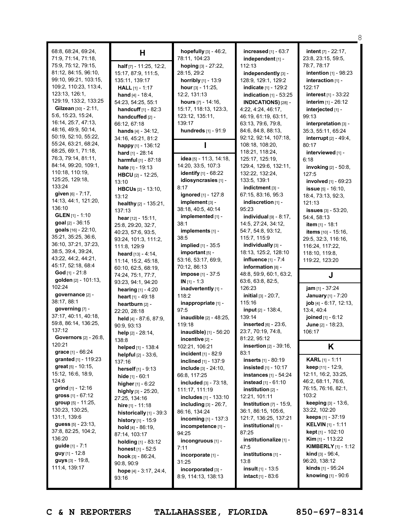|                                |                                        |                               |                                  | 8                                           |
|--------------------------------|----------------------------------------|-------------------------------|----------------------------------|---------------------------------------------|
| 68:8, 68:24, 69:24,            | Н                                      | hopefully [3] - 46:2,         | increased [1] - 63:7             | <b>intent</b> [7] - 22:17,                  |
| 71:9, 71:14, 71:18,            |                                        | 78:11, 104:23                 | independent [1] -                | 23:8, 23:15, 59:5,                          |
| 75:9, 75:12, 79:15,            | half [7] - 11:25, 12:2,                | hoping [3] - 27:22,           | 112:13                           | 78:7, 78:17                                 |
| 81:12, 84:15, 96:10,           | 15:17, 87:9, 111:5,                    | 28:15, 29:2                   | independently [3] -              | intention [1] - 98:23                       |
| 99:10, 99:21, 103:15,          | 135:11, 139:17                         | horribly [1] - 13:9           | 128:9, 129:1, 129:2              | interaction [1] -                           |
| 109:2, 110:23, 113:4,          | <b>HALL</b> $[1] - 1:17$               | hour $[3] - 11:25$ ,          | <b>indicate</b> [1] - 129:2      | 122:17                                      |
| 123:13, 126:1,                 |                                        | 12:2, 131:13                  |                                  |                                             |
| 129:19, 133:2, 133:25          | <b>hand</b> $[4] - 18:4$ ,             | hours [7] - 14:16,            | indication $[1]$ - 53:25         | interest [1] - 33:22<br>interim [1] - 26:12 |
| <b>Gilzean</b> $[30] - 2:11$ , | 54:23, 54:25, 55:1                     |                               | <b>INDICATIONS)</b> [28] -       |                                             |
| 5:6, 15:23, 15:24,             | <b>handcuff</b> $[1] - 82:3$           | 15:17, 118:13, 123:3,         | 4:22, 4:24, 46:17,               | interjected [1] -                           |
| 16:14, 25:7, 47:13,            | handcuffed [2] -                       | 123:12, 135:11,               | 46:19, 61:19, 63:11,             | 99:13                                       |
| 48:16, 49:9, 50:14,            | 66:12, 67:18                           | 139:17                        | 63:13, 79:6, 79:8,               | interpretation [3] -                        |
| 50:19, 52:10, 55:22,           | <b>hands</b> $[4] - 34:12$ ,           | hundreds [1] - 91:9           | 84:6, 84:8, 88:13,               | 35:3, 55:11, 65:24                          |
|                                | 34:16, 45:21, 81:2                     |                               | 92:12, 92:14, 107:18,            | <b>interrupt</b> $[2] - 49:4$ ,             |
| 55:24, 63:21, 68:24,           | happy [1] - 136:12                     |                               | 108:18, 108:20,                  | 80:17                                       |
| 68:25, 69:1, 71:18,            | hard $[1] - 28:14$                     |                               | 118:21, 118:24,                  | interviewed [1] -                           |
| 76:3, 79:14, 81:11,            | harmful [1] - 87:18                    | idea [5] - 11:3, 14:18,       | 125:17, 125:19,                  | 6:18                                        |
| 84:14, 99:20, 109:1,           | <b>hate</b> $[1] - 19:13$              | 14:20, 33:5, 107:3            | 129:4, 129:6, 132:11,            | invoking [2] - 50:8,                        |
| 110:18, 110:19,                | HBCU [2] - 12:25,                      | identify [1] - 68:22          | 132:22, 132:24,                  | 127:5                                       |
| 125:25, 129:18,                | 13:10                                  | idiosyncrasies [1] -          | 133:5, 139:1                     | involved [1] - 69:23                        |
| 133:24                         | <b>HBCUs</b> [2] - 13:10,              | 8:17                          | indictment [3] -                 | issue [5] - 16:10,                          |
| given [6] - 7:17,              | 13:12                                  | ignored [1] - 127:8           | 67:15, 83:16, 95:3               | 18:4, 73:13, 92:3,                          |
| 14:13, 44:1, 121:20,           | healthy [2] - 135:21,                  | implement [3] -               | indiscretion [1] -               | 121:13                                      |
| 136:10                         | 137:13                                 | 38:18, 40:5, 40:14            | 95:23                            | <b>issues</b> $[3] - 53:20$ ,               |
| <b>GLEN</b> [1] - 1:10         | hear $[12] - 15:11$ ,                  | implemented [1] -             | individual $[9] - 8:17$ ,        | 54:4, 58:13                                 |
| goal [2] - 36:15               | 25:8, 29:20, 32:7,                     | 38:1                          | 14:5, 27:24, 34:12,              | item $[1] - 18:1$                           |
| goals [16] - 22:10,            | 40:23, 57:6, 93:5,                     | implements [1] -              | 54:7, 54:8, 93:12,               | items [10] - 15:16,                         |
| 35:21, 35:25, 36:6,            | 93:24, 101:3, 111:2,                   | 38:5                          | 115:7, 115:9                     | 29:5, 32:3, 116:16,                         |
| 36:10, 37:21, 37:23,           | 111:8, 129:9                           | <b>implied</b> $[1]$ - $35:5$ | individually [3] -               | 116:24, 117:22,                             |
| 38:5, 39:4, 39:24,             | <b>heard</b> $[13] - 4:14$ ,           | important [5] -               | 18:13, 125:2, 128:10             | 118:10, 119:8,                              |
| 43:22, 44:2, 44:21,            | 11:14, 15:2, 45:18,                    | 53:16, 53:17, 69:9,           | influence $[1] - 7:4$            | 119:22, 123:20                              |
| 45:17, 52:18, 68:4             | 60:10, 62:5, 68:19,                    | 70:12, 86:13                  | information [8] -                |                                             |
| <b>God</b> [1] - 21:8          | 74:24, 75:1, 77:7,                     | <b>impose</b> $[1] - 37:5$    | 48:8, 59:9, 60:1, 63:2,          | J                                           |
| golden [2] - 101:13,           | 93:23, 94:1, 94:20                     | $IN [1] - 1:3$                | 63:6, 63:8, 82:5,                |                                             |
| 102:24                         | hearing [1] - 4:20                     | inadvertently [1] -           | 126:23                           | jam [1] - 37:24                             |
| governance [2] -               | heart $[1] - 49:18$                    | 118:2                         | <b>initial</b> $[3] - 20:7$ ,    | January [1] - 7:20                          |
| 38:17, 88:1                    | heartburn [2] -                        | inappropriate [1] -           | 115:16                           | job [4] - 6:17, 12:13,                      |
| governing [7] -                | 22:20, 28:18                           | 97:5                          | input [2] - 138:4,               | 13:4, 40:4                                  |
| 37:17, 40:11, 40:18,           | held [4] - 87:6, 87:9,                 | inaudible [2] - 48:25,        | 139:14                           | joined [1] - 6:12                           |
| 59:8, 86:14, 136:25,           | 90:9, 93:13                            | 119:18                        | <b>inserted</b> $[6] - 23:6$ ,   | June [2] - 18:23,                           |
| 137:12                         | help [2] - 28:14,                      | inaudible) [1] - 56:20        | 23:7, 70:19, 74:8,               | 106:17                                      |
| <b>Governors</b> [2] - 26:8,   | 138:8                                  | incentive [2] -               | 81:22, 95:12                     |                                             |
| 120:21                         | helped [1] - 138:4                     | 102:21, 106:21                | insertion [2] - 39:16,           | Κ                                           |
| grace [1] - 66:24              | <b>helpful</b> $[2] - 33:6$ ,          | <b>incident</b> $[1] - 82:9$  | 83:1                             |                                             |
| granted [1] - 119:23           | 137:16                                 | <b>inclined</b> $[1]$ - 137:9 | <b>inserts</b> $[1]$ - 80:19     | <b>KARL</b> [1] - 1:11                      |
| great $[5] - 10:15$ ,          | <b>herself</b> $[1] - 9:13$            | include [3] - 24:10,          | <b>insisted</b> $[1]$ - 10:17    | <b>keep</b> $[11] - 12:9$ ,                 |
| 15:12, 16:6, 18:9,             | <b>hide</b> $[1] - 60:1$               | 66:8, 117:25                  | <b>instances</b> $[1] - 54:24$   | 12:11, 16:2, 33:25,                         |
| 124:6                          | <b>higher</b> $[1]$ - $6:22$           | included [3] - 73:18,         | instead [1] - 61:10              | 46:2, 68:11, 76:6,                          |
| <b>grind</b> $[1]$ - 12:16     |                                        | 111:17, 111:19                | $institution$ [2] -              | 76:15, 76:16, 82:1,                         |
| gross $[1] - 67:12$            | highly $[3]$ - 25:20,<br>27:25, 134:16 | includes [1] - 133:10         | 12:21, 101:11                    | 103:2                                       |
| group $[5] - 11:25$ ,          |                                        | including $[3]$ - 26:7,       | <b>Institution</b> $[7]$ - 15:9, | keeping [3] - 13:6,                         |
| 130:23, 130:25,                | hire $[1] - 11:18$                     | 86:16, 134:24                 | 36:1, 86:15, 105:6,              | 33:22, 102:20                               |
| 131:1, 139:6                   | historically [1] - 39:3                | <b>incoming</b> $[1] - 137:3$ | 121:7, 136:25, 137:21            | keeps [1] - 37:19                           |
| <b>guess</b> $[5] - 23:13$ ,   | history [1] - 15:9                     |                               | institutional [1] -              | <b>KELVIN</b> [1] - 1:11                    |
| 37:8, 82:25, 104:2,            | <b>hold</b> $[4] - 86:19$ ,            | incompetence [1] -<br>94:25   | 87:25                            | <b>kept</b> [1] - 102:10                    |
| 136:20                         | 87:14, 103:17                          |                               | institutionalize [1] -           | <b>Kim</b> [1] - 113:22                     |
| guide [1] - 7:1                | <b>holding</b> $[1] - 83:12$           | incongruous [1] -<br>7:11     | 47:5                             | <b>KIMBERLY</b> $[1]$ - 1:12                |
| <b>guy</b> $[1]$ - 12:8        | <b>honest</b> $[1] - 52:5$             |                               | institutions $[1]$ -             | <b>kind</b> $[3] - 96:4$ ,                  |
| $guys$ [3] - 19:8,             | <b>hook</b> $[3] - 86:24$ ,            | incorporate [1] -             | 13:8                             | 96:20, 138:12                               |
| 111:4, 139:17                  | 90:8, 90:9                             | 31:25                         | <b>insult</b> $[1]$ - 13:5       | <b>kinds</b> $[1]$ - 95:24                  |
|                                | hope $[4] - 3:17, 24:4,$               | incorporated [3] -            |                                  | <b>knowing</b> $[1]$ - 90:6                 |
|                                | 93:16                                  | 8:9, 114:13, 138:13           | <b>intact</b> $[1] - 83.6$       |                                             |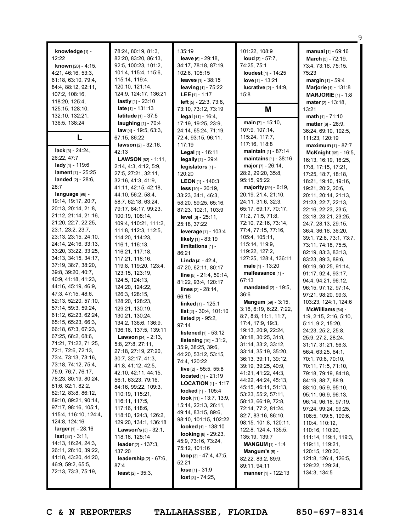| knowledge [1] -<br>12:22<br><b>known</b> $[20] - 4:15$ ,<br>4:21, 46:16, 53:3,<br>61:18, 63:10, 79:4,<br>84:4, 88:12, 92:11,<br>107:2, 108:16,<br>118:20, 125:4,<br>125:15, 128:10,<br>132:10, 132:21,<br>136:5, 138:24<br>L | 78:24, 80:19, 81:3,<br>82:20, 83:20, 86:13,<br>92:5, 100:23, 101:2,<br>101:4, 115:4, 115:6,<br>115:14, 119:4,<br>120:10, 121:14,<br>124:9, 124:17, 136:21<br><b>lastly</b> $[1]$ - 23:10<br><b>late</b> $[1] - 131:13$<br><b>latitude</b> $[1] - 37:5$<br>laughing [1] - 70:4<br>law [4] - 19:5, 63:3,<br>67:15, 86:22 | 135:19<br>leave [6] - 29:18,<br>34:17, 78:18, 87:19,<br>102:6, 105:15<br>leaves [1] - 38:15<br>leaving [1] - 75:22<br>LEE $[1] - 1:17$<br><b>left</b> $[5]$ - 22:3, 73:8,<br>73:10, 73:12, 73:19<br>legal [11] - 16:4,<br>17:19, 19:25, 23:9,<br>24:14, 65:24, 71:19,<br>72:4, 93:15, 96:11, | 101:22, 108:9<br>loud $[3] - 57:7$ ,<br>74:25, 75:1<br>loudest [1] - 14:25<br>love [1] - 13:21<br><b>lucrative</b> [2] - 14:9,<br>15:8<br>Μ<br>main [7] - 15:10,<br>107:9, 107:14,<br>115:24, 117:7, | manual [1] - 69:16<br><b>March</b> [5] - 72:19,<br>73:4, 73:16, 75:15,<br>75:23<br>margin [1] - 59:4<br>Marjorie [1] - 131:8<br><b>MARJORIE</b> $[1] - 1:8$<br><b>mater</b> [2] - 13:18,<br>13:21<br><b>math</b> $[1]$ - 71:10<br><b>matter</b> $[6] - 26:9$ ,<br>36:24, 69:10, 102:5,<br>111:23, 120:19 |
|------------------------------------------------------------------------------------------------------------------------------------------------------------------------------------------------------------------------------|------------------------------------------------------------------------------------------------------------------------------------------------------------------------------------------------------------------------------------------------------------------------------------------------------------------------|----------------------------------------------------------------------------------------------------------------------------------------------------------------------------------------------------------------------------------------------------------------------------------------------|------------------------------------------------------------------------------------------------------------------------------------------------------------------------------------------------------|----------------------------------------------------------------------------------------------------------------------------------------------------------------------------------------------------------------------------------------------------------------------------------------------------------|
|                                                                                                                                                                                                                              | lawson $[2] - 32:16$ ,                                                                                                                                                                                                                                                                                                 | 117:19                                                                                                                                                                                                                                                                                       | 117:16, 118:8                                                                                                                                                                                        | maximum [1] - 87:7                                                                                                                                                                                                                                                                                       |
| <b>lack</b> [3] $- 24:24,$                                                                                                                                                                                                   | 42:13                                                                                                                                                                                                                                                                                                                  | <b>Legal</b> [1] - $16:11$                                                                                                                                                                                                                                                                   | <b>maintain</b> [1] - 87:14                                                                                                                                                                          | McKnight [65] - 16:5,                                                                                                                                                                                                                                                                                    |
| 26:22, 47:7                                                                                                                                                                                                                  | <b>LAWSON</b> $[62] - 1:11$ ,                                                                                                                                                                                                                                                                                          | legally [1] - 29:4                                                                                                                                                                                                                                                                           | maintains [1] - 38:16                                                                                                                                                                                | 16:13, 16:19, 16:25,                                                                                                                                                                                                                                                                                     |
| <b>lady</b> [1] - 119:6<br><b>lament</b> $[1] - 25:25$                                                                                                                                                                       | 2:14, 4:3, 4:12, 5:9,                                                                                                                                                                                                                                                                                                  | legislators [1] -                                                                                                                                                                                                                                                                            | <b>major</b> [7] - $26:14$ ,                                                                                                                                                                         | 17:8, 17:15, 17:21,                                                                                                                                                                                                                                                                                      |
| <b>landed</b> $[2] - 28:6$ ,                                                                                                                                                                                                 | 27:5, 27:21, 32:11,<br>32:16, 41:3, 41:9,                                                                                                                                                                                                                                                                              | 120:20                                                                                                                                                                                                                                                                                       | 28:2, 29:20, 35:8,<br>95:15, 95:22                                                                                                                                                                   | 17:25, 18:7, 18:18,                                                                                                                                                                                                                                                                                      |
| 28:7                                                                                                                                                                                                                         | 41:11, 42:15, 42:18,                                                                                                                                                                                                                                                                                                   | <b>LEON</b> $[1]$ - 140:3<br>$less$ [10] - 26:19,                                                                                                                                                                                                                                            | majority [29] - 6:19,                                                                                                                                                                                | 18:21, 19:10, 19:16,<br>19:21, 20:2, 20:6,                                                                                                                                                                                                                                                               |
| language [98] -                                                                                                                                                                                                              | 44:10, 56:2, 58:4,                                                                                                                                                                                                                                                                                                     | 33:23, 34:1, 46:3,                                                                                                                                                                                                                                                                           | 20:19, 21:4, 21:10,                                                                                                                                                                                  | 20:11, 20:14, 21:13,                                                                                                                                                                                                                                                                                     |
| 19:14, 19:17, 20:7,                                                                                                                                                                                                          | 58:7, 62:18, 63:24,                                                                                                                                                                                                                                                                                                    | 58:20, 59:25, 65:16,                                                                                                                                                                                                                                                                         | 24:11, 31:6, 32:3,                                                                                                                                                                                   | 21:23, 22:7, 22:13,                                                                                                                                                                                                                                                                                      |
| 20:13, 20:14, 21:8,                                                                                                                                                                                                          | 79:17, 84:17, 99:23,                                                                                                                                                                                                                                                                                                   | 87:23, 102:1, 103:9                                                                                                                                                                                                                                                                          | 65:17, 69:17, 70:17,                                                                                                                                                                                 | 22:16, 22:23, 23:5,                                                                                                                                                                                                                                                                                      |
| 21:12, 21:14, 21:16,                                                                                                                                                                                                         | 100:19, 108:14,                                                                                                                                                                                                                                                                                                        | level [3] - 25:11,                                                                                                                                                                                                                                                                           | 71:2, 71:5, 71:8,                                                                                                                                                                                    | 23:18, 23:21, 23:25,                                                                                                                                                                                                                                                                                     |
| 21:20, 22:7, 22:25,                                                                                                                                                                                                          | 109:4, 110:21, 111:2,                                                                                                                                                                                                                                                                                                  | 25:18, 37:22                                                                                                                                                                                                                                                                                 | 72:10, 72:16, 73:14,                                                                                                                                                                                 | 24:7, 28:13, 29:15,                                                                                                                                                                                                                                                                                      |
| 23:1, 23:2, 23:7,                                                                                                                                                                                                            | 111:8, 112:3, 112:5,                                                                                                                                                                                                                                                                                                   | leverage [1] - 103:4                                                                                                                                                                                                                                                                         | 77:4, 77:15, 77:16,                                                                                                                                                                                  | 36:4, 36:16, 36:20,                                                                                                                                                                                                                                                                                      |
| 23:13, 23:15, 24:10,                                                                                                                                                                                                         | 114:20, 114:23,                                                                                                                                                                                                                                                                                                        | likely [1] - 83:19                                                                                                                                                                                                                                                                           | 105:4, 105:11,                                                                                                                                                                                       | 39:1, 72:6, 73:1, 73:7,                                                                                                                                                                                                                                                                                  |
| 24:14, 24:16, 33:13,                                                                                                                                                                                                         | 116:1, 116:13,                                                                                                                                                                                                                                                                                                         | limitations [1] -                                                                                                                                                                                                                                                                            | 115:14, 119:9,                                                                                                                                                                                       | 73:11, 74:18, 75:5,                                                                                                                                                                                                                                                                                      |
| 33:20, 33:22, 33:25,<br>34:13, 34:15, 34:17,                                                                                                                                                                                 | 116:21, 117:18,                                                                                                                                                                                                                                                                                                        | 86:21                                                                                                                                                                                                                                                                                        | 119:22, 127:2,                                                                                                                                                                                       | 82:19, 83:3, 83:13,                                                                                                                                                                                                                                                                                      |
| 37:19, 38:7, 38:20,                                                                                                                                                                                                          | 117:21, 118:16,<br>119:8, 119:20, 123:4,                                                                                                                                                                                                                                                                               | <b>Linda</b> $[4] - 42:4$ ,                                                                                                                                                                                                                                                                  | 127:25, 128:4, 136:11<br>male $[1]$ - 13:20                                                                                                                                                          | 83:23, 89:3, 89:6,                                                                                                                                                                                                                                                                                       |
| 39:8, 39:20, 40:7,                                                                                                                                                                                                           | 123:15, 123:19,                                                                                                                                                                                                                                                                                                        | 47:20, 62:11, 80:17                                                                                                                                                                                                                                                                          | malfeasance [1] -                                                                                                                                                                                    | 90:19, 90:25, 91:14,<br>91:17, 92:4, 93:17,                                                                                                                                                                                                                                                              |
| 40:9, 41:18, 41:23,                                                                                                                                                                                                          | 124:5, 124:13,                                                                                                                                                                                                                                                                                                         | line [5] - 21:4, 50:14,                                                                                                                                                                                                                                                                      | 67:13                                                                                                                                                                                                | 94:4, 94:21, 96:12,                                                                                                                                                                                                                                                                                      |
| 44:16, 45:19, 46:9,                                                                                                                                                                                                          | 124:20, 124:22,                                                                                                                                                                                                                                                                                                        | 81:22, 93:4, 120:17<br>lines [2] - 28:14,                                                                                                                                                                                                                                                    | mandated [2] - 19:5,                                                                                                                                                                                 | 96:15, 97:12, 97:14,                                                                                                                                                                                                                                                                                     |
| 47:3, 47:15, 48:6,                                                                                                                                                                                                           | 126:3, 128:15,                                                                                                                                                                                                                                                                                                         | 66:16                                                                                                                                                                                                                                                                                        | 36:6                                                                                                                                                                                                 | 97:21, 98:20, 99:3,                                                                                                                                                                                                                                                                                      |
| 52:13, 52:20, 57:10,                                                                                                                                                                                                         | 128:20, 128:23,                                                                                                                                                                                                                                                                                                        | linked [1] - 125:1                                                                                                                                                                                                                                                                           | <b>Mangum</b> $[59] - 3:15$ ,                                                                                                                                                                        | 103:23, 124:1, 124:6                                                                                                                                                                                                                                                                                     |
| 57:14, 59:3, 59:24,                                                                                                                                                                                                          | 129:21, 130:19,                                                                                                                                                                                                                                                                                                        | $list [2] - 30:4, 101:10$                                                                                                                                                                                                                                                                    | 3:16, 6:19, 6:22, 7:22,                                                                                                                                                                              | McWilliams [64] -                                                                                                                                                                                                                                                                                        |
| 61:12, 62:23, 62:24,                                                                                                                                                                                                         | 130:21, 130:24,                                                                                                                                                                                                                                                                                                        | <b>listed</b> $[2] - 95:2$ ,                                                                                                                                                                                                                                                                 | 8:7, 8:8, 11:1, 11:7,                                                                                                                                                                                | 1:9, 2:15, 2:16, 5:10,                                                                                                                                                                                                                                                                                   |
| 65:15, 65:23, 66:3,                                                                                                                                                                                                          | 134:2, 136:6, 136:9,                                                                                                                                                                                                                                                                                                   | 97:14                                                                                                                                                                                                                                                                                        | 17:4, 17:9, 19:3,                                                                                                                                                                                    | 5:11, 9:2, 15:20,                                                                                                                                                                                                                                                                                        |
| 66:18, 67:3, 67:23,                                                                                                                                                                                                          | 136:16, 137:5, 139:11                                                                                                                                                                                                                                                                                                  | listened [1] - 53:12                                                                                                                                                                                                                                                                         | 19:13, 20:9, 22:24,                                                                                                                                                                                  | 24:23, 25:2, 25:8,                                                                                                                                                                                                                                                                                       |
| 67:25, 68:2, 68:6,<br>71:21, 71:22, 71:25.                                                                                                                                                                                   | <b>Lawson</b> $[34] - 2:13$ ,                                                                                                                                                                                                                                                                                          | listening [10] - 31:2,                                                                                                                                                                                                                                                                       | 30:18, 30:25, 31:8,                                                                                                                                                                                  | 25:9, 27:2, 28:24,                                                                                                                                                                                                                                                                                       |
| 72:1, 72:6, 72:13,                                                                                                                                                                                                           | 5:8, 27:8, 27:11,                                                                                                                                                                                                                                                                                                      | 35:9, 38:25, 39:6,                                                                                                                                                                                                                                                                           | 31:14, 33:2, 33:12,                                                                                                                                                                                  | 31:17, 31:21, 56:3,                                                                                                                                                                                                                                                                                      |
| 73:4, 73:13, 73:16,                                                                                                                                                                                                          | 27:18, 27:19, 27:20,<br>30:7, 32:17, 41:3,                                                                                                                                                                                                                                                                             | 44:20, 53:12, 53:15,                                                                                                                                                                                                                                                                         | 33:14, 35:19, 35:20,                                                                                                                                                                                 | 56:4, 63:25, 64:1,                                                                                                                                                                                                                                                                                       |
| 73:18, 74:12, 75:4,                                                                                                                                                                                                          | 41:8, 41:12, 42:5,                                                                                                                                                                                                                                                                                                     | 74:4, 120:22                                                                                                                                                                                                                                                                                 | 36:13, 39:11, 39:12,<br>39:19, 39:25, 40:9,                                                                                                                                                          | 70:1, 70:6, 70:10,<br>70:11, 71:5, 71:10,                                                                                                                                                                                                                                                                |
| 75:9, 76:7, 76:17,                                                                                                                                                                                                           | 42:10, 42:11, 44:15,                                                                                                                                                                                                                                                                                                   | <b>live</b> $[2] - 55:5, 55:8$                                                                                                                                                                                                                                                               | 41:21, 41:22, 44:3,                                                                                                                                                                                  | 79:18, 79:19, 84:18,                                                                                                                                                                                                                                                                                     |
| 78:23, 80:19, 80:24,                                                                                                                                                                                                         | 56:1, 63:23, 79:16,                                                                                                                                                                                                                                                                                                    | <b>located</b> $[1] - 21:19$                                                                                                                                                                                                                                                                 | 44:22, 44:24, 45:13,                                                                                                                                                                                 | 84:19, 88:7, 88:9,                                                                                                                                                                                                                                                                                       |
| 81:6, 82:1, 82:2,                                                                                                                                                                                                            | 84:16, 99:22, 109:3,                                                                                                                                                                                                                                                                                                   | <b>LOCATION</b> $[1]$ - 1:17                                                                                                                                                                                                                                                                 | 45:15, 46:11, 51:13,                                                                                                                                                                                 | 88:10, 95:9, 95:10,                                                                                                                                                                                                                                                                                      |
| 82:12, 83:8, 86:12,                                                                                                                                                                                                          | 110:19, 115:21,                                                                                                                                                                                                                                                                                                        | <b>locked</b> [1] - 105:4                                                                                                                                                                                                                                                                    | 53:23, 55:2, 57:11,                                                                                                                                                                                  | 95:11, 96:9, 96:13,                                                                                                                                                                                                                                                                                      |
| 89:10, 89:21, 90:14,                                                                                                                                                                                                         | 116:11, 117:5,                                                                                                                                                                                                                                                                                                         | <b>look</b> $[11] - 13:7, 13:9,$                                                                                                                                                                                                                                                             | 58:13, 66:19, 72:8,                                                                                                                                                                                  | 96:14, 96:18, 97:19,                                                                                                                                                                                                                                                                                     |
| 97:17, 98:16, 105:1,                                                                                                                                                                                                         | 117:16, 118:6,                                                                                                                                                                                                                                                                                                         | 15:14, 22:13, 26:11,<br>49:14, 83:15, 89:6,                                                                                                                                                                                                                                                  | 72:14, 77:2, 81:24,                                                                                                                                                                                  | 97:24, 99:24, 99:25,                                                                                                                                                                                                                                                                                     |
| 115:4, 116:10, 124:4,                                                                                                                                                                                                        | 118:10, 124:3, 126:2,                                                                                                                                                                                                                                                                                                  | 98:10, 101:15, 102:22                                                                                                                                                                                                                                                                        | 82:7, 83:16, 86:10,                                                                                                                                                                                  | 106:5, 109:5, 109:6,                                                                                                                                                                                                                                                                                     |
| 124:8, 124:16                                                                                                                                                                                                                | 129:20, 134:1, 136:18                                                                                                                                                                                                                                                                                                  | looked [1] - 138:10                                                                                                                                                                                                                                                                          | 98:15, 101:8, 120:11,                                                                                                                                                                                | 110:4, 110:12,                                                                                                                                                                                                                                                                                           |
| <b>larger</b> [1] - 28:16                                                                                                                                                                                                    | <b>Lawson's</b> $[3] - 32:1$ ,                                                                                                                                                                                                                                                                                         | <b>looking</b> $[6]$ - 29:23,                                                                                                                                                                                                                                                                | 122:8, 124:4, 135:5,                                                                                                                                                                                 | 110:16, 110:20,                                                                                                                                                                                                                                                                                          |
| <b>last</b> [37] - $3:11$ ,                                                                                                                                                                                                  | 118:18, 125:14                                                                                                                                                                                                                                                                                                         | 45:9, 73:16, 73:24,                                                                                                                                                                                                                                                                          | 135:19, 139:7                                                                                                                                                                                        | 111:14, 119:1, 119:3,                                                                                                                                                                                                                                                                                    |
| 14:13, 16:24, 24:3,<br>26:11, 28:10, 39:22,                                                                                                                                                                                  | leader $[2] - 137:3$ ,                                                                                                                                                                                                                                                                                                 | 75:12, 101:16                                                                                                                                                                                                                                                                                | <b>MANGUM</b> $[1]$ - 1:4                                                                                                                                                                            | 119:11, 119:21,                                                                                                                                                                                                                                                                                          |
| 41:18, 43:20, 44:20,                                                                                                                                                                                                         | 137:20                                                                                                                                                                                                                                                                                                                 | loop $[3] - 47:4, 47:5,$                                                                                                                                                                                                                                                                     | <b>Mangum's</b> $[5]$ -                                                                                                                                                                              | 120:15, 120:20,                                                                                                                                                                                                                                                                                          |
| 46:9, 59:2, 65:5,                                                                                                                                                                                                            | leadership $[2] - 67:6$ ,<br>87:4                                                                                                                                                                                                                                                                                      | 52:21                                                                                                                                                                                                                                                                                        | 82:22, 83:2, 89:9,<br>89:11, 94:11                                                                                                                                                                   | 121:8, 126:4, 126:5,<br>129:22, 129:24,                                                                                                                                                                                                                                                                  |
| 72:13, 73:3, 75:19,                                                                                                                                                                                                          | <b>least</b> $[2] - 35:3$ ,                                                                                                                                                                                                                                                                                            | <b>lose</b> $[1] - 31:9$                                                                                                                                                                                                                                                                     | <b>manner</b> [1] - 122:13                                                                                                                                                                           | 134:3, 134:5                                                                                                                                                                                                                                                                                             |
|                                                                                                                                                                                                                              |                                                                                                                                                                                                                                                                                                                        | $lost$ [3] - 74:25,                                                                                                                                                                                                                                                                          |                                                                                                                                                                                                      |                                                                                                                                                                                                                                                                                                          |
|                                                                                                                                                                                                                              |                                                                                                                                                                                                                                                                                                                        |                                                                                                                                                                                                                                                                                              |                                                                                                                                                                                                      |                                                                                                                                                                                                                                                                                                          |

9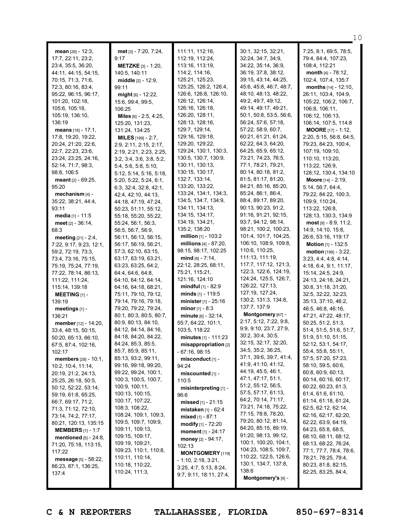| <b>mean</b> $[26] - 12:3$ ,   | met [3] - 7:20, 7:24,        | 111:11, 112:16,              | 30:1, 32:15, 32:21,     | 7:25, 8:1, 69:5, 78:5,     |
|-------------------------------|------------------------------|------------------------------|-------------------------|----------------------------|
| 17:7, 22:11, 23:2,            | 9:17                         | 112:19, 112:24,              | 32:24, 34:7, 34:9,      | 79:4, 84:4, 107:23,        |
| 23:4, 35:5, 36:20,            | <b>METZKE</b> $[3] - 1:20$ , | 113:16, 113:19,              | 34:22, 35:14, 36:9,     | 108:4, 112:21              |
| 44:11, 44:15, 54:15,          | 140:5, 140:11                | 114:2, 114:16,               | 36:19, 37:8, 38:12,     | month [4] - 78:12,         |
| 70:15, 71:3, 71:6,            | <b>middle</b> $[2] - 12:9$   | 125:21, 125:23,              | 39:15, 43:14, 44:25,    | 102:4, 107:4, 135:7        |
| 72:3, 80:16, 83:4,            | 99:11                        | 125:25, 126:2, 126:4,        | 45:6, 45:8, 46:7, 48:7, | months [14] - 12:10.       |
| 95:22, 96:15, 96:17,          | $mid_{[6]}$ - 12:22,         | 126:6, 126:8, 126:10,        | 48:10, 48:13, 48:22,    | 26:11, 103:4, 104:9,       |
| 101:20, 102:18,               | 15:6, 99:4, 99:5,            | 126:12, 126:14,              | 49:2, 49:7, 49:12,      | 105:22, 106:2, 106:7,      |
| 105:6, 105:18,                | 106:25                       | 126:16, 126:18,              | 49:14, 49:17, 49:21,    | 106:8, 106:11,             |
| 105:19, 136:10,               | Miles [6] - 2:5, 4:25,       | 126:20, 128:11,              | 50:1, 50:8, 53:5, 56:6, | 106:12, 106:13,            |
| 136:19                        | 125:20, 131:23,              | 128:13, 128:16,              | 56:24, 57:6, 57:18,     | 106:14, 107:5, 114:8       |
| <b>means</b> $[18] - 17:1$ ,  | 131:24, 134:25               | 129:7, 129:14,               | 57:22, 58:9, 60:7,      | <b>MOORE</b> $[17] - 1:12$ |
| 17:8, 19:20, 19:22,           | <b>MILES</b> $[199] - 2:7$   | 129:16, 129:18,              | 60:21, 61:21, 61:24,    | 2:20, 5:15, 56:8, 64:5,    |
| 20:24, 21:20, 22:6,           | 2:9, 2:11, 2:15, 2:17,       | 129:20, 129:22,              | 62:22, 64:3, 64:20,     | 79:23, 84:23, 100:4,       |
| 22:7, 22:23, 23:6,            | 2:19, 2:21, 2:23, 2:25,      | 129:24, 130:1, 130:3,        | 64:25, 65:9, 65:12,     | 107:19, 109:10,            |
| 23:24, 23:25, 24:16,          | 3:2, 3:4, 3:6, 3:8, 5:2,     | 130:5, 130:7, 130:9,         | 73:21, 74:23, 76:5,     | 110:10, 113:20,            |
| 52:14, 71:7, 98:3,            | 5:4, 5:6, 5:8, 5:10,         | 130:11, 130:13,              | 77:1, 78:21, 79:21,     | 113:22, 126:9,             |
| 98:8, 106:5                   | 5:12, 5:14, 5:16, 5:18,      | 130:15, 130:17,              | 80:14, 80:18, 81:2,     | 128:12, 130:4, 134:10      |
| $meant_{[2]} - 69:25,$        | 5:20, 5:22, 5:24, 6:1,       | 132:7, 133:14,               | 81:5, 81:17, 81:20,     | Moore [14] - 2:19,         |
| 95:20                         | 6:3, 32:4, 32:8, 42:1,       | 133:20, 133:22,              | 84:21, 85:16, 85:20,    | 5:14, 56:7, 64:4,          |
| mechanism $[4]$ -             | 42:4, 42:10, 44:13,          | 133:24, 134:1, 134:3,        | 85:24, 86:1, 86:4,      | 79:22, 84:22, 100:3,       |
| 35:22, 38:21, 44:4,           | 44:18, 47:19, 47:24,         | 134:5, 134:7, 134:9,         | 88:4, 89:17, 89:20,     | 109:9, 110:24,             |
| 93:11                         | 50:23, 51:11, 55:12,         | 134:11, 134:13,              | 90:13, 90:23, 91:2,     | 113:22, 126:8,             |
| media [1] - 11:5              | 55:18, 55:20, 55:22,         | 134:15, 134:17,              | 91:16, 91:21, 92:15,    | 128:13, 130:3, 134:9       |
| meet $[2] - 36:14$ ,          | 55:24, 56:1, 56:3,           | 134:19, 134:21,              | 93:7, 94:12, 98:14,     | $most$ [9] - 8:9, 11:2,    |
| 68:3                          | 56:5, 56:7, 56:9,            | 135:2, 138:20                | 98:21, 100:2, 100:23,   | 14:9, 14:10, 15:8,         |
| <b>meeting</b> $[21] - 2:4$ , | 56:11, 56:13, 56:15,         | <b>million</b> $[1]$ - 103:2 | 101:4, 101:7, 104:25,   | 26:6, 53:16, 119:17        |
| 7:22, 9:17, 9:23, 12:1,       | 56:17, 56:19, 56:21,         | millions $[4] - 87:20$ ,     | 106:10, 108:9, 109:8,   | Motion [1] - 132:5         |
| 59:2, 72:19, 73:3,            | 57:3, 62:10, 63:15,          | 98:15, 98:17, 102:25         | 110:6, 110:25,          | motion [198] - 3:22,       |
| 73:4, 73:16, 75:15,           | 63:17, 63:19, 63:21,         | $mid_{[8]}$ - 7:14,          | 111:13, 111:19,         | 3:23, 4:4, 4:8, 4:14,      |
| 75:19, 75:24, 77:19,          | 63:23, 63:25, 64:2,          | 22:12, 28:25, 68:11,         | 117:7, 117:12, 121:3,   | 4:18, 6:4, 9:1, 11:17,     |
| 77:22, 78:14, 86:13,          | 64:4, 64:6, 64:8,            | 75:21, 115:21,               | 122:3, 122:6, 124:19,   | 15:14, 24:5, 24:9,         |
| 111:22, 111:24,               | 64:10, 64:12, 64:14,         | 121:16, 124:10               | 124:24, 125:5, 126:7,   | 24:13, 24:18, 24:21,       |
| 115:14, 139:18                | 64:16, 64:18, 68:21,         | <b>mindful</b> $[1]$ - 82:9  | 126:22, 127:13,         | 30:8, 31:18, 31:20,        |
| <b>MEETING</b> $[1]$ -        | 75:11, 79:10, 79:12,         | minds $[1]$ - 119:5          | 127:19, 127:24,         | 32:5, 32:22, 32:23,        |
| 139:19                        | 79:14, 79:16, 79:18,         | minister [1] - 25:16         | 130:2, 131:3, 134:8,    | 35:13, 37:10, 46:2,        |
| meetings [1] -                | 79:20, 79:22, 79:24,         | minor $[1] - 8:3$            | 137:7, 137:9            | 46:5, 46:8, 46:16,         |
| 136:21                        | 80:1, 80:3, 80:5, 80:7,      | minute [6] - 32:14,          | Montgomery [67] -       | 47:21, 47:22, 48:17,       |
| member [12] - 14:20,          | 80:9, 80:13, 84:10,          | 55:7, 64:22, 101:1,          | 2:17, 5:12, 7:22, 9:8,  | 50:25, 51:2, 51:3,         |
| 33:4, 48:15, 50:15,           | 84:12, 84:14, 84:16,         | 103:5, 118:22                | 9:9, 9:10, 23:7, 27:9,  | 51:4, 51:5, 51:6, 51:7,    |
| 50:20, 65:13, 66:10,          | 84:18, 84:20, 84:22,         | minutes $[1] - 111:23$       | 30:2, 30:4, 30:5,       | 51:9, 51:10, 51:15,        |
| 67:5, 87:4, 102:16,           | 84:24, 85:3, 85:5,           | misappropriation [2]         | 32:15, 32:17, 32:20,    | 52:12, 53:1, 54:17,        |
| 102:17                        | 85:7, 85:9, 85:11,           | - 67:16, 98:15               | 34:5, 35:2, 36:25,      | 55:4, 55:8, 55:11,         |
| <b>members</b> [28] - 10:1,   | 85:13, 93:2, 99:11,          | misconduct <sub>[1]</sub> -  | 37:1, 39:6, 39:7, 41:4, | 57:5, 57:20, 57:23,        |
| 10:2, 10:4, 11:14,            | 99:16, 99:18, 99:20,         | 94:24                        | 41:9, 41:10, 41:12,     | 58:10, 59:5, 60:6,         |
| 20:19, 21:2, 24:13,           | 99:22, 99:24, 100:1,         | miscounted [1] -             | 44:19, 45:5, 46:1,      | 60:8, 60:9, 60:13,         |
| 25:25, 26:18, 50:5,           | 100:3, 100:5, 100:7,         | 110:5                        | 47:1, 47:17, 51:1,      | 60:14, 60:16, 60:17,       |
| 50:12, 52:22, 53:14,          | 100:9, 100:11,               | misinterpreting [1] -        | 51:2, 55:12, 56:5,      | 60:22, 60:23, 61:3,        |
| 59:19, 61:8, 65:25,           | 100:13, 100:15,              | 96:6                         | 57:5, 57:17, 61:13,     | 61:4, 61:6, 61:10,         |
| 66:7, 69:17, 71:2,            | 100:17, 107:22,              | missed $[1] - 21:15$         | 64:2, 70:14, 71:17,     | 61:14, 61:18, 61:24,       |
| 71:3, 71:12, 72:10,           | 108:3, 108:22,               | <b>mistaken</b> $[1] - 62:4$ | 73:21, 74:18, 75:22,    | 62:5, 62:12, 62:14,        |
| 73:14, 74:2, 77:17,           | 108:24, 109:1, 109:3,        | <b>mixed</b> [1] - $87:1$    | 77:15, 78:8, 78:20,     | 62:16, 62:17, 62:20,       |
| 80:21, 120:13, 135:15         | 109:5, 109:7, 109:9,         | <b>modify</b> $[1] - 72:20$  | 79:20, 80:12, 81:14,    | 62:22, 63:9, 64:19,        |
| <b>MEMBERS</b> $[1] - 1:7$    | 109:11, 109:13,              | moment $[1] - 24:17$         | 84:20, 85:15, 89:19,    | 64:23, 65:8, 68:5,         |
| mentioned $[5]$ - 24:8,       | 109:15, 109:17,              | money [2] - 94:17,           | 91:20, 98:13, 99:12,    | 68:10, 68:11, 68:12,       |
| 71:20, 75:18, 113:15,         | 109:19, 109:21,              | 102:13                       | 100:1, 100:20, 104:1,   | 68:13, 68:22, 76:24,       |
| 117:22                        | 109:23, 110:1, 110:8,        | <b>MONTGOMERY</b> [119]      | 104:23, 108:5, 109:7,   | 77:1, 77:7, 78:4, 78:6,    |
| message $[5]$ - 58:22,        | 110:11, 110:14,              | $-1:10, 2:18, 3:21,$         | 110:22, 122:5, 126:6,   | 78:21, 78:25, 79:4,        |
| 86:23, 87:1, 136:25,          | 110:18, 110:22,              | 3:25, 4:7, 5:13, 8:24,       | 130:1, 134:7, 137:8,    | 80:23, 81:8, 82:15,        |
| 137:4                         | 110:24, 111:3,               | 9:7, 9:11, 18:11, 27:4,      | 138:6                   | 82:25, 83:25, 84:4,        |
|                               |                              |                              | Montgomery's [9] -      |                            |

10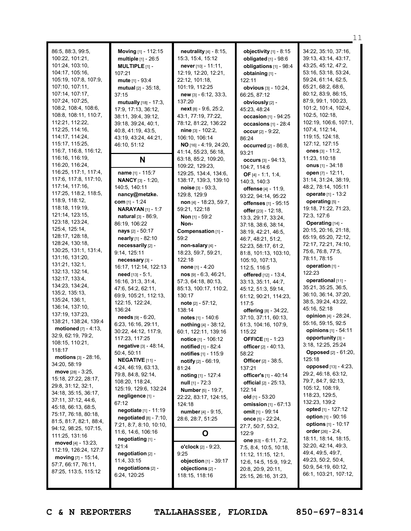|                                      |                                            |                                                |                                                    | 11                          |
|--------------------------------------|--------------------------------------------|------------------------------------------------|----------------------------------------------------|-----------------------------|
|                                      |                                            |                                                |                                                    | 34:22, 35:10, 37:16,        |
| 86:5, 88:3, 99:5,<br>100:22, 101:21, | Moving [1] - 112:15                        | neutrality [4] - 8:15,<br>15:3, 15:4, 15:12    | objectivity $[1]$ - 8:15<br>obligated [1] - 98:6   | 39:13, 43:14, 43:17,        |
| 101:24, 103:10,                      | multiple [1] - 26:5                        |                                                | obligations [1] - 98:4                             | 43:25, 45:12, 47:2,         |
| 104:17, 105:16,                      | <b>MULTIPLE</b> $[1]$ -                    | never $[10] - 11:11$ ,<br>12:19, 12:20, 12:21, |                                                    | 53:16, 53:18, 53:24,        |
| 105:19, 107:8, 107:9,                | 107:21                                     |                                                | obtaining [1] -                                    | 59:24, 61:14, 62:5,         |
| 107:10, 107:11,                      | mute [1] - 93:4                            | 22:12, 101:18,                                 | 122:11                                             | 65:21, 68:2, 68:6,          |
| 107:14, 107:17,                      | mutual [2] - 35:18,                        | 101:19, 112:25                                 | obvious [3] - 10:24,                               | 80:12, 83:9, 86:15,         |
| 107:24, 107:25,                      | 37:15                                      | $new$ [3] - 6:12, 33:3,                        | 66:25, 87:12                                       | 87:9, 99:1, 100:23,         |
| 108:2, 108:4, 108:6,                 | mutually [18] - 17:3,                      | 137:20                                         | obviously [2] -                                    | 101:2, 101:4, 102:4,        |
| 108:8, 108:11, 110:7,                | 17:9, 17:13, 36:12,                        | $next[8] - 9:6, 25:2,$                         | 45:23, 48:24                                       | 102:5, 102:18,              |
| 112:21, 112:22,                      | 38:11, 39:4, 39:12,                        | 43:1, 77:19, 77:22,                            | occasion $[1] - 94:25$                             | 102:19, 106:6, 107:1,       |
| 112:25, 114:16,                      | 39:18, 39:24, 40:1,                        | 78:12, 81:22, 136:22                           | occasions [1] - 28:4                               | 107:4, 112:14,              |
| 114:17, 114:24,                      | 40:8, 41:19, 43:5,<br>43:19, 43:24, 44:21, | $nine_{[3]} - 102:2,$                          | occur $[2] - 9:22$                                 | 119:15, 124:18,             |
| 115:17, 115:25,                      | 46:10, 51:12                               | 106:10, 106:14<br>NO [16] - 4:19, 24:20,       | 86:24                                              | 127:12, 127:15              |
| 116:7, 116:8, 116:12,                |                                            | 41:14, 55:23, 56:18,                           | <b>occurred</b> [2] - 86:8,                        | ones $[3] - 11:2,$          |
| 116:16, 116:19,                      |                                            | 63:18, 85:2, 109:20,                           | 93:21                                              | 11:23, 110:18               |
| 116:20, 116:24,                      | N                                          | 109:22, 129:23,                                | occurs [3] - 94:13,                                | onus $[1] - 34:18$          |
| 116:25, 117:1, 117:4,                | name [1] - 115:7                           | 129:25, 134:4, 134:6,                          | 104:7, 114:6                                       | open [7] - 12:11,           |
| 117:6, 117:8, 117:10,                | <b>NANCY</b> [3] - 1:20,                   | 138:17, 139:3, 139:10                          | <b>OF</b> [4] - 1:1, 1:4,                          | 31:14, 31:24, 38:19,        |
| 117:14, 117:16,                      | 140:5, 140:11                              | noise $[3] - 93:3$ ,                           | 140:3, 140:3                                       | 48:2, 78:14, 105:11         |
| 117:25, 118:2, 118:5,                | nancy@metzke.                              | 129:8, 129:9                                   | offense [4] - 11:9,                                | operate [1] - 13:2          |
| 118:9, 118:12,                       | com $[1] - 1:24$                           | non [4] - 18:23, 59:7,                         | 93:22, 94:14, 95:22                                | operating [5] -             |
| 118:18, 119:19,                      | <b>NARAYAN</b> [1] - 1:7                   | 59:21, 122:18                                  | offenses $[1] - 95:15$                             | 19:18, 71:22, 71:23,        |
| 121:14, 123:15,                      | <b>natural</b> [3] - 86:9,                 |                                                | offer [23] - 12:18,                                | 72:3, 127:6                 |
| 123:18, 123:24,                      | 86:19, 106:22                              | <b>Non</b> $[1]$ - 59:2<br>Non-                | 13:3, 29:17, 33:24,                                | Operating [14] -            |
| 125:4, 125:14,                       |                                            |                                                | 37:18, 38:6, 38:14,                                | 20:15, 20:16, 21:18,        |
| 128:17, 128:18,                      | nays [2] - 50:17<br>nearly [1] - 82:10     | Compensation [1] -<br>59:2                     | 38:19, 42:21, 46:5,                                | 65:19, 65:20, 72:12,        |
| 128:24, 130:18,                      | necessarily [2] -                          |                                                | 46:7, 48:21, 51:2,                                 | 72:17, 72:21, 74:10,        |
| 130:25, 131:1, 131:4,                | 9:14, 125:11                               | non-salary [4] -                               | 52:23, 58:17, 61:2,                                | 75:6, 76:8, 77:5,           |
| 131:16, 131:20,                      | necessary [3] -                            | 18:23, 59:7, 59:21,<br>122:18                  | 81:8, 101:13, 103:10,                              | 78:11, 78:15                |
| 131:21, 132:1,                       | 16:17, 112:14, 122:13                      | <b>none</b> $[1] - 4:20$                       | 105:10, 107:13,                                    | operation [1] -             |
| 132:13, 132:14,                      | $need$ [13] - 5:1,                         | $nos$ [9] - 6:3, 46:21,                        | 112:5, 116:5                                       | 122:23                      |
| 132:17, 133:4,                       | 16:16, 31:3, 31:4,                         | 57:3, 64:18, 80:13,                            | <b>offered</b> [12] - 13:4,<br>33:13, 35:11, 44:7, | operational [11] -          |
| 134:23, 134:24,                      | 47:6, 54:2, 62:11,                         | 85:13, 100:17, 110:2,                          | 45:12, 51:3, 59:14,                                | 35:21, 35:25, 36:5,         |
| 135:2, 135:13,                       | 69:9, 105:21, 112:13,                      | 130:17                                         | 61:12, 90:21, 114:23,                              | 36:10, 36:14, 37:20,        |
| 135:24, 136:1,                       | 122:15, 122:24,                            | note $[2] - 57:12$ ,                           | 117:5                                              | 38:5, 39:24, 43:22,         |
| 136:14, 137:10,                      | 136:24                                     | 138:14                                         | offering [8] - 34:22,                              | 45:16, 52:18                |
| 137:19, 137:23,                      | $\text{needs}$ [9] - 6:20,                 | notes $[1] - 140.6$                            | 37:10, 37:11, 60:13,                               | opinion [4] - 28:24,        |
| 138:21, 138:24, 139:4                | 6:23, 16:16, 29:11,                        | nothing [4] - 38:12,                           | 61:3, 104:16, 107:9,                               | 55:16, 59:15, 92:5          |
| motioned $[7] - 4:13$ ,              | 30:22, 44:12, 117:9,                       | 60:1, 122:11, 139:16                           | 115:22                                             | opinions [1] - 54:11        |
| 32:9, 62:19, 79:2,                   | 117:23, 117:25                             | notice [1] - 106:12                            | <b>OFFICE</b> [1] - 1:23                           | opportunity [3] -           |
| 108:15, 110:21,                      | negative [3] - 48:14,                      | notified [1] - 82:4                            | officer $[2] - 40:13$ ,                            | 3:18, 12:25, 25:24          |
| 118:17                               | 50:4, 50:11                                | notifies [1] - 115:9                           | 58:22                                              | <b>Opposed</b> [2] - 61:20, |
| motions $[3] - 28:16$ ,              | <b>NEGATIVE</b> $[11]$ -                   | <b>notify</b> $[2] - 66:19$ ,                  | Officer [2] - 38:5,                                | 125:18                      |
| 34:20, 58:19                         | 4:24, 46:19, 63:13,                        | 81:24                                          | 137:21                                             | opposed [13] - 4:23,        |
| <b>move</b> [28] $-3:25$ ,           | 79:8, 84:8, 92:14,                         | noting $[1] - 127:4$                           | officer's [1] - 40:14                              | 29:2, 46:18, 63:12,         |
| 15:18, 27:22, 28:17,                 | 108:20, 118:24,                            | $null[1] - 72:3$                               | official $[2] - 25:13$ ,                           | 79:7, 84:7, 92:13,          |
| 29:8, 31:12, 32:1,                   | 125:19, 129:6, 132:24                      | <b>Number</b> [5] - 19:7,                      | 122:14                                             | 105:12, 108:19,             |
| 34:18, 35:15, 36:17,                 | negligence [1] -                           | 22:22, 83:17, 124:15,                          | old $[1] - 53:20$                                  | 118:23, 129:5,              |
| 37:11, 37:12, 44:6,                  | 67:12                                      | 124:18                                         | omission [1] - 67:13                               | 132:23, 139:2               |
| 45:18, 66:13, 68:5,                  | negotiate [1] - 11:19                      | number [4] - 9:15,                             | omit [1] - 99:14                                   | opted [1] - 127:12          |
| 75:17, 76:18, 80:18,                 | negotiated $[8] - 7:10$ ,                  | 28:6, 28:7, 51:25                              | once $[5] - 22:24$ ,                               | option $[1] - 90:16$        |
| 81:5, 81:7, 82:1, 88:4,              | 7:21, 8:7, 8:10, 10:10,                    |                                                | 27:7, 50:7, 53:2,                                  | <b>options</b> [1] - 10:17  |
| 94:12, 98:25, 107:15,                | 11:6, 14:6, 106:16                         | O                                              | 122:9                                              | order [26] - 2:4,           |
| 111:25, 131:16                       | negotiating [1] -                          |                                                | one $[63] - 6:11, 7:2,$                            | 18:11, 18:14, 18:15,        |
| moved $[4] - 13:23$ ,                | 121:4                                      | o'clock [2] - 9:23,                            | 7:5, 8:4, 10:5, 10:18,                             | 32:20, 42:14, 49:3,         |
| 112:19, 126:24, 127:7                | negotiation [2] -                          | 9:25                                           | 11:12, 11:15, 12:1,                                | 49:4, 49:5, 49:7,           |
| moving $[7] - 15:14$ ,               | 11:4, 33:15                                | objection [1] - 39:17                          | 12:6, 14:5, 15:9, 19:2,                            | 49:23, 50:2, 50:4,          |
| 57:7, 66:17, 76:11,                  | negotiations [2] -                         | objections [2] -                               | 20:8, 20:9, 20:11,                                 | 50:9, 54:19, 60:12,         |
| 87:25, 113:5, 115:12                 | 6:24, 120:25                               | 118:15, 118:16                                 | 25:15, 26:16, 31:23,                               | 66:1, 103:21, 107:12,       |
|                                      |                                            |                                                |                                                    |                             |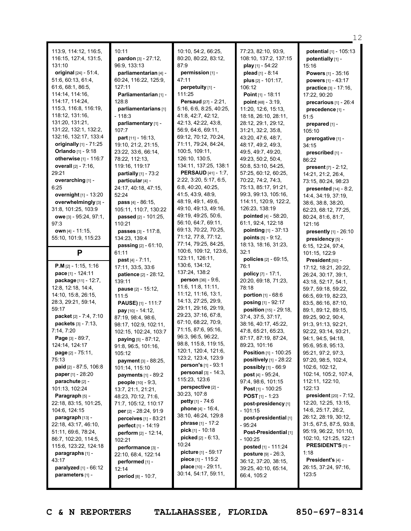|                                 |                                                 |                                             |                                                                 | 12                                        |
|---------------------------------|-------------------------------------------------|---------------------------------------------|-----------------------------------------------------------------|-------------------------------------------|
| 113:9, 114:12, 116:5,           | 10:11                                           | 10:10, 54:2, 66:25,                         | 77:23, 82:10, 93:9,                                             | potential [1] - 105:13                    |
| 116:15, 127:4, 131:5,           | pardon [3] - 27:12,                             | 80:20, 80:22, 83:12,                        | 108:10, 137:2, 137:15                                           | potentially [1] -                         |
| 131:10                          | 96:9, 133:13                                    | 87:9                                        | play [1] - 54:22                                                | 15:16                                     |
| original [24] - 51:4,           | parliamentarian [4] -                           | permission [1] -                            | plead $[1] - 8:14$                                              | <b>Powers</b> $[1] - 35:16$               |
| 51:6, 60:13, 61:4,              | 60:24, 116:22, 125:9,                           | 47:11                                       | plus [2] - 101:17,                                              | powers [1] - 43:17                        |
| 61:6, 68:1, 86:5,               | 127:11                                          | perpetuity [1] -                            | 106:12                                                          | practice [3] - 17:16,                     |
| 114:14, 114:16,                 | Parliamentarian [1] -                           | 111:25                                      | Point $[1]$ - 18:11                                             | 17:22, 90:20                              |
| 114:17, 114:24,                 | 128:8                                           | <b>Persaud</b> [27] - 2:21,                 | point [48] - 3:19,                                              | precarious [1] - 26:4                     |
| 115:3, 116:8, 116:19,           | parliamentarians [1]                            | 5:16, 6:6, 8:25, 40:25,                     | 11:20, 12:6, 15:13,                                             | precedence [1] -                          |
| 118:12, 131:16,                 | $-118:3$                                        | 41:8, 42:7, 42:12,                          | 18:18, 26:10, 28:11,                                            | 51:5                                      |
| 131:20, 131:21,                 | parliamentary [1] -                             | 42:13, 42:22, 43:8,                         | 28:12, 29:1, 29:12,                                             | prepared [1] -                            |
| 131:22, 132:1, 132:2,           | 107:7                                           | 56:9, 64:6, 69:11,                          | 31:21, 32:2, 35:8,                                              | 105:10                                    |
| 132:16, 132:17, 133:4           | part $[11] - 16:13$ ,                           | 69:12, 70:12, 70:24,                        | 43:20, 47:6, 48:7,                                              | prerogative [1] -                         |
| originally $[1]$ - 71:25        | 19:10, 21:2, 21:15,                             | 71:11, 79:24, 84:24,                        | 48:17, 49:2, 49:3,                                              | 34:15                                     |
| Orlando [1] - 9:18              | 23:22, 33:6, 66:14,                             | 100:5, 109:11,                              | 49:5, 49:7, 49:20,                                              | prescribed [1] -                          |
| otherwise [1] - 116:7           | 78:22, 112:13,                                  | 126:10, 130:5,                              | 49:23, 50:2, 50:4,                                              | 86:22                                     |
| overall [2] - 7:16,             | 119:16, 119:17                                  | 134:11, 137:25, 138:1                       | 50:8, 53:10, 54:25,                                             | <b>present</b> $[7] - 2:12$ ,             |
| 29:21                           | partially [1] - 73:2                            | <b>PERSAUD</b> [41] - 1:7,                  | 57:25, 60:12, 60:25,                                            | 14:21, 21:2, 26:4,                        |
| overarching [1] -               | particular [4] -                                | 2:22, 3:20, 5:17, 6:5,                      | 70:22, 74:2, 74:3,                                              | 73:15, 80:24, 98:23                       |
| 6:25                            | 24:17, 40:18, 47:15,                            | 6:8, 40:20, 40:25,                          | 75:13, 85:17, 91:21,                                            | presented $[14] - 8:2$ ,                  |
| overnight [1] - 13:20           | 52:24                                           | 41:5, 43:9, 48:9,                           | 99:3, 99:13, 105:16,                                            | 14:4, 34:19, 37:19,                       |
| overwhelmingly [3] -            | pass [4] - 86:15,                               | 48:19, 49:1, 49:6,                          | 114:11, 120:9, 122:2,                                           | 38:6, 38:8, 38:20,                        |
| 31:8, 101:25, 103:9             | 105:11, 110:7, 130:22                           | 49:10, 49:13, 49:16,                        | 126:23, 138:19                                                  | 62:23, 68:12, 77:25,                      |
| owe [3] - 95:24, 97:1,          | <b>passed</b> $[2] - 101:25$ ,                  | 49:19, 49:25, 50:6,                         | pointed [4] - 58:20,                                            | 80:24, 81:6, 81:7,                        |
| 97:3                            | 110:21                                          | 56:10, 64:7, 69:11,                         | 61:1, 92:4, 122:18                                              | 121:16                                    |
| own [4] - 11:15,                | passes [3] - 117:8,                             | 69:13, 70:22, 70:25,                        | pointing [1] - 37:13                                            | presently [1] - 26:10                     |
| 55:10, 101:9, 115:23            | 134:23, 139:4                                   | 71:12, 77:8, 77:12,                         | points $[5] - 9:12$ ,                                           | presidency [5] -                          |
|                                 | passing [2] - 61:10,                            | 77:14, 79:25, 84:25,                        | 18:13, 18:16, 31:23,                                            | 6:15, 12:24, 97:4,                        |
| P                               | 61:11                                           | 100:6, 109:12, 123:6,                       | 32:1                                                            | 101:15, 122:9                             |
|                                 | <b>past</b> [4] - 7:11,                         | 123:11, 126:11,                             | policies [2] - 69:15,                                           | President [50] -                          |
| $P.M$ [2] - 1:15, 1:16          | 17:11, 33:5, 33:6                               | 130:6, 134:12,                              | 76:1                                                            | 17:12, 18:21, 20:22,                      |
| pace [1] - 124:11               | patience [2] - 28:12,                           | 137:24, 138:2                               | policy [7] - 17:1,                                              | 26:24, 30:17, 39:1,                       |
| package [11] - 12:7,            | 139:11                                          | <b>person</b> [36] - 9:6,                   | 20:20, 69:18, 71:23,                                            | 43:18, 52:17, 54:1,                       |
| 12:8, 12:18, 14:4,              | pause [2] - 15:12,                              | 11:6, 11:8, 11:11,                          | 78:18                                                           | 59:7, 59:18, 59:22,                       |
| 14:10, 15:8, 26:15,             | 111:5                                           | 11:12, 11:16, 13:1,<br>14:13, 27:25, 29:9,  | <b>portion</b> $[1] - 68:6$                                     | 66:5, 69:19, 82:23,                       |
| 28:3, 29:21, 59:14,             | PAUSE) [1] - 111:7                              |                                             | posing [1] - 92:17                                              | 83:5, 86:16, 87:10,                       |
| 59:17                           | pay [10] - 14:12,                               | 29:11, 29:16, 29:19,<br>29:23, 37:16, 67:8, | position [15] - 29:18,                                          | 89:1, 89:12, 89:15,                       |
| packet [2] - 7:4, 7:10          | 87:19, 98:4, 98:6,                              | 67:10, 68:22, 70:9,                         | 37:4, 37:5, 37:17,                                              | 89:25, 90:2, 90:4,                        |
| packets [3] - 7:13,             | 98:17, 102:9, 102:11,                           | 71:15, 87:6, 95:16,                         | 38:16, 40:17, 45:22,                                            | 91:3, 91:13, 92:21,                       |
| 7:14, 7:20                      | 102:15, 102:24, 103:7                           | 96:3, 96:5, 96:22,                          | 47:8, 65:21, 65:23,                                             | 92:22, 93:14, 93:21,                      |
| Page $[3] - 89:7$ ,             | paying [5] - 87:12,                             | 98:8, 115:8, 119:15,                        | 87:17, 87:19, 87:24,                                            | 94:1, 94:5, 94:18,                        |
| 124:14, 124:17                  | 91:8, 96:5, 101:16,                             | 120:1, 120:4, 121:6,                        | 89:23, 101:16                                                   | 95:6, 95:8, 95:13,                        |
| page [2] - 75:11,<br>75:13      | 105:12                                          | 123:2, 123:4, 123:9                         | <b>Position</b> [1] - 100:25<br><b>positively</b> $[1]$ - 28:22 | 95:21, 97:2, 97:3,<br>97:20, 98:5, 102:4, |
| <b>paid</b> $[2] - 87:5, 106:8$ | payment [3] - 88:25,                            | person's [1] - 93:1                         | possibly [1] - 66:9                                             | 102:6, 102:12,                            |
| paper [1] - 28:20               | 101:14, 115:10                                  | personal $[3] - 14:3$ ,                     | <b>post</b> $[4] - 95:24$ ,                                     | 102:14, 105:2, 107:4,                     |
| parachute [2] -                 | payments $[1]$ - 89:2                           | 115:23, 123:6                               | 97:4, 98:6, 101:15                                              | 112:11, 122:10,                           |
| 101:13, 102:24                  | <b>people</b> [10] - 9:3,<br>13:7, 21:1, 21:21, | perspective [2] -                           | <b>Post</b> [1] - 100:25                                        | 122:13                                    |
| Paragraph [5] -                 | 48:23, 70:12, 71:6,                             | 30:23, 107:8                                | <b>POST</b> $[1]$ - 1:23                                        | president [20] - 7:12,                    |
| 22:18, 83:15, 101:25,           | 71:7, 105:12, 110:17                            | <b>petty</b> $[1] - 74:6$                   | post-presidency [1]                                             | 12:20, 12:25, 13:15,                      |
| 104:6, 124:15                   | per [2] - 28:24, 91:9                           | <b>phone</b> $[4] - 16:4$ ,                 | $-101:15$                                                       | 14:6, 25:17, 26:2,                        |
| paragraph [13] -                | <b>perceives</b> [1] - 83:21                    | 38:10, 46:24, 129:8                         | post-presidential [1]                                           | 26:12, 28:19, 30:12,                      |
| 22:18, 43:17, 46:10,            | <b>perfect</b> [1] - 14:19                      | <b>phrase</b> [1] - 17:2                    | $-95:24$                                                        | 31:5, 67:5, 87:5, 93:8,                   |
| 51:11, 69:6, 78:24,             | <b>perform</b> [2] - 12:14,                     | <b>pick</b> [1] - 10:18                     | Post-Presidential [1]                                           | 95:19, 96:22, 101:10,                     |
| 86:7, 102:20, 114:5,            | 102:21                                          | <b>picked</b> $[2] - 6:13$ ,                | $-100:25$                                                       | 102:10, 121:25, 122:1                     |
| 115:6, 123:22, 124:18           | performance [3] -                               | 10:24                                       | posted [1] - 111:24                                             | <b>PRESIDENT'S [1] -</b>                  |
| paragraphs [1] -                | 22:10, 68:4, 122:14                             | picture [1] - 59:17                         | <b>posture</b> $[9] - 26:3$ ,                                   | 1:18                                      |
| 43:17                           | performed [1] -                                 | piece [1] - 115:2                           | 36:12, 37:20, 38:15,                                            | President's [4] -                         |
| <b>paralyzed</b> $[1] - 66:12$  |                                                 |                                             |                                                                 |                                           |
|                                 |                                                 | place [10] - 29:11,                         |                                                                 | 26:15, 37:24, 97:16,                      |
| parameters [1] -                | 12:14<br>period [8] - 10:7,                     | 30:14, 54:17, 59:11,                        | 39:25, 40:10, 65:14,<br>66:4, 105:2                             | 123:5                                     |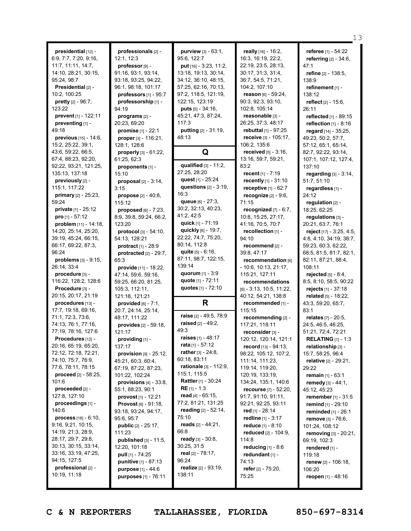**presidential** [12] - 6:9, 7:7, 7:20, 9:16, 11:7, 11:11, 14:7, 14:10, 28:21, 30:15, 95:24, 98:7 **Presidential** [2] - 10:2, 100:25 **pretty** [2] - 96:7, 123:22 **prevent** [1] - 122:11 **preventing** [1] - 49:18 **previous** [15] - 14:6, 15:2, 25:22, 39:1, 43:6, 59:22, 66:5, 67:4, 88:23, 92:20, 92:22, 93:21, 121:25, 135:13, 137:18 **previously** [2] - 115:1, 117:22 **primary** [2] - 25:23, 59:24 **private** [1] - 25:12 **pro** [1] - 57:12 **problem** [11] - 14:18, 14:20, 25:14, 25:20, 39:19, 45:24, 66:15, 66:17, 69:22, 87:3, 96:24 **problems** [3] - 9:15, 26:14, 33:4 **procedure** [3] - 116:22, 128:2, 128:6 **Procedure** [3] - 20:15, 20:17, 21:19 **procedures** [13] - 17:7, 19:18, 69:16, 71:1, 72:3, 73:6, 74:13, 76:1, 77:16, 77:19, 78:16, 127:6 **Procedures** [12] -20:16, 65:19, 65:20, 72:12, 72:18, 72:21, 74:10, 75:7, 76:9, 77:6, 78:11, 78:15 **proceed** [2] - 58:25, 101:6 **proceeded** [2] - 127:8, 127:10 **proceedings** [1] - 140:6 **process** [18] - 6:10, 9:16, 9:21, 10:15, 14:19, 21:3, 28:9, 28:17, 29:7, 29:8, 30:13, 30:15, 33:14, 33:16, 33:19, 47:25, 94:15, 127:5 **professional** [2] - 10:19, 11:18

**professionals** [2] - 12:1, 12:3 **professor** [9] - 91:16, 93:1, 93:14, 93:18, 93:25, 94:22, 96:1, 98:18, 101:17 **professors** [1] - 95:7 **professorship** [1] - 94:19 **programs** [2] - 20:23, 69:20 **promise** [1] - 22:1 **proper** [3] - 116:21, 128:1, 128:6 **properly** [3] - 61:22, 61:25, 62:3 **proponents** [1] - 15:10 **proposal** [2] - 3:14, 3:15 **propose** [2] - 40:8, 115:12 **proposed** [6] - 7:23, 8:9, 39:8, 59:24, 66:2, 123:20 **protocol** [3] - 54:10, 54:13, 128:21 **protract** [1] - 28:9 **protracted** [2] - 29:7, 65:3 **provide** [11] - 18:22, 47:14, 59:6, 59:16, 59:25, 66:20, 81:25, 105:3, 112:11, 121:18, 121:21 **provided** [6] - 7:1, 20:7, 24:14, 25:14, 48:17, 111:22 **provides** [2] - 59:18, 121:17 **providing** [1] - 137:17 **provision** [9] - 25:12, 45:21, 60:3, 60:4, 67:19, 87:22, 87:23, 101:22, 102:24 **provisions** [4] - 33:8, 55:1, 88:23, 90:1 **provost** [1] - 12:21 **Provost** [6] - 91:18, 93:18, 93:24, 94:17, 95:6, 95:7 **public** [2] - 25:17, 111:23 **published** [3] - 11:5, 12:20, 101:18 **pull** [1] - 74:25 **punitive** [1] - 87:13 **purpose** [1] - 44:6 **purposes** [1] - 76:11

**purview** [3] - 63:1, 95:6, 122:7 **put** [16] - 3:23, 11:2, 13:18, 19:13, 30:14, 34:12, 36:10, 48:15, 57:25, 62:16, 70:13, 97:2, 118:5, 121:19, 122:15, 123:19 **puts** [5] - 34:16, 45:21, 47:3, 87:24, 117:3 **putting** [2] - 31:19, 48:13 **Q qualified** [3] - 11:2, 27:25, 28:20 **quest** [1] - 25:24 **questions** [2] - 3:19, 16:3 **queue** [6] - 27:3, 30:2, 32:13, 40:23, 41:2, 42:5 **quick** [1] - 71:19 **quickly** [6] - 19:7, 22:22, 74:7, 75:20, 80:14, 112:8 **quite** [5] - 6:16, 87:11, 98:7, 122:15, 139:14 **quorum** [1] - 3:9 **quote** [1] - 72:11 **quotes** [1] - 72:10 **R raise** [2] - 49:5, 78:9 **raised** [2] - 49:2,  $49.3$ **raises** [1] - 48:17 **rata** [1] - 57:12 **rather** [3] - 24:8, 60:18, 83:11 **rationale** [3] - 112:9, 115:1, 115:5 **Rattler** [1] - 30:24 **RE** [1] - 1:3 **read** [4] - 65:15, 77:2, 81:21, 131:25 **reading** [2] - 52:14, 75:10 **reads** [2] - 44:21, 66:8 **ready** [3] - 30:8, 30:25, 31:5 **real** [2] - 78:17, 96:24 **realize** [2] - 93:19, 138:11

**really** [16] - 16:2, 16:3, 16:19, 22:2, 22:19, 23:5, 28:13, 30:17, 31:3, 31:4, 36:7, 54:5, 71:21, 104:2, 107:10 **reason** [6] - 59:24, 90:3, 92:3, 93:10, 102:8, 105:14 **reasonable** [3] - 26:25, 37:3, 48:17 **rebuttal** [1] - 97:25 **receive** [3] - 105:17, 106:2, 135:6 **received** [5] - 3:16, 13:16, 59:7, 59:21, 83:2 **recent** [1] - 7:19 **recently** [1] - 31:10 **receptive** [1] - 62:7 **recognize** [2] - 9:6, 71:15 **recognized** [7] - 6:7, 10:8, 15:25, 27:17, 41:16, 70:5, 70:7 **recollection** [1] - 94:10 **recommend** [2] - 39:8, 47:17 **recommendation** [6] - 10:6, 10:13, 21:17, 115:21, 127:11 **recommendations** [6] - 3:13, 10:5, 11:22, 40:12, 54:21, 138:8 **recommended** [1] - 115:15 **recommending** [2] - 117:21, 118:11 **reconsider**[3] - 120:12, 120:14, 121:1 **record** [13] - 94:13, 98:22, 105:12, 107:2, 111:14, 111:23, 119:14, 119:20, 120:19, 133:19, 134:24, 135:1, 140:6 **recourse** [7] - 52:20, 91:7, 91:10, 91:11, 92:21, 92:25, 93:11 **red** [1] - 28:14 **redline** [1] - 3:17 **reduce** [1] - 8:10 **reduced** [2] - 104:9, 114:8 **reducing** [1] - 8:6 **redundant** [1] - 74:13 **refer** [2] - 75:20, 75:25

**referee** [1] - 54:22 **referring** [2] - 34:6,  $47.1$ **refine** [2] - 138:5, 138:9 **refinement** [1] - 138:12 **reflect** [2] - 15:6, 26:11 **reflected** [1] - 89:15 **reflection** [1] - 8:16 **regard** [14] - 35:25, 49:23, 50:2, 57:7, 57:12, 65:1, 65:14, 82:7, 92:22, 93:14, 107:1, 107:12, 127:4, 137:10 **regarding** [3] - 3:14, 51:7, 51:10 **regardless** [1] - 24:12 **regulation** [2] - 18:25, 62:25 **regulations** [3] - 20:21, 63:7, 76:1 **reject** [17] - 3:25, 4:5, 4:8, 4:10, 34:19, 38:7, 59:23, 60:3, 62:22, 68:5, 81:5, 81:7, 82:1, 82:11, 87:21, 88:4, 108:11 **rejected** [5] - 8:4, 8:5, 8:10, 58:5, 90:22 **rejects** [1] - 37:18 **related** [5] - 18:22, 43:3, 59:20, 65:7, 83:1 **relates** [7] - 20:5, 24:5, 46:5, 46:25, 51:21, 72:4, 72:21 **RELATING** [1] - 1:3 **relationship** [3] - 15:7, 58:25, 96:4 **relative** [2] - 29:21, 29:22 **remain** [1] - 63:1 **remedy** [3] - 44:1, 45:12, 45:23 **remember** [1] - 31:5 **remind** [1] - 29:10 **reminded** [1] - 26:1 **remove** [3] - 76:6, 101:24, 108:12 **removing** [3] - 20:21, 69:19, 102:3 **rendered** [1] - 119:18 **renew** [2] - 106:18, 106:20 **reopen** [1] - 48:16

13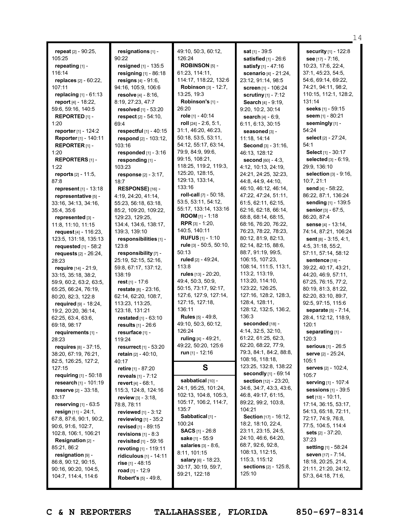|                                                  |                                    |                               |                                 | 14                              |
|--------------------------------------------------|------------------------------------|-------------------------------|---------------------------------|---------------------------------|
| repeat [2] - 90:25,                              | resignations [1] -                 | 49:10, 50:3, 60:12,           | sat [1] - 39:5                  | security [1] - 122:8            |
| 105:25                                           | 90:22                              | 126:24                        | satisfied [1] - 26:6            | see $[17] - 7:16$ ,             |
| repeating [1] -                                  | resigned [1] - 135:5               | ROBINSON [5] -                | satisfy [1] - 47:16             | 10:23, 17:6, 22:4,              |
| 116:14                                           | resigning [1] - 86:18              | 61:23, 114:11,                | scenario [4] - 21:24,           | 37:1, 45:23, 54:5,              |
| replaces [2] - 60:22,                            | resigns $[4] - 91:6$ ,             | 114:17, 118:22, 132:6         | 23:12, 91:14, 98:5              | 54:6, 69:14, 69:22,             |
| 107:11                                           | 94:16, 105:9, 106:6                | <b>Robinson</b> [3] - 12:7,   | screen [1] - 106:24             | 74:21, 94:11, 98:2,             |
| replacing [1] - 61:13                            | resolve [4] - 8:16,                | 13:25, 19:3                   | <b>scrutiny</b> $[1] - 7:12$    | 110:15, 112:1, 128:2,           |
| report [4] - 18:22,                              | 8:19, 27:23, 47:7                  | Robinson's [1] -              | Search [4] - 9:19,              | 131:14                          |
| 59:6, 59:16, 140:5                               | resolved [1] - 53:20               | 26:20                         | 9:20, 10:2, 30:14               | seeks [1] - 59:15               |
| <b>REPORTED</b> $[1]$ -                          | respect $[2] - 54:10$ ,            | role [1] - 40:14              | search [4] - 6:9,               | seem [1] - 80:21                |
| 1:20                                             | 69:4                               | roll $[24] - 2:6, 5:1,$       | 6:11, 6:13, 30:15               | seemingly [1] -                 |
| reporter [1] - 124:2                             | respectful $[1]$ - 40:15           | 31:1, 46:20, 46:23,           | seasoned [3] -                  | 54:24                           |
| Reporter [1] - 140:11                            | respond $[2] - 103:12$ ,           | 50:18, 53:5, 53:11,           | 11:18, 14:14                    | select [2] - 27:24,             |
| REPORTER $[1]$ -                                 | 103:16                             | 54:12, 55:17, 63:14,          | Second [3] - 31:16,             | 54:1                            |
| 1:20                                             | responded $[1]$ - $3:16$           | 79:9, 84:9, 99:6,             | 46:13, 128:12                   | Select [1] - 30:17              |
| <b>REPORTERS</b> [1] -                           | responding [1] -                   | 99:15, 108:21,                | <b>second</b> [60] - 4:3,       | <b>selected</b> $[3] - 6:19$ ,  |
| 1:22                                             | 103:23                             | 118:25, 119:2, 119:3,         | 4:12, 10:13, 24:19,             | 29:9, 136:10                    |
| <b>reports</b> $[2] - 11:5$ ,                    | response $[2] - 3:17$ ,            | 125:20, 128:15,               | 24:21, 24:25, 32:23,            | <b>selection</b> $[3] - 9:16$ , |
| 87:8                                             | 18:7                               | 129:13, 133:14,               | 44:8, 44:9, 44:10,              | 10:7, 21:1                      |
| <b>represent</b> $[1] - 13:18$                   | RESPONSE) [16] -                   | 133:16                        | 46:10, 46:12, 46:14,            | send [4] - 58:22,               |
| representative [5] -                             | 4:19, 24:20, 41:14,                | roll-call $[7] - 50:18$ ,     | 47:22, 47:24, 51:11,            | 86:22, 87:1, 136:24             |
| 33:16, 34:13, 34:16,                             | 55:23, 56:18, 63:18,               | 53:5, 53:11, 54:12,           | 61:5, 62:11, 62:15,             | sending [1] - 139:5             |
| 35:4, 35:6                                       | 85:2, 109:20, 109:22,              | 55:17, 133:14, 133:16         | 62:16, 62:18, 66:14,            | <b>senior</b> $[3] - 67:5$ ,    |
| represented [3] -                                | 129:23, 129:25,                    | <b>ROOM</b> [1] - 1:18        | 68:8, 68:14, 68:15,             | 86:20, 87:4                     |
| 11:8, 11:10, 11:15                               | 134:4, 134:6, 138:17,              | <b>RPR</b> $[3] - 1:20$       | 68:16, 76:20, 76:22,            | <b>sense</b> $[4] - 13:14$ ,    |
| request $[4] - 116:23$ ,                         | 139:3, 139:10                      | 140:5, 140:11                 | 76:23, 78:22, 78:23,            | 74:14, 87:21, 106:24            |
| 123:5, 131:18, 135:13                            | responsibilities [1] -             | <b>RUFUS</b> $[1] - 1:10$     | 80:12, 81:9, 82:13,             | <b>sent</b> $[8] - 3:15, 4:1,$  |
| requested $[1]$ - 58:2                           | 123:8                              | rule [3] - 50:5, 50:10,       | 82:14, 82:15, 88:6,             | 4:5, 31:18, 55:2,               |
| <b>requests</b> $[2] - 26:24$ ,                  | responsibility [7] -               | 50:13                         | 88:7, 91:19, 99:5,              | 57:11, 57:14, 58:12             |
| 28:23                                            | 25:19, 52:15, 52:16,               | ruled [2] - 49:24,            | 106:15, 107:23,                 | sentence [18] -                 |
| <b>require</b> $[14] - 21:9$ ,                   | 59:8, 67:17, 137:12,               | 113:8                         | 108:14, 111:5, 113:1,           | 39:22, 40:17, 43:21,            |
| 33:15, 35:18, 38:2,                              | 138:19                             | rules [13] - 20:20,           | 113:2, 113:19,                  | 44:20, 46:9, 57:11,             |
| 59:9, 60:2, 63:2, 63:5,                          | rest $[1] - 17:6$                  | 49:4, 50:3, 50:9,             | 113:20, 114:10,                 | 67:25, 76:15, 77:2,             |
| 65:25, 66:24, 76:19,                             | restate [8] - 23:16,               | 50:15, 73:17, 92:17,          | 123:22, 126:25,                 | 80:19, 81:3, 81:22,             |
| 80:20, 82:3, 122:8                               | 62:14, 62:20, 108:7,               | 127:6, 127:9, 127:14,         | 127:16, 128:2, 128:3,           | 82:20, 83:10, 89:7,             |
| required $[9] - 18:24$ ,                         | 113:23, 113:25,                    | 127:15, 127:18,               | 128:4, 128:11,                  | 92:5, 97:15, 115:6              |
| 19:2, 20:20, 36:14,                              | 123:18, 131:21                     | 136:11                        | 128:12, 132:5, 136:2,<br>136:3  | separate [5] - 7:14,            |
| 62:25, 63:4, 63:6,                               | restated [1] - 63:10               | <b>Rules</b> [5] - 49:8,      | seconded [18] -                 | 28:4, 112:12, 118:9,            |
| 69:18, 98:17                                     | results [1] - 26:6                 | 49:10, 50:3, 60:12,<br>126:24 | 4:14, 32:5, 32:10,              | 120:1                           |
| requirements [1] -                               | resurface [1] -                    | ruling $[4] - 49:21$ ,        | 61:22, 61:25, 62:3,             | separating [1] -                |
| 28:23                                            | 119:24                             | 49:22, 50:20, 125:6           | 62:20, 68:22, 77:9,             | 120:3<br>serious [1] - 26:5     |
| requires $[8] - 37:15$ ,<br>38:20, 67:19, 76:21, | resurrect $[1] - 53:20$            | run $[1]$ - 12:16             | 79:3, 84:1, 84:2, 88:8,         | <b>serve</b> [2] - 25:24,       |
| 82:5, 126:25, 127:2,                             | <b>retain</b> $[2] - 40:10$ ,      |                               | 108:16, 118:18,                 | 105:1                           |
| 127:15                                           | 40:17<br><b>retire</b> [1] - 87:20 | S                             | 123:25, 132:8, 138:22           | serves [2] - 102:4,             |
| requiring $[1] - 50:18$                          | reveals $[1] - 7:12$               |                               | <b>secondly</b> [1] - 69:14     | 105:7                           |
| research [1] - 101:19                            | <b>revert</b> $[4] - 68:1$ ,       | sabbatical [10] -             | <b>section</b> [12] - 23:20,    | serving [1] - 107:4             |
| <b>reserve</b> $[2] - 33:18$                     | 115:3, 124:8, 124:16               | 24:1, 95:25, 101:24,          | 34:6, 34:7, 43:3, 43:6,         | sessions [1] - 39:5             |
| 83:17                                            | <b>review</b> [3] - 3:18,          | 102:13, 104:8, 105:3,         | 46:8, 49:17, 61:15,             | <b>set</b> $[13] - 10:11$ ,     |
| reserving $[1]$ - 63:5                           | 78:8, 78:11                        | 105:17, 106:2, 114:7,         | 89:22, 99:2, 103:8,             | 17:14, 36:15, 53:17,            |
| resign $[11] - 24:1$ ,                           | reviewed [1] - 3:12                | 135:7                         | 104:21                          | 54:13, 65:18, 72:11,            |
| 67:8, 87:6, 90:1, 90:2,                          | reviewing $[1]$ - 35:2             | Sabbatical [1] -              | Section [17] - 16:12,           | 72:17, 74:9, 76:8,              |
| 90:6, 91:6, 102:7,                               | <b>revised</b> [1] - 89:15         | 100:24                        | 18:2, 18:10, 22:4,              | 77:5, 104:5, 114:4              |
| 102:8, 106:1, 106:21                             | revisions $[1]$ - 8:3              | <b>SACS</b> $[1]$ - 26:8      | 23:11, 23:15, 24:5,             | sets $[2] - 37:20$ ,            |
| Resignation [2] -                                | <b>revisited</b> $[1]$ - 59:16     | sake [1] - 55:9               | 24:10, 46:6, 64:20,             | 37:23                           |
| 85:21, 86:2                                      | revoting [1] - 119:11              | <b>salaries</b> $[3] - 8:6$   | 68:7, 92:6, 92:8,               | <b>setting</b> [1] - 58:24      |
| resignation $[9]$ -                              | <b>ridiculous</b> $[1] - 14:11$    | 8:11, 101:15                  | 108:13, 112:15,                 | seven [17] - 7:14,              |
| 86:8, 90:12, 90:15,                              | <b>rise</b> [1] - 48:15            | salary [6] - 18:23,           | 115:3, 115:12                   | 18:18, 20:25, 21:4,             |
| 90:16, 90:20, 104:5,                             | <b>road</b> [1] - 12:9             | 30:17, 30:19, 59:7,           | sections [2] - 125:8,<br>125:10 | 21:11, 21:20, 24:12,            |
| 104:7, 114:4, 114:6                              | <b>Robert's</b> $[5] - 49:8$ ,     | 59:21, 122:18                 |                                 | 57:3, 64:18, 71:6,              |
|                                                  |                                    |                               |                                 |                                 |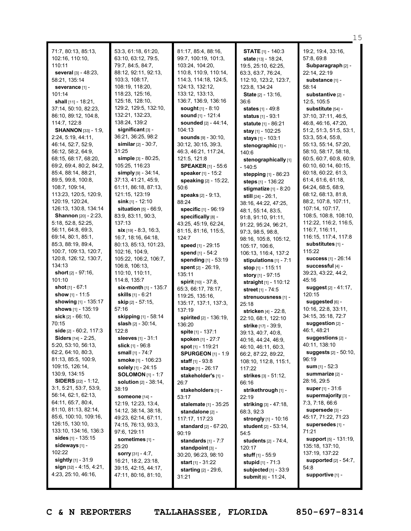|                                                  |                                 |                                        |                                            | 15                            |
|--------------------------------------------------|---------------------------------|----------------------------------------|--------------------------------------------|-------------------------------|
| 71:7, 80:13, 85:13,                              | 53:3, 61:18, 61:20,             | 81:17, 85:4, 88:16,                    | <b>STATE</b> [1] - 140:3                   | 19:2, 19:4, 33:16,            |
| 102:16, 110:10,                                  | 63:10, 63:12, 79:5,             | 99:7, 100:19, 101:3,                   | <b>state</b> $[13] - 18:24$ ,              | 57:8, 69:8                    |
| 110:11                                           | 79:7, 84:5, 84:7,               | 103:24, 104:20,                        | 19:5, 25:10, 62:25,                        | Subparagraph [2] -            |
| several [3] - 48:23,                             | 88:12, 92:11, 92:13,            | 110:8, 110:9, 110:14,                  | 63:3, 63:7, 76:24,                         | 22:14, 22:19                  |
| 58:21, 135:14                                    | 103:3, 108:17,                  | 114:3, 114:18, 124:5,                  | 112:10, 123:2, 123:7,                      | substance [1] -               |
| severance [1] -                                  | 108:19, 118:20,                 | 124:13, 132:12,                        | 123:8, 134:24                              | 58:14                         |
| 101:14                                           | 118:23, 125:16,                 | 133:12, 133:13,                        | State [2] - 13:16,                         | substantive [2] -             |
| shall [11] - 18:21,                              | 125:18, 128:10,                 | 136:7, 136:9, 136:16                   | 36:6                                       | 12:5, 105:5                   |
| 37:14, 50:10, 82:23,                             | 129:2, 129:5, 132:10,           | sought $[1] - 8:10$                    | <b>states</b> [1] - 49:8                   | substitute [54] -             |
| 86:10, 89:12, 104:8,                             | 132:21, 132:23,                 | <b>sound</b> $[1] - 121:4$             | status [1] - 93:1                          | 37:10, 37:11, 46:5,           |
| 114:7, 122:8                                     | 138:24, 139:2                   | sounded [2] - 44:14,                   | <b>statute</b> [1] - 86:21                 | 46:8, 46:16, 47:20,           |
| <b>SHANNON</b> [33] - 1:9,                       | significant [3] -               | 104:13                                 | stay $[1] - 102:25$                        | 51:2, 51:3, 51:5, 53:1,       |
| 2:24, 5:19, 44:11,                               | 36:21, 36:25, 98:2              | <b>sounds</b> $[9] - 30:10$ ,          | stays [1] - 103:1                          | 53:3, 55:4, 55:8,             |
| 46:14, 52:7, 52:9,                               | <b>similar</b> $[2] - 30:7$ ,   | 30:12, 30:15, 39:3,                    | stenographic [1] -                         | 55:13, 55:14, 57:20,          |
| 56:12, 58:2, 64:9,                               | 31:25                           | 46:3, 46:21, 117:24,                   | 140:6                                      | 58:10, 58:17, 58:18,          |
| 68:15, 68:17, 68:20,                             | simple [3] - 80:25,             | 121:5, 121:8                           | stenographically [1]                       | 60:5, 60:7, 60:8, 60:9,       |
| 69:2, 69:4, 80:2, 84:2,                          | 105:25, 116:23                  | <b>SPEAKER</b> [1] - 55:6              | $-140:5$                                   | 60:10, 60:14, 60:15,          |
| 85:4, 88:14, 88:21,                              | simply $[9] - 34:14$ ,          | speaker [1] - 15:2                     | stepping $[1]$ - 86:23                     | 60:18, 60:22, 61:3,           |
| 89:5, 99:8, 100:8,                               | 37:13, 41:21, 45:9,             | speaking [2] - 15:22,                  | steps [1] - 136:22                         | 61:4, 61:6, 61:18,            |
| 108:7, 109:14,                                   | 61:11, 86:18, 87:13,            | 50:6                                   | stigmatize [1] - 8:20                      | 64:24, 68:5, 68:9,            |
| 113:23, 120:5, 120:9,                            | 121:15, 123:19                  | speaks [2] - 9:13,                     | still $[24] - 26:1$ ,                      | 68:12, 68:13, 81:8,           |
| 120:19, 120:24,                                  | sink $[1]$ - 12:10              | 88:24                                  | 38:16, 44:22, 47:25,                       | 88:2, 107:8, 107:11,          |
| 126:13, 130:8, 134:14                            | situation $[5] - 66:9$ .        | specific [1] - 96:19                   | 48:1, 55:14, 83:5,                         | 107:14, 107:17,               |
| <b>Shannon</b> [20] - 2:23,                      | 83:9, 83:11, 90:3,              | specifically [8] -                     | 91:8, 91:10, 91:11,                        | 108:5, 108:8, 108:10,         |
| 5:18, 52:8, 52:25,                               | 137:13                          | 43:25, 45:19, 62:24,                   | 91:22, 95:24, 96:21,                       | 112:22, 116:2, 116:5,         |
| 56:11, 64:8, 69:3,                               | $six$ [19] - 8:3, 16:3,         | 81:15, 81:16, 115:5,                   | 97:3, 98:5, 98:8,                          | 116:7, 116:11,                |
| 69:14, 80:1, 85:1,                               | 16:7, 18:16, 64:18,             | 124:7                                  | 98:16, 105:8, 105:12,                      | 116:15, 117:4, 117:8          |
| 85:3, 88:19, 89:4,                               | 80:13, 85:13, 101:23,           | speed [1] - 29:15                      | 105:17, 106:6,                             | substitutes [1] -             |
| 100:7, 109:13, 120:7,                            | 102:16, 104:9,                  | spend [1] - 54:2                       | 106:13, 116:4, 137:2                       | 115:22                        |
| 120:8, 126:12, 130:7,                            | 105:22, 106:2, 106:7,           | spending $[1] - 53:19$                 | stipulations $[1] - 7:1$                   | <b>success</b> [1] - 26:14    |
| 134:13                                           | 106:8, 106:13,                  | spent [2] - 26:19,                     | stop [1] - 115:11                          | successful [4] -              |
| short $[2] - 97:16$ ,                            | 110:10, 110:11,                 | 135:11                                 | story [1] - 97:15                          | 39:23, 43:22, 44:2,           |
| 101:10                                           | 114:8, 135:7                    | spirit [10] - 37:8,                    | straight [1] - 110:12                      | 45:16<br>suggest [2] - 41:17, |
| <b>shot</b> $[1] - 67:1$                         | six-month $[1]$ - 135:7         | 65:3, 66:17, 78:17,                    | street [1] - 74:5                          |                               |
| show $[1] - 11:5$<br><b>showing</b> [1] - 135:17 | <b>skills</b> [1] - 6:21        | 119:25, 135:16,                        | strenuousness [1] -                        | 120:15<br>suggested [6] -     |
| shows [1] - 135:19                               | skip [2] - 57:15,<br>57:16      | 135:17, 137:1, 137:3,                  | 25:18                                      | 10:16, 22:8, 33:11,           |
| sick $[2] - 66:10$ ,                             | skipping [1] - 58:14            | 137:19                                 | stricken [4] - 22:8,                       | 34:15, 35:18, 72:7            |
| 70:15                                            | <b>slash</b> $[2] - 30:14$ ,    | <b>spirited</b> [2] - 136:19,          | 22:10, 68:1, 122:10                        | suggestion [2] -              |
| side $[2] - 60:2, 117:3$                         | 122:8                           | 136:20                                 | <b>strike</b> [17] - 39:9,                 | 46:1, 48:21                   |
| <b>Siders</b> [14] - 2:25,                       | sleeves [1] - 31:1              | spite [1] - 137:1                      | 39:13, 40:7, 40:8,                         | suggestions [2] -             |
| 5:20, 53:10, 56:13,                              | <b>slick</b> $[1]$ - 96:8       | spoken [1] - 27:7<br>spot [1] - 119:21 | 40:16, 44:24, 46:9,                        | 40:11, 138:10                 |
| 62:2, 64:10, 80:3,                               | small $[1] - 74:7$              | <b>SPURGEON</b> [1] - 1:9              | 46:10, 46:11, 60:3,<br>66:2, 87:22, 89:22, | suggests [2] - 50:10,         |
| 81:13, 85:5, 100:9,                              | smoke [1] - 106:23              | staff $[1] - 93:8$                     |                                            | 96:19                         |
| 109:15, 126:14,                                  | solely [1] - 24:15              | stage $[1] - 26:17$                    | 108:10, 112:8, 115:1,<br>117:22            | <b>sum</b> [1] - 52:3         |
| 130:9, 134:15                                    | <b>SOLOMON</b> [1] - 1:7        | stakeholder's [1] -                    | strikes [3] - 51:12,                       | summarize [2] -               |
| <b>SIDERS</b> [22] - 1:12,                       | <b>solution</b> $[2] - 38:14$ , | 26:7                                   | 66:16                                      | 28:16, 29:5                   |
| 3:1, 5:21, 53:7, 53:9,                           | 38:19                           | stakeholders [1] -                     | strikethrough [1] -                        | <b>super</b> [1] - 31:6       |
| 56:14, 62:1, 62:13,                              | someone [14] -                  | 53:17                                  | 22:19                                      | supermajority [3] -           |
| 64:11, 65:7, 80:4,                               | 12:19, 12:23, 13:4,             | stalemate [1] - 35:25                  | striking [3] - 47:18,                      | 7:3, 7:18, 66:6               |
| 81:10, 81:13, 82:14,                             | 14:12, 38:14, 38:18,            | standalone [2] -                       | 68:3, 92:3                                 | supersede [3] -               |
| 85:6, 100:10, 109:16,                            | 49:23, 62:14, 67:11,            | 117:17, 117:23                         | strongly [1] - 10:16                       | 45:17, 71:22, 71:23           |
| 126:15, 130:10,                                  | 74:15, 76:13, 93:3,             | <b>standard</b> $[2] - 67:20$ ,        | <b>student</b> [2] - 53:14,                | supersedes [1] -              |
| 133:10, 134:16, 136:3                            | 97:6, 129:11                    | 90:19                                  | 54:5                                       | 71:21                         |
| sides $[1] - 135:15$                             | sometimes [1] -                 | standards $[1] - 7:7$                  | <b>students</b> [2] - 74:4,                | <b>support</b> [5] - 131:19,  |
| sideways [1] -                                   | 25:20                           | standpoint [3] -                       | 120:17                                     | 135:18, 137:10,               |
| 102:22                                           | <b>sorry</b> $[31] - 4:7$ ,     | 30:20, 96:23, 98:10                    | <b>stuff</b> $[1] - 55:9$                  | 137:19, 137:22                |
| sightly $[1]$ - 31:9                             | 16:21, 18:2, 23:18,             | <b>start</b> $[1] - 31:22$             | stupid $[1] - 71:3$                        | <b>supported</b> [2] - 54:7,  |
| sign $[32] - 4:15, 4:21,$                        | 39:15, 42:15, 44:17,            | <b>starting</b> $[2] - 29:6$ ,         | subjected [1] - 33:9                       | 54:8                          |
| 4:23, 25:10, 46:16,                              | 47:11, 80:16, 81:10,            | 31:21                                  | submit [6] - 11:24,                        | supportive [1] -              |
|                                                  |                                 |                                        |                                            |                               |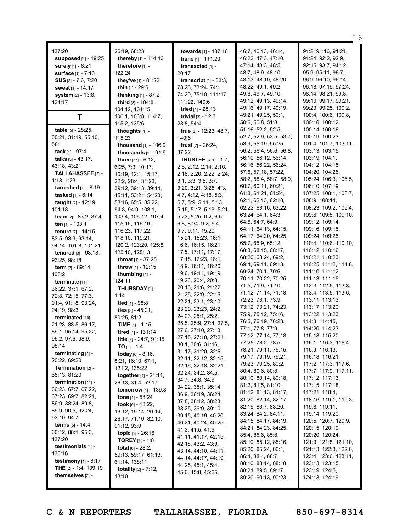|                                                          |                                                         |                                            |                                            | 16                                      |
|----------------------------------------------------------|---------------------------------------------------------|--------------------------------------------|--------------------------------------------|-----------------------------------------|
| 137:20                                                   | 26:19, 68:23                                            | towards [1] - 137:16                       | 46:7, 46:13, 46:14,                        | 91:2, 91:16, 91:21,                     |
| supposed [1] - 19:25                                     | thereby $[1] - 114:13$                                  | <b>trans</b> $[1] - 111:20$                | 46:22, 47:3, 47:10,                        | 91:24, 92:2, 92:9,                      |
| surely [1] - 8:21                                        | therefore $[1]$ -                                       | transacted [1] -                           | 47:14, 48:3, 48:5,                         | 92:15, 93:7, 94:12,                     |
| surface [1] - 7:10                                       | 122:24                                                  | 20:17                                      | 48:7, 48:9, 48:10,                         | 95:9, 95:11, 96:7,                      |
| SUS $[2] - 7:6, 7:20$                                    | they've [1] - 81:22                                     | transcript $[9] - 33:3$ ,                  | 48:13, 48:19, 48:20,                       | 96:9, 96:10, 96:14,                     |
| sweat [1] - 14:17                                        | <b>thin</b> $[1]$ - 29:6                                | 73:23, 73:24, 74:1,                        | 48:22, 49:1, 49:2,                         | 96:18, 97:19, 97:24,                    |
| <b>system</b> [2] - 13:8,                                | <b>thinking</b> $[1] - 87:2$                            | 74:20, 75:10, 111:17,                      | 49:6, 49:7, 49:10,                         | 98:14, 98:21, 99:8,                     |
| 121:17                                                   | third [8] - 104:8,                                      | 111:22, 140:6                              | 49:12, 49:13, 49:14,                       | 99:10, 99:17, 99:21,                    |
|                                                          | 104:12, 104:15,                                         | tried [1] - 28:13                          | 49:16, 49:17, 49:19,                       | 99:23, 99:25, 100:2,                    |
| T                                                        | 106:1, 106:8, 114:7,                                    | <b>trivial</b> $[3] - 12:3$ ,              | 49:21, 49:25, 50:1,                        | 100:4, 100:6, 100:8,                    |
|                                                          | 115:2, 135:6                                            | 28:8, 54:4                                 | 50:6, 50:8, 51:8,                          | 100:10, 100:12,                         |
| table [5] - 28:25,                                       | thoughts [1] -                                          | true [3] - 12:23, 48:7,                    | 51:16, 52:2, 52:5,                         | 100:14, 100:16,                         |
| 30:21, 31:19, 55:10,                                     | 115:23                                                  | 140:6                                      | 52:7, 52:9, 53:5, 53:7,                    | 100:19, 100:23,                         |
| 58:1                                                     | <b>thousand</b> $[1] - 106:9$                           | trust $[2] - 26:24$ ,                      | 53:9, 55:19, 55:25,                        | 101:4, 101:7, 103:11,                   |
| tack [1] - $97:4$                                        | thousands $[1]$ - $91:9$                                | 37:22                                      | 56:2, 56:4, 56:6, 56:8,                    | 103:13, 103:15,                         |
| talks $[3] - 43:17$ ,                                    | three $[37] - 6:12$ ,                                   | <b>TRUSTEE</b> [561] - 1:7,                | 56:10, 56:12, 56:14,                       | 103:19, 104:1,                          |
| 43:18, 43:21                                             | 6:25, 7:3, 10:17,                                       | 2:8, 2:12, 2:14, 2:16,                     | 56:16, 56:22, 56:24,                       | 104:12, 104:15,                         |
| TALLAHASSEE [2] -                                        | 10:19, 12:1, 15:17,                                     | 2:18, 2:20, 2:22, 2:24,                    | 57:6, 57:18, 57:22,                        | 104:20, 104:25,                         |
| 1:18, 1:23                                               | 22:2, 28:4, 31:23,                                      | 3:1, 3:3, 3:5, 3:7,                        | 58:2, 58:4, 58:7, 58:9,                    | 105:24, 106:3, 106:5,                   |
| tarnished $[1] - 8:19$                                   | 39:12, 39:13, 39:14,                                    | 3:20, 3:21, 3:25, 4:3,                     | 60:7, 60:11, 60:21,                        | 106:10, 107:19,                         |
| tasked [1] - 6:14                                        | 45:11, 53:21, 54:23,                                    | 4:7, 4:12, 4:16, 5:3,                      | 61:8, 61:21, 61:24,                        | 107:25, 108:1, 108:7,                   |
| <b>taught</b> $[2] - 12:19$ ,                            | 58:16, 65:5, 85:22,                                     | 5:7, 5:9, 5:11, 5:13,                      | 62:1, 62:13, 62:18,                        | 108:9, 108:14,<br>108:23, 109:2, 109:4, |
| 101:18                                                   | 94:8, 94:9, 103:1,                                      | 5:15, 5:17, 5:19, 5:21,                    | 62:22, 63:16, 63:22,<br>63:24, 64:1, 64:3, | 109:6, 109:8, 109:10,                   |
| team [2] - 83:2, 87:4                                    | 103:4, 106:12, 107:4,                                   | 5:23, 5:25, 6:2, 6:5,                      | 64:5, 64:7, 64:9,                          | 109:12, 109:14,                         |
| ten $[1] - 103:1$                                        | 115:15, 116:16,                                         | 6:8, 8:24, 9:2, 9:4,                       | 64:11, 64:13, 64:15,                       | 109:16, 109:18,                         |
| <b>tenure</b> $[7] - 14:15$ ,                            | 116:23, 117:22,                                         | 9:7, 9:11, 15:20,                          | 64:17, 64:20, 64:25,                       | 109:24, 109:25,                         |
| 83:5, 93:9, 93:14,                                       | 118:10, 119:21,                                         | 15:21, 15:23, 16:1,                        | 65:7, 65:9, 65:12,                         | 110:4, 110:6, 110:10,                   |
| 94:14, 101:8, 101:21                                     | 120:2, 123:20, 125:8,                                   | 16:6, 16:15, 16:21,                        | 68:8, 68:15, 68:17,                        | 110:12, 110:16,                         |
| <b>tenured</b> $[3] - 93:18$ ,                           | 125:10, 125:13                                          | 17:5, 17:11, 17:17,<br>17:18, 17:23, 18:1, | 68:20, 68:24, 69:2,                        | 110:21, 110:23,                         |
| 93:25, 98:18                                             | <b>throat</b> $[1] - 37:25$<br><b>throw</b> [1] - 12:15 | 18:9, 18:11, 18:20,                        | 69:4, 69:11, 69:13,                        | 110:25, 111:2, 111:8,                   |
| term $[2] - 89:14$ ,<br>105:2                            | thumbing [1] -                                          | 19:6, 19:11, 19:19,                        | 69:24, 70:1, 70:6,                         | 111:10, 111:12,                         |
|                                                          | 124:11                                                  | 19:23, 20:4, 20:8,                         | 70:11, 70:22, 70:25,                       | 111:13, 111:19,                         |
| <b>terminate</b> $[11]$ -<br>36:22, 37:1, 67:2,          | THURSDAY <sub>[1]</sub> -                               | 20:13, 21:6, 21:22,                        | 71:5, 71:9, 71:10,                         | 112:3, 112:5, 113:3,                    |
| 72:8, 72:15, 77:3,                                       | 1:14                                                    | 21:25, 22:9, 22:15,                        | 71:12, 71:14, 71:18,                       | 113:4, 113:5, 113:6,                    |
| 91:4, 91:18, 93:24,                                      | tied [1] - 98:8                                         | 22:21, 23:1, 23:10,                        | 72:23, 73:1, 73:9,                         | 113:11, 113:13,                         |
| 94:19, 98:3                                              | ties [3] - 45:21,                                       | 23:20, 23:23, 24:2,                        | 73:12, 73:21, 74:23,                       | 113:17, 113:20,                         |
| terminated [10] -                                        | 80:25, 81:2                                             | 24:23, 25:1, 25:2,                         | 75:9, 75:12, 75:16,                        | 113:22, 113:23,                         |
| 21:23, 83:5, 86:17,                                      | <b>TIME</b> $[1]$ - 1:15                                | 25:5, 25:9, 27:4, 27:5,                    | 76:5, 76:19, 76:23,                        | 114:3, 114:15,                          |
| 89:1, 95:14, 95:22,                                      | tired [1] - 131:14                                      | 27:6, 27:10, 27:13,                        | 77:1, 77:8, 77:9,                          | 114:20, 114:23,                         |
| 96:2, 97:6, 98:9,                                        | title [2] - 24:7, 91:15                                 | 27:15, 27:18, 27:21,                       | 77:12, 77:14, 77:18,                       | 115:18, 115:20,                         |
| 98:14                                                    | <b>TO</b> $[1] - 1:4$                                   | 30:1, 30:6, 31:16,                         | 77:25, 78:2, 78:5,<br>78:21, 79:11, 79:15, | 116:1, 116:3, 116:4,                    |
| terminating [2] -                                        | today $[6] - 8:16$ ,                                    | 31:17, 31:20, 32:6,                        | 79:17, 79:19, 79:21,                       | 116:9, 116:13,                          |
| 20:22, 69:20                                             | 8:21, 16:10, 67:1,                                      | 32:11, 32:12, 32:15,                       | 79:23, 79:25, 80:2,                        | 116:18, 116:21,<br>117:2, 117:3, 117:6, |
| <b>Termination</b> $[2]$ -                               | 121:2, 135:22                                           | 32:16, 32:18, 32:21,                       | 80:4, 80:6, 80:8,                          | 117:7, 117:9, 117:11,                   |
| 65:13, 81:20                                             | together [4] - 21:11,                                   | 32:24, 34:2, 34:5,                         | 80:10, 80:14, 80:18,                       | 117:12, 117:13,                         |
| <b>termination</b> $[14]$ -                              | 26:13, 31:4, 52:17                                      | 34:7, 34:8, 34:9,                          | 81:2, 81:5, 81:10,                         | 117:15, 117:18,                         |
| 66:23, 67:7, 67:22,                                      | tomorrow [1] - 139:8                                    | 34:22, 35:1, 35:14,<br>36:9, 36:19, 36:24, | 81:12, 81:13, 81:17,                       | 117:21, 118:4,                          |
| 67:23, 69:7, 82:21,                                      | <b>tone</b> [1] - 58:24                                 | 37:8, 38:12, 38:23,                        | 81:20, 82:14, 82:17,                       | 118:16, 119:1, 119:3,                   |
| 86:9, 88:24, 89:8,                                       | took $[9] - 13:22$ ,                                    | 38:25, 39:9, 39:10,                        | 82:19, 83:7, 83:20,                        | 119:8, 119:11,                          |
| 89:9, 90:5, 92:24,                                       | 19:12, 19:14, 20:14,                                    | 39:15, 40:19, 40:20,                       | 83:24, 84:2, 84:11,                        | 119:14, 119:20,                         |
| 93:10, 94:7                                              | 26:17, 71:10, 82:10,                                    | 40:21, 40:24, 40:25,                       | 84:15, 84:17, 84:19,                       | 120:5, 120:7, 120:9,                    |
| <b>terms</b> $[5] - 14:4,$                               | 91:12, 93:9                                             | 41:3, 41:5, 41:9,                          | 84:21, 84:23, 84:25,                       | 120:15, 120:19,                         |
| 60:12, 88:1, 95:3,                                       | <b>topic</b> $[1]$ - 26:16                              | 41:11, 41:17, 42:15,                       | 85:4, 85:6, 85:8,                          | 120:20, 120:24,                         |
| 137:20                                                   | <b>TOREY</b> [1] - 1:8                                  | 42:18, 43:2, 43:9,                         | 85:10, 85:12, 85:16,                       | 121:3, 121:8, 121:10,                   |
| testimonials [1] -                                       | <b>total</b> [6] - 28:2,                                | 43:14, 44:10, 44:11,                       | 85:20, 85:24, 86:1,                        | 121:13, 122:3, 122:6,                   |
| 138:16                                                   | 59:13, 59:17, 61:13,                                    | 44:14, 44:17, 44:19,                       | 86:4, 88:4, 88:7,                          | 123:4, 123:6, 123:11,                   |
| testimony $[1]$ - 8:17<br><b>THE</b> $[2] - 1:4, 139:19$ | 61:14, 138:11                                           | 44:25, 45:1, 45:4,                         | 88:10, 88:14, 88:18,                       | 123:13, 123:15,                         |
| themselves $[2]$ -                                       | <b>totality</b> $[2] - 7:12$ ,<br>13:10                 | 45:6, 45:8, 45:25,                         | 88:21, 89:5, 89:17,                        | 123:19, 124:5,                          |
|                                                          |                                                         |                                            | 89:20, 90:13, 90:23,                       | 124:13, 124:19,                         |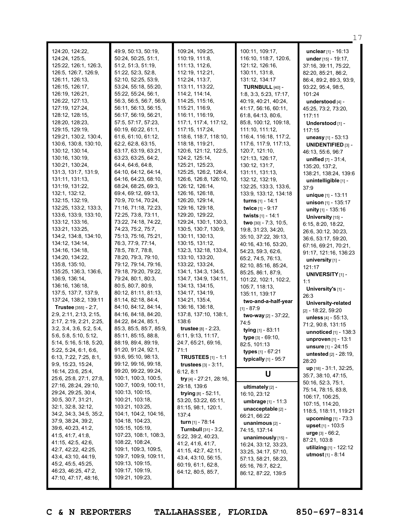| 124:20, 124:22,<br>124:24, 125:5,<br>125:22, 126:1, 126:3,<br>126:5, 126:7, 126:9,<br>126:11, 126:13,<br>126:15, 126:17,<br>126:19, 126:21,<br>126:22, 127:13,<br>127:19, 127:24,<br>128:12, 128:15,<br>128:20, 128:23,<br>129:15, 129:19,<br>129:21, 130:2, 130:4,<br>130:6, 130:8, 130:10,<br>130:12, 130:14,<br>130:16, 130:19,<br>130:21, 130:24,<br>131:3, 131:7, 131:9,<br>131:11, 131:13,<br>131:19, 131:22,                                                                                                                                                                | 49:9, 50:13, 50:19,<br>50:24, 50:25, 51:1,<br>51:2, 51:3, 51:19,<br>51:22, 52:3, 52:8,<br>52:10, 52:25, 53:9,<br>53:24, 55:18, 55:20,<br>55:22, 55:24, 56:1,<br>56:3, 56:5, 56:7, 56:9,<br>56:11, 56:13, 56:15,<br>56:17, 56:19, 56:21,<br>57:5, 57:17, 57:23,<br>60:19, 60:22, 61:1,<br>61:6, 61:10, 61:12,<br>62:2, 62:8, 63:15,<br>63:17, 63:19, 63:21,<br>63:23, 63:25, 64:2,<br>64:4, 64:6, 64:8,<br>64:10, 64:12, 64:14,<br>64:16, 64:23, 68:10,<br>68:24, 68:25, 69:3,                                                                                                                     | 109:24, 109:25,<br>110:19, 111:8,<br>111:13, 112:6,<br>112:19, 112:21,<br>112:24, 113:7,<br>113:11, 113:22,<br>114:2, 114:14,<br>114:25, 115:16,<br>115:21, 116:9,<br>116:11, 116:19,<br>117:1, 117:4, 117:12,<br>117:15, 117:24,<br>118:6, 118:7, 118:10,<br>118:18, 119:21,<br>120:6, 121:12, 122:5,<br>124:2, 125:14,<br>125:21, 125:23,<br>125:25, 126:2, 126:4,<br>126:6, 126:8, 126:10,<br>126:12, 126:14,                                                                                                  | 100:11, 109:17,<br>116:10, 118:7, 120:6,<br>121:12, 126:16,<br>130:11, 131:8,<br>131:12, 134:17<br>TURNBULL [40] -<br>1:8, 3:3, 5:23, 17:17,<br>40:19, 40:21, 40:24,<br>41:17, 56:16, 60:11,<br>61:8, 64:13, 80:6,<br>85:8, 100:12, 109:18,<br>111:10, 111:12,<br>116:4, 116:18, 117:2,<br>117:6, 117:9, 117:13,<br>120:7, 121:10,<br>121:13, 126:17,<br>130:12, 131:7,<br>131:11, 131:13,<br>132:12, 132:19,<br>132:25, 133:3, 133:6,                                                                                    | <b>unclear</b> $[1] - 16:13$<br>under [15] - 19:17,<br>37:16, 39:11, 75:22,<br>82:20, 85:21, 86:2,<br>86:4, 89:2, 89:3, 93:9,<br>93:22, 95:4, 98:5,<br>101:24<br>understood [4] -<br>45:25, 73:2, 73:20,<br>117:11<br>Understood [1] -<br>117:15<br>uneasy [1] - 53:13<br><b>UNIDENTIFIED [3] -</b><br>46:13, 55:6, 96:7<br><b>unified</b> $[7] - 31:4$ ,<br>135:20, 137:2,<br>138:21, 138:24, 139:6<br>unintelligible [1] -<br>37:9                                                                                   |
|------------------------------------------------------------------------------------------------------------------------------------------------------------------------------------------------------------------------------------------------------------------------------------------------------------------------------------------------------------------------------------------------------------------------------------------------------------------------------------------------------------------------------------------------------------------------------------|---------------------------------------------------------------------------------------------------------------------------------------------------------------------------------------------------------------------------------------------------------------------------------------------------------------------------------------------------------------------------------------------------------------------------------------------------------------------------------------------------------------------------------------------------------------------------------------------------|-------------------------------------------------------------------------------------------------------------------------------------------------------------------------------------------------------------------------------------------------------------------------------------------------------------------------------------------------------------------------------------------------------------------------------------------------------------------------------------------------------------------|---------------------------------------------------------------------------------------------------------------------------------------------------------------------------------------------------------------------------------------------------------------------------------------------------------------------------------------------------------------------------------------------------------------------------------------------------------------------------------------------------------------------------|------------------------------------------------------------------------------------------------------------------------------------------------------------------------------------------------------------------------------------------------------------------------------------------------------------------------------------------------------------------------------------------------------------------------------------------------------------------------------------------------------------------------|
| 132:1, 132:12,<br>132:15, 132:19,<br>132:25, 133:2, 133:3,<br>133:6, 133:9, 133:10,<br>133:12, 133:16,<br>133:21, 133:25,<br>134:2, 134:8, 134:10,<br>134:12, 134:14,<br>134:16, 134:18,<br>134:20, 134:22,<br>135:8, 135:10,<br>135:25, 136:3, 136:6,<br>136:9, 136:14,<br>136:16, 136:18,<br>137:5, 137:7, 137:9,<br>137:24, 138:2, 139:11<br>Trustee [355] - 2:7,<br>2:9, 2:11, 2:13, 2:15,<br>2:17, 2:19, 2:21, 2:25,<br>3:2, 3:4, 3:6, 5:2, 5:4,<br>5:6, 5:8, 5:10, 5:12,<br>5:14, 5:16, 5:18, 5:20,<br>5:22, 5:24, 6:1, 6:6,<br>6:13, 7:22, 7:25, 8:1,<br>9:9, 15:23, 15:24, | 69:4, 69:12, 69:13,<br>70:9, 70:14, 70:24,<br>71:16, 71:18, 72:23,<br>72:25, 73:8, 73:11,<br>73:22, 74:18, 74:22,<br>74:23, 75:2, 75:7,<br>75:13, 75:16, 75:21,<br>76:3, 77:9, 77:14,<br>78:5, 78:7, 78:8,<br>78:20, 79:3, 79:10,<br>79:12, 79:14, 79:16,<br>79:18, 79:20, 79:22,<br>79:24, 80:1, 80:3,<br>80:5, 80:7, 80:9,<br>80:12, 81:11, 81:13,<br>81:14, 82:18, 84:4,<br>84:10, 84:12, 84:14,<br>84:16, 84:18, 84:20,<br>84:22, 84:24, 85:1,<br>85:3, 85:5, 85:7, 85:9,<br>85:11, 85:15, 88:8,<br>88:19, 89:4, 89:19,<br>91:20, 91:24, 92:1,<br>93:6, 95:10, 98:13,<br>99:12, 99:16, 99:18, | 126:16, 126:18,<br>126:20, 129:14,<br>129:16, 129:18,<br>129:20, 129:22,<br>129:24, 130:1, 130:3,<br>130:5, 130:7, 130:9,<br>130:11, 130:13,<br>130:15, 131:12,<br>132:3, 132:18, 133:4,<br>133:10, 133:20,<br>133:22, 133:24,<br>134:1, 134:3, 134:5,<br>134:7, 134:9, 134:11,<br>134:13, 134:15,<br>134:17, 134:19,<br>134:21, 135:4,<br>136:16, 136:18,<br>137:8, 137:10, 138:1,<br>138:6<br><b>trustee</b> $[8] - 2:23$ ,<br>6:11, 9:13, 11:17,<br>24:7, 65:21, 69:16,<br>71:1<br><b>TRUSTEES</b> $[1] - 1:1$ | 133:9, 133:12, 134:18<br>turns $[1] - 14:1$<br>twice [1] - 9:17<br>twists [1] - 14:1<br>two [30] - 7:3, 10:5,<br>19:8, 31:23, 34:20,<br>35:10, 37:22, 39:13,<br>40:16, 43:16, 53:20,<br>54:23, 59:3, 62:6,<br>65:2, 74:5, 76:13,<br>82:10, 85:16, 85:24,<br>85:25, 86:1, 87:9,<br>101:22, 102:1, 102:2,<br>105:7, 118:13,<br>135:11, 139:17<br>two-and-a-half-year<br>$[1] - 87:9$<br>two-way [2] - 37:22,<br>74:5<br>tying [1] - 83:11<br>type [3] - 69:10,<br>82:5, 101:13<br>types [1] - 67:21<br>typically [1] - 95:7 | unique $[1] - 13:11$<br>unison [1] - 135:17<br>unity [1] - 135:16<br>University [15] -<br>6:15, 8:20, 18:22,<br>26:6, 30:12, 30:23,<br>36:6, 53:17, 59:20,<br>67:16, 69:21, 70:21,<br>91:17, 121:16, 136:23<br>university [1] -<br>121:17<br><b>UNIVERSITY [1] -</b><br>1:1<br>University's [1] -<br>26:3<br>University-related<br>$[2] - 18:22, 59:20$<br>unless [4] - 55:13,<br>71:2, 90:8, 131:15<br>unnoticed [1] - 138:3<br>unproven [1] - 13:1<br>unsure [1] - 24:15<br><b>untested</b> $[2] - 28:19$ ,<br>28:20 |
| 16:14, 23:6, 25:4,<br>25:6, 25:8, 27:1, 27:8,<br>27:16, 28:24, 29:10,<br>29:24, 29:25, 30:4,<br>30:5, 30:7, 31:21,<br>32:1, 32:8, 32:12,<br>34:2, 34:3, 34:5, 35:2,<br>37:9, 38:24, 39:2,<br>39:6, 40:23, 41:2,<br>41:5, 41:7, 41:8,<br>41:15, 42:5, 42:6,<br>42:7, 42:22, 42:25,<br>43:4, 43:10, 44:19,<br>45:2, 45:5, 45:25,<br>46:23, 46:25, 47:2,<br>47:10, 47:17, 48:16,                                                                                                                                                                                                      | 99:20, 99:22, 99:24,<br>100:1, 100:3, 100:5,<br>100:7, 100:9, 100:11,<br>100:13, 100:15,<br>100:21, 103:18,<br>103:21, 103:25,<br>104:1, 104:2, 104:16,<br>104:18, 104:23,<br>105:15, 105:19,<br>107:23, 108:1, 108:3,<br>108:22, 108:24,<br>109:1, 109:3, 109:5,<br>109:7, 109:9, 109:11,<br>109:13, 109:15,<br>109:17, 109:19,<br>109:21, 109:23,                                                                                                                                                                                                                                               | <b>trustees</b> $[3] - 3:11$ ,<br>6:12, 8:1<br>try $[4] - 27:21$ , 28:16,<br>29:18, 139:6<br>trying $[8] - 52:11$ ,<br>53:20, 53:22, 65:11,<br>81:15, 98:1, 120:1,<br>137:4<br>turn $[1]$ - 78:14<br>Turnbull [31] - 3:2,<br>5:22, 39:2, 40:23,<br>41:2, 41:6, 41:7,<br>41:15, 42:7, 42:11,<br>43:4, 43:10, 56:15,<br>60:19, 61:1, 62:8,<br>64:12, 80:5, 85:7,                                                                                                                                                    | U<br>ultimately [2] -<br>16:10, 23:12<br>umbrage [1] - 11:3<br>unacceptable [2] -<br>66:21, 66:22<br>unanimous [2] -<br>74:15, 137:14<br>unanimously [15] -<br>16:24, 33:12, 33:23,<br>33:25, 34:17, 57:10,<br>57:13, 58:21, 58:23,<br>65:16, 76:7, 82:2,<br>86:12, 87:22, 139:5                                                                                                                                                                                                                                          | up [18] - 31:1, 32:25,<br>35:7, 38:10, 47:15,<br>50:16, 52:3, 75:1,<br>75:14, 78:15, 83:8,<br>106:17, 106:25,<br>107:15, 114:20,<br>118:5, 118:11, 119:21<br><b>upcoming</b> $[1] - 73:3$<br>upset $[1] - 103:5$<br>$urge [3] - 66:2,$<br>87:21, 103:8<br>utilizing [1] - 122:12<br><b>utmost</b> $[1] - 8:14$                                                                                                                                                                                                         |

17